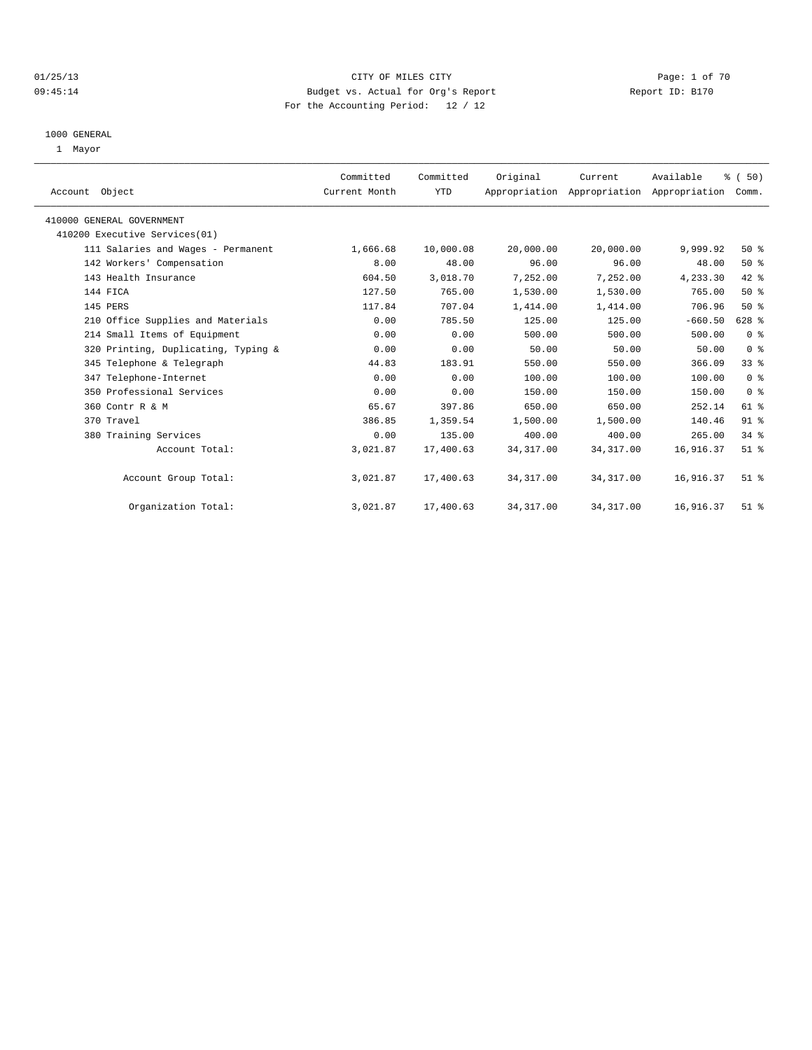## 01/25/13 CITY OF MILES CITY Page: 1 of 70 09:45:14 Budget vs. Actual for Org's Report Changer Report ID: B170 For the Accounting Period: 12 / 12

#### 1000 GENERAL

1 Mayor

| Account Object                      | Committed<br>Current Month | Committed<br>YTD | Original   | Current<br>Appropriation Appropriation Appropriation | Available | % (50)<br>Comm. |  |
|-------------------------------------|----------------------------|------------------|------------|------------------------------------------------------|-----------|-----------------|--|
| 410000 GENERAL GOVERNMENT           |                            |                  |            |                                                      |           |                 |  |
| 410200 Executive Services(01)       |                            |                  |            |                                                      |           |                 |  |
| 111 Salaries and Wages - Permanent  | 1,666.68                   | 10,000.08        | 20,000.00  | 20,000.00                                            | 9,999.92  | 50%             |  |
| 142 Workers' Compensation           | 8.00                       | 48.00            | 96.00      | 96.00                                                | 48.00     | 50%             |  |
| 143 Health Insurance                | 604.50                     | 3,018.70         | 7,252.00   | 7,252.00                                             | 4,233.30  | 42 %            |  |
| 144 FICA                            | 127.50                     | 765.00           | 1,530.00   | 1,530.00                                             | 765.00    | 50%             |  |
| 145 PERS                            | 117.84                     | 707.04           | 1,414.00   | 1,414.00                                             | 706.96    | 50%             |  |
| 210 Office Supplies and Materials   | 0.00                       | 785.50           | 125.00     | 125.00                                               | $-660.50$ | 628 %           |  |
| 214 Small Items of Equipment        | 0.00                       | 0.00             | 500.00     | 500.00                                               | 500.00    | 0 <sup>8</sup>  |  |
| 320 Printing, Duplicating, Typing & | 0.00                       | 0.00             | 50.00      | 50.00                                                | 50.00     | 0 <sup>8</sup>  |  |
| 345 Telephone & Telegraph           | 44.83                      | 183.91           | 550.00     | 550.00                                               | 366.09    | 33 <sup>8</sup> |  |
| 347 Telephone-Internet              | 0.00                       | 0.00             | 100.00     | 100.00                                               | 100.00    | 0 <sup>8</sup>  |  |
| 350 Professional Services           | 0.00                       | 0.00             | 150.00     | 150.00                                               | 150.00    | 0 <sup>8</sup>  |  |
| 360 Contr R & M                     | 65.67                      | 397.86           | 650.00     | 650.00                                               | 252.14    | 61 %            |  |
| 370 Travel                          | 386.85                     | 1,359.54         | 1,500.00   | 1,500.00                                             | 140.46    | 91 %            |  |
| 380 Training Services               | 0.00                       | 135.00           | 400.00     | 400.00                                               | 265.00    | 34.8            |  |
| Account Total:                      | 3,021.87                   | 17,400.63        | 34, 317.00 | 34, 317.00                                           | 16,916.37 | $51$ %          |  |
| Account Group Total:                | 3,021.87                   | 17,400.63        | 34, 317.00 | 34, 317.00                                           | 16,916.37 | $51$ %          |  |
| Organization Total:                 | 3,021.87                   | 17,400.63        | 34, 317.00 | 34, 317.00                                           | 16,916.37 | $51$ %          |  |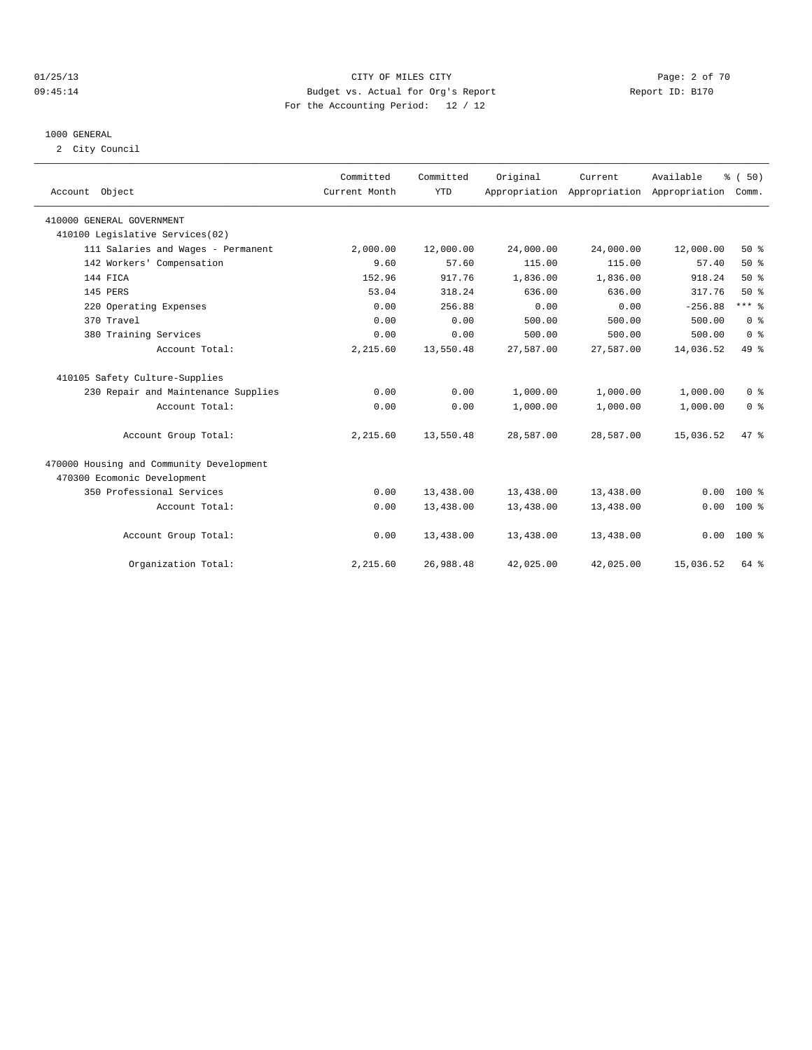## 01/25/13 CITY OF MILES CITY Page: 2 of 70 09:45:14 Budget vs. Actual for Org's Report Changer Report ID: B170 For the Accounting Period: 12 / 12

#### 1000 GENERAL

2 City Council

| Account Object                           | Committed<br>Current Month | Committed<br><b>YTD</b> | Original  | Current<br>Appropriation Appropriation Appropriation | Available | % (50)<br>Comm. |  |
|------------------------------------------|----------------------------|-------------------------|-----------|------------------------------------------------------|-----------|-----------------|--|
| 410000 GENERAL GOVERNMENT                |                            |                         |           |                                                      |           |                 |  |
| 410100 Legislative Services(02)          |                            |                         |           |                                                      |           |                 |  |
| 111 Salaries and Wages - Permanent       | 2,000.00                   | 12,000.00               | 24,000.00 | 24,000.00                                            | 12,000.00 | 50%             |  |
| 142 Workers' Compensation                | 9.60                       | 57.60                   | 115.00    | 115.00                                               | 57.40     | 50%             |  |
| 144 FICA                                 | 152.96                     | 917.76                  | 1,836.00  | 1,836.00                                             | 918.24    | 50%             |  |
| 145 PERS                                 | 53.04                      | 318.24                  | 636.00    | 636.00                                               | 317.76    | 50%             |  |
| 220 Operating Expenses                   | 0.00                       | 256.88                  | 0.00      | 0.00                                                 | $-256.88$ | $***$ $%$       |  |
| 370 Travel                               | 0.00                       | 0.00                    | 500.00    | 500.00                                               | 500.00    | 0 <sup>8</sup>  |  |
| 380 Training Services                    | 0.00                       | 0.00                    | 500.00    | 500.00                                               | 500.00    | 0 <sup>8</sup>  |  |
| Account Total:                           | 2,215.60                   | 13,550.48               | 27,587.00 | 27,587.00                                            | 14,036.52 | 49 %            |  |
| 410105 Safety Culture-Supplies           |                            |                         |           |                                                      |           |                 |  |
| 230 Repair and Maintenance Supplies      | 0.00                       | 0.00                    | 1,000.00  | 1,000.00                                             | 1,000.00  | 0 <sup>8</sup>  |  |
| Account Total:                           | 0.00                       | 0.00                    | 1,000.00  | 1,000.00                                             | 1,000.00  | 0 <sup>8</sup>  |  |
| Account Group Total:                     | 2,215.60                   | 13,550.48               | 28,587.00 | 28,587.00                                            | 15,036.52 | 47.8            |  |
| 470000 Housing and Community Development |                            |                         |           |                                                      |           |                 |  |
| 470300 Ecomonic Development              |                            |                         |           |                                                      |           |                 |  |
| 350 Professional Services                | 0.00                       | 13,438.00               | 13,438.00 | 13,438.00                                            | 0.00      | $100*$          |  |
| Account Total:                           | 0.00                       | 13,438.00               | 13,438.00 | 13,438.00                                            | 0.00      | 100 %           |  |
| Account Group Total:                     | 0.00                       | 13,438.00               | 13,438.00 | 13,438.00                                            | 0.00      | $100*$          |  |
| Organization Total:                      | 2,215.60                   | 26,988.48               | 42,025.00 | 42,025.00                                            | 15,036.52 | 64 %            |  |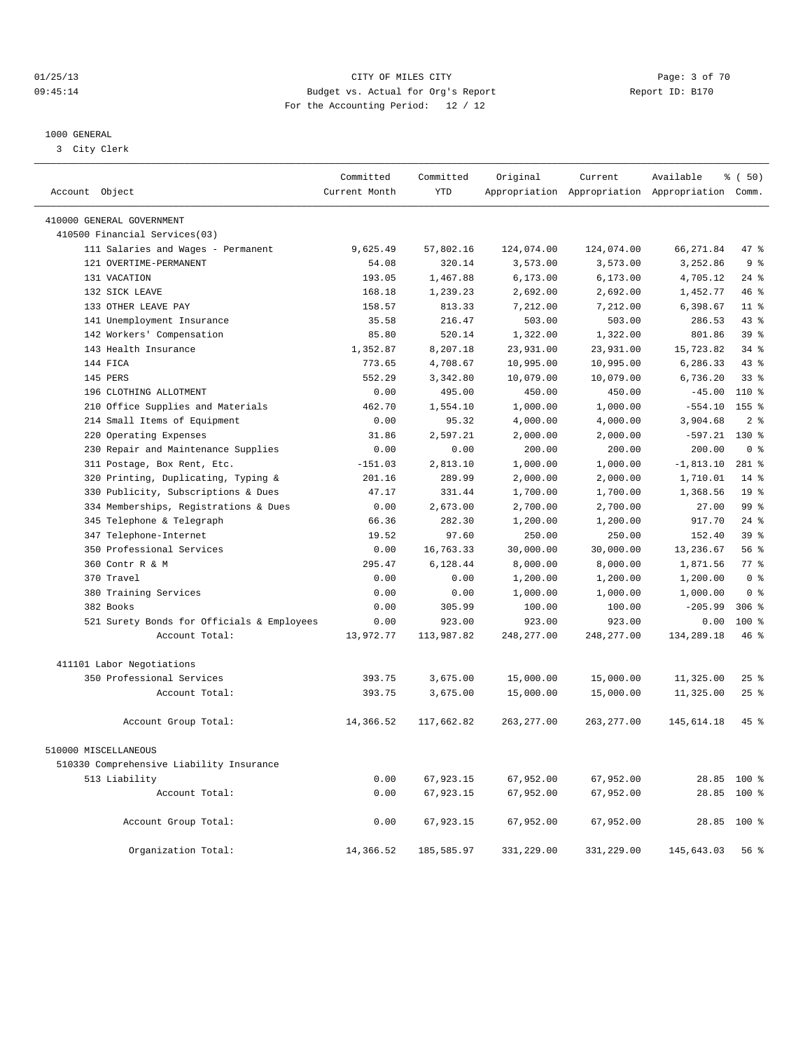## 01/25/13 CITY OF MILES CITY Page: 3 of 70 09:45:14 Budget vs. Actual for Org's Report Changer Report ID: B170 For the Accounting Period: 12 / 12

————————————————————————————————————————————————————————————————————————————————————————————————————————————————————————————————————

#### 1000 GENERAL

3 City Clerk

|                                            | Committed     | Committed  | Original    | Current     | Available                                       | % (50)          |
|--------------------------------------------|---------------|------------|-------------|-------------|-------------------------------------------------|-----------------|
| Account Object                             | Current Month | <b>YTD</b> |             |             | Appropriation Appropriation Appropriation Comm. |                 |
| 410000 GENERAL GOVERNMENT                  |               |            |             |             |                                                 |                 |
| 410500 Financial Services(03)              |               |            |             |             |                                                 |                 |
| 111 Salaries and Wages - Permanent         | 9,625.49      | 57,802.16  | 124,074.00  | 124,074.00  | 66, 271.84                                      | 47 %            |
| 121 OVERTIME-PERMANENT                     | 54.08         | 320.14     | 3,573.00    | 3,573.00    | 3,252.86                                        | 9 <sub>8</sub>  |
| 131 VACATION                               | 193.05        | 1,467.88   | 6, 173.00   | 6, 173.00   | 4,705.12                                        | $24$ %          |
| 132 SICK LEAVE                             | 168.18        | 1,239.23   | 2,692.00    | 2,692.00    | 1,452.77                                        | 46 %            |
| 133 OTHER LEAVE PAY                        | 158.57        | 813.33     | 7,212.00    | 7,212.00    | 6,398.67                                        | $11$ %          |
| 141 Unemployment Insurance                 | 35.58         | 216.47     | 503.00      | 503.00      | 286.53                                          | $43*$           |
| 142 Workers' Compensation                  | 85.80         | 520.14     | 1,322.00    | 1,322.00    | 801.86                                          | 39 <sup>8</sup> |
| 143 Health Insurance                       | 1,352.87      | 8,207.18   | 23,931.00   | 23,931.00   | 15,723.82                                       | $34$ $%$        |
| 144 FICA                                   | 773.65        | 4,708.67   | 10,995.00   | 10,995.00   | 6,286.33                                        | 43.8            |
| 145 PERS                                   | 552.29        | 3,342.80   | 10,079.00   | 10,079.00   | 6,736.20                                        | 33 <sup>8</sup> |
| 196 CLOTHING ALLOTMENT                     | 0.00          | 495.00     | 450.00      | 450.00      | $-45.00$                                        | 110 %           |
| 210 Office Supplies and Materials          | 462.70        | 1,554.10   | 1,000.00    | 1,000.00    | $-554.10$                                       | $155$ $%$       |
| 214 Small Items of Equipment               | 0.00          | 95.32      | 4,000.00    | 4,000.00    | 3,904.68                                        | 2 <sup>°</sup>  |
| 220 Operating Expenses                     | 31.86         | 2,597.21   | 2,000.00    | 2,000.00    | $-597.21$                                       | 130 %           |
| 230 Repair and Maintenance Supplies        | 0.00          | 0.00       | 200.00      | 200.00      | 200.00                                          | 0 <sup>8</sup>  |
| 311 Postage, Box Rent, Etc.                | $-151.03$     | 2,813.10   | 1,000.00    | 1,000.00    | $-1,813.10$                                     | $281$ %         |
| 320 Printing, Duplicating, Typing &        | 201.16        | 289.99     | 2,000.00    | 2,000.00    | 1,710.01                                        | $14*$           |
| 330 Publicity, Subscriptions & Dues        | 47.17         | 331.44     | 1,700.00    | 1,700.00    | 1,368.56                                        | 19 <sup>°</sup> |
| 334 Memberships, Registrations & Dues      | 0.00          | 2,673.00   | 2,700.00    | 2,700.00    | 27.00                                           | 99 <sup>8</sup> |
| 345 Telephone & Telegraph                  | 66.36         | 282.30     | 1,200.00    | 1,200.00    | 917.70                                          | $24$ $%$        |
| 347 Telephone-Internet                     | 19.52         | 97.60      | 250.00      | 250.00      | 152.40                                          | 39 <sup>8</sup> |
| 350 Professional Services                  | 0.00          | 16,763.33  | 30,000.00   | 30,000.00   | 13,236.67                                       | 56%             |
| 360 Contr R & M                            | 295.47        | 6,128.44   | 8,000.00    | 8,000.00    | 1,871.56                                        | $77*$           |
| 370 Travel                                 | 0.00          | 0.00       | 1,200.00    | 1,200.00    | 1,200.00                                        | 0 <sup>8</sup>  |
| 380 Training Services                      | 0.00          | 0.00       | 1,000.00    | 1,000.00    | 1,000.00                                        | 0 <sup>8</sup>  |
| 382 Books                                  | 0.00          | 305.99     | 100.00      | 100.00      | $-205.99$                                       | $306$ $%$       |
| 521 Surety Bonds for Officials & Employees | 0.00          | 923.00     | 923.00      | 923.00      | 0.00                                            | 100 %           |
| Account Total:                             | 13,972.77     | 113,987.82 | 248, 277.00 | 248, 277.00 | 134,289.18                                      | 46%             |
| 411101 Labor Negotiations                  |               |            |             |             |                                                 |                 |
| 350 Professional Services                  | 393.75        | 3,675.00   | 15,000.00   | 15,000.00   | 11,325.00                                       | $25$ $%$        |
| Account Total:                             | 393.75        | 3,675.00   | 15,000.00   | 15,000.00   | 11,325.00                                       | $25$ $%$        |
|                                            |               |            |             |             |                                                 |                 |
| Account Group Total:                       | 14,366.52     | 117,662.82 | 263, 277.00 | 263, 277.00 | 145,614.18                                      | 45%             |
| 510000 MISCELLANEOUS                       |               |            |             |             |                                                 |                 |
| 510330 Comprehensive Liability Insurance   |               |            |             |             |                                                 |                 |
| 513 Liability                              | 0.00          | 67,923.15  | 67,952.00   | 67,952.00   |                                                 | 28.85 100 %     |
| Account Total:                             | 0.00          | 67,923.15  | 67,952.00   | 67,952.00   | 28.85                                           | $100*$          |
| Account Group Total:                       | 0.00          | 67,923.15  | 67,952.00   | 67,952.00   |                                                 | 28.85 100 %     |
| Organization Total:                        | 14,366.52     | 185,585.97 | 331,229.00  | 331,229.00  | 145,643.03                                      | 56%             |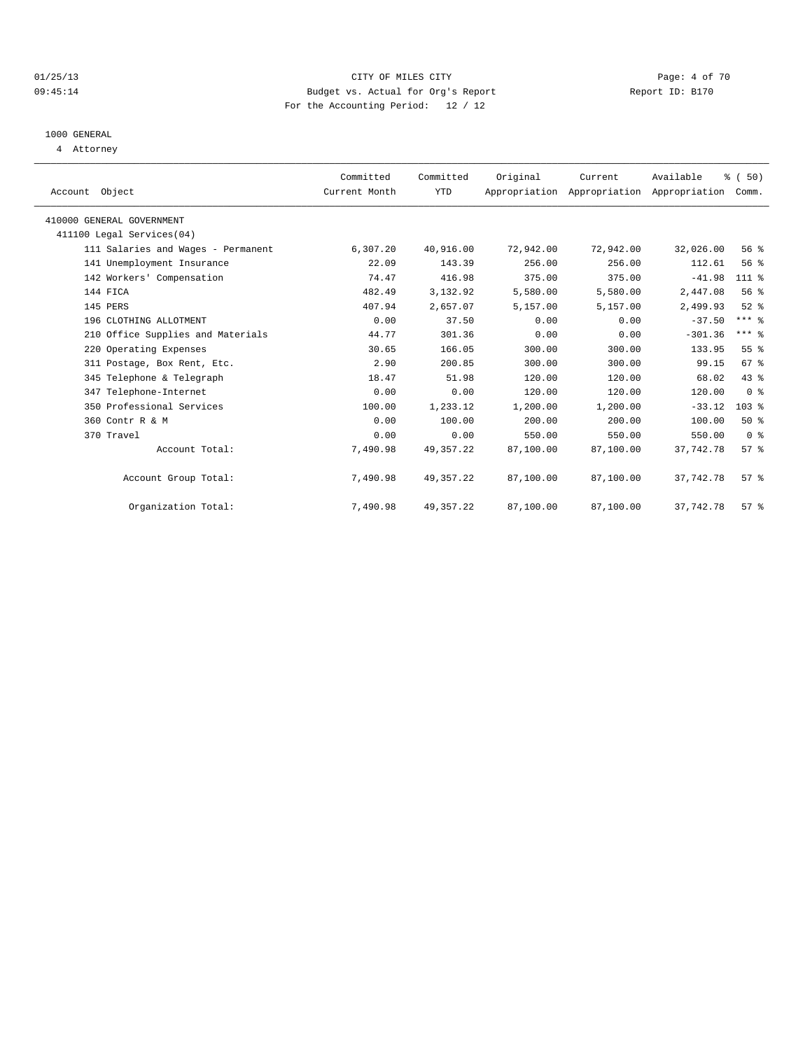## 01/25/13 CITY OF MILES CITY Page: 4 of 70 09:45:14 Budget vs. Actual for Org's Report Changer Report ID: B170 For the Accounting Period: 12 / 12

## 1000 GENERAL

4 Attorney

| Account Object                     | Committed<br>Current Month | Committed<br>YTD | Original  | Current   | Available<br>Appropriation Appropriation Appropriation | % (50)<br>Comm. |  |
|------------------------------------|----------------------------|------------------|-----------|-----------|--------------------------------------------------------|-----------------|--|
| 410000 GENERAL GOVERNMENT          |                            |                  |           |           |                                                        |                 |  |
| 411100 Legal Services(04)          |                            |                  |           |           |                                                        |                 |  |
| 111 Salaries and Wages - Permanent | 6,307.20                   | 40,916.00        | 72,942.00 | 72,942.00 | 32,026.00                                              | 56%             |  |
| 141 Unemployment Insurance         | 22.09                      | 143.39           | 256.00    | 256.00    | 112.61                                                 | 56 %            |  |
| 142 Workers' Compensation          | 74.47                      | 416.98           | 375.00    | 375.00    | $-41.98$                                               | $111*$          |  |
| 144 FICA                           | 482.49                     | 3,132.92         | 5,580.00  | 5,580.00  | 2,447.08                                               | 56%             |  |
| 145 PERS                           | 407.94                     | 2,657.07         | 5,157.00  | 5,157.00  | 2,499.93                                               | $52$ $%$        |  |
| 196 CLOTHING ALLOTMENT             | 0.00                       | 37.50            | 0.00      | 0.00      | $-37.50$                                               | $***$ $%$       |  |
| 210 Office Supplies and Materials  | 44.77                      | 301.36           | 0.00      | 0.00      | $-301.36$                                              | $***$ $%$       |  |
| 220 Operating Expenses             | 30.65                      | 166.05           | 300.00    | 300.00    | 133.95                                                 | 55 <sup>8</sup> |  |
| 311 Postage, Box Rent, Etc.        | 2.90                       | 200.85           | 300.00    | 300.00    | 99.15                                                  | 67 <sup>8</sup> |  |
| 345 Telephone & Telegraph          | 18.47                      | 51.98            | 120.00    | 120.00    | 68.02                                                  | 43 %            |  |
| 347 Telephone-Internet             | 0.00                       | 0.00             | 120.00    | 120.00    | 120.00                                                 | 0 <sup>8</sup>  |  |
| 350 Professional Services          | 100.00                     | 1,233.12         | 1,200.00  | 1,200.00  | $-33.12$                                               | 103%            |  |
| 360 Contr R & M                    | 0.00                       | 100.00           | 200.00    | 200.00    | 100.00                                                 | $50*$           |  |
| 370 Travel                         | 0.00                       | 0.00             | 550.00    | 550.00    | 550.00                                                 | 0 <sup>8</sup>  |  |
| Account Total:                     | 7,490.98                   | 49, 357. 22      | 87,100.00 | 87,100.00 | 37,742.78                                              | 57%             |  |
| Account Group Total:               | 7,490.98                   | 49, 357. 22      | 87,100.00 | 87,100.00 | 37,742.78                                              | $57*$           |  |
| Organization Total:                | 7,490.98                   | 49, 357. 22      | 87,100.00 | 87,100.00 | 37,742.78                                              | 57%             |  |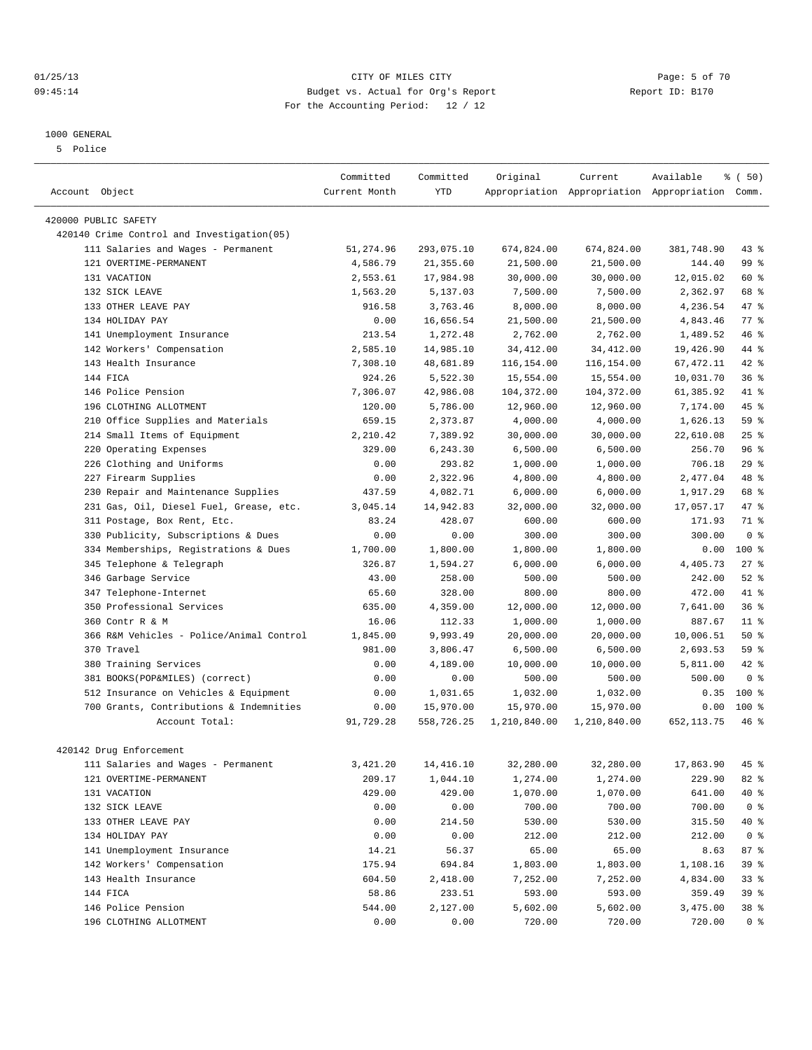#### 01/25/13 CITY OF MILES CITY Page: 5 of 70 09:45:14 Budget vs. Actual for Org's Report Changer Report ID: B170 For the Accounting Period: 12 / 12

#### 1000 GENERAL

5 Police

|                                             | Committed     | Committed  | Original     | Current      | Available                                       | % (50)         |
|---------------------------------------------|---------------|------------|--------------|--------------|-------------------------------------------------|----------------|
| Account Object                              | Current Month | <b>YTD</b> |              |              | Appropriation Appropriation Appropriation Comm. |                |
| 420000 PUBLIC SAFETY                        |               |            |              |              |                                                 |                |
| 420140 Crime Control and Investigation (05) |               |            |              |              |                                                 |                |
| 111 Salaries and Wages - Permanent          | 51,274.96     | 293,075.10 | 674,824.00   | 674,824.00   | 381,748.90                                      | 43.8           |
| 121 OVERTIME-PERMANENT                      | 4,586.79      | 21,355.60  | 21,500.00    | 21,500.00    | 144.40                                          | 99 %           |
| 131 VACATION                                | 2,553.61      | 17,984.98  | 30,000.00    | 30,000.00    | 12,015.02                                       | 60 %           |
| 132 SICK LEAVE                              | 1,563.20      | 5,137.03   | 7,500.00     | 7,500.00     | 2,362.97                                        | 68 %           |
| 133 OTHER LEAVE PAY                         | 916.58        | 3,763.46   | 8,000.00     | 8,000.00     | 4,236.54                                        | 47 %           |
| 134 HOLIDAY PAY                             | 0.00          | 16,656.54  | 21,500.00    | 21,500.00    | 4,843.46                                        | 77.8           |
| 141 Unemployment Insurance                  | 213.54        | 1,272.48   | 2,762.00     | 2,762.00     | 1,489.52                                        | 46 %           |
| 142 Workers' Compensation                   | 2,585.10      | 14,985.10  | 34,412.00    | 34, 412.00   | 19,426.90                                       | 44 %           |
| 143 Health Insurance                        | 7,308.10      | 48,681.89  | 116,154.00   | 116,154.00   | 67, 472.11                                      | $42*$          |
| 144 FICA                                    | 924.26        | 5,522.30   | 15,554.00    | 15,554.00    | 10,031.70                                       | 36%            |
| 146 Police Pension                          | 7,306.07      | 42,986.08  | 104,372.00   | 104,372.00   | 61,385.92                                       | 41 %           |
| 196 CLOTHING ALLOTMENT                      | 120.00        | 5,786.00   | 12,960.00    | 12,960.00    | 7,174.00                                        | 45 %           |
| Office Supplies and Materials<br>210        | 659.15        | 2,373.87   | 4,000.00     | 4,000.00     | 1,626.13                                        | 59 %           |
| 214 Small Items of Equipment                | 2,210.42      | 7,389.92   | 30,000.00    | 30,000.00    | 22,610.08                                       | 25%            |
| 220 Operating Expenses                      | 329.00        | 6,243.30   | 6,500.00     | 6,500.00     | 256.70                                          | 96%            |
| 226 Clothing and Uniforms                   | 0.00          | 293.82     | 1,000.00     | 1,000.00     | 706.18                                          | 29%            |
| 227 Firearm Supplies                        | 0.00          | 2,322.96   | 4,800.00     | 4,800.00     | 2,477.04                                        | 48 %           |
| Repair and Maintenance Supplies<br>230      | 437.59        | 4,082.71   | 6,000.00     | 6,000.00     | 1,917.29                                        | 68 %           |
| 231 Gas, Oil, Diesel Fuel, Grease, etc.     | 3,045.14      | 14,942.83  | 32,000.00    | 32,000.00    | 17,057.17                                       | 47 %           |
| 311 Postage, Box Rent, Etc.                 | 83.24         | 428.07     | 600.00       | 600.00       | 171.93                                          | 71 %           |
| 330 Publicity, Subscriptions & Dues         | 0.00          | 0.00       | 300.00       | 300.00       | 300.00                                          | 0 <sup>8</sup> |
| 334 Memberships, Registrations & Dues       | 1,700.00      | 1,800.00   | 1,800.00     | 1,800.00     | 0.00                                            | 100 %          |
| Telephone & Telegraph<br>345                | 326.87        | 1,594.27   | 6,000.00     | 6,000.00     | 4,405.73                                        | $27$ $%$       |
| 346 Garbage Service                         | 43.00         | 258.00     | 500.00       | 500.00       | 242.00                                          | $52$ $%$       |
| 347 Telephone-Internet                      | 65.60         | 328.00     | 800.00       | 800.00       | 472.00                                          | 41 %           |
| 350 Professional Services                   | 635.00        | 4,359.00   | 12,000.00    | 12,000.00    | 7,641.00                                        | 36%            |
| 360 Contr R & M                             | 16.06         | 112.33     | 1,000.00     | 1,000.00     | 887.67                                          | $11*$          |
| 366 R&M Vehicles - Police/Animal Control    | 1,845.00      | 9,993.49   | 20,000.00    | 20,000.00    | 10,006.51                                       | 50%            |
| 370 Travel                                  | 981.00        | 3,806.47   | 6,500.00     | 6,500.00     | 2,693.53                                        | 59%            |
| 380 Training Services                       | 0.00          | 4,189.00   | 10,000.00    | 10,000.00    | 5,811.00                                        | 42 %           |
| 381 BOOKS(POP&MILES) (correct)              | 0.00          | 0.00       | 500.00       | 500.00       | 500.00                                          | 0 <sup>8</sup> |
| 512 Insurance on Vehicles & Equipment       | 0.00          | 1,031.65   | 1,032.00     | 1,032.00     | 0.35                                            | $100*$         |
| 700 Grants, Contributions & Indemnities     | 0.00          | 15,970.00  | 15,970.00    | 15,970.00    | 0.00                                            | $100*$         |
| Account Total:                              | 91,729.28     | 558,726.25 | 1,210,840.00 | 1,210,840.00 | 652, 113.75                                     | 46 %           |
|                                             |               |            |              |              |                                                 |                |
| 420142 Drug Enforcement                     |               |            |              |              |                                                 |                |
| 111 Salaries and Wages - Permanent          | 3,421.20      | 14,416.10  | 32,280.00    | 32,280.00    | 17,863.90                                       | 45 %           |
| 121 OVERTIME-PERMANENT                      | 209.17        | 1,044.10   | 1,274.00     | 1,274.00     | 229.90                                          | 82 %           |
| 131 VACATION                                | 429.00        | 429.00     | 1,070.00     | 1,070.00     | 641.00                                          | 40 %           |
| 132 SICK LEAVE                              | 0.00          | 0.00       | 700.00       | 700.00       | 700.00                                          | 0 <sup>8</sup> |
| 133 OTHER LEAVE PAY                         | 0.00          | 214.50     | 530.00       | 530.00       | 315.50                                          | 40 %           |
| 134 HOLIDAY PAY                             | 0.00          | 0.00       | 212.00       | 212.00       | 212.00                                          | 0 <sup>8</sup> |
| 141 Unemployment Insurance                  | 14.21         | 56.37      | 65.00        | 65.00        | 8.63                                            | 87 %           |
| 142 Workers' Compensation                   | 175.94        | 694.84     | 1,803.00     | 1,803.00     | 1,108.16                                        | 39 %           |
| 143 Health Insurance                        | 604.50        | 2,418.00   | 7,252.00     | 7,252.00     | 4,834.00                                        | 33 %           |
| 144 FICA                                    | 58.86         | 233.51     | 593.00       | 593.00       | 359.49                                          | 39 %           |
| 146 Police Pension                          | 544.00        | 2,127.00   | 5,602.00     | 5,602.00     | 3,475.00                                        | 38 %           |
| 196 CLOTHING ALLOTMENT                      | 0.00          | 0.00       | 720.00       | 720.00       | 720.00                                          | 0 <sup>8</sup> |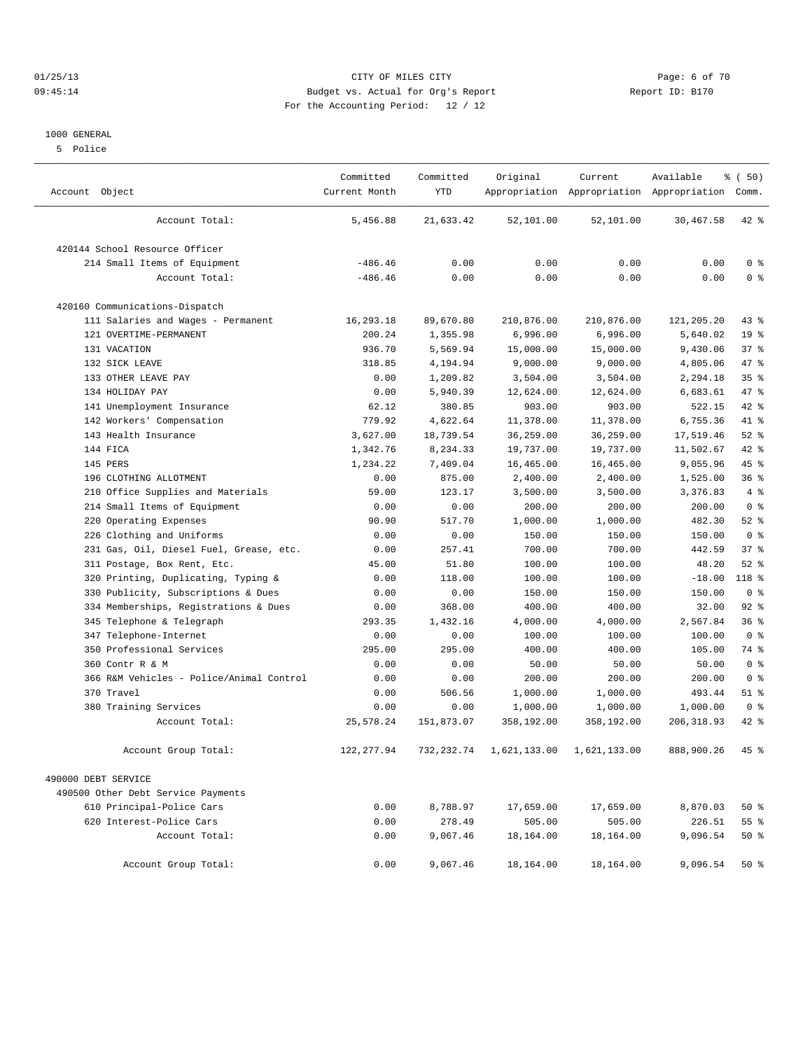## 01/25/13 CITY OF MILES CITY Page: 6 of 70 09:45:14 Budget vs. Actual for Org's Report Report ID: B170 For the Accounting Period: 12 / 12

#### 1000 GENERAL

5 Police

| Account Object                           | Committed<br>Current Month | Committed<br><b>YTD</b> | Original     | Current      | Available<br>Appropriation Appropriation Appropriation Comm. | % (50)           |
|------------------------------------------|----------------------------|-------------------------|--------------|--------------|--------------------------------------------------------------|------------------|
| Account Total:                           | 5,456.88                   | 21,633.42               | 52,101.00    | 52,101.00    | 30,467.58                                                    | $42*$            |
| 420144 School Resource Officer           |                            |                         |              |              |                                                              |                  |
| 214 Small Items of Equipment             | $-486.46$                  | 0.00                    | 0.00         | 0.00         | 0.00                                                         | 0 <sup>8</sup>   |
| Account Total:                           | $-486.46$                  | 0.00                    | 0.00         | 0.00         | 0.00                                                         | 0 <sup>8</sup>   |
| 420160 Communications-Dispatch           |                            |                         |              |              |                                                              |                  |
| 111 Salaries and Wages - Permanent       | 16,293.18                  | 89,670.80               | 210,876.00   | 210,876.00   | 121,205.20                                                   | $43$ %           |
| 121 OVERTIME-PERMANENT                   | 200.24                     | 1,355.98                | 6,996.00     | 6,996.00     | 5,640.02                                                     | 19 <sup>°</sup>  |
| 131 VACATION                             | 936.70                     | 5,569.94                | 15,000.00    | 15,000.00    | 9,430.06                                                     | 37%              |
| 132 SICK LEAVE                           | 318.85                     | 4,194.94                | 9,000.00     | 9,000.00     | 4,805.06                                                     | 47 %             |
| 133 OTHER LEAVE PAY                      | 0.00                       | 1,209.82                | 3,504.00     | 3,504.00     | 2,294.18                                                     | 35 <sup>8</sup>  |
| 134 HOLIDAY PAY                          | 0.00                       | 5,940.39                | 12,624.00    | 12,624.00    | 6,683.61                                                     | 47 %             |
| 141 Unemployment Insurance               | 62.12                      | 380.85                  | 903.00       | 903.00       | 522.15                                                       | 42 %             |
| 142 Workers' Compensation                | 779.92                     | 4.622.64                | 11,378.00    | 11,378.00    | 6,755.36                                                     | 41 %             |
| 143 Health Insurance                     | 3,627.00                   | 18,739.54               | 36,259.00    | 36,259.00    | 17,519.46                                                    | $52$ $%$         |
| 144 FICA                                 | 1,342.76                   | 8,234.33                | 19,737.00    | 19,737.00    | 11,502.67                                                    | $42$ %           |
| 145 PERS                                 | 1,234.22                   | 7,409.04                | 16,465.00    | 16,465.00    | 9,055.96                                                     | $45$ %           |
| 196 CLOTHING ALLOTMENT                   | 0.00                       | 875.00                  | 2,400.00     | 2,400.00     | 1,525.00                                                     | 36 <sup>8</sup>  |
| Office Supplies and Materials<br>210     | 59.00                      | 123.17                  | 3,500.00     | 3,500.00     | 3,376.83                                                     | 4%               |
| 214 Small Items of Equipment             | 0.00                       | 0.00                    | 200.00       | 200.00       | 200.00                                                       | 0 <sup>8</sup>   |
| 220 Operating Expenses                   | 90.90                      | 517.70                  | 1,000.00     | 1,000.00     | 482.30                                                       | $52$ $%$         |
| 226 Clothing and Uniforms                | 0.00                       | 0.00                    | 150.00       | 150.00       | 150.00                                                       | 0 <sup>8</sup>   |
| 231 Gas, Oil, Diesel Fuel, Grease, etc.  | 0.00                       | 257.41                  | 700.00       | 700.00       | 442.59                                                       | 37%              |
| 311 Postage, Box Rent, Etc.              | 45.00                      | 51.80                   | 100.00       | 100.00       | 48.20                                                        | $52$ $%$         |
| Printing, Duplicating, Typing &<br>320   | 0.00                       | 118.00                  | 100.00       | 100.00       | $-18.00$                                                     | 118 <sup>8</sup> |
| 330 Publicity, Subscriptions & Dues      | 0.00                       | 0.00                    | 150.00       | 150.00       | 150.00                                                       | 0 <sup>8</sup>   |
| 334 Memberships, Registrations & Dues    | 0.00                       | 368.00                  | 400.00       | 400.00       | 32.00                                                        | $92$ $%$         |
| 345 Telephone & Telegraph                | 293.35                     | 1,432.16                | 4,000.00     | 4,000.00     | 2,567.84                                                     | 36%              |
| Telephone-Internet<br>347                | 0.00                       | 0.00                    | 100.00       | 100.00       | 100.00                                                       | 0 <sup>8</sup>   |
| 350 Professional Services                | 295.00                     | 295.00                  | 400.00       | 400.00       | 105.00                                                       | 74 %             |
| 360 Contr R & M                          | 0.00                       | 0.00                    | 50.00        | 50.00        | 50.00                                                        | 0 <sup>8</sup>   |
| 366 R&M Vehicles - Police/Animal Control | 0.00                       | 0.00                    | 200.00       | 200.00       | 200.00                                                       | 0 <sup>8</sup>   |
| 370 Travel                               | 0.00                       | 506.56                  | 1,000.00     | 1,000.00     | 493.44                                                       | $51$ %           |
| 380 Training Services                    | 0.00                       | 0.00                    | 1,000.00     | 1,000.00     | 1,000.00                                                     | 0 <sup>8</sup>   |
| Account Total:                           | 25,578.24                  | 151,873.07              | 358,192.00   | 358,192.00   | 206,318.93                                                   | $42$ $%$         |
| Account Group Total:                     | 122, 277.94                | 732, 232.74             | 1,621,133.00 | 1,621,133.00 | 888,900.26                                                   | 45 %             |
| 490000 DEBT SERVICE                      |                            |                         |              |              |                                                              |                  |
| 490500 Other Debt Service Payments       |                            |                         |              |              |                                                              |                  |
| 610 Principal-Police Cars                | 0.00                       | 8,788.97                | 17,659.00    | 17,659.00    | 8,870.03                                                     | $50*$            |
| 620 Interest-Police Cars                 | 0.00                       | 278.49                  | 505.00       | 505.00       | 226.51                                                       | 55 <sup>8</sup>  |
| Account Total:                           | 0.00                       | 9,067.46                | 18,164.00    | 18,164.00    | 9,096.54                                                     | $50*$            |
| Account Group Total:                     | 0.00                       | 9,067.46                | 18,164.00    | 18,164.00    | 9,096.54                                                     | $50*$            |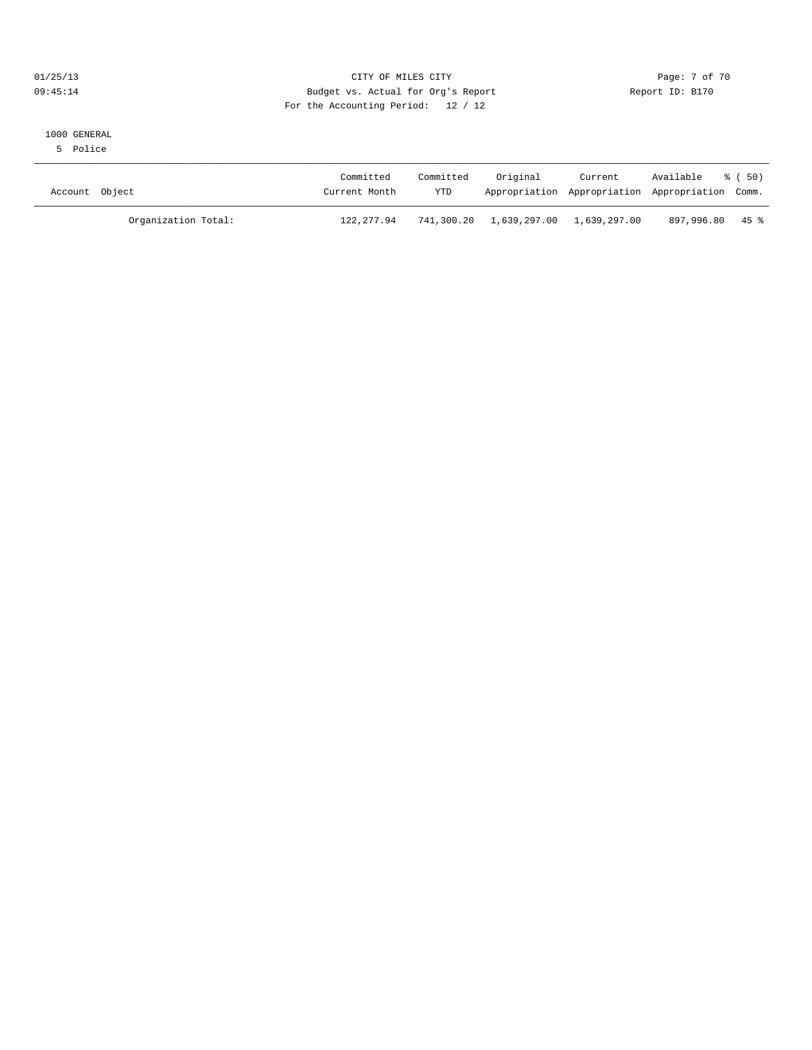## 01/25/13 CITY OF MILES CITY Page: 7 of 70 09:45:14 Budget vs. Actual for Org's Report Report ID: B170 For the Accounting Period: 12 / 12

#### 1000 GENERAL

5 Police

| Account Object      | Committed<br>Current Month | Committed<br>YTD | Original                             | Current | Available<br>Appropriation Appropriation Appropriation Comm. | 8 ( 50) |
|---------------------|----------------------------|------------------|--------------------------------------|---------|--------------------------------------------------------------|---------|
| Organization Total: | 122,277.94                 |                  | 741,300.20 1,639,297.00 1,639,297.00 |         | 897,996.80 45 %                                              |         |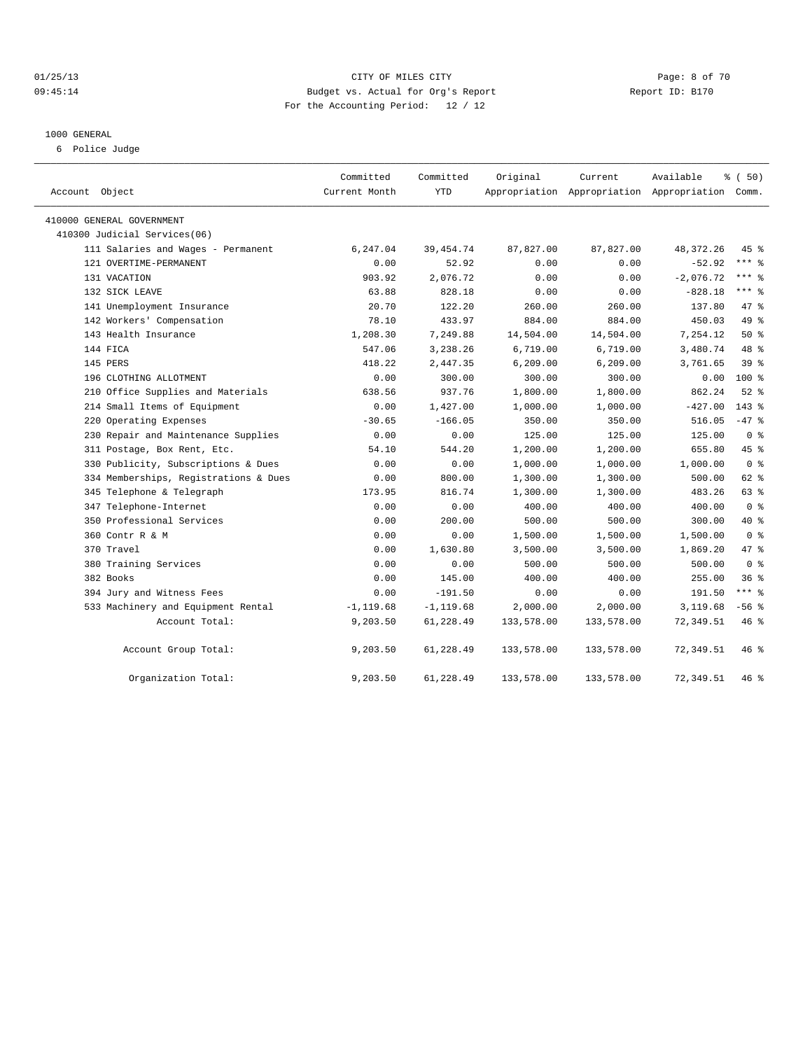## 01/25/13 CITY OF MILES CITY Page: 8 of 70 09:45:14 Budget vs. Actual for Org's Report Changer Report ID: B170 For the Accounting Period: 12 / 12

#### 1000 GENERAL

6 Police Judge

| Account Object                        | Committed<br>Current Month | Committed<br><b>YTD</b> | Original   | Current<br>Appropriation Appropriation Appropriation Comm. | Available   | % (50)         |
|---------------------------------------|----------------------------|-------------------------|------------|------------------------------------------------------------|-------------|----------------|
| 410000 GENERAL GOVERNMENT             |                            |                         |            |                                                            |             |                |
| 410300 Judicial Services(06)          |                            |                         |            |                                                            |             |                |
| 111 Salaries and Wages - Permanent    | 6,247.04                   | 39, 454.74              | 87,827.00  | 87,827.00                                                  | 48, 372. 26 | $45*$          |
| 121 OVERTIME-PERMANENT                | 0.00                       | 52.92                   | 0.00       | 0.00                                                       | $-52.92$    | $***$ $%$      |
| 131 VACATION                          | 903.92                     | 2,076.72                | 0.00       | 0.00                                                       | $-2,076.72$ | $***$ $%$      |
| 132 SICK LEAVE                        | 63.88                      | 828.18                  | 0.00       | 0.00                                                       | $-828.18$   | $***$ $%$      |
| 141 Unemployment Insurance            | 20.70                      | 122.20                  | 260.00     | 260.00                                                     | 137.80      | 47 %           |
| 142 Workers' Compensation             | 78.10                      | 433.97                  | 884.00     | 884.00                                                     | 450.03      | 49 %           |
| 143 Health Insurance                  | 1,208.30                   | 7,249.88                | 14,504.00  | 14,504.00                                                  | 7,254.12    | $50*$          |
| 144 FICA                              | 547.06                     | 3,238.26                | 6,719.00   | 6,719.00                                                   | 3,480.74    | 48 %           |
| 145 PERS                              | 418.22                     | 2,447.35                | 6, 209.00  | 6, 209.00                                                  | 3,761.65    | 39%            |
| 196 CLOTHING ALLOTMENT                | 0.00                       | 300.00                  | 300.00     | 300.00                                                     | 0.00        | $100*$         |
| 210 Office Supplies and Materials     | 638.56                     | 937.76                  | 1,800.00   | 1,800.00                                                   | 862.24      | $52$ $%$       |
| 214 Small Items of Equipment          | 0.00                       | 1,427.00                | 1,000.00   | 1,000.00                                                   | $-427.00$   | $143*$         |
| 220 Operating Expenses                | $-30.65$                   | $-166.05$               | 350.00     | 350.00                                                     | 516.05      | $-47$ %        |
| 230 Repair and Maintenance Supplies   | 0.00                       | 0.00                    | 125.00     | 125.00                                                     | 125.00      | 0 <sup>8</sup> |
| 311 Postage, Box Rent, Etc.           | 54.10                      | 544.20                  | 1,200.00   | 1,200.00                                                   | 655.80      | 45 %           |
| 330 Publicity, Subscriptions & Dues   | 0.00                       | 0.00                    | 1,000.00   | 1,000.00                                                   | 1,000.00    | 0 <sup>8</sup> |
| 334 Memberships, Registrations & Dues | 0.00                       | 800.00                  | 1,300.00   | 1,300.00                                                   | 500.00      | 62 %           |
| 345 Telephone & Telegraph             | 173.95                     | 816.74                  | 1,300.00   | 1,300.00                                                   | 483.26      | 63 %           |
| 347 Telephone-Internet                | 0.00                       | 0.00                    | 400.00     | 400.00                                                     | 400.00      | 0 <sup>8</sup> |
| 350 Professional Services             | 0.00                       | 200.00                  | 500.00     | 500.00                                                     | 300.00      | 40 %           |
| 360 Contr R & M                       | 0.00                       | 0.00                    | 1,500.00   | 1,500.00                                                   | 1,500.00    | 0 <sup>8</sup> |
| 370 Travel                            | 0.00                       | 1,630.80                | 3,500.00   | 3,500.00                                                   | 1,869.20    | 47 %           |
| 380 Training Services                 | 0.00                       | 0.00                    | 500.00     | 500.00                                                     | 500.00      | 0 <sup>8</sup> |
| 382 Books                             | 0.00                       | 145.00                  | 400.00     | 400.00                                                     | 255.00      | 36%            |
| 394 Jury and Witness Fees             | 0.00                       | $-191.50$               | 0.00       | 0.00                                                       | 191.50      | $***$ $-$      |
| 533 Machinery and Equipment Rental    | $-1, 119.68$               | $-1, 119.68$            | 2,000.00   | 2,000.00                                                   | 3,119.68    | $-56$ $%$      |
| Account Total:                        | 9,203.50                   | 61,228.49               | 133,578.00 | 133,578.00                                                 | 72,349.51   | 46 %           |
| Account Group Total:                  | 9,203.50                   | 61,228.49               | 133,578.00 | 133,578.00                                                 | 72,349.51   | 46%            |
| Organization Total:                   | 9,203.50                   | 61,228.49               | 133,578.00 | 133,578.00                                                 | 72,349.51   | 46 %           |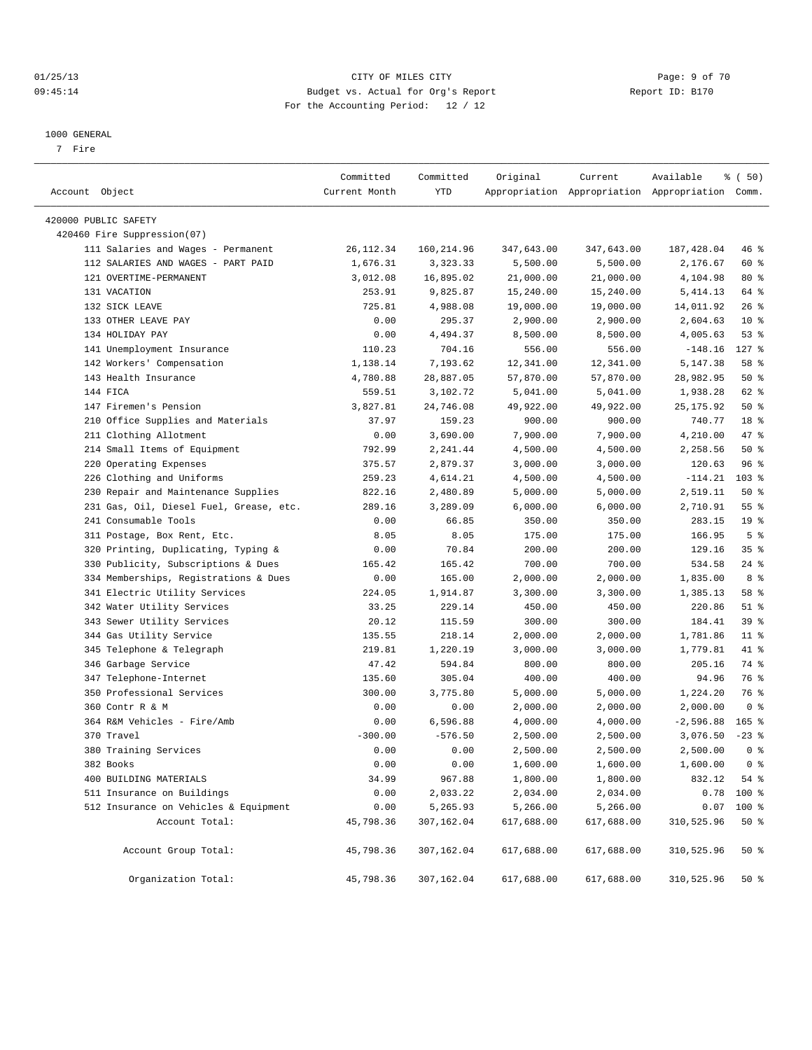#### 01/25/13 CITY OF MILES CITY Page: 9 of 70 09:45:14 Budget vs. Actual for Org's Report Changer Report ID: B170 For the Accounting Period: 12 / 12

————————————————————————————————————————————————————————————————————————————————————————————————————————————————————————————————————

#### 1000 GENERAL

7 Fire

|                                         | Committed     | Committed   | Original   | Current                                         | Available   | % ( 50)             |
|-----------------------------------------|---------------|-------------|------------|-------------------------------------------------|-------------|---------------------|
| Account Object                          | Current Month | YTD         |            | Appropriation Appropriation Appropriation Comm. |             |                     |
| 420000 PUBLIC SAFETY                    |               |             |            |                                                 |             |                     |
| 420460 Fire Suppression(07)             |               |             |            |                                                 |             |                     |
| 111 Salaries and Wages - Permanent      | 26, 112.34    | 160, 214.96 | 347,643.00 | 347,643.00                                      | 187, 428.04 | 46 %                |
| 112 SALARIES AND WAGES - PART PAID      | 1,676.31      | 3,323.33    | 5,500.00   | 5,500.00                                        | 2,176.67    | 60 %                |
| 121 OVERTIME-PERMANENT                  | 3,012.08      | 16,895.02   | 21,000.00  | 21,000.00                                       | 4,104.98    | $80*$               |
| 131 VACATION                            | 253.91        | 9,825.87    | 15,240.00  | 15,240.00                                       | 5,414.13    | 64 %                |
| 132 SICK LEAVE                          | 725.81        | 4,988.08    | 19,000.00  | 19,000.00                                       | 14,011.92   | $26$ %              |
| 133 OTHER LEAVE PAY                     | 0.00          | 295.37      | 2,900.00   | 2,900.00                                        | 2,604.63    | $10*$               |
| 134 HOLIDAY PAY                         | 0.00          | 4,494.37    | 8,500.00   | 8,500.00                                        | 4,005.63    | 53%                 |
| 141 Unemployment Insurance              | 110.23        | 704.16      | 556.00     | 556.00                                          | $-148.16$   | $127$ %             |
| 142 Workers' Compensation               | 1,138.14      | 7,193.62    | 12,341.00  | 12,341.00                                       | 5,147.38    | 58 %                |
| 143 Health Insurance                    | 4,780.88      | 28,887.05   | 57,870.00  | 57,870.00                                       | 28,982.95   | $50*$               |
| 144 FICA                                | 559.51        | 3,102.72    | 5,041.00   | 5,041.00                                        | 1,938.28    | 62 %                |
| 147 Firemen's Pension                   | 3,827.81      | 24,746.08   | 49,922.00  | 49,922.00                                       | 25, 175.92  | $50*$               |
| 210 Office Supplies and Materials       | 37.97         | 159.23      | 900.00     | 900.00                                          | 740.77      | 18 %                |
| 211 Clothing Allotment                  | 0.00          | 3,690.00    | 7,900.00   | 7,900.00                                        | 4,210.00    | 47 %                |
| 214 Small Items of Equipment            | 792.99        | 2,241.44    | 4,500.00   | 4,500.00                                        | 2,258.56    | $50*$               |
| 220 Operating Expenses                  | 375.57        | 2,879.37    | 3,000.00   | 3,000.00                                        | 120.63      | 96%                 |
| 226 Clothing and Uniforms               | 259.23        | 4,614.21    | 4,500.00   | 4,500.00                                        | $-114.21$   | 103 %               |
| 230 Repair and Maintenance Supplies     | 822.16        | 2,480.89    | 5,000.00   | 5,000.00                                        | 2,519.11    | 50%                 |
| 231 Gas, Oil, Diesel Fuel, Grease, etc. | 289.16        | 3,289.09    | 6,000.00   | 6,000.00                                        | 2,710.91    | $55$ $%$            |
| 241 Consumable Tools                    | 0.00          | 66.85       | 350.00     | 350.00                                          | 283.15      | 19 <sup>°</sup>     |
| 311 Postage, Box Rent, Etc.             | 8.05          | 8.05        | 175.00     | 175.00                                          | 166.95      | 5 <sup>°</sup>      |
| 320 Printing, Duplicating, Typing &     | 0.00          | 70.84       | 200.00     | 200.00                                          | 129.16      | 35%                 |
| 330 Publicity, Subscriptions & Dues     | 165.42        | 165.42      | 700.00     | 700.00                                          | 534.58      | $24$ %              |
| 334 Memberships, Registrations & Dues   | 0.00          | 165.00      | 2,000.00   | 2,000.00                                        | 1,835.00    | 8 %                 |
| 341 Electric Utility Services           | 224.05        | 1,914.87    | 3,300.00   | 3,300.00                                        | 1,385.13    | 58 %                |
| 342 Water Utility Services              | 33.25         | 229.14      | 450.00     | 450.00                                          | 220.86      | $51$ %              |
| 343 Sewer Utility Services              | 20.12         | 115.59      | 300.00     | 300.00                                          | 184.41      | 39 %                |
| 344 Gas Utility Service                 | 135.55        | 218.14      | 2,000.00   | 2,000.00                                        | 1,781.86    | $11$ %              |
| 345 Telephone & Telegraph               | 219.81        | 1,220.19    | 3,000.00   | 3,000.00                                        | 1,779.81    | 41 %                |
| 346 Garbage Service                     | 47.42         | 594.84      | 800.00     | 800.00                                          | 205.16      | 74 %                |
| 347 Telephone-Internet                  | 135.60        | 305.04      | 400.00     | 400.00                                          | 94.96       | 76 %                |
| 350 Professional Services               | 300.00        | 3,775.80    | 5,000.00   | 5,000.00                                        | 1,224.20    | 76 %                |
| 360 Contr R & M                         | 0.00          | 0.00        | 2,000.00   | 2,000.00                                        | 2,000.00    | 0 <sup>8</sup>      |
| 364 R&M Vehicles - Fire/Amb             | 0.00          | 6,596.88    | 4,000.00   | 4,000.00                                        | $-2,596.88$ | $165$ %             |
| 370 Travel                              | $-300.00$     | $-576.50$   | 2,500.00   | 2,500.00                                        | 3,076.50    | $-23$ $\frac{6}{5}$ |
| 380 Training Services                   | 0.00          | 0.00        | 2,500.00   | 2,500.00                                        | 2,500.00    | 0 <sup>8</sup>      |
| 382 Books                               | 0.00          | 0.00        | 1,600.00   | $1\,,\,600\,.$ 00                               | 1,600.00    | 0 <sup>8</sup>      |
| 400 BUILDING MATERIALS                  | 34.99         | 967.88      | 1,800.00   | 1,800.00                                        | 832.12      | 54 %                |
| 511 Insurance on Buildings              | 0.00          | 2,033.22    | 2,034.00   | 2,034.00                                        | 0.78        | 100 %               |
| 512 Insurance on Vehicles & Equipment   | 0.00          | 5,265.93    | 5,266.00   | 5,266.00                                        | 0.07        | 100 %               |
| Account Total:                          | 45,798.36     | 307,162.04  | 617,688.00 | 617,688.00                                      | 310,525.96  | $50*$               |
| Account Group Total:                    | 45,798.36     | 307,162.04  | 617,688.00 | 617,688.00                                      | 310,525.96  | 50%                 |
| Organization Total:                     | 45,798.36     | 307,162.04  | 617,688.00 | 617,688.00                                      | 310,525.96  | $50*$               |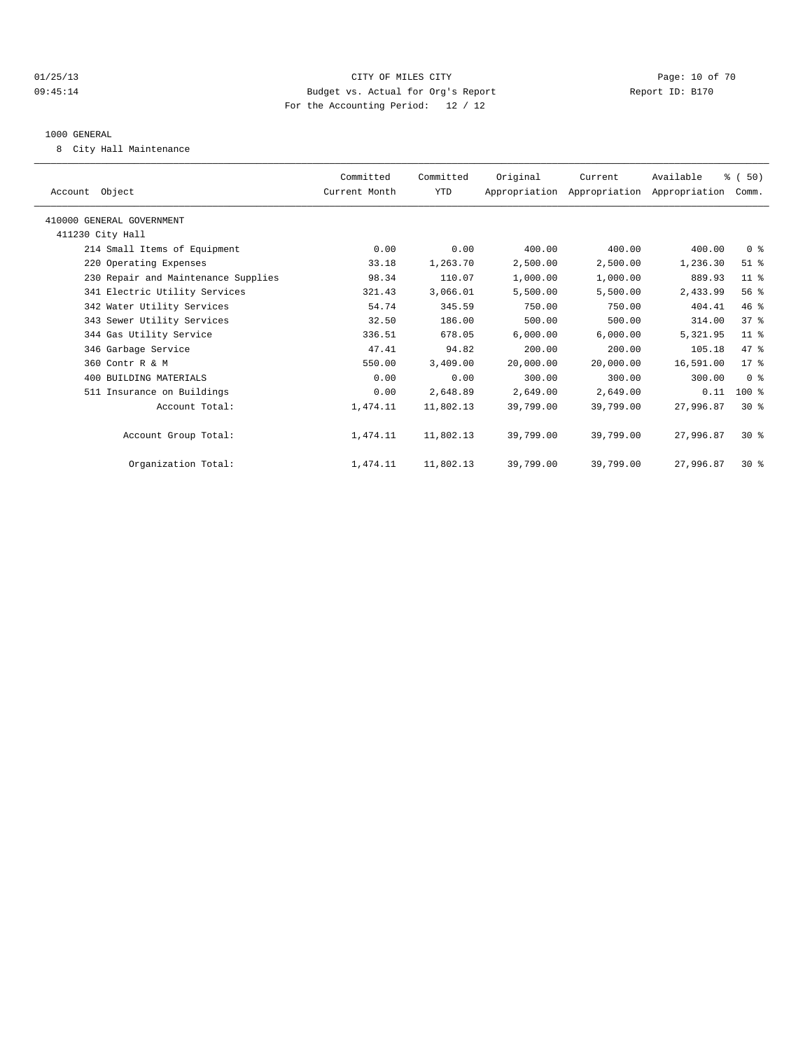## 01/25/13 Page: 10 of 70 09:45:14 Budget vs. Actual for Org's Report Changer Report ID: B170 For the Accounting Period: 12 / 12

#### 1000 GENERAL

8 City Hall Maintenance

| Account Object                      | Committed<br>Current Month | Committed<br>YTD | Original  | Current<br>Appropriation Appropriation Appropriation Comm. | Available | % (50)          |  |
|-------------------------------------|----------------------------|------------------|-----------|------------------------------------------------------------|-----------|-----------------|--|
| 410000 GENERAL GOVERNMENT           |                            |                  |           |                                                            |           |                 |  |
| 411230 City Hall                    |                            |                  |           |                                                            |           |                 |  |
| 214 Small Items of Equipment        | 0.00                       | 0.00             | 400.00    | 400.00                                                     | 400.00    | 0 <sup>8</sup>  |  |
| 220 Operating Expenses              | 33.18                      | 1,263.70         | 2,500.00  | 2,500.00                                                   | 1,236.30  | $51$ %          |  |
| 230 Repair and Maintenance Supplies | 98.34                      | 110.07           | 1,000.00  | 1,000.00                                                   | 889.93    | 11 <sup>8</sup> |  |
| 341 Electric Utility Services       | 321.43                     | 3,066.01         | 5,500.00  | 5,500.00                                                   | 2,433.99  | 56%             |  |
| 342 Water Utility Services          | 54.74                      | 345.59           | 750.00    | 750.00                                                     | 404.41    | 46%             |  |
| 343 Sewer Utility Services          | 32.50                      | 186.00           | 500.00    | 500.00                                                     | 314.00    | 37 <sup>8</sup> |  |
| 344 Gas Utility Service             | 336.51                     | 678.05           | 6,000.00  | 6,000.00                                                   | 5,321.95  | $11$ %          |  |
| 346 Garbage Service                 | 47.41                      | 94.82            | 200.00    | 200.00                                                     | 105.18    | 47.8            |  |
| 360 Contr R & M                     | 550.00                     | 3,409.00         | 20.000.00 | 20,000.00                                                  | 16,591.00 | $17*$           |  |
| 400 BUILDING MATERIALS              | 0.00                       | 0.00             | 300.00    | 300.00                                                     | 300.00    | 0 <sup>8</sup>  |  |
| 511 Insurance on Buildings          | 0.00                       | 2,648.89         | 2,649.00  | 2,649.00                                                   | 0.11      | $100*$          |  |
| Account Total:                      | 1,474.11                   | 11,802.13        | 39,799.00 | 39,799.00                                                  | 27,996.87 | $30*$           |  |
| Account Group Total:                | 1,474.11                   | 11,802.13        | 39,799.00 | 39,799.00                                                  | 27,996.87 | $30*$           |  |
| Organization Total:                 | 1,474.11                   | 11,802.13        | 39,799.00 | 39,799.00                                                  | 27,996.87 | $30*$           |  |
|                                     |                            |                  |           |                                                            |           |                 |  |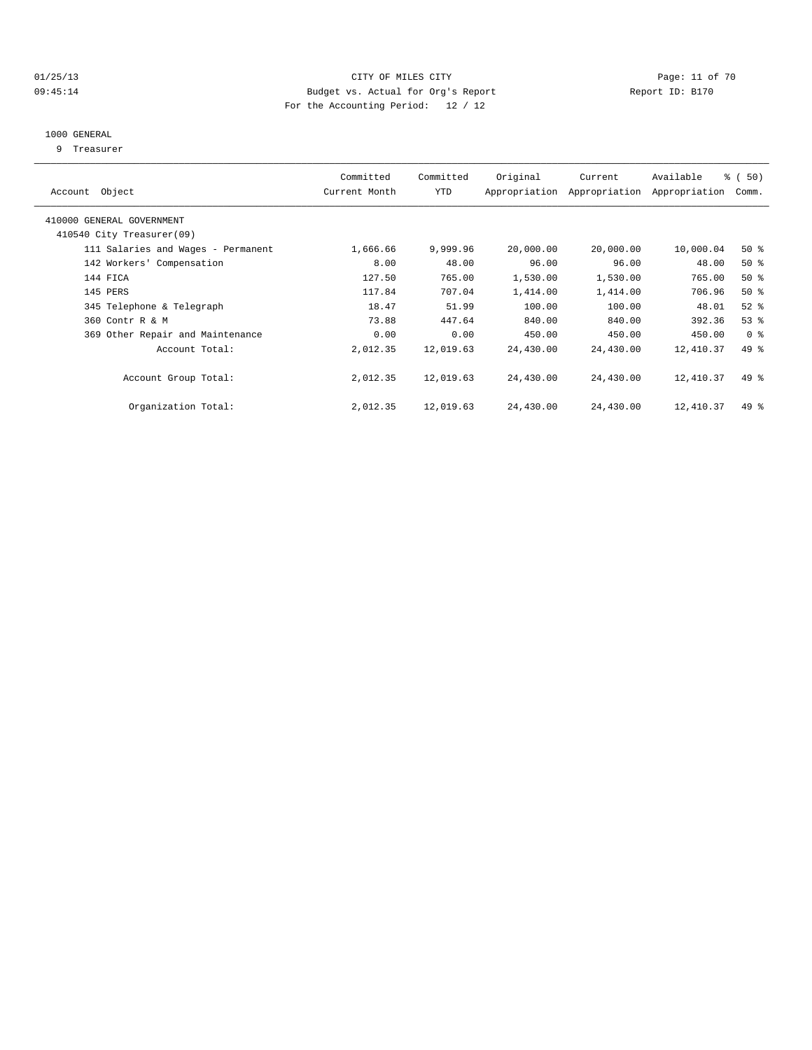#### 01/25/13 Page: 11 of 70 09:45:14 Budget vs. Actual for Org's Report Changer Report ID: B170 For the Accounting Period: 12 / 12

#### 1000 GENERAL

9 Treasurer

| Account Object                                         | Committed<br>Current Month | Committed<br>YTD | Original  | Current<br>Appropriation Appropriation | Available<br>Appropriation | 8 ( 50)<br>Comm. |
|--------------------------------------------------------|----------------------------|------------------|-----------|----------------------------------------|----------------------------|------------------|
| 410000 GENERAL GOVERNMENT<br>410540 City Treasurer(09) |                            |                  |           |                                        |                            |                  |
| 111 Salaries and Wages - Permanent                     | 1,666.66                   | 9,999.96         | 20,000.00 | 20,000.00                              | 10,000.04                  | $50*$            |
| 142 Workers' Compensation                              | 8.00                       | 48.00            | 96.00     | 96.00                                  | 48.00                      | $50*$            |
| 144 FICA                                               | 127.50                     | 765.00           | 1,530.00  | 1,530.00                               | 765.00                     | $50*$            |
| 145 PERS                                               | 117.84                     | 707.04           | 1,414.00  | 1,414.00                               | 706.96                     | $50*$            |
| 345 Telephone & Telegraph                              | 18.47                      | 51.99            | 100.00    | 100.00                                 | 48.01                      | $52$ $%$         |
| 360 Contr R & M                                        | 73.88                      | 447.64           | 840.00    | 840.00                                 | 392.36                     | 53%              |
| 369 Other Repair and Maintenance                       | 0.00                       | 0.00             | 450.00    | 450.00                                 | 450.00                     | 0 <sup>8</sup>   |
| Account Total:                                         | 2,012.35                   | 12,019.63        | 24,430.00 | 24,430.00                              | 12,410.37                  | 49 %             |
| Account Group Total:                                   | 2,012.35                   | 12,019.63        | 24,430.00 | 24,430.00                              | 12,410.37                  | $49*$            |
| Organization Total:                                    | 2,012.35                   | 12,019.63        | 24,430.00 | 24,430.00                              | 12,410.37                  | $49*$            |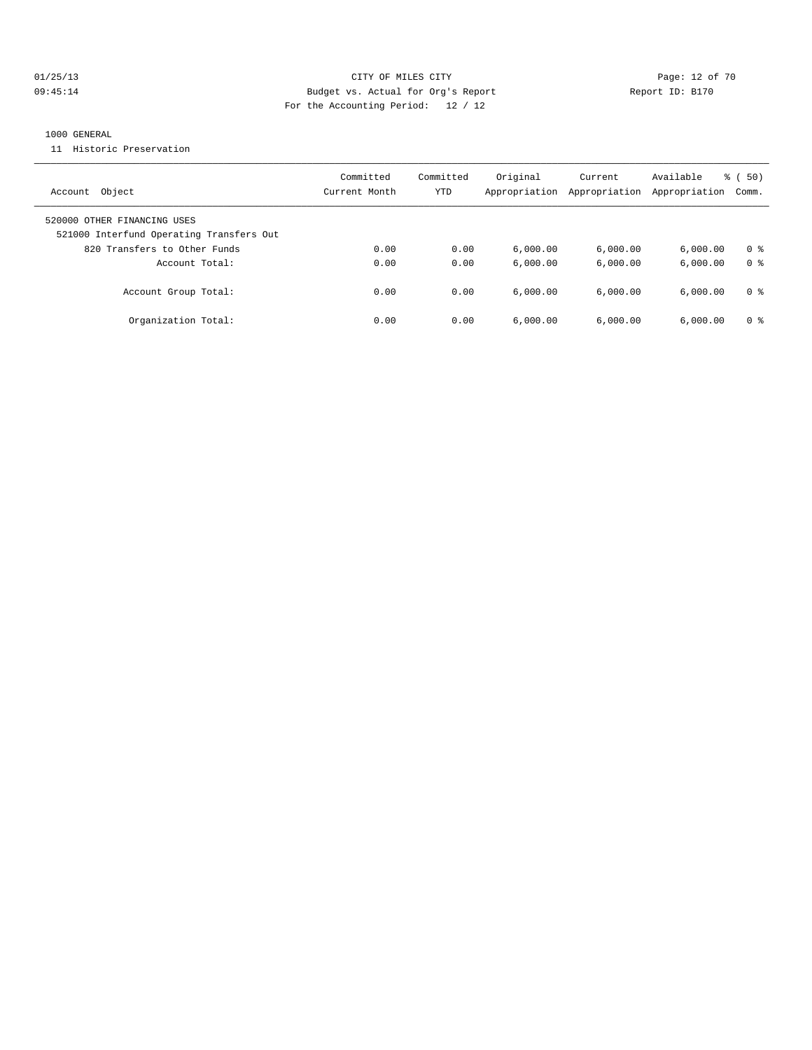## 01/25/13 Page: 12 of 70 09:45:14 Budget vs. Actual for Org's Report Communication of Report ID: B170 For the Accounting Period: 12 / 12

#### 1000 GENERAL

11 Historic Preservation

| Object<br>Account                                                       | Committed<br>Current Month | Committed<br>YTD | Original<br>Appropriation | Current<br>Appropriation | Available<br>Appropriation | $\frac{1}{6}$ (50)<br>Comm. |
|-------------------------------------------------------------------------|----------------------------|------------------|---------------------------|--------------------------|----------------------------|-----------------------------|
| 520000 OTHER FINANCING USES<br>521000 Interfund Operating Transfers Out |                            |                  |                           |                          |                            |                             |
| 820 Transfers to Other Funds                                            | 0.00                       | 0.00             | 6.000.00                  | 6,000.00                 | 6.000.00                   | 0 <sup>8</sup>              |
| Account Total:                                                          | 0.00                       | 0.00             | 6.000.00                  | 6.000.00                 | 6.000.00                   | 0 <sup>8</sup>              |
| Account Group Total:                                                    | 0.00                       | 0.00             | 6.000.00                  | 6.000.00                 | 6.000.00                   | 0 %                         |
| Organization Total:                                                     | 0.00                       | 0.00             | 6,000.00                  | 6.000.00                 | 6.000.00                   | 0 <sup>8</sup>              |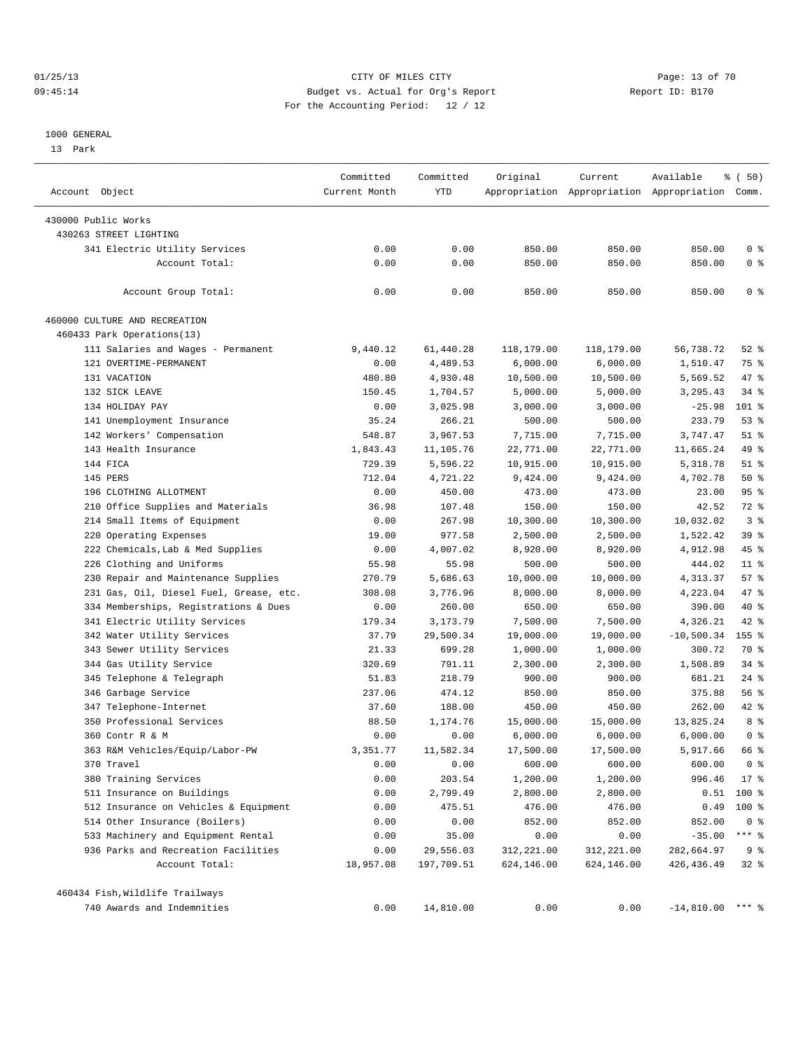#### 01/25/13 Page: 13 of 70 09:45:14 Budget vs. Actual for Org's Report Changer Report ID: B170 For the Accounting Period: 12 / 12

#### 1000 GENERAL

13 Park

| Account Object                                | Committed<br>Current Month | Committed<br>YTD | Original   | Current    | Available<br>Appropriation Appropriation Appropriation Comm. | % ( 50)        |
|-----------------------------------------------|----------------------------|------------------|------------|------------|--------------------------------------------------------------|----------------|
|                                               |                            |                  |            |            |                                                              |                |
| 430000 Public Works<br>430263 STREET LIGHTING |                            |                  |            |            |                                                              |                |
|                                               |                            |                  |            |            |                                                              |                |
| 341 Electric Utility Services                 | 0.00                       | 0.00             | 850.00     | 850.00     | 850.00                                                       | 0 <sup>8</sup> |
| Account Total:                                | 0.00                       | 0.00             | 850.00     | 850.00     | 850.00                                                       | 0 <sup>8</sup> |
| Account Group Total:                          | 0.00                       | 0.00             | 850.00     | 850.00     | 850.00                                                       | 0 <sup>8</sup> |
| 460000 CULTURE AND RECREATION                 |                            |                  |            |            |                                                              |                |
| 460433 Park Operations(13)                    |                            |                  |            |            |                                                              |                |
| 111 Salaries and Wages - Permanent            | 9,440.12                   | 61,440.28        | 118,179.00 | 118,179.00 | 56,738.72                                                    | $52$ $%$       |
| 121 OVERTIME-PERMANENT                        | 0.00                       | 4,489.53         | 6,000.00   | 6,000.00   | 1,510.47                                                     | 75 %           |
| 131 VACATION                                  | 480.80                     | 4,930.48         | 10,500.00  | 10,500.00  | 5,569.52                                                     | 47 %           |
| 132 SICK LEAVE                                | 150.45                     | 1,704.57         | 5,000.00   | 5,000.00   | 3,295.43                                                     | $34$ $%$       |
| 134 HOLIDAY PAY                               | 0.00                       | 3,025.98         | 3,000.00   | 3,000.00   | $-25.98$                                                     | 101 %          |
| 141 Unemployment Insurance                    | 35.24                      | 266.21           | 500.00     | 500.00     | 233.79                                                       | $53$ $%$       |
| 142 Workers' Compensation                     | 548.87                     | 3,967.53         | 7,715.00   | 7,715.00   | 3,747.47                                                     | $51$ %         |
| 143 Health Insurance                          | 1,843.43                   | 11,105.76        | 22,771.00  | 22,771.00  | 11,665.24                                                    | 49 %           |
| 144 FICA                                      | 729.39                     | 5,596.22         | 10,915.00  | 10,915.00  | 5,318.78                                                     | $51$ %         |
| 145 PERS                                      | 712.04                     | 4,721.22         | 9,424.00   | 9,424.00   | 4,702.78                                                     | 50%            |
| 196 CLOTHING ALLOTMENT                        | 0.00                       | 450.00           | 473.00     | 473.00     | 23.00                                                        | 95%            |
| 210 Office Supplies and Materials             | 36.98                      | 107.48           | 150.00     | 150.00     | 42.52                                                        | 72 %           |
| 214 Small Items of Equipment                  | 0.00                       | 267.98           | 10,300.00  | 10,300.00  | 10,032.02                                                    | 3 <sup>8</sup> |
| 220 Operating Expenses                        | 19.00                      | 977.58           | 2,500.00   | 2,500.00   | 1,522.42                                                     | 39 %           |
| 222 Chemicals, Lab & Med Supplies             | 0.00                       | 4,007.02         | 8,920.00   | 8,920.00   | 4,912.98                                                     | 45 %           |
| 226 Clothing and Uniforms                     | 55.98                      | 55.98            | 500.00     | 500.00     | 444.02                                                       | $11*$          |
| 230 Repair and Maintenance Supplies           | 270.79                     | 5,686.63         | 10,000.00  | 10,000.00  | 4,313.37                                                     | 57%            |
| 231 Gas, Oil, Diesel Fuel, Grease, etc.       | 308.08                     | 3,776.96         | 8,000.00   | 8,000.00   | 4,223.04                                                     | 47 %           |
| 334 Memberships, Registrations & Dues         | 0.00                       | 260.00           | 650.00     | 650.00     | 390.00                                                       | 40 %           |
| 341 Electric Utility Services                 | 179.34                     | 3,173.79         | 7,500.00   | 7,500.00   | 4,326.21                                                     | 42 %           |
| 342 Water Utility Services                    | 37.79                      | 29,500.34        | 19,000.00  | 19,000.00  | $-10,500.34$                                                 | $155$ %        |
| 343 Sewer Utility Services                    | 21.33                      | 699.28           | 1,000.00   | 1,000.00   | 300.72                                                       | 70 %           |
| 344 Gas Utility Service                       | 320.69                     | 791.11           | 2,300.00   | 2,300.00   | 1,508.89                                                     | $34$ $%$       |
| 345 Telephone & Telegraph                     | 51.83                      | 218.79           | 900.00     | 900.00     | 681.21                                                       | $24$ %         |
| 346 Garbage Service                           | 237.06                     | 474.12           | 850.00     | 850.00     | 375.88                                                       | 56 %           |
| 347 Telephone-Internet                        | 37.60                      | 188.00           | 450.00     | 450.00     | 262.00                                                       | 42 %           |
| 350 Professional Services                     | 88.50                      | 1,174.76         | 15,000.00  | 15,000.00  | 13,825.24                                                    | 8 %            |
| 360 Contr R & M                               | 0.00                       | 0.00             | 6,000.00   | 6,000.00   | 6,000.00                                                     | 0 <sup>8</sup> |
| 363 R&M Vehicles/Equip/Labor-PW               | 3,351.77                   | 11,582.34        | 17,500.00  | 17,500.00  | 5,917.66                                                     | 66 %           |
|                                               |                            |                  |            |            |                                                              |                |
| 370 Travel                                    | 0.00                       | 0.00             | 600.00     | 600.00     | 600.00                                                       | 0 <sup>8</sup> |
| 380 Training Services                         | 0.00                       | 203.54           | 1,200.00   | 1,200.00   | 996.46                                                       | $17*$          |
| 511 Insurance on Buildings                    | 0.00                       | 2,799.49         | 2,800.00   | 2,800.00   | 0.51                                                         | 100 %          |
| 512 Insurance on Vehicles & Equipment         | 0.00                       | 475.51           | 476.00     | 476.00     | 0.49                                                         | $100$ %        |
| 514 Other Insurance (Boilers)                 | 0.00                       | 0.00             | 852.00     | 852.00     | 852.00                                                       | 0 <sup>8</sup> |
| 533 Machinery and Equipment Rental            | 0.00                       | 35.00            | 0.00       | 0.00       | $-35.00$                                                     | $***$ $_{8}$   |
| 936 Parks and Recreation Facilities           | 0.00                       | 29,556.03        | 312,221.00 | 312,221.00 | 282,664.97                                                   | 9%             |
| Account Total:                                | 18,957.08                  | 197,709.51       | 624,146.00 | 624,146.00 | 426, 436.49                                                  | $32$ $%$       |
| 460434 Fish, Wildlife Trailways               |                            |                  |            |            |                                                              |                |
| 740 Awards and Indemnities                    | 0.00                       | 14,810.00        | 0.00       | 0.00       | $-14,810.00$ *** %                                           |                |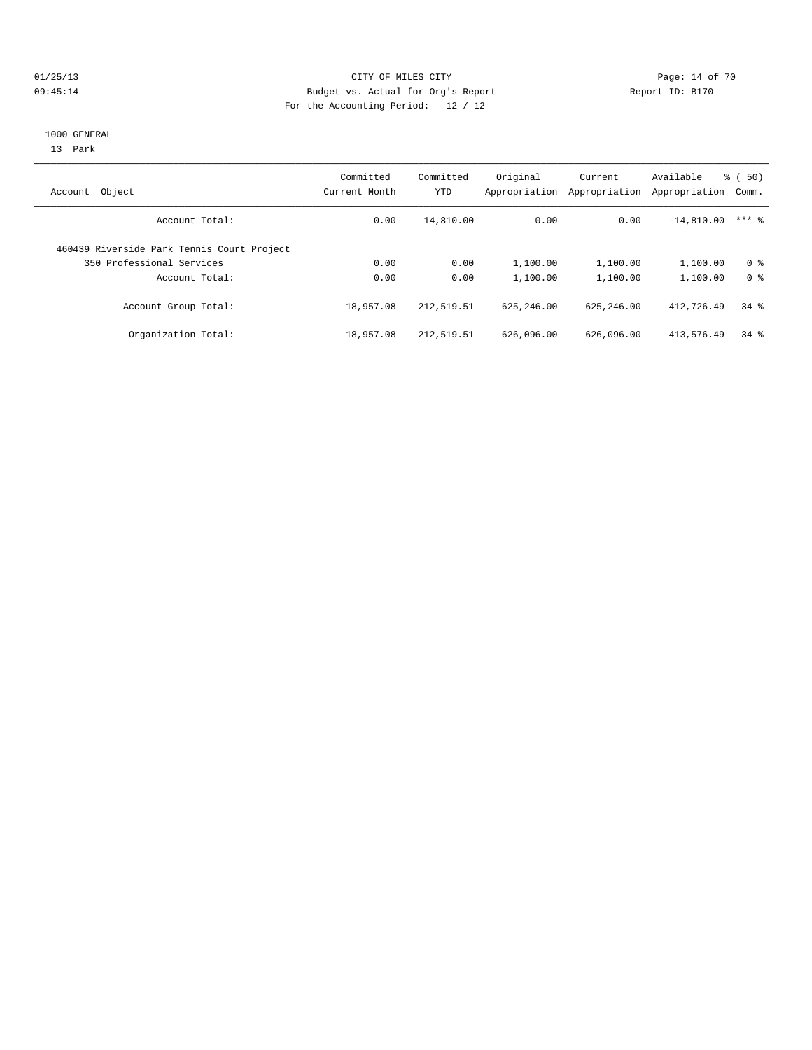#### 01/25/13 Page: 14 of 70 09:45:14 Budget vs. Actual for Org's Report Changer Report ID: B170 For the Accounting Period: 12 / 12

#### 1000 GENERAL

13 Park

| Object<br>Account                          | Committed<br>Current Month | Committed<br><b>YTD</b> | Original<br>Appropriation | Current<br>Appropriation | Available<br>Appropriation | $\frac{1}{6}$ (50)<br>Comm. |
|--------------------------------------------|----------------------------|-------------------------|---------------------------|--------------------------|----------------------------|-----------------------------|
| Account Total:                             | 0.00                       | 14,810.00               | 0.00                      | 0.00                     | $-14,810.00$               | $***$ 2                     |
| 460439 Riverside Park Tennis Court Project |                            |                         |                           |                          |                            |                             |
| 350 Professional Services                  | 0.00                       | 0.00                    | 1,100.00                  | 1,100.00                 | 1,100.00                   | 0 <sup>8</sup>              |
| Account Total:                             | 0.00                       | 0.00                    | 1,100.00                  | 1,100.00                 | 1,100.00                   | 0 <sup>8</sup>              |
| Account Group Total:                       | 18,957.08                  | 212,519.51              | 625, 246, 00              | 625, 246, 00             | 412,726.49                 | $34$ $%$                    |
| Organization Total:                        | 18,957.08                  | 212,519.51              | 626,096.00                | 626,096.00               | 413,576.49                 | $34$ $%$                    |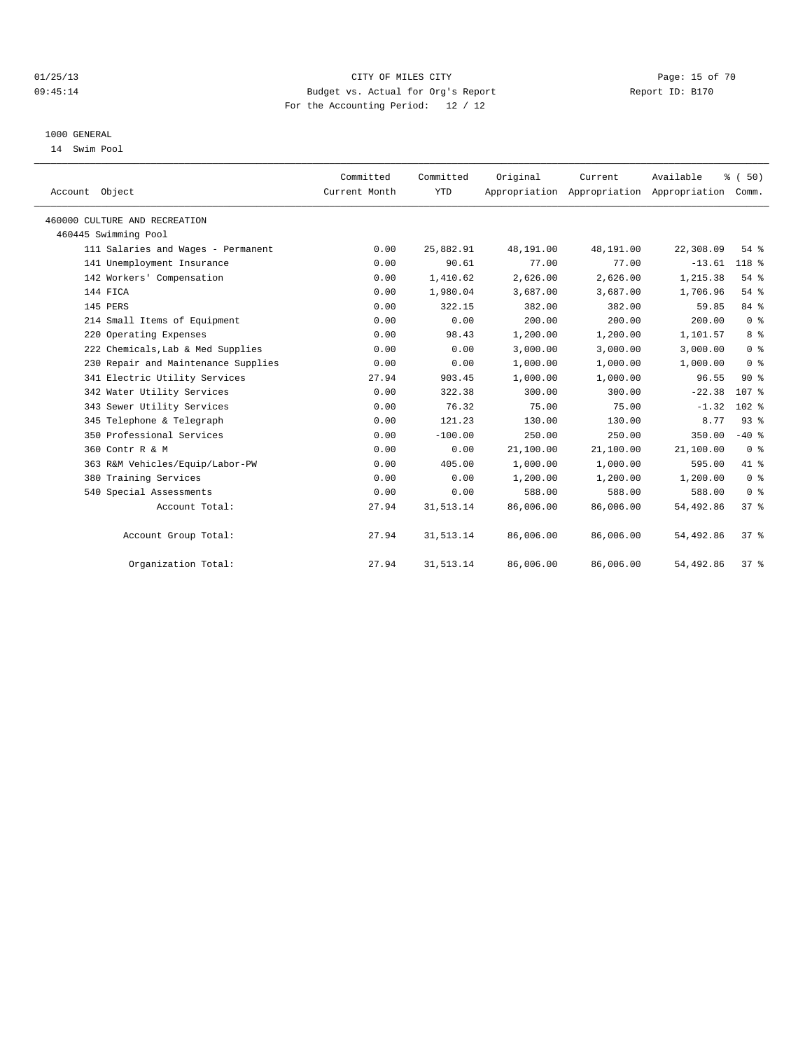#### 01/25/13 Page: 15 of 70 09:45:14 Budget vs. Actual for Org's Report Changer Report ID: B170 For the Accounting Period: 12 / 12

#### 1000 GENERAL

14 Swim Pool

| Account Object                      | Committed<br>Current Month | Committed<br><b>YTD</b> | Original  | Current<br>Appropriation Appropriation Appropriation | Available  | % (50)<br>Comm.  |  |
|-------------------------------------|----------------------------|-------------------------|-----------|------------------------------------------------------|------------|------------------|--|
| 460000 CULTURE AND RECREATION       |                            |                         |           |                                                      |            |                  |  |
| 460445 Swimming Pool                |                            |                         |           |                                                      |            |                  |  |
| 111 Salaries and Wages - Permanent  | 0.00                       | 25,882.91               | 48,191.00 | 48,191.00                                            | 22,308.09  | 54%              |  |
| 141 Unemployment Insurance          | 0.00                       | 90.61                   | 77.00     | 77.00                                                | $-13.61$   | 118 %            |  |
| 142 Workers' Compensation           | 0.00                       | 1,410.62                | 2,626.00  | 2,626.00                                             | 1,215.38   | 54%              |  |
| 144 FICA                            | 0.00                       | 1,980.04                | 3,687.00  | 3,687.00                                             | 1,706.96   | 54%              |  |
| 145 PERS                            | 0.00                       | 322.15                  | 382.00    | 382.00                                               | 59.85      | 84 %             |  |
| 214 Small Items of Equipment        | 0.00                       | 0.00                    | 200.00    | 200.00                                               | 200.00     | 0 <sup>8</sup>   |  |
| 220 Operating Expenses              | 0.00                       | 98.43                   | 1,200.00  | 1,200.00                                             | 1,101.57   | 8 <sup>8</sup>   |  |
| 222 Chemicals, Lab & Med Supplies   | 0.00                       | 0.00                    | 3.000.00  | 3.000.00                                             | 3,000.00   | 0 <sup>8</sup>   |  |
| 230 Repair and Maintenance Supplies | 0.00                       | 0.00                    | 1,000.00  | 1,000.00                                             | 1,000.00   | 0 <sup>8</sup>   |  |
| 341 Electric Utility Services       | 27.94                      | 903.45                  | 1,000.00  | 1,000.00                                             | 96.55      | 90%              |  |
| 342 Water Utility Services          | 0.00                       | 322.38                  | 300.00    | 300.00                                               | $-22.38$   | 107 <sub>8</sub> |  |
| 343 Sewer Utility Services          | 0.00                       | 76.32                   | 75.00     | 75.00                                                | $-1.32$    | $102$ %          |  |
| 345 Telephone & Telegraph           | 0.00                       | 121.23                  | 130.00    | 130.00                                               | 8.77       | 93%              |  |
| 350 Professional Services           | 0.00                       | $-100.00$               | 250.00    | 250.00                                               | 350.00     | $-40$ %          |  |
| 360 Contr R & M                     | 0.00                       | 0.00                    | 21,100.00 | 21,100.00                                            | 21,100.00  | 0 <sup>8</sup>   |  |
| 363 R&M Vehicles/Equip/Labor-PW     | 0.00                       | 405.00                  | 1,000.00  | 1,000.00                                             | 595.00     | 41.8             |  |
| 380 Training Services               | 0.00                       | 0.00                    | 1,200.00  | 1,200.00                                             | 1,200.00   | 0 <sup>8</sup>   |  |
| 540 Special Assessments             | 0.00                       | 0.00                    | 588.00    | 588.00                                               | 588.00     | 0 <sup>8</sup>   |  |
| Account Total:                      | 27.94                      | 31, 513.14              | 86,006.00 | 86,006.00                                            | 54,492.86  | 37%              |  |
| Account Group Total:                | 27.94                      | 31, 513.14              | 86,006.00 | 86,006.00                                            | 54,492.86  | 37 <sup>8</sup>  |  |
| Organization Total:                 | 27.94                      | 31, 513.14              | 86,006.00 | 86,006.00                                            | 54, 492.86 | $37*$            |  |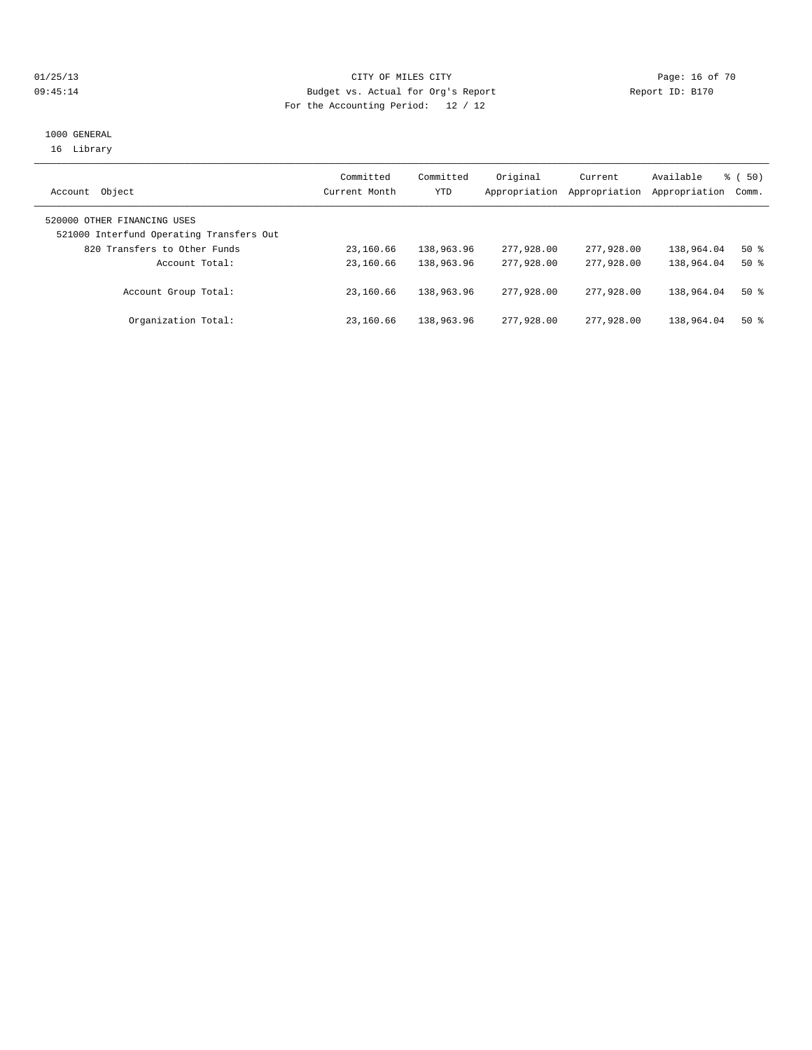## 01/25/13 Page: 16 of 70 09:45:14 Budget vs. Actual for Org's Report Report ID: B170 For the Accounting Period: 12 / 12

### 1000 GENERAL 16 Library

| Object<br>Account                                                       | Committed<br>Current Month | Committed<br>YTD | Original<br>Appropriation | Current<br>Appropriation | Available<br>Appropriation | % (50)<br>Comm. |
|-------------------------------------------------------------------------|----------------------------|------------------|---------------------------|--------------------------|----------------------------|-----------------|
| 520000 OTHER FINANCING USES<br>521000 Interfund Operating Transfers Out |                            |                  |                           |                          |                            |                 |
| 820 Transfers to Other Funds                                            | 23,160.66                  | 138,963.96       | 277,928,00                | 277,928,00               | 138,964.04                 | 50%             |
| Account Total:                                                          | 23,160.66                  | 138,963.96       | 277,928,00                | 277,928,00               | 138,964.04                 | $50*$           |
| Account Group Total:                                                    | 23,160.66                  | 138,963.96       | 277,928,00                | 277,928,00               | 138,964.04                 | $50*$           |
| Organization Total:                                                     | 23,160.66                  | 138,963.96       | 277,928,00                | 277,928,00               | 138,964.04                 | $50*$           |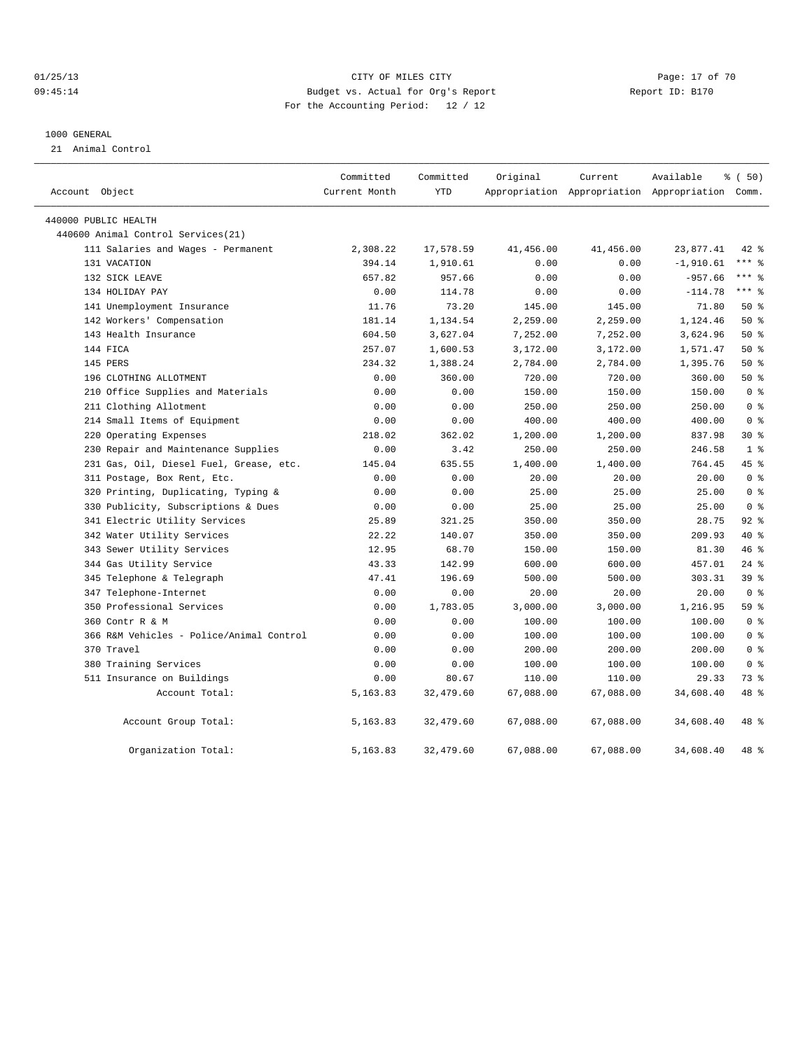#### 01/25/13 Page: 17 of 70 09:45:14 Budget vs. Actual for Org's Report Report ID: B170 For the Accounting Period: 12 / 12

#### 1000 GENERAL

21 Animal Control

| Account Object                           | Committed<br>Current Month | Committed<br><b>YTD</b> | Original  | Current   | Available<br>Appropriation Appropriation Appropriation Comm. | % (50)          |  |
|------------------------------------------|----------------------------|-------------------------|-----------|-----------|--------------------------------------------------------------|-----------------|--|
| 440000 PUBLIC HEALTH                     |                            |                         |           |           |                                                              |                 |  |
| 440600 Animal Control Services (21)      |                            |                         |           |           |                                                              |                 |  |
| 111 Salaries and Wages - Permanent       | 2,308.22                   | 17,578.59               | 41,456.00 | 41,456.00 | 23,877.41                                                    | $42$ %          |  |
| 131 VACATION                             | 394.14                     | 1,910.61                | 0.00      | 0.00      | $-1,910.61$                                                  | $***$ $%$       |  |
| 132 SICK LEAVE                           | 657.82                     | 957.66                  | 0.00      | 0.00      | $-957.66$                                                    | $***$ $%$       |  |
| 134 HOLIDAY PAY                          | 0.00                       | 114.78                  | 0.00      | 0.00      | $-114.78$                                                    | $***$ $%$       |  |
| 141 Unemployment Insurance               | 11.76                      | 73.20                   | 145.00    | 145.00    | 71.80                                                        | 50%             |  |
| 142 Workers' Compensation                | 181.14                     | 1,134.54                | 2,259.00  | 2,259.00  | 1,124.46                                                     | 50%             |  |
| 143 Health Insurance                     | 604.50                     | 3,627.04                | 7,252.00  | 7,252.00  | 3,624.96                                                     | 50%             |  |
| 144 FICA                                 | 257.07                     | 1,600.53                | 3,172.00  | 3,172.00  | 1,571.47                                                     | 50%             |  |
| 145 PERS                                 | 234.32                     | 1,388.24                | 2,784.00  | 2,784.00  | 1,395.76                                                     | 50%             |  |
| 196 CLOTHING ALLOTMENT                   | 0.00                       | 360.00                  | 720.00    | 720.00    | 360.00                                                       | 50%             |  |
| 210 Office Supplies and Materials        | 0.00                       | 0.00                    | 150.00    | 150.00    | 150.00                                                       | 0 <sup>8</sup>  |  |
| 211 Clothing Allotment                   | 0.00                       | 0.00                    | 250.00    | 250.00    | 250.00                                                       | 0 <sup>8</sup>  |  |
| 214 Small Items of Equipment             | 0.00                       | 0.00                    | 400.00    | 400.00    | 400.00                                                       | 0 <sup>8</sup>  |  |
| 220 Operating Expenses                   | 218.02                     | 362.02                  | 1,200.00  | 1,200.00  | 837.98                                                       | $30*$           |  |
| 230 Repair and Maintenance Supplies      | 0.00                       | 3.42                    | 250.00    | 250.00    | 246.58                                                       | 1 <sup>8</sup>  |  |
| 231 Gas, Oil, Diesel Fuel, Grease, etc.  | 145.04                     | 635.55                  | 1,400.00  | 1,400.00  | 764.45                                                       | 45 %            |  |
| 311 Postage, Box Rent, Etc.              | 0.00                       | 0.00                    | 20.00     | 20.00     | 20.00                                                        | 0 <sup>8</sup>  |  |
| 320 Printing, Duplicating, Typing &      | 0.00                       | 0.00                    | 25.00     | 25.00     | 25.00                                                        | 0 <sup>8</sup>  |  |
| 330 Publicity, Subscriptions & Dues      | 0.00                       | 0.00                    | 25.00     | 25.00     | 25.00                                                        | 0 <sup>8</sup>  |  |
| 341 Electric Utility Services            | 25.89                      | 321.25                  | 350.00    | 350.00    | 28.75                                                        | $92$ $%$        |  |
| 342 Water Utility Services               | 22.22                      | 140.07                  | 350.00    | 350.00    | 209.93                                                       | $40*$           |  |
| 343 Sewer Utility Services               | 12.95                      | 68.70                   | 150.00    | 150.00    | 81.30                                                        | 46%             |  |
| 344 Gas Utility Service                  | 43.33                      | 142.99                  | 600.00    | 600.00    | 457.01                                                       | $24$ %          |  |
| 345 Telephone & Telegraph                | 47.41                      | 196.69                  | 500.00    | 500.00    | 303.31                                                       | 39 <sup>8</sup> |  |
| 347 Telephone-Internet                   | 0.00                       | 0.00                    | 20.00     | 20.00     | 20.00                                                        | 0 <sup>8</sup>  |  |
| 350 Professional Services                | 0.00                       | 1,783.05                | 3,000.00  | 3,000.00  | 1,216.95                                                     | 59 %            |  |
| 360 Contr R & M                          | 0.00                       | 0.00                    | 100.00    | 100.00    | 100.00                                                       | 0 <sup>8</sup>  |  |
| 366 R&M Vehicles - Police/Animal Control | 0.00                       | 0.00                    | 100.00    | 100.00    | 100.00                                                       | 0 <sup>8</sup>  |  |
| 370 Travel                               | 0.00                       | 0.00                    | 200.00    | 200.00    | 200.00                                                       | 0 <sup>8</sup>  |  |
| 380 Training Services                    | 0.00                       | 0.00                    | 100.00    | 100.00    | 100.00                                                       | 0 <sup>8</sup>  |  |
| 511 Insurance on Buildings               | 0.00                       | 80.67                   | 110.00    | 110.00    | 29.33                                                        | 73 %            |  |
| Account Total:                           | 5,163.83                   | 32,479.60               | 67,088.00 | 67,088.00 | 34,608.40                                                    | 48 %            |  |
| Account Group Total:                     | 5,163.83                   | 32,479.60               | 67,088.00 | 67,088.00 | 34,608.40                                                    | 48 %            |  |
| Organization Total:                      | 5,163.83                   | 32,479.60               | 67,088.00 | 67,088.00 | 34,608.40                                                    | 48 %            |  |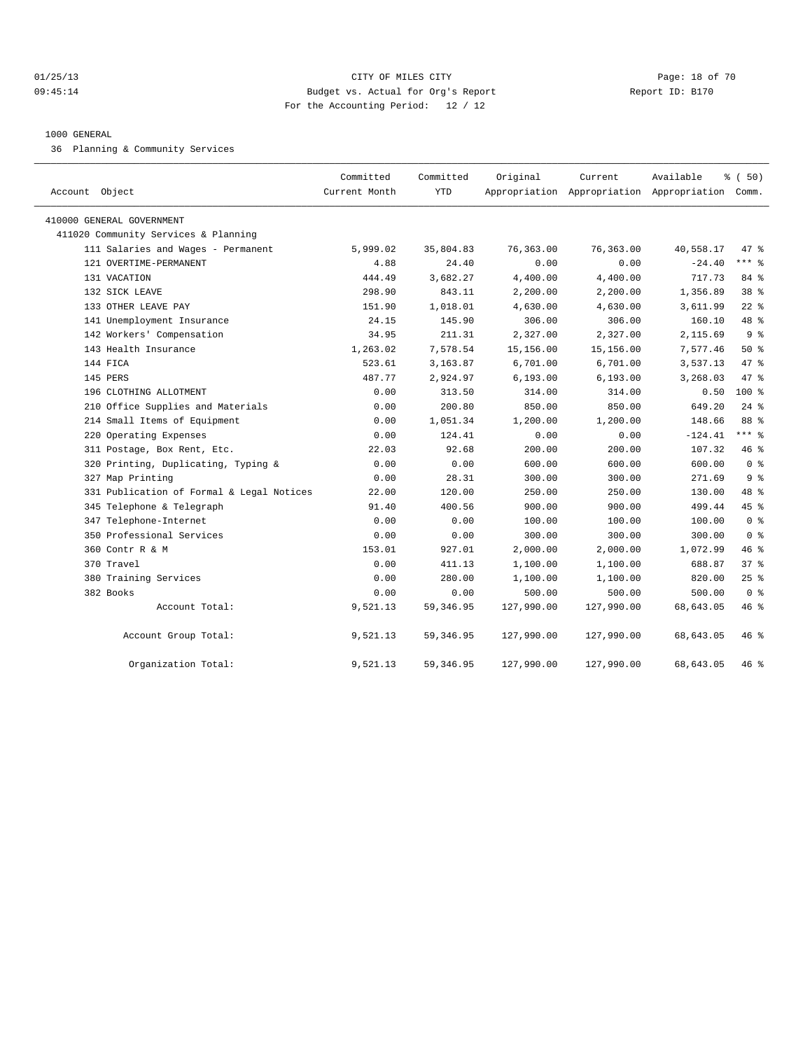#### 01/25/13 Page: 18 of 70 09:45:14 Budget vs. Actual for Org's Report Changer Report ID: B170 For the Accounting Period: 12 / 12

## 1000 GENERAL

36 Planning & Community Services

| Account Object                            | Committed<br>Current Month | Committed<br><b>YTD</b> | Original   | Current    | Available<br>Appropriation Appropriation Appropriation Comm. | % (50)         |
|-------------------------------------------|----------------------------|-------------------------|------------|------------|--------------------------------------------------------------|----------------|
| 410000 GENERAL GOVERNMENT                 |                            |                         |            |            |                                                              |                |
| 411020 Community Services & Planning      |                            |                         |            |            |                                                              |                |
| 111 Salaries and Wages - Permanent        | 5,999.02                   | 35,804.83               | 76,363.00  | 76,363.00  | 40,558.17                                                    | 47 %           |
| 121 OVERTIME-PERMANENT                    | 4.88                       | 24.40                   | 0.00       | 0.00       | $-24.40$                                                     | $***$ 8        |
| 131 VACATION                              | 444.49                     | 3,682.27                | 4,400.00   | 4,400.00   | 717.73                                                       | 84 %           |
| 132 SICK LEAVE                            | 298.90                     | 843.11                  | 2,200.00   | 2,200.00   | 1,356.89                                                     | 38 %           |
| 133 OTHER LEAVE PAY                       | 151.90                     | 1,018.01                | 4,630.00   | 4,630.00   | 3,611.99                                                     | $22$ %         |
| 141 Unemployment Insurance                | 24.15                      | 145.90                  | 306.00     | 306.00     | 160.10                                                       | 48 %           |
| 142 Workers' Compensation                 | 34.95                      | 211.31                  | 2,327.00   | 2,327.00   | 2,115.69                                                     | 9 <sup>8</sup> |
| 143 Health Insurance                      | 1,263.02                   | 7,578.54                | 15,156.00  | 15,156.00  | 7,577.46                                                     | $50*$          |
| 144 FICA                                  | 523.61                     | 3,163.87                | 6,701.00   | 6,701.00   | 3,537.13                                                     | 47 %           |
| 145 PERS                                  | 487.77                     | 2,924.97                | 6, 193.00  | 6, 193.00  | 3,268.03                                                     | 47 %           |
| 196 CLOTHING ALLOTMENT                    | 0.00                       | 313.50                  | 314.00     | 314.00     | 0.50                                                         | 100 %          |
| 210 Office Supplies and Materials         | 0.00                       | 200.80                  | 850.00     | 850.00     | 649.20                                                       | $24$ $%$       |
| 214 Small Items of Equipment              | 0.00                       | 1,051.34                | 1,200.00   | 1,200.00   | 148.66                                                       | 88 %           |
| 220 Operating Expenses                    | 0.00                       | 124.41                  | 0.00       | 0.00       | $-124.41$                                                    | *** %          |
| 311 Postage, Box Rent, Etc.               | 22.03                      | 92.68                   | 200.00     | 200.00     | 107.32                                                       | 46 %           |
| 320 Printing, Duplicating, Typing &       | 0.00                       | 0.00                    | 600.00     | 600.00     | 600.00                                                       | 0 <sup>8</sup> |
| 327 Map Printing                          | 0.00                       | 28.31                   | 300.00     | 300.00     | 271.69                                                       | 9 <sup>8</sup> |
| 331 Publication of Formal & Legal Notices | 22.00                      | 120.00                  | 250.00     | 250.00     | 130.00                                                       | 48 %           |
| 345 Telephone & Telegraph                 | 91.40                      | 400.56                  | 900.00     | 900.00     | 499.44                                                       | 45%            |
| 347 Telephone-Internet                    | 0.00                       | 0.00                    | 100.00     | 100.00     | 100.00                                                       | 0 <sup>8</sup> |
| 350 Professional Services                 | 0.00                       | 0.00                    | 300.00     | 300.00     | 300.00                                                       | 0 <sup>8</sup> |
| 360 Contr R & M                           | 153.01                     | 927.01                  | 2,000.00   | 2,000.00   | 1,072.99                                                     | 46 %           |
| 370 Travel                                | 0.00                       | 411.13                  | 1,100.00   | 1,100.00   | 688.87                                                       | 37%            |
| 380 Training Services                     | 0.00                       | 280.00                  | 1,100.00   | 1,100.00   | 820.00                                                       | $25$ $%$       |
| 382 Books                                 | 0.00                       | 0.00                    | 500.00     | 500.00     | 500.00                                                       | 0 <sup>8</sup> |
| Account Total:                            | 9,521.13                   | 59, 346.95              | 127,990.00 | 127,990.00 | 68,643.05                                                    | 46 %           |
| Account Group Total:                      | 9,521.13                   | 59, 346.95              | 127,990.00 | 127,990.00 | 68,643.05                                                    | 46 %           |
| Organization Total:                       | 9,521.13                   | 59, 346.95              | 127,990.00 | 127,990.00 | 68,643.05                                                    | 46 %           |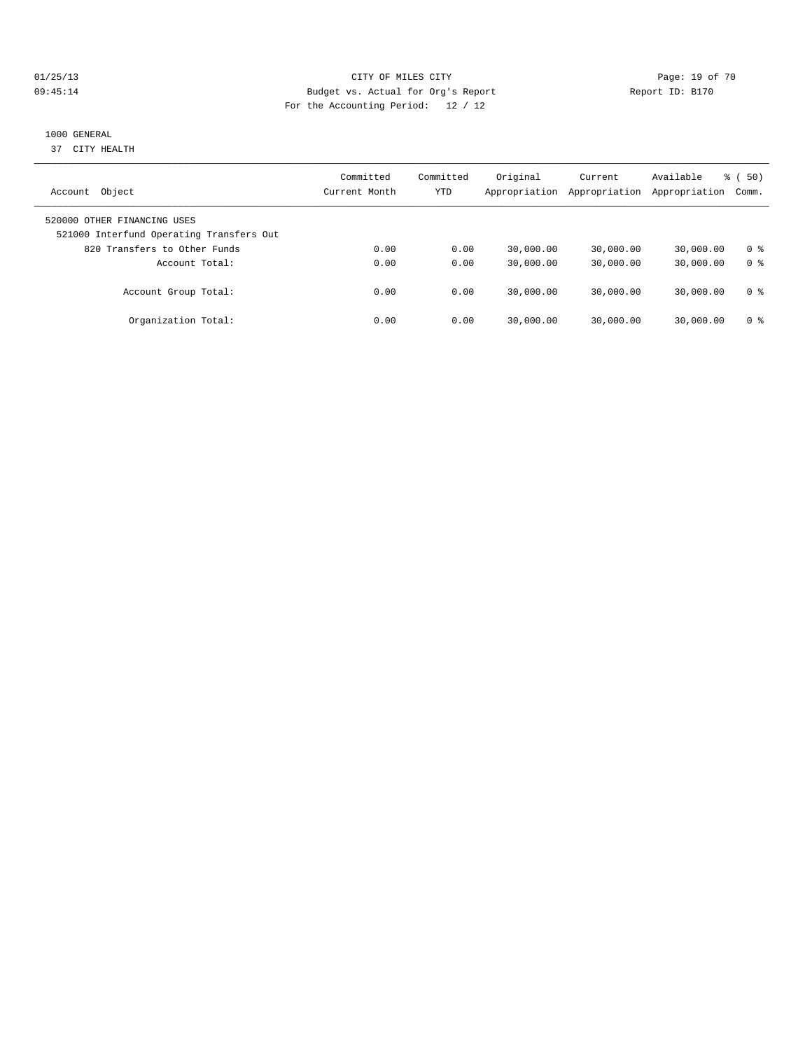## 01/25/13 Page: 19 of 70 09:45:14 Budget vs. Actual for Org's Report Communication of Report ID: B170 For the Accounting Period: 12 / 12

## 1000 GENERAL

37 CITY HEALTH

| Object<br>Account                                                       | Committed<br>Current Month | Committed<br>YTD | Original<br>Appropriation | Current<br>Appropriation | Available<br>Appropriation | $\frac{1}{6}$ (50)<br>Comm. |
|-------------------------------------------------------------------------|----------------------------|------------------|---------------------------|--------------------------|----------------------------|-----------------------------|
| 520000 OTHER FINANCING USES<br>521000 Interfund Operating Transfers Out |                            |                  |                           |                          |                            |                             |
| 820 Transfers to Other Funds                                            | 0.00                       | 0.00             | 30,000.00                 | 30,000.00                | 30,000.00                  | 0 ક                         |
| Account Total:                                                          | 0.00                       | 0.00             | 30,000.00                 | 30,000.00                | 30,000.00                  | 0 <sup>8</sup>              |
| Account Group Total:                                                    | 0.00                       | 0.00             | 30,000.00                 | 30,000.00                | 30,000.00                  | 0 ક                         |
| Organization Total:                                                     | 0.00                       | 0.00             | 30,000.00                 | 30,000.00                | 30,000.00                  | 0 ક                         |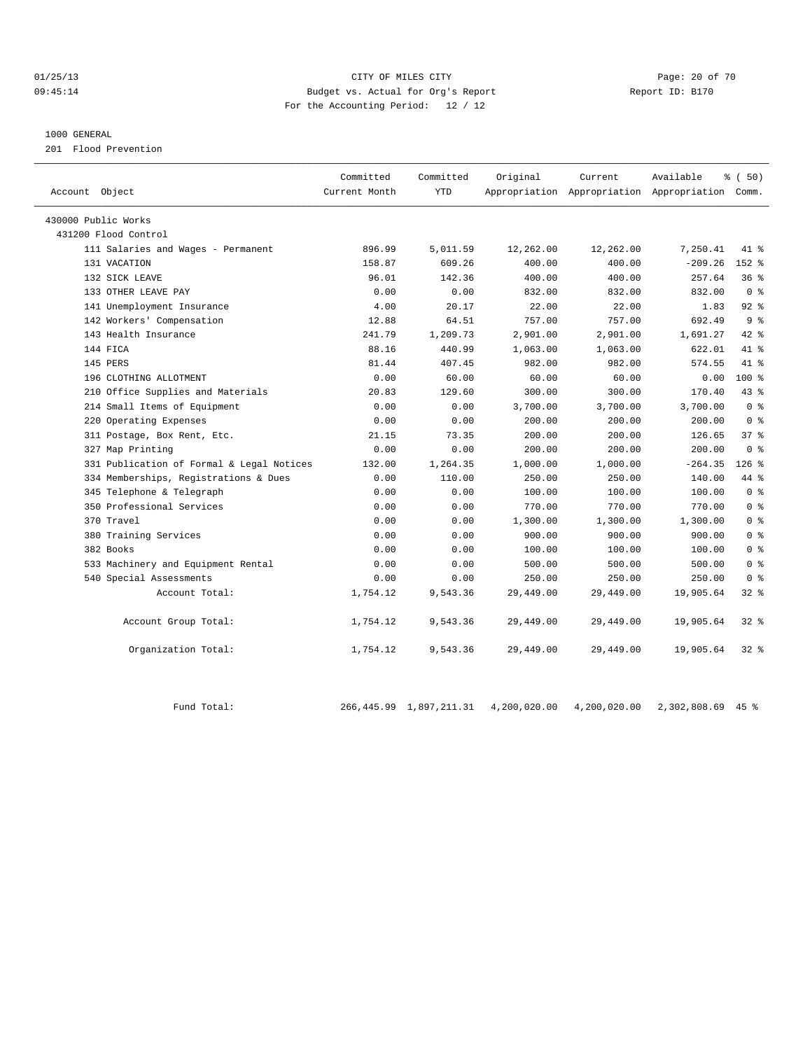#### 01/25/13 Page: 20 of 70 09:45:14 Budget vs. Actual for Org's Report Report ID: B170 For the Accounting Period: 12 / 12

#### 1000 GENERAL

201 Flood Prevention

| Account Object                            | Committed<br>Current Month | Committed<br><b>YTD</b> | Original  | Current<br>Appropriation Appropriation Appropriation Comm. | Available | % (50)          |
|-------------------------------------------|----------------------------|-------------------------|-----------|------------------------------------------------------------|-----------|-----------------|
| 430000 Public Works                       |                            |                         |           |                                                            |           |                 |
| 431200 Flood Control                      |                            |                         |           |                                                            |           |                 |
| 111 Salaries and Wages - Permanent        | 896.99                     | 5,011.59                | 12,262.00 | 12,262.00                                                  | 7,250.41  | 41 %            |
| 131 VACATION                              | 158.87                     | 609.26                  | 400.00    | 400.00                                                     | $-209.26$ | $152$ $%$       |
| 132 SICK LEAVE                            | 96.01                      | 142.36                  | 400.00    | 400.00                                                     | 257.64    | 36%             |
| 133 OTHER LEAVE PAY                       | 0.00                       | 0.00                    | 832.00    | 832.00                                                     | 832.00    | 0 <sup>8</sup>  |
| 141 Unemployment Insurance                | 4.00                       | 20.17                   | 22.00     | 22.00                                                      | 1.83      | 92%             |
| 142 Workers' Compensation                 | 12.88                      | 64.51                   | 757.00    | 757.00                                                     | 692.49    | 9 <sup>8</sup>  |
| 143 Health Insurance                      | 241.79                     | 1,209.73                | 2,901.00  | 2,901.00                                                   | 1,691.27  | 42.8            |
| 144 FICA                                  | 88.16                      | 440.99                  | 1,063.00  | 1,063.00                                                   | 622.01    | 41 %            |
| 145 PERS                                  | 81.44                      | 407.45                  | 982.00    | 982.00                                                     | 574.55    | 41.8            |
| 196 CLOTHING ALLOTMENT                    | 0.00                       | 60.00                   | 60.00     | 60.00                                                      | 0.00      | $100$ %         |
| 210 Office Supplies and Materials         | 20.83                      | 129.60                  | 300.00    | 300.00                                                     | 170.40    | 43.8            |
| 214 Small Items of Equipment              | 0.00                       | 0.00                    | 3,700.00  | 3,700.00                                                   | 3,700.00  | 0 <sup>8</sup>  |
| 220 Operating Expenses                    | 0.00                       | 0.00                    | 200.00    | 200.00                                                     | 200.00    | 0 <sup>8</sup>  |
| 311 Postage, Box Rent, Etc.               | 21.15                      | 73.35                   | 200.00    | 200.00                                                     | 126.65    | 37 <sup>8</sup> |
| 327 Map Printing                          | 0.00                       | 0.00                    | 200.00    | 200.00                                                     | 200.00    | 0 <sup>8</sup>  |
| 331 Publication of Formal & Legal Notices | 132.00                     | 1,264.35                | 1,000.00  | 1,000.00                                                   | $-264.35$ | $126$ %         |
| 334 Memberships, Registrations & Dues     | 0.00                       | 110.00                  | 250.00    | 250.00                                                     | 140.00    | 44 %            |
| 345 Telephone & Telegraph                 | 0.00                       | 0.00                    | 100.00    | 100.00                                                     | 100.00    | 0 <sup>8</sup>  |
| 350 Professional Services                 | 0.00                       | 0.00                    | 770.00    | 770.00                                                     | 770.00    | 0 <sup>8</sup>  |
| 370 Travel                                | 0.00                       | 0.00                    | 1,300.00  | 1,300.00                                                   | 1,300.00  | 0 <sup>8</sup>  |
| 380 Training Services                     | 0.00                       | 0.00                    | 900.00    | 900.00                                                     | 900.00    | 0 <sup>8</sup>  |
| 382 Books                                 | 0.00                       | 0.00                    | 100.00    | 100.00                                                     | 100.00    | 0 <sup>8</sup>  |
| 533 Machinery and Equipment Rental        | 0.00                       | 0.00                    | 500.00    | 500.00                                                     | 500.00    | 0 <sup>8</sup>  |
| 540 Special Assessments                   | 0.00                       | 0.00                    | 250.00    | 250.00                                                     | 250.00    | 0 <sup>8</sup>  |
| Account Total:                            | 1,754.12                   | 9,543.36                | 29,449.00 | 29,449.00                                                  | 19,905.64 | 328             |
| Account Group Total:                      | 1,754.12                   | 9,543.36                | 29,449.00 | 29,449.00                                                  | 19,905.64 | $32$ $%$        |
| Organization Total:                       | 1,754.12                   | 9,543.36                | 29,449.00 | 29,449.00                                                  | 19,905.64 | $32$ $%$        |

Fund Total: 266,445.99 1,897,211.31 4,200,020.00 4,200,020.00 2,302,808.69 45 %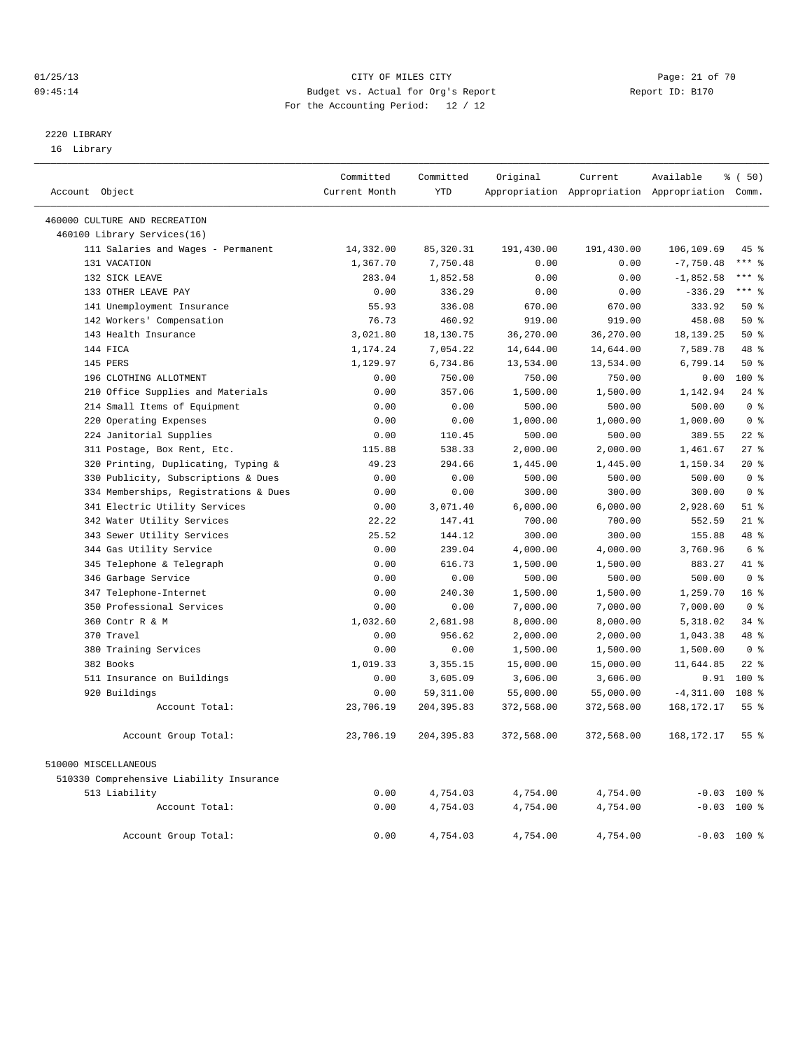#### 01/25/13 Page: 21 of 70 09:45:14 Budget vs. Actual for Org's Report Changer Report ID: B170 For the Accounting Period: 12 / 12

————————————————————————————————————————————————————————————————————————————————————————————————————————————————————————————————————

## 2220 LIBRARY

16 Library

|                      |                                                        | Committed     | Committed        | Original   | Current                                         | Available    | १ ( 50)          |  |
|----------------------|--------------------------------------------------------|---------------|------------------|------------|-------------------------------------------------|--------------|------------------|--|
| Account Object       |                                                        | Current Month | <b>YTD</b>       |            | Appropriation Appropriation Appropriation Comm. |              |                  |  |
|                      | 460000 CULTURE AND RECREATION                          |               |                  |            |                                                 |              |                  |  |
|                      | 460100 Library Services(16)                            |               |                  |            |                                                 |              |                  |  |
|                      | 111 Salaries and Wages - Permanent                     | 14,332.00     | 85, 320.31       | 191,430.00 | 191,430.00                                      | 106,109.69   | 45 %             |  |
|                      | 131 VACATION                                           | 1,367.70      | 7,750.48         | 0.00       | 0.00                                            | $-7,750.48$  | *** %            |  |
|                      | 132 SICK LEAVE                                         | 283.04        | 1,852.58         | 0.00       | 0.00                                            | $-1,852.58$  | $***$ $%$        |  |
|                      | 133 OTHER LEAVE PAY                                    | 0.00          | 336.29           | 0.00       | 0.00                                            | $-336.29$    | $***$ $_{8}$     |  |
|                      | 141 Unemployment Insurance                             | 55.93         | 336.08           | 670.00     | 670.00                                          | 333.92       | $50*$            |  |
|                      | 142 Workers' Compensation                              | 76.73         | 460.92           | 919.00     | 919.00                                          | 458.08       | 50%              |  |
|                      | 143 Health Insurance                                   | 3,021.80      | 18,130.75        | 36,270.00  | 36,270.00                                       | 18, 139. 25  | 50%              |  |
| 144 FICA             |                                                        | 1,174.24      | 7,054.22         | 14,644.00  | 14,644.00                                       | 7,589.78     | 48 %             |  |
| 145 PERS             |                                                        | 1,129.97      | 6,734.86         | 13,534.00  | 13,534.00                                       | 6,799.14     | 50%              |  |
|                      | 196 CLOTHING ALLOTMENT                                 | 0.00          | 750.00           | 750.00     | 750.00                                          | 0.00         | 100 %            |  |
|                      | 210 Office Supplies and Materials                      | 0.00          | 357.06           | 1,500.00   | 1,500.00                                        | 1,142.94     | $24$ %           |  |
|                      | 214 Small Items of Equipment                           | 0.00          | 0.00             | 500.00     | 500.00                                          | 500.00       | 0 <sup>8</sup>   |  |
|                      |                                                        |               |                  |            | 1,000.00                                        | 1,000.00     | 0 <sup>8</sup>   |  |
|                      | 220 Operating Expenses                                 | 0.00          | 0.00             | 1,000.00   |                                                 |              | $22$ %           |  |
|                      | 224 Janitorial Supplies<br>311 Postage, Box Rent, Etc. | 0.00          | 110.45<br>538.33 | 500.00     | 500.00                                          | 389.55       | 27%              |  |
|                      |                                                        | 115.88        |                  | 2,000.00   | 2,000.00                                        | 1,461.67     |                  |  |
|                      | 320 Printing, Duplicating, Typing &                    | 49.23         | 294.66           | 1,445.00   | 1,445.00                                        | 1,150.34     | $20*$            |  |
|                      | 330 Publicity, Subscriptions & Dues                    | 0.00          | 0.00             | 500.00     | 500.00                                          | 500.00       | 0 <sup>8</sup>   |  |
|                      | 334 Memberships, Registrations & Dues                  | 0.00          | 0.00             | 300.00     | 300.00                                          | 300.00       | 0 <sup>8</sup>   |  |
|                      | 341 Electric Utility Services                          | 0.00          | 3,071.40         | 6,000.00   | 6,000.00                                        | 2,928.60     | $51$ %           |  |
|                      | 342 Water Utility Services                             | 22.22         | 147.41           | 700.00     | 700.00                                          | 552.59       | $21$ %           |  |
|                      | 343 Sewer Utility Services                             | 25.52         | 144.12           | 300.00     | 300.00                                          | 155.88       | 48 %             |  |
|                      | 344 Gas Utility Service                                | 0.00          | 239.04           | 4,000.00   | 4,000.00                                        | 3,760.96     | 6 %              |  |
|                      | 345 Telephone & Telegraph                              | 0.00          | 616.73           | 1,500.00   | 1,500.00                                        | 883.27       | 41.8             |  |
|                      | 346 Garbage Service                                    | 0.00          | 0.00             | 500.00     | 500.00                                          | 500.00       | 0 <sup>8</sup>   |  |
|                      | 347 Telephone-Internet                                 | 0.00          | 240.30           | 1,500.00   | 1,500.00                                        | 1,259.70     | 16 <sup>°</sup>  |  |
|                      | 350 Professional Services                              | 0.00          | 0.00             | 7,000.00   | 7,000.00                                        | 7,000.00     | 0 <sup>8</sup>   |  |
|                      | 360 Contr R & M                                        | 1,032.60      | 2,681.98         | 8,000.00   | 8,000.00                                        | 5,318.02     | $34$ $%$         |  |
|                      | 370 Travel                                             | 0.00          | 956.62           | 2,000.00   | 2,000.00                                        | 1,043.38     | 48 %             |  |
|                      | 380 Training Services                                  | 0.00          | 0.00             | 1,500.00   | 1,500.00                                        | 1,500.00     | 0 <sup>8</sup>   |  |
|                      | 382 Books                                              | 1,019.33      | 3,355.15         | 15,000.00  | 15,000.00                                       | 11,644.85    | $22$ %           |  |
|                      | 511 Insurance on Buildings                             | 0.00          | 3,605.09         | 3,606.00   | 3,606.00                                        | 0.91         | $100*$           |  |
|                      | 920 Buildings                                          | 0.00          | 59, 311.00       | 55,000.00  | 55,000.00                                       | $-4, 311.00$ | 108 <sup>8</sup> |  |
|                      | Account Total:                                         | 23,706.19     | 204, 395.83      | 372,568.00 | 372,568.00                                      | 168, 172. 17 | 55 <sup>8</sup>  |  |
|                      | Account Group Total:                                   | 23,706.19     | 204,395.83       | 372,568.00 | 372,568.00                                      | 168, 172. 17 | 55%              |  |
| 510000 MISCELLANEOUS |                                                        |               |                  |            |                                                 |              |                  |  |
|                      | 510330 Comprehensive Liability Insurance               |               |                  |            |                                                 |              |                  |  |
|                      | 513 Liability                                          | 0.00          | 4,754.03         | 4,754.00   | 4,754.00                                        |              | $-0.03$ 100 %    |  |
|                      | Account Total:                                         | 0.00          | 4,754.03         | 4,754.00   | 4,754.00                                        |              | $-0.03$ 100 %    |  |
|                      | Account Group Total:                                   | 0.00          | 4,754.03         | 4,754.00   | 4,754.00                                        |              | $-0.03$ 100 %    |  |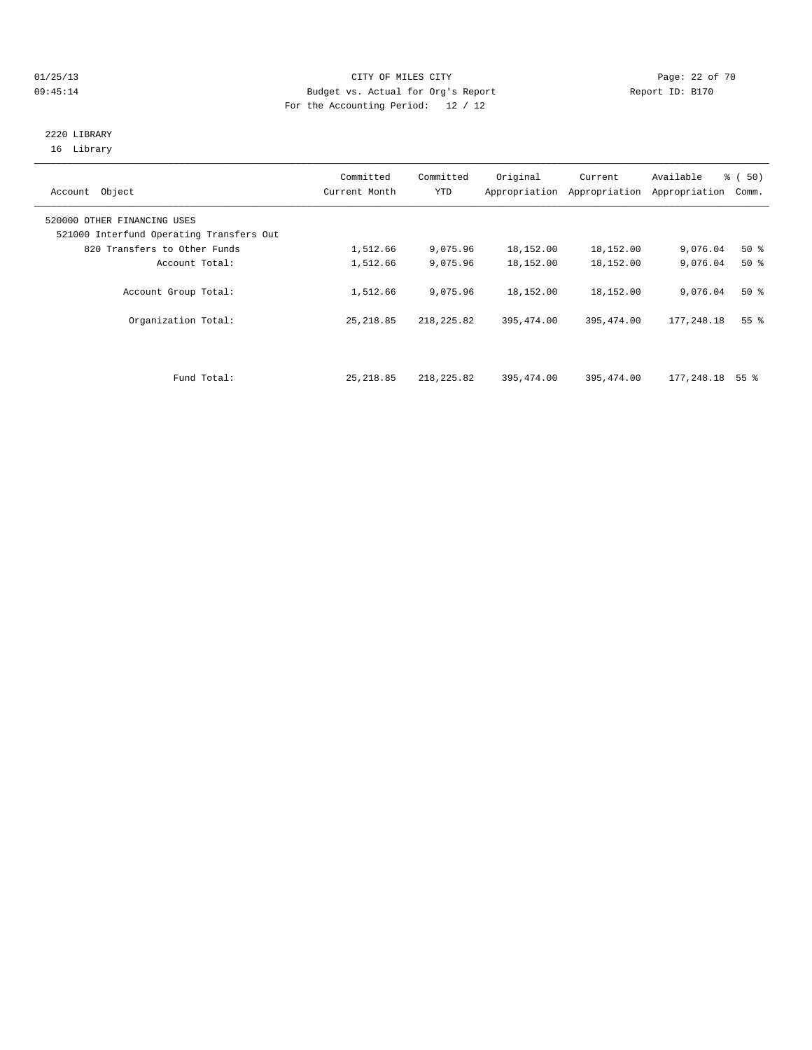## 01/25/13 Page: 22 of 70 09:45:14 Budget vs. Actual for Org's Report Report ID: B170 For the Accounting Period: 12 / 12

## 2220 LIBRARY 16 Library

| Account Object                                                          | Committed<br>Current Month | Committed<br>YTD | Original   | Current<br>Appropriation Appropriation | Available<br>Appropriation | % (50)<br>Comm. |
|-------------------------------------------------------------------------|----------------------------|------------------|------------|----------------------------------------|----------------------------|-----------------|
| 520000 OTHER FINANCING USES<br>521000 Interfund Operating Transfers Out |                            |                  |            |                                        |                            |                 |
| 820 Transfers to Other Funds                                            | 1,512.66                   | 9,075.96         | 18,152.00  | 18,152.00                              | 9,076.04                   | $50*$           |
| Account Total:                                                          | 1,512.66                   | 9,075.96         | 18,152.00  | 18,152.00                              | 9,076.04                   | $50*$           |
| Account Group Total:                                                    | 1,512.66                   | 9,075.96         | 18,152.00  | 18,152.00                              | 9,076.04                   | $50*$           |
| Organization Total:                                                     | 25, 218.85                 | 218, 225.82      | 395,474.00 | 395, 474.00                            | 177,248.18                 | 55 <sup>8</sup> |
|                                                                         |                            |                  |            |                                        |                            |                 |
| Fund Total:                                                             | 25, 218.85                 | 218,225.82       | 395,474.00 | 395,474.00                             | 177,248.18                 | 55 %            |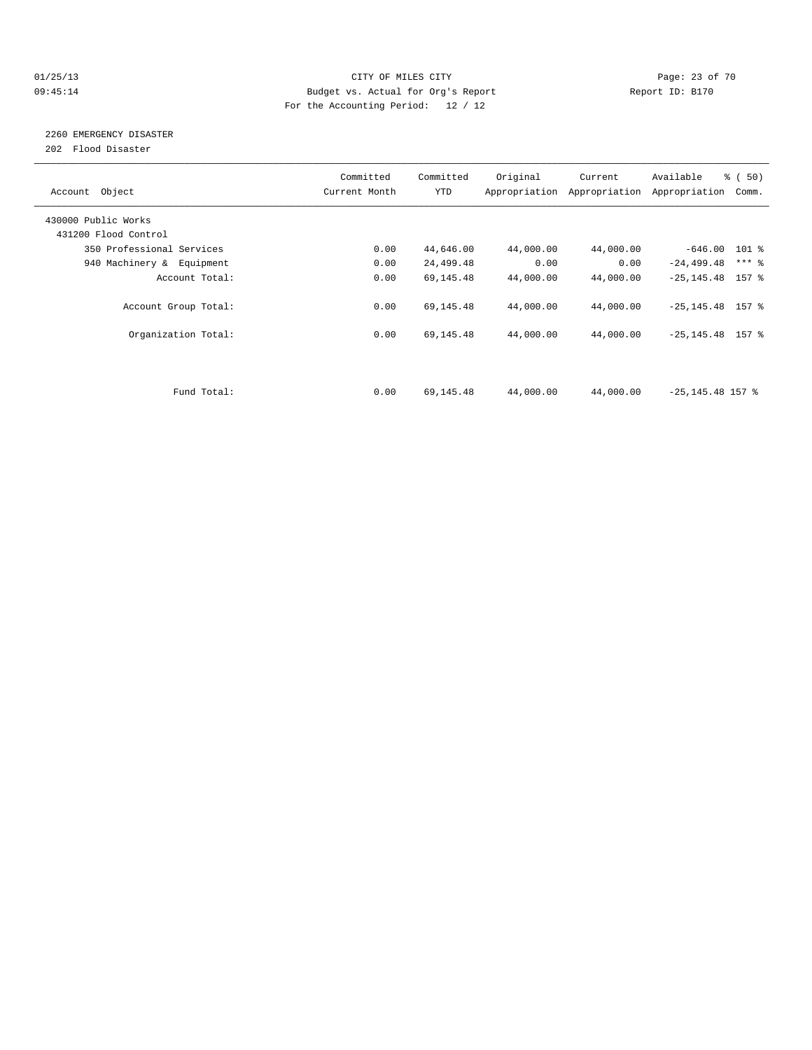#### 01/25/13 Page: 23 of 70 09:45:14 Budget vs. Actual for Org's Report Changer Report ID: B170 For the Accounting Period: 12 / 12

## 2260 EMERGENCY DISASTER

202 Flood Disaster

| Account Object            | Committed<br>Current Month | Committed<br><b>YTD</b> | Original  | Current<br>Appropriation Appropriation | Available<br>Appropriation | $\frac{2}{3}$ (50)<br>Comm. |
|---------------------------|----------------------------|-------------------------|-----------|----------------------------------------|----------------------------|-----------------------------|
| 430000 Public Works       |                            |                         |           |                                        |                            |                             |
| 431200 Flood Control      |                            |                         |           |                                        |                            |                             |
| 350 Professional Services | 0.00                       | 44,646.00               | 44,000.00 | 44,000.00                              | $-646.00$ 101 %            |                             |
| 940 Machinery & Equipment | 0.00                       | 24,499.48               | 0.00      | 0.00                                   | $-24, 499.48$              | $***$ $-$                   |
| Account Total:            | 0.00                       | 69,145.48               | 44,000.00 | 44,000.00                              | $-25, 145.48$ 157 %        |                             |
| Account Group Total:      | 0.00                       | 69,145.48               | 44,000.00 | 44,000.00                              | $-25, 145.48$ 157 %        |                             |
| Organization Total:       | 0.00                       | 69,145.48               | 44,000.00 | 44,000.00                              | $-25, 145.48$ 157 %        |                             |
|                           |                            |                         |           |                                        |                            |                             |
| Fund Total:               | 0.00                       | 69,145.48               | 44,000.00 | 44,000.00                              | $-25, 145.48$ 157 %        |                             |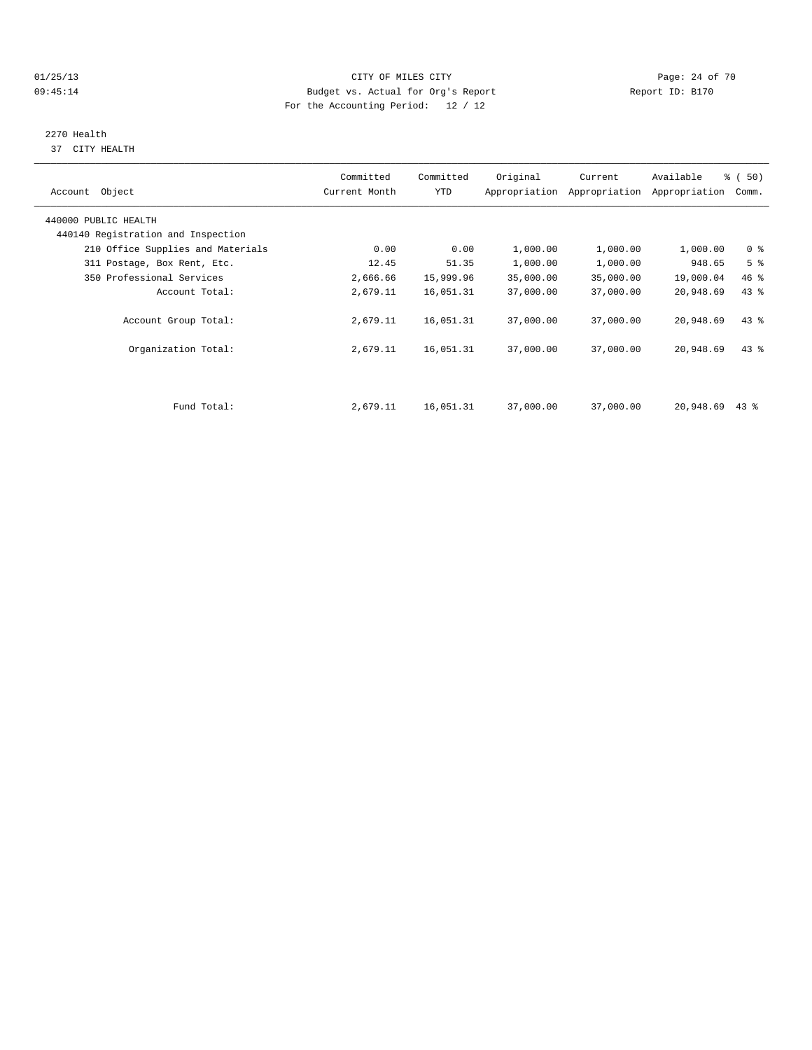## 01/25/13 Page: 24 of 70 09:45:14 Budget vs. Actual for Org's Report Changer Report ID: B170 For the Accounting Period: 12 / 12

# 2270 Health

37 CITY HEALTH

| Account Object                                             | Committed<br>Current Month | Committed<br>YTD | Original  | Current<br>Appropriation Appropriation | Available<br>Appropriation | % (50)<br>Comm. |
|------------------------------------------------------------|----------------------------|------------------|-----------|----------------------------------------|----------------------------|-----------------|
| 440000 PUBLIC HEALTH<br>440140 Registration and Inspection |                            |                  |           |                                        |                            |                 |
| 210 Office Supplies and Materials                          | 0.00                       | 0.00             | 1,000.00  | 1,000.00                               | 1,000.00                   | 0 <sup>8</sup>  |
| 311 Postage, Box Rent, Etc.                                | 12.45                      | 51.35            | 1,000.00  | 1,000.00                               | 948.65                     | 5 <sup>8</sup>  |
| 350 Professional Services                                  | 2,666.66                   | 15,999.96        | 35,000.00 | 35,000.00                              | 19,000.04                  | 46 %            |
| Account Total:                                             | 2,679.11                   | 16,051.31        | 37,000.00 | 37,000.00                              | 20,948.69                  | 43 %            |
| Account Group Total:                                       | 2,679.11                   | 16,051.31        | 37,000.00 | 37,000.00                              | 20,948.69                  | 43.8            |
| Organization Total:                                        | 2,679.11                   | 16,051.31        | 37,000.00 | 37,000.00                              | 20,948.69                  | 43.8            |
|                                                            |                            |                  |           |                                        |                            |                 |
| Fund Total:                                                | 2,679.11                   | 16,051.31        | 37,000.00 | 37,000.00                              | 20,948.69                  | $43$ %          |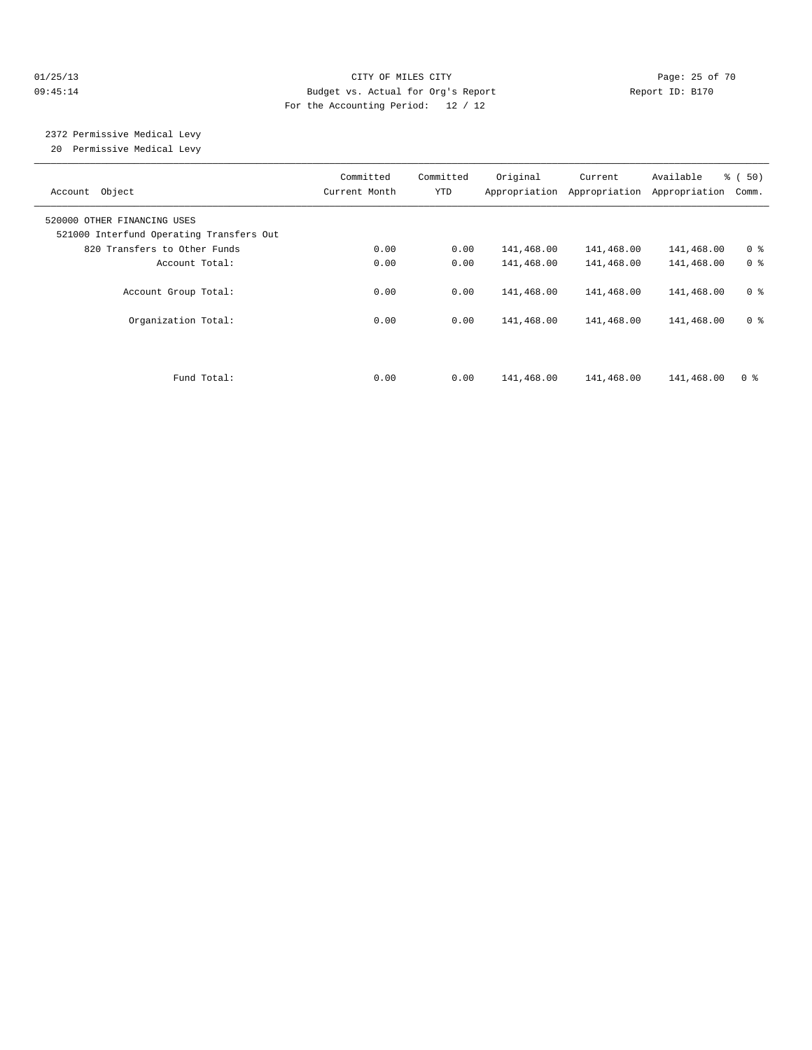## 01/25/13 Page: 25 of 70 09:45:14 Budget vs. Actual for Org's Report Changer Report ID: B170 For the Accounting Period: 12 / 12

# 2372 Permissive Medical Levy

20 Permissive Medical Levy

| Account Object                                                          | Committed<br>Current Month | Committed<br>YTD | Original   | Current<br>Appropriation Appropriation | Available<br>Appropriation | % (50)<br>Comm. |
|-------------------------------------------------------------------------|----------------------------|------------------|------------|----------------------------------------|----------------------------|-----------------|
| 520000 OTHER FINANCING USES<br>521000 Interfund Operating Transfers Out |                            |                  |            |                                        |                            |                 |
| 820 Transfers to Other Funds                                            | 0.00                       | 0.00             | 141,468.00 | 141,468.00                             | 141,468.00                 | 0 <sup>8</sup>  |
| Account Total:                                                          | 0.00                       | 0.00             | 141,468.00 | 141,468.00                             | 141,468.00                 | 0 <sup>8</sup>  |
| Account Group Total:                                                    | 0.00                       | 0.00             | 141,468.00 | 141,468.00                             | 141,468.00                 | 0 <sup>8</sup>  |
| Organization Total:                                                     | 0.00                       | 0.00             | 141,468.00 | 141,468.00                             | 141,468.00                 | 0 <sup>8</sup>  |
| Fund Total:                                                             | 0.00                       | 0.00             | 141,468.00 | 141,468.00                             | 141,468.00                 | 0 <sup>8</sup>  |
|                                                                         |                            |                  |            |                                        |                            |                 |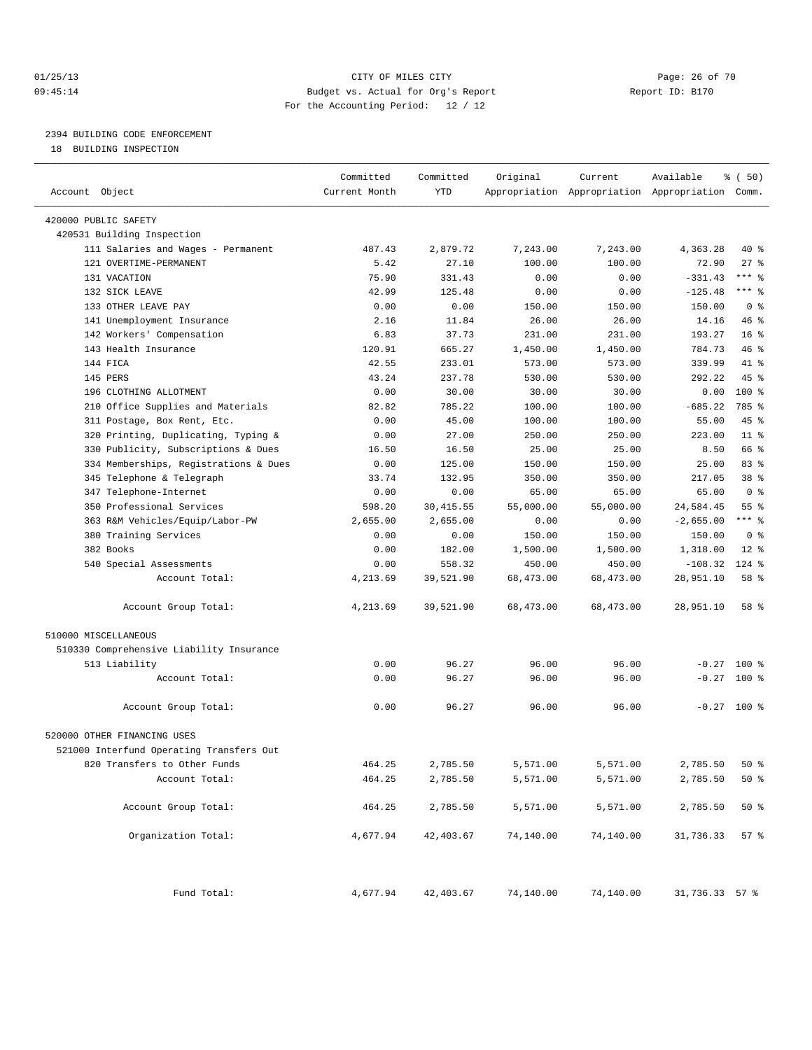## 01/25/13 CITY OF MILES CITY Page: 26 of 70 09:45:14 Budget vs. Actual for Org's Report Report ID: B170 For the Accounting Period: 12 / 12

————————————————————————————————————————————————————————————————————————————————————————————————————————————————————————————————————

## 2394 BUILDING CODE ENFORCEMENT

18 BUILDING INSPECTION

|                                          | Committed     | Committed  | Original  | Current   | Available                                       | १ ( 50)         |
|------------------------------------------|---------------|------------|-----------|-----------|-------------------------------------------------|-----------------|
| Account Object                           | Current Month | YTD        |           |           | Appropriation Appropriation Appropriation Comm. |                 |
|                                          |               |            |           |           |                                                 |                 |
| 420000 PUBLIC SAFETY                     |               |            |           |           |                                                 |                 |
| 420531 Building Inspection               |               |            |           |           |                                                 |                 |
| 111 Salaries and Wages - Permanent       | 487.43        | 2,879.72   | 7,243.00  | 7,243.00  | 4,363.28                                        | 40 %            |
| 121 OVERTIME-PERMANENT                   | 5.42          | 27.10      | 100.00    | 100.00    | 72.90                                           | $27$ %          |
| 131 VACATION                             | 75.90         | 331.43     | 0.00      | 0.00      | $-331.43$                                       | $***$ $-$       |
| 132 SICK LEAVE                           | 42.99         | 125.48     | 0.00      | 0.00      | $-125.48$                                       | *** 응           |
| 133 OTHER LEAVE PAY                      | 0.00          | 0.00       | 150.00    | 150.00    | 150.00                                          | 0 <sup>8</sup>  |
| 141 Unemployment Insurance               | 2.16          | 11.84      | 26.00     | 26.00     | 14.16                                           | 46 %            |
| 142 Workers' Compensation                | 6.83          | 37.73      | 231.00    | 231.00    | 193.27                                          | 16 <sup>°</sup> |
| 143 Health Insurance                     | 120.91        | 665.27     | 1,450.00  | 1,450.00  | 784.73                                          | 46 %            |
| 144 FICA                                 | 42.55         | 233.01     | 573.00    | 573.00    | 339.99                                          | 41 %            |
| 145 PERS                                 | 43.24         | 237.78     | 530.00    | 530.00    | 292.22                                          | 45 %            |
| 196 CLOTHING ALLOTMENT                   | 0.00          | 30.00      | 30.00     | 30.00     | 0.00                                            | $100$ %         |
| 210 Office Supplies and Materials        | 82.82         | 785.22     | 100.00    | 100.00    | $-685.22$                                       | 785 %           |
| 311 Postage, Box Rent, Etc.              | 0.00          | 45.00      | 100.00    | 100.00    | 55.00                                           | 45 %            |
| 320 Printing, Duplicating, Typing &      | 0.00          | 27.00      | 250.00    | 250.00    | 223.00                                          | $11$ %          |
| 330 Publicity, Subscriptions & Dues      | 16.50         | 16.50      | 25.00     | 25.00     | 8.50                                            | 66 %            |
| 334 Memberships, Registrations & Dues    | 0.00          | 125.00     | 150.00    | 150.00    | 25.00                                           | 83%             |
| 345 Telephone & Telegraph                | 33.74         | 132.95     | 350.00    | 350.00    | 217.05                                          | 38 %            |
| 347 Telephone-Internet                   | 0.00          | 0.00       | 65.00     | 65.00     | 65.00                                           | 0 <sup>8</sup>  |
| 350 Professional Services                | 598.20        | 30, 415.55 | 55,000.00 | 55,000.00 | 24,584.45                                       | 55 <sup>8</sup> |
| 363 R&M Vehicles/Equip/Labor-PW          | 2,655.00      | 2,655.00   | 0.00      | 0.00      | $-2,655.00$                                     | $***$ $-$       |
| 380 Training Services                    | 0.00          | 0.00       | 150.00    | 150.00    | 150.00                                          | 0 <sup>8</sup>  |
| 382 Books                                | 0.00          | 182.00     | 1,500.00  | 1,500.00  | 1,318.00                                        | $12$ %          |
| 540 Special Assessments                  | 0.00          | 558.32     | 450.00    | 450.00    | $-108.32$                                       | 124 %           |
| Account Total:                           | 4,213.69      | 39,521.90  | 68,473.00 | 68,473.00 | 28,951.10                                       | 58 %            |
| Account Group Total:                     | 4,213.69      | 39,521.90  | 68,473.00 | 68,473.00 | 28,951.10                                       | 58 %            |
| 510000 MISCELLANEOUS                     |               |            |           |           |                                                 |                 |
| 510330 Comprehensive Liability Insurance |               |            |           |           |                                                 |                 |
| 513 Liability                            | 0.00          | 96.27      | 96.00     | 96.00     | $-0.27$                                         | 100 %           |
| Account Total:                           | 0.00          | 96.27      | 96.00     | 96.00     | $-0.27$                                         | $100*$          |
| Account Group Total:                     | 0.00          | 96.27      | 96.00     | 96.00     |                                                 | $-0.27$ 100 %   |
| 520000 OTHER FINANCING USES              |               |            |           |           |                                                 |                 |
| 521000 Interfund Operating Transfers Out |               |            |           |           |                                                 |                 |
| 820 Transfers to Other Funds             | 464.25        | 2,785.50   | 5,571.00  | 5,571.00  | 2,785.50                                        | $50*$           |
| Account Total:                           | 464.25        | 2,785.50   | 5,571.00  | 5,571.00  | 2,785.50                                        | $50*$           |
|                                          |               |            |           |           |                                                 |                 |
| Account Group Total:                     | 464.25        | 2,785.50   | 5,571.00  | 5,571.00  | 2,785.50                                        | $50*$           |
| Organization Total:                      | 4,677.94      | 42,403.67  | 74,140.00 | 74,140.00 | 31,736.33                                       | 57%             |
| Fund Total:                              | 4,677.94      | 42,403.67  | 74,140.00 | 74,140.00 | 31,736.33 57 %                                  |                 |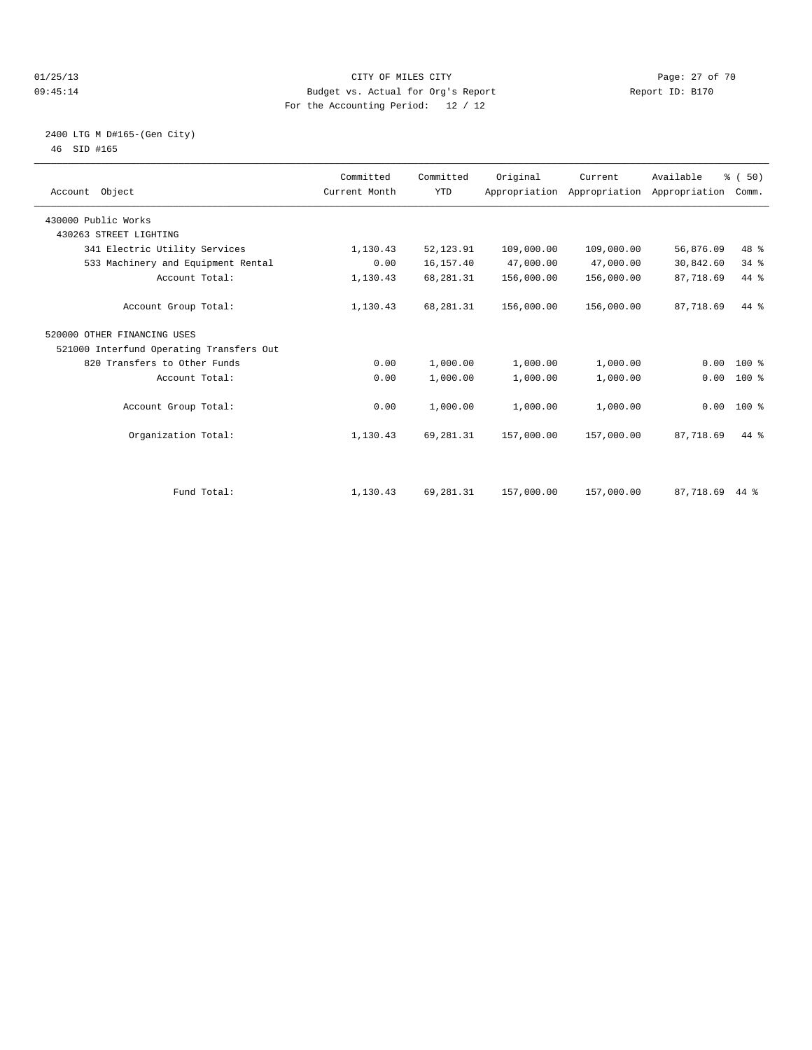#### 01/25/13 Page: 27 of 70 09:45:14 Budget vs. Actual for Org's Report Report ID: B170 For the Accounting Period: 12 / 12

### 2400 LTG M D#165-(Gen City) 46 SID #165

| Account Object                           | Committed<br>Current Month | Committed<br><b>YTD</b> | Original   | Current<br>Appropriation Appropriation Appropriation | Available | % (50)<br>Comm. |  |
|------------------------------------------|----------------------------|-------------------------|------------|------------------------------------------------------|-----------|-----------------|--|
| 430000 Public Works                      |                            |                         |            |                                                      |           |                 |  |
| 430263 STREET LIGHTING                   |                            |                         |            |                                                      |           |                 |  |
| 341 Electric Utility Services            | 1,130.43                   | 52,123.91               | 109,000.00 | 109,000.00                                           | 56,876.09 | 48 %            |  |
| 533 Machinery and Equipment Rental       | 0.00                       | 16,157.40               | 47,000.00  | 47,000.00                                            | 30,842.60 | 34.8            |  |
| Account Total:                           | 1,130.43                   | 68,281.31               | 156,000.00 | 156,000.00                                           | 87,718.69 | 44 %            |  |
| Account Group Total:                     | 1,130.43                   | 68, 281. 31             | 156,000.00 | 156,000.00                                           | 87,718.69 | $44*$           |  |
| 520000 OTHER FINANCING USES              |                            |                         |            |                                                      |           |                 |  |
| 521000 Interfund Operating Transfers Out |                            |                         |            |                                                      |           |                 |  |
| 820 Transfers to Other Funds             | 0.00                       | 1,000.00                | 1,000.00   | 1,000.00                                             | 0.00      | $100*$          |  |
| Account Total:                           | 0.00                       | 1,000.00                | 1,000.00   | 1,000.00                                             | 0.00      | $100*$          |  |
| Account Group Total:                     | 0.00                       | 1,000.00                | 1,000.00   | 1,000.00                                             |           | $0.00$ 100 %    |  |
| Organization Total:                      | 1,130.43                   | 69,281.31               | 157,000.00 | 157,000.00                                           | 87,718.69 | $44*$           |  |
|                                          |                            |                         |            |                                                      |           |                 |  |
| Fund Total:                              | 1,130.43                   | 69,281.31               | 157,000.00 | 157,000.00                                           | 87,718.69 | 44 %            |  |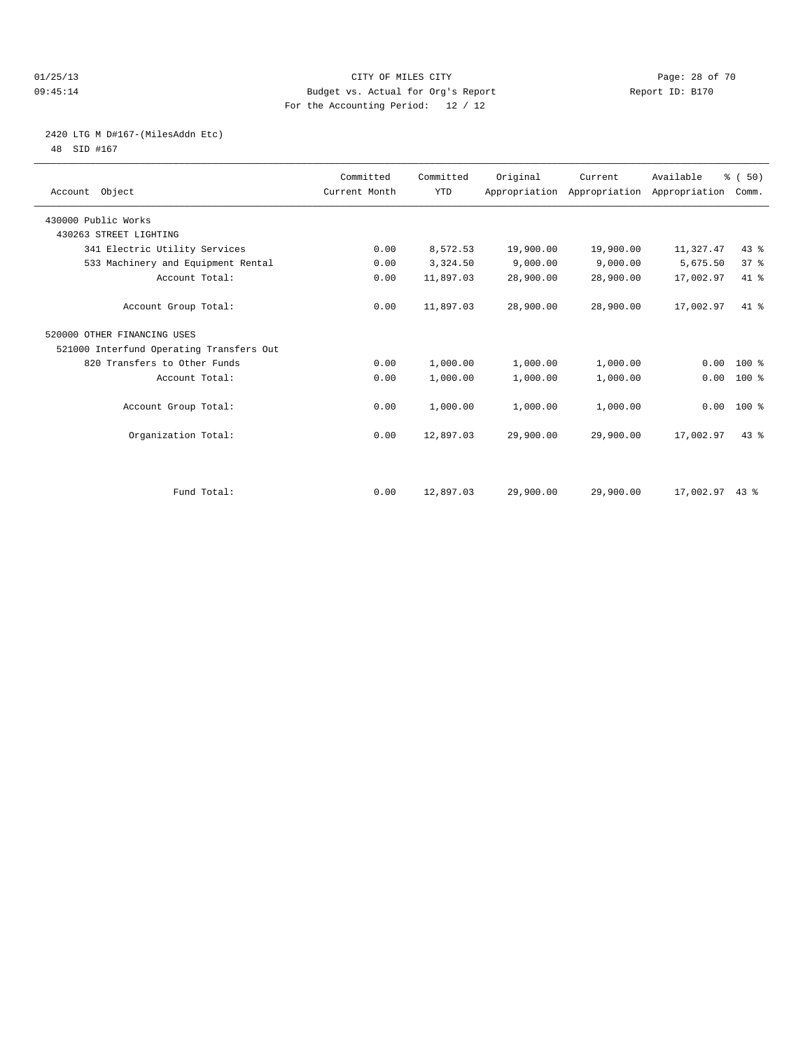#### 01/25/13 Page: 28 of 70 09:45:14 Budget vs. Actual for Org's Report Report ID: B170 For the Accounting Period: 12 / 12

## 2420 LTG M D#167-(MilesAddn Etc)

48 SID #167

| Account Object                           | Committed<br>Current Month | Committed<br><b>YTD</b> | Original  | Current   | Available<br>Appropriation Appropriation Appropriation | % (50)<br>Comm. |  |
|------------------------------------------|----------------------------|-------------------------|-----------|-----------|--------------------------------------------------------|-----------------|--|
| 430000 Public Works                      |                            |                         |           |           |                                                        |                 |  |
| 430263 STREET LIGHTING                   |                            |                         |           |           |                                                        |                 |  |
| 341 Electric Utility Services            | 0.00                       | 8,572.53                | 19,900.00 | 19,900.00 | 11,327.47                                              | 43.8            |  |
| 533 Machinery and Equipment Rental       | 0.00                       | 3,324.50                | 9,000.00  | 9,000.00  | 5,675.50                                               | 37%             |  |
| Account Total:                           | 0.00                       | 11,897.03               | 28,900.00 | 28,900.00 | 17,002.97                                              | 41 %            |  |
| Account Group Total:                     | 0.00                       | 11,897.03               | 28,900.00 | 28,900.00 | 17,002.97                                              | $41*$           |  |
| 520000 OTHER FINANCING USES              |                            |                         |           |           |                                                        |                 |  |
| 521000 Interfund Operating Transfers Out |                            |                         |           |           |                                                        |                 |  |
| 820 Transfers to Other Funds             | 0.00                       | 1,000.00                | 1,000.00  | 1,000.00  | 0.00                                                   | 100 %           |  |
| Account Total:                           | 0.00                       | 1,000.00                | 1,000.00  | 1,000.00  | 0.00                                                   | 100 %           |  |
| Account Group Total:                     | 0.00                       | 1,000.00                | 1,000.00  | 1,000.00  |                                                        | $0.00$ 100 %    |  |
| Organization Total:                      | 0.00                       | 12,897.03               | 29,900.00 | 29,900.00 | 17,002.97                                              | 43.8            |  |
|                                          |                            |                         |           |           |                                                        |                 |  |
| Fund Total:                              | 0.00                       | 12,897.03               | 29,900.00 | 29,900.00 | 17,002.97 43 %                                         |                 |  |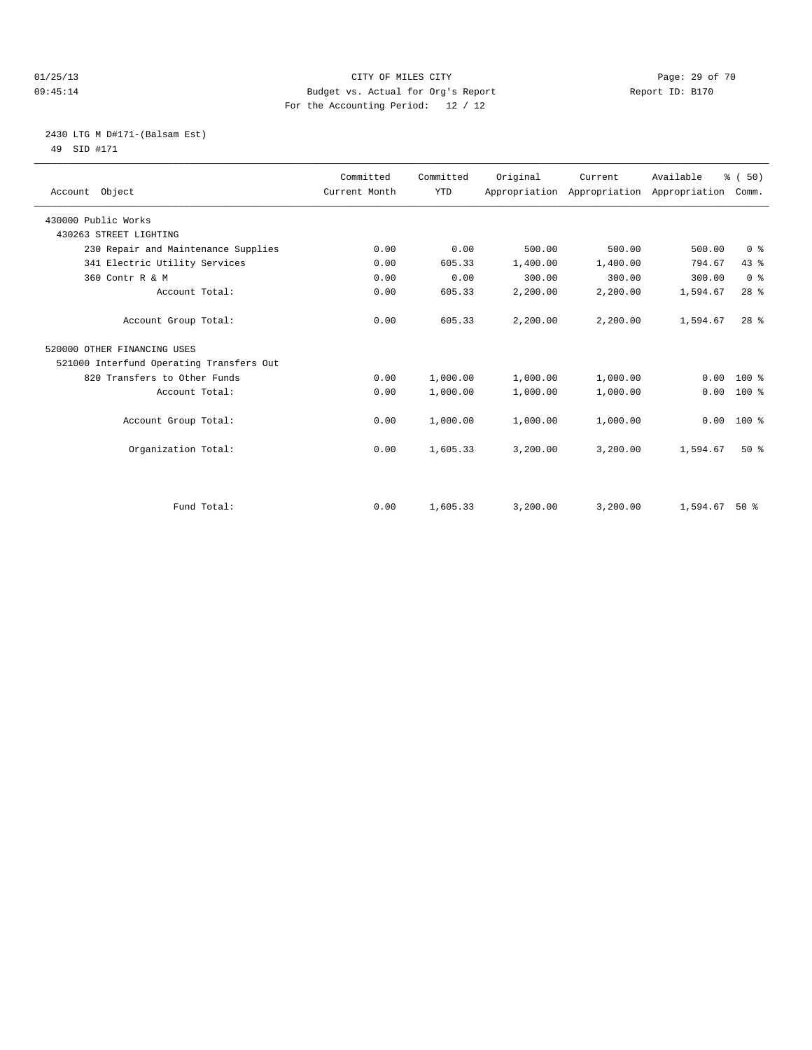#### 01/25/13 Page: 29 of 70 09:45:14 Budget vs. Actual for Org's Report Changer Report ID: B170 For the Accounting Period: 12 / 12

## 2430 LTG M D#171-(Balsam Est) 49 SID #171

| Account Object                           | Committed<br>Current Month | Committed<br><b>YTD</b> | Original | Current<br>Appropriation Appropriation Appropriation | Available | % (50)<br>Comm. |
|------------------------------------------|----------------------------|-------------------------|----------|------------------------------------------------------|-----------|-----------------|
| 430000 Public Works                      |                            |                         |          |                                                      |           |                 |
| 430263 STREET LIGHTING                   |                            |                         |          |                                                      |           |                 |
| 230 Repair and Maintenance Supplies      | 0.00                       | 0.00                    | 500.00   | 500.00                                               | 500.00    | 0 <sup>8</sup>  |
| 341 Electric Utility Services            | 0.00                       | 605.33                  | 1,400.00 | 1,400.00                                             | 794.67    | 43 %            |
| 360 Contr R & M                          | 0.00                       | 0.00                    | 300.00   | 300.00                                               | 300.00    | 0 <sup>8</sup>  |
| Account Total:                           | 0.00                       | 605.33                  | 2,200.00 | 2,200.00                                             | 1,594.67  | 28 <sup>8</sup> |
| Account Group Total:                     | 0.00                       | 605.33                  | 2,200.00 | 2,200.00                                             | 1,594.67  | 28 <sup>8</sup> |
| 520000 OTHER FINANCING USES              |                            |                         |          |                                                      |           |                 |
| 521000 Interfund Operating Transfers Out |                            |                         |          |                                                      |           |                 |
| 820 Transfers to Other Funds             | 0.00                       | 1,000.00                | 1,000.00 | 1,000.00                                             | 0.00      | $100*$          |
| Account Total:                           | 0.00                       | 1,000.00                | 1,000.00 | 1,000.00                                             | 0.00      | $100*$          |
| Account Group Total:                     | 0.00                       | 1,000.00                | 1,000.00 | 1,000.00                                             | 0.00      | 100 %           |
| Organization Total:                      | 0.00                       | 1,605.33                | 3,200.00 | 3,200.00                                             | 1,594.67  | $50*$           |
| Fund Total:                              | 0.00                       | 1,605.33                | 3,200.00 | 3,200.00                                             | 1,594.67  | $50*$           |
|                                          |                            |                         |          |                                                      |           |                 |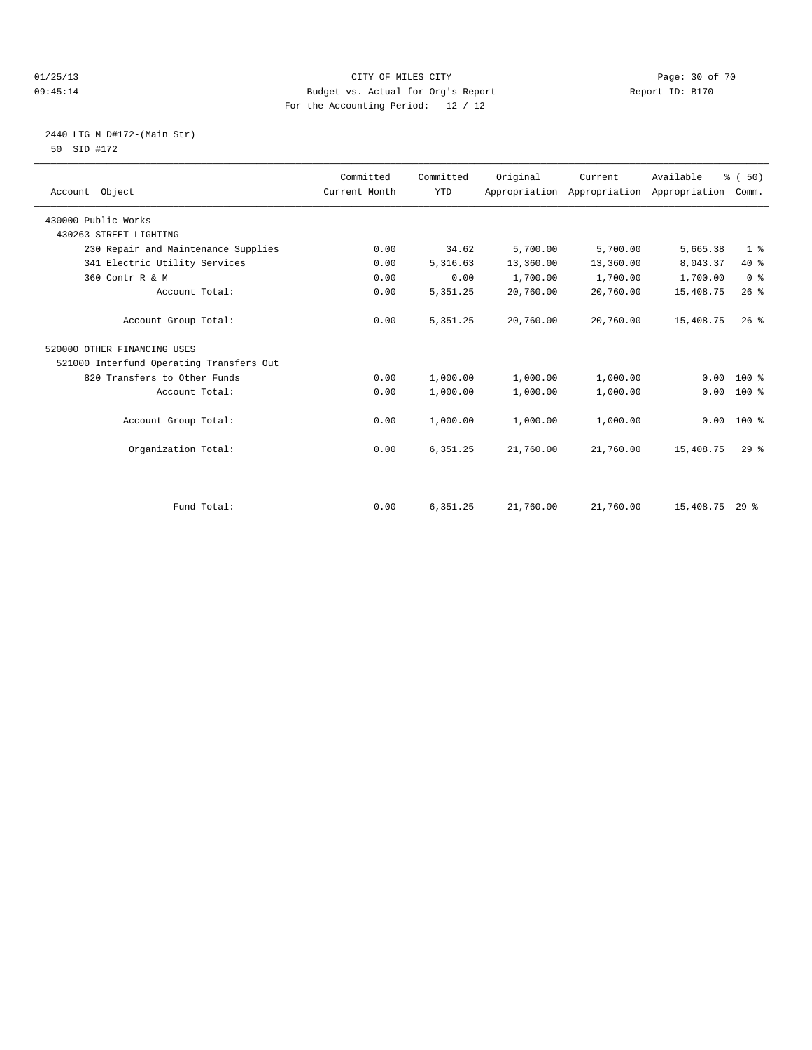#### 01/25/13 Page: 30 of 70 09:45:14 Budget vs. Actual for Org's Report Changer Report ID: B170 For the Accounting Period: 12 / 12

## 2440 LTG M D#172-(Main Str) 50 SID #172

| Account Object                           | Committed<br>Current Month | Committed<br><b>YTD</b> | Original  | Current<br>Appropriation Appropriation Appropriation | Available | % (50)<br>Comm. |
|------------------------------------------|----------------------------|-------------------------|-----------|------------------------------------------------------|-----------|-----------------|
| 430000 Public Works                      |                            |                         |           |                                                      |           |                 |
| 430263 STREET LIGHTING                   |                            |                         |           |                                                      |           |                 |
| 230 Repair and Maintenance Supplies      | 0.00                       | 34.62                   | 5,700.00  | 5,700.00                                             | 5,665.38  | 1 <sup>°</sup>  |
| 341 Electric Utility Services            | 0.00                       | 5,316.63                | 13,360.00 | 13,360.00                                            | 8,043.37  | 40 %            |
| 360 Contr R & M                          | 0.00                       | 0.00                    | 1,700.00  | 1,700.00                                             | 1,700.00  | 0 <sup>8</sup>  |
| Account Total:                           | 0.00                       | 5, 351.25               | 20,760.00 | 20,760.00                                            | 15,408.75 | $26$ $%$        |
| Account Group Total:                     | 0.00                       | 5, 351.25               | 20,760.00 | 20,760.00                                            | 15,408.75 | $26$ $%$        |
| 520000 OTHER FINANCING USES              |                            |                         |           |                                                      |           |                 |
| 521000 Interfund Operating Transfers Out |                            |                         |           |                                                      |           |                 |
| 820 Transfers to Other Funds             | 0.00                       | 1,000.00                | 1,000.00  | 1,000.00                                             | 0.00      | $100*$          |
| Account Total:                           | 0.00                       | 1,000.00                | 1,000.00  | 1,000.00                                             | 0.00      | $100*$          |
| Account Group Total:                     | 0.00                       | 1,000.00                | 1,000.00  | 1,000.00                                             | 0.00      | 100 %           |
| Organization Total:                      | 0.00                       | 6,351.25                | 21,760.00 | 21,760.00                                            | 15,408.75 | 29 <sup>8</sup> |
| Fund Total:                              | 0.00                       | 6,351.25                | 21,760.00 | 21,760.00                                            | 15,408.75 | $29$ $%$        |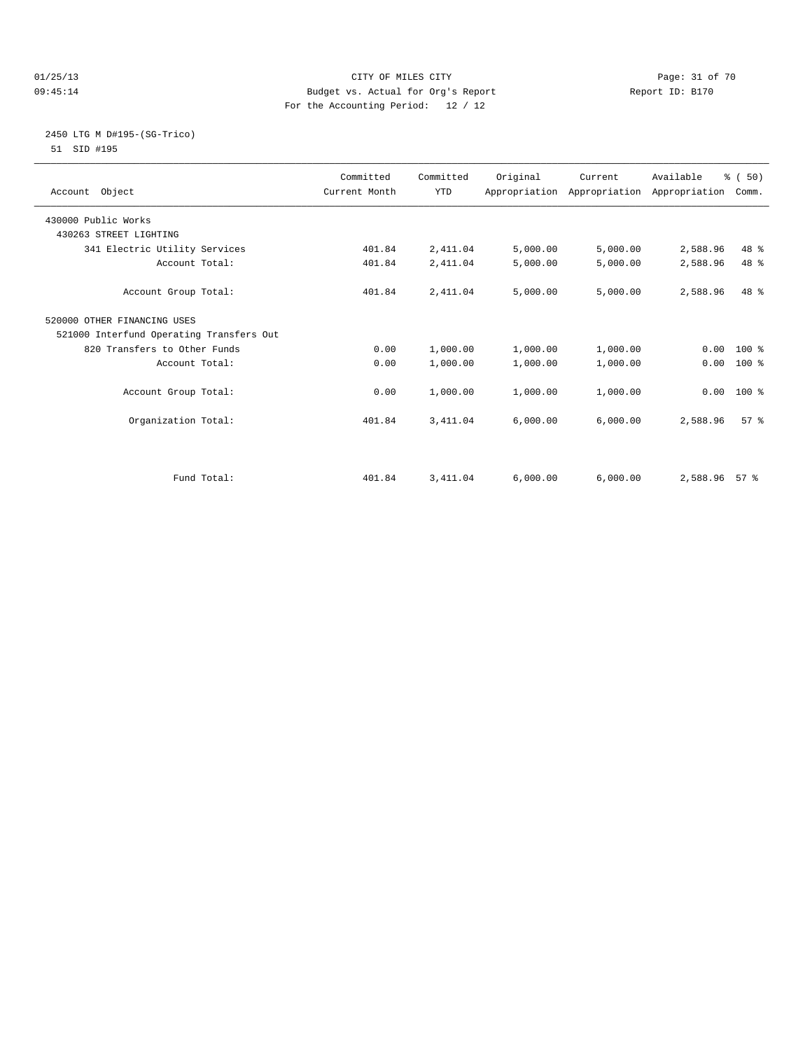#### 01/25/13 Page: 31 of 70 09:45:14 Budget vs. Actual for Org's Report Changer Report ID: B170 For the Accounting Period: 12 / 12

### 2450 LTG M D#195-(SG-Trico) 51 SID #195

| Account Object                           | Committed<br>Current Month | Committed<br><b>YTD</b> | Original | Current<br>Appropriation Appropriation Appropriation | Available     | % (50)<br>Comm. |  |
|------------------------------------------|----------------------------|-------------------------|----------|------------------------------------------------------|---------------|-----------------|--|
| 430000 Public Works                      |                            |                         |          |                                                      |               |                 |  |
| 430263 STREET LIGHTING                   |                            |                         |          |                                                      |               |                 |  |
| 341 Electric Utility Services            | 401.84                     | 2,411.04                | 5,000.00 | 5,000.00                                             | 2,588.96      | 48 %            |  |
| Account Total:                           | 401.84                     | 2,411.04                | 5,000.00 | 5,000.00                                             | 2,588.96      | 48 %            |  |
| Account Group Total:                     | 401.84                     | 2,411.04                | 5,000.00 | 5,000.00                                             | 2,588.96      | 48 %            |  |
| 520000 OTHER FINANCING USES              |                            |                         |          |                                                      |               |                 |  |
| 521000 Interfund Operating Transfers Out |                            |                         |          |                                                      |               |                 |  |
| 820 Transfers to Other Funds             | 0.00                       | 1,000.00                | 1,000.00 | 1,000.00                                             |               | $0.00$ 100 %    |  |
| Account Total:                           | 0.00                       | 1,000.00                | 1,000.00 | 1,000.00                                             | 0.00          | $100*$          |  |
| Account Group Total:                     | 0.00                       | 1,000.00                | 1,000.00 | 1,000.00                                             | 0.00          | 100 %           |  |
| Organization Total:                      | 401.84                     | 3, 411.04               | 6,000.00 | 6,000.00                                             | 2,588.96      | 57 <sup>8</sup> |  |
| Fund Total:                              | 401.84                     | 3, 411.04               | 6,000.00 | 6,000.00                                             | 2,588.96 57 % |                 |  |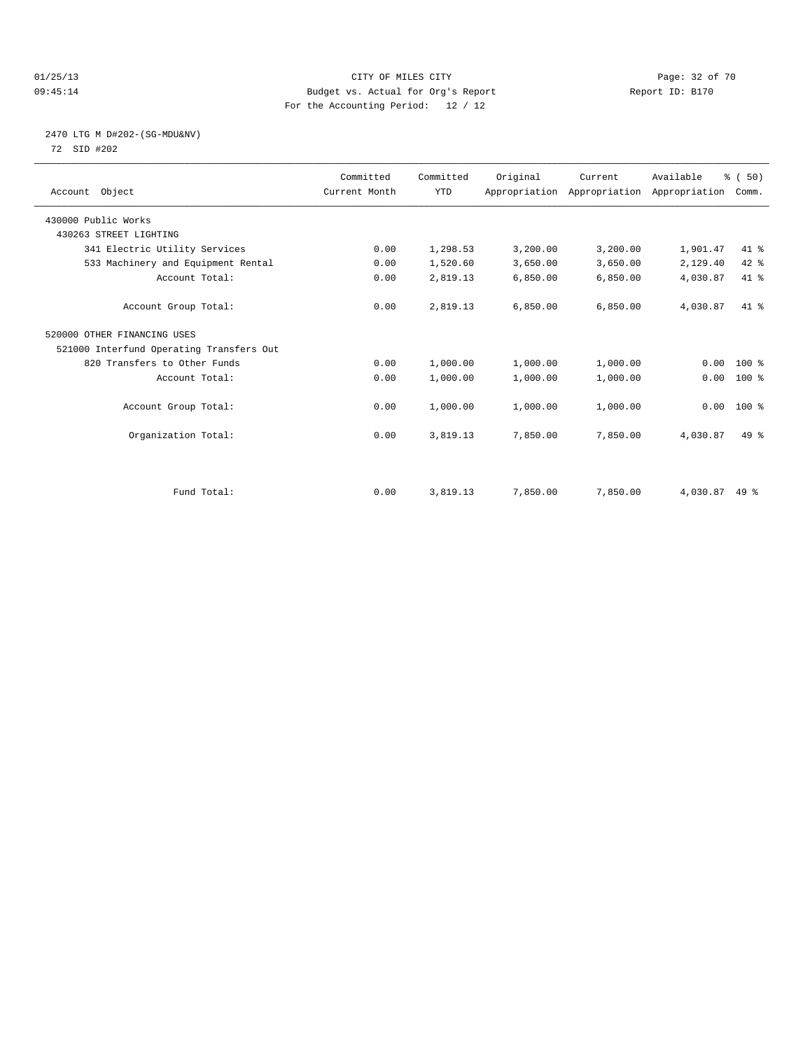#### 01/25/13 Page: 32 of 70 09:45:14 Budget vs. Actual for Org's Report Changer Report ID: B170 For the Accounting Period: 12 / 12

## 2470 LTG M D#202-(SG-MDU&NV) 72 SID #202

| Account Object                           | Committed<br>Current Month | Committed<br><b>YTD</b> | Original | Current<br>Appropriation Appropriation Appropriation | Available | % (50)<br>Comm. |  |
|------------------------------------------|----------------------------|-------------------------|----------|------------------------------------------------------|-----------|-----------------|--|
| 430000 Public Works                      |                            |                         |          |                                                      |           |                 |  |
| 430263 STREET LIGHTING                   |                            |                         |          |                                                      |           |                 |  |
| 341 Electric Utility Services            | 0.00                       | 1,298.53                | 3,200.00 | 3,200.00                                             | 1,901.47  | 41 %            |  |
| 533 Machinery and Equipment Rental       | 0.00                       | 1,520.60                | 3,650.00 | 3,650.00                                             | 2,129.40  | 42 %            |  |
| Account Total:                           | 0.00                       | 2,819.13                | 6,850.00 | 6,850.00                                             | 4,030.87  | 41.8            |  |
| Account Group Total:                     | 0.00                       | 2,819.13                | 6.850.00 | 6,850.00                                             | 4,030.87  | $41*$           |  |
| 520000 OTHER FINANCING USES              |                            |                         |          |                                                      |           |                 |  |
| 521000 Interfund Operating Transfers Out |                            |                         |          |                                                      |           |                 |  |
| 820 Transfers to Other Funds             | 0.00                       | 1,000.00                | 1,000.00 | 1,000.00                                             | 0.00      | 100 %           |  |
| Account Total:                           | 0.00                       | 1,000.00                | 1,000.00 | 1,000.00                                             | 0.00      | 100 %           |  |
| Account Group Total:                     | 0.00                       | 1,000.00                | 1,000.00 | 1,000.00                                             |           | $0.00$ 100 %    |  |
| Organization Total:                      | 0.00                       | 3,819.13                | 7,850.00 | 7,850.00                                             | 4,030.87  | $49*$           |  |
|                                          |                            |                         |          |                                                      |           |                 |  |
| Fund Total:                              | 0.00                       | 3,819.13                | 7,850.00 | 7,850.00                                             | 4,030.87  | $49*$           |  |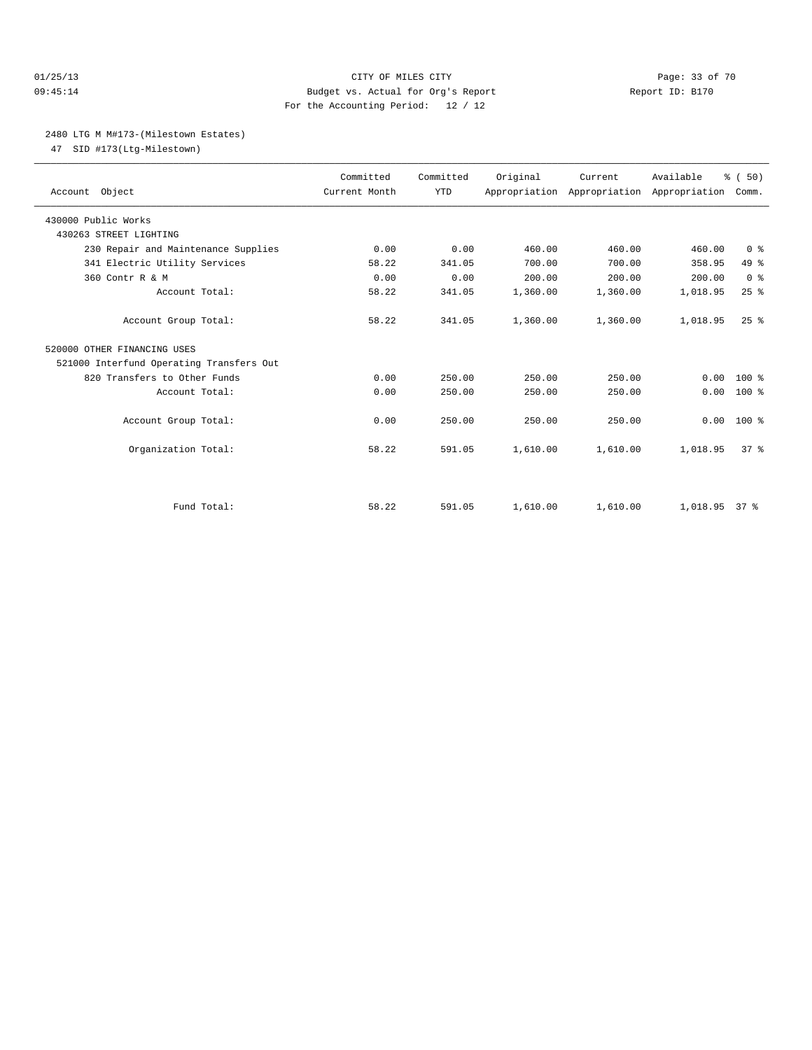#### 01/25/13 Page: 33 of 70 09:45:14 Budget vs. Actual for Org's Report Report ID: B170 For the Accounting Period: 12 / 12

#### 2480 LTG M M#173-(Milestown Estates)

47 SID #173(Ltg-Milestown)

| Account Object                           | Committed<br>Current Month | Committed<br><b>YTD</b> | Original | Current<br>Appropriation Appropriation Appropriation | Available     | % (50)<br>Comm. |
|------------------------------------------|----------------------------|-------------------------|----------|------------------------------------------------------|---------------|-----------------|
| 430000 Public Works                      |                            |                         |          |                                                      |               |                 |
| 430263 STREET LIGHTING                   |                            |                         |          |                                                      |               |                 |
| 230 Repair and Maintenance Supplies      | 0.00                       | 0.00                    | 460.00   | 460.00                                               | 460.00        | 0 <sup>8</sup>  |
| 341 Electric Utility Services            | 58.22                      | 341.05                  | 700.00   | 700.00                                               | 358.95        | 49 %            |
| 360 Contr R & M                          | 0.00                       | 0.00                    | 200.00   | 200.00                                               | 200.00        | 0 <sup>8</sup>  |
| Account Total:                           | 58.22                      | 341.05                  | 1,360.00 | 1,360.00                                             | 1,018.95      | 25%             |
| Account Group Total:                     | 58.22                      | 341.05                  | 1,360.00 | 1,360.00                                             | 1,018.95      | $25$ $%$        |
| 520000 OTHER FINANCING USES              |                            |                         |          |                                                      |               |                 |
| 521000 Interfund Operating Transfers Out |                            |                         |          |                                                      |               |                 |
| 820 Transfers to Other Funds             | 0.00                       | 250.00                  | 250.00   | 250.00                                               | 0.00          | $100*$          |
| Account Total:                           | 0.00                       | 250.00                  | 250.00   | 250.00                                               | 0.00          | 100 %           |
| Account Group Total:                     | 0.00                       | 250.00                  | 250.00   | 250.00                                               |               | $0.00$ 100 %    |
| Organization Total:                      | 58.22                      | 591.05                  | 1,610.00 | 1,610.00                                             | 1,018.95      | 37 <sup>8</sup> |
| Fund Total:                              | 58.22                      | 591.05                  | 1,610.00 | 1,610.00                                             | 1,018.95 37 % |                 |
|                                          |                            |                         |          |                                                      |               |                 |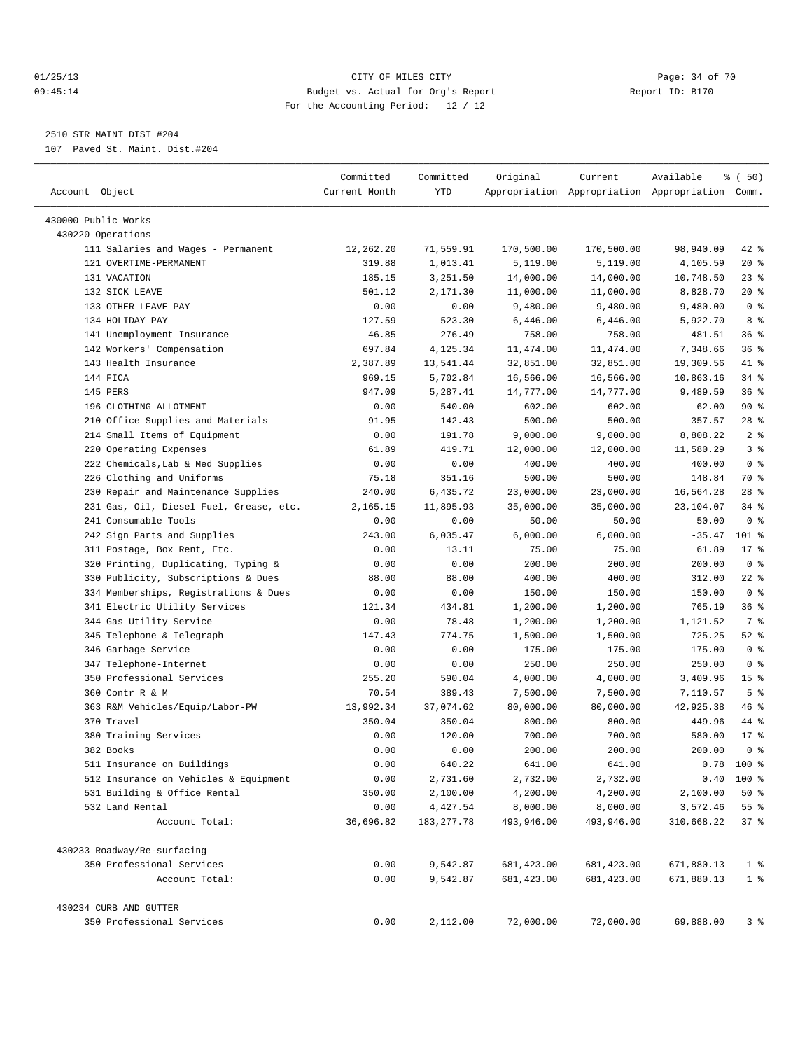#### 01/25/13 Page: 34 of 70 09:45:14 Budget vs. Actual for Org's Report Report ID: B170 For the Accounting Period: 12 / 12

————————————————————————————————————————————————————————————————————————————————————————————————————————————————————————————————————

## 2510 STR MAINT DIST #204

107 Paved St. Maint. Dist.#204

| Account Object                          | Committed<br>Current Month | Committed<br>YTD        | Original               | Current                | Available<br>Appropriation Appropriation Appropriation Comm. | % (50)                    |
|-----------------------------------------|----------------------------|-------------------------|------------------------|------------------------|--------------------------------------------------------------|---------------------------|
| 430000 Public Works                     |                            |                         |                        |                        |                                                              |                           |
| 430220 Operations                       |                            |                         |                        |                        |                                                              |                           |
| 111 Salaries and Wages - Permanent      | 12,262.20                  | 71,559.91               | 170,500.00             | 170,500.00             | 98,940.09                                                    | 42 %                      |
| 121 OVERTIME-PERMANENT                  | 319.88                     | 1,013.41                | 5,119.00               | 5,119.00               | 4,105.59                                                     | $20*$                     |
| 131 VACATION                            | 185.15                     | 3,251.50                | 14,000.00              | 14,000.00              | 10,748.50                                                    | $23$ $%$                  |
| 132 SICK LEAVE                          | 501.12                     | 2,171.30                | 11,000.00              | 11,000.00              | 8,828.70                                                     | $20*$                     |
| 133 OTHER LEAVE PAY                     | 0.00                       | 0.00                    | 9,480.00               | 9,480.00               | 9,480.00                                                     | 0 <sup>8</sup>            |
| 134 HOLIDAY PAY                         | 127.59                     | 523.30                  | 6,446.00               | 6,446.00               | 5,922.70                                                     | 8 %                       |
| 141 Unemployment Insurance              | 46.85                      | 276.49                  | 758.00                 | 758.00                 | 481.51                                                       | 36%                       |
| 142 Workers' Compensation               | 697.84                     | 4,125.34                | 11,474.00              | 11,474.00              | 7,348.66                                                     | 36%                       |
| 143 Health Insurance                    | 2,387.89                   | 13,541.44               | 32,851.00              | 32,851.00              | 19,309.56                                                    | 41 %                      |
| 144 FICA                                | 969.15                     | 5,702.84                | 16,566.00              | 16,566.00              | 10,863.16                                                    | 34 %                      |
| 145 PERS                                | 947.09                     | 5,287.41                | 14,777.00              | 14,777.00              | 9,489.59                                                     | 36%                       |
| 196 CLOTHING ALLOTMENT                  | 0.00                       | 540.00                  | 602.00                 | 602.00                 | 62.00                                                        | 90%                       |
| 210 Office Supplies and Materials       | 91.95                      | 142.43                  | 500.00                 | 500.00                 | 357.57                                                       | 28 %                      |
| 214 Small Items of Equipment            | 0.00                       | 191.78                  | 9,000.00               | 9,000.00               | 8,808.22                                                     | 2 <sup>°</sup>            |
| 220 Operating Expenses                  | 61.89                      | 419.71                  | 12,000.00              | 12,000.00              | 11,580.29                                                    | 3%                        |
| 222 Chemicals, Lab & Med Supplies       | 0.00                       | 0.00                    | 400.00                 | 400.00                 | 400.00                                                       | 0 <sup>8</sup>            |
| 226 Clothing and Uniforms               | 75.18                      | 351.16                  | 500.00                 | 500.00                 | 148.84                                                       | 70 %                      |
| 230 Repair and Maintenance Supplies     | 240.00                     | 6,435.72                | 23,000.00              | 23,000.00              | 16,564.28                                                    | $28$ %                    |
| 231 Gas, Oil, Diesel Fuel, Grease, etc. | 2,165.15                   | 11,895.93               | 35,000.00              | 35,000.00              | 23,104.07                                                    | $34$ $%$                  |
| 241 Consumable Tools                    | 0.00                       | 0.00                    | 50.00                  | 50.00                  | 50.00                                                        | 0 <sup>8</sup>            |
| 242 Sign Parts and Supplies             | 243.00                     | 6,035.47                | 6,000.00               | 6,000.00               | $-35.47$                                                     | 101 %                     |
| 311 Postage, Box Rent, Etc.             | 0.00                       | 13.11                   | 75.00                  | 75.00                  | 61.89                                                        | $17*$                     |
| 320 Printing, Duplicating, Typing &     | 0.00                       | 0.00                    | 200.00                 | 200.00                 | 200.00                                                       | 0 <sup>8</sup>            |
| 330 Publicity, Subscriptions & Dues     | 88.00                      | 88.00                   | 400.00                 | 400.00                 | 312.00                                                       | $22$ %                    |
| 334 Memberships, Registrations & Dues   | 0.00                       | 0.00                    | 150.00                 | 150.00                 | 150.00                                                       | 0 <sup>8</sup>            |
| 341 Electric Utility Services           | 121.34                     | 434.81                  | 1,200.00               | 1,200.00               | 765.19                                                       | 36%                       |
| 344 Gas Utility Service                 | 0.00                       | 78.48                   | 1,200.00               | 1,200.00               | 1,121.52                                                     | 7 %                       |
| 345 Telephone & Telegraph               | 147.43                     | 774.75                  | 1,500.00               | 1,500.00               | 725.25                                                       | $52$ $%$                  |
| 346 Garbage Service                     | 0.00                       | 0.00                    | 175.00                 | 175.00                 | 175.00                                                       | 0 <sup>8</sup>            |
| 347 Telephone-Internet                  | 0.00                       | 0.00                    | 250.00                 | 250.00                 | 250.00                                                       | 0 <sup>8</sup>            |
| 350 Professional Services               | 255.20                     | 590.04                  | 4,000.00               | 4,000.00               | 3,409.96                                                     | 15 <sup>8</sup>           |
| 360 Contr R & M                         | 70.54                      | 389.43                  | 7,500.00               | 7,500.00               | 7,110.57                                                     | 5 <sup>8</sup>            |
| 363 R&M Vehicles/Equip/Labor-PW         | 13,992.34                  | 37,074.62               | 80,000.00              | 80,000.00              | 42,925.38                                                    | 46 %                      |
| 370 Travel                              | 350.04                     | 350.04                  | 800.00                 | 800.00                 | 449.96                                                       | 44 %                      |
| 380 Training Services                   | 0.00                       | 120.00                  |                        | 700.00                 | 580.00                                                       | $17*$                     |
| 382 Books                               | 0.00                       | 0.00                    | 700.00<br>200.00       | 200.00                 | 200.00                                                       | 0 <sup>8</sup>            |
|                                         |                            |                         |                        |                        |                                                              |                           |
| 511 Insurance on Buildings              | 0.00                       | 640.22                  | 641.00                 | 641.00                 | 0.78                                                         | 100 %                     |
| 512 Insurance on Vehicles & Equipment   | 0.00                       | 2,731.60                | 2,732.00               | 2,732.00               |                                                              | $0.40$ 100 %              |
| 531 Building & Office Rental            | 350.00                     | 2,100.00                | 4,200.00               | 4,200.00               | 2,100.00                                                     | 50%                       |
| 532 Land Rental<br>Account Total:       | 0.00<br>36,696.82          | 4,427.54<br>183, 277.78 | 8,000.00<br>493,946.00 | 8,000.00<br>493,946.00 | 3,572.46<br>310,668.22                                       | $55$ $\frac{6}{3}$<br>37% |
| 430233 Roadway/Re-surfacing             |                            |                         |                        |                        |                                                              |                           |
| 350 Professional Services               | 0.00                       | 9,542.87                | 681, 423.00            | 681, 423.00            | 671,880.13                                                   | $1$ %                     |
| Account Total:                          | 0.00                       | 9,542.87                | 681, 423.00            | 681,423.00             | 671,880.13                                                   | 1 <sup>°</sup>            |
| 430234 CURB AND GUTTER                  |                            |                         |                        |                        |                                                              |                           |
| 350 Professional Services               | 0.00                       | 2,112.00                | 72,000.00              | 72,000.00              | 69,888.00                                                    | 3%                        |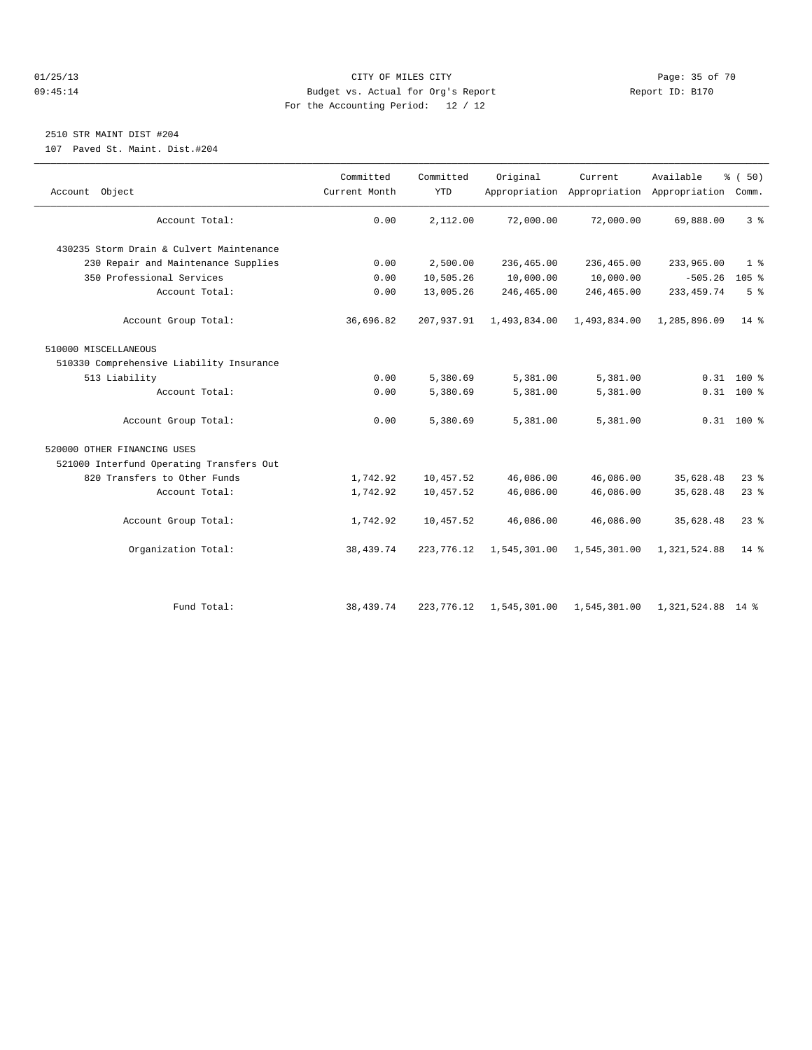#### 01/25/13 Page: 35 of 70 09:45:14 Budget vs. Actual for Org's Report Report ID: B170 For the Accounting Period: 12 / 12

## 2510 STR MAINT DIST #204

107 Paved St. Maint. Dist.#204

| Account Object                           | Committed<br>Current Month | Committed<br><b>YTD</b> | Original     | Current                   | Available<br>Appropriation Appropriation Appropriation Comm. | % (50)             |
|------------------------------------------|----------------------------|-------------------------|--------------|---------------------------|--------------------------------------------------------------|--------------------|
| Account Total:                           | 0.00                       | 2,112.00                | 72,000.00    | 72,000.00                 | 69,888.00                                                    | 3 <sup>8</sup>     |
| 430235 Storm Drain & Culvert Maintenance |                            |                         |              |                           |                                                              |                    |
| 230 Repair and Maintenance Supplies      | 0.00                       | 2,500.00                | 236,465.00   | 236,465.00                | 233,965.00                                                   | 1 <sup>8</sup>     |
| 350 Professional Services                | 0.00                       | 10,505.26               | 10,000.00    | 10,000.00                 | $-505.26$                                                    | $105$ %            |
| Account Total:                           | 0.00                       | 13,005.26               | 246,465.00   | 246,465.00                | 233, 459. 74                                                 | 5 <sup>°</sup>     |
| Account Group Total:                     | 36,696.82                  | 207,937.91              | 1,493,834.00 | 1,493,834.00              | 1,285,896.09                                                 | $14$ $\frac{6}{3}$ |
| 510000 MISCELLANEOUS                     |                            |                         |              |                           |                                                              |                    |
| 510330 Comprehensive Liability Insurance |                            |                         |              |                           |                                                              |                    |
| 513 Liability                            | 0.00                       | 5,380.69                | 5,381.00     | 5,381.00                  |                                                              | $0.31$ 100 %       |
| Account Total:                           | 0.00                       | 5,380.69                | 5,381.00     | 5,381.00                  |                                                              | $0.31$ 100 %       |
| Account Group Total:                     | 0.00                       | 5,380.69                | 5,381.00     | 5,381.00                  |                                                              | $0.31$ 100 %       |
| 520000 OTHER FINANCING USES              |                            |                         |              |                           |                                                              |                    |
| 521000 Interfund Operating Transfers Out |                            |                         |              |                           |                                                              |                    |
| 820 Transfers to Other Funds             | 1,742.92                   | 10,457.52               | 46,086.00    | 46,086.00                 | 35,628.48                                                    | $23$ $%$           |
| Account Total:                           | 1,742.92                   | 10,457.52               | 46,086.00    | 46,086.00                 | 35,628.48                                                    | 23%                |
| Account Group Total:                     | 1,742.92                   | 10,457.52               | 46,086.00    | 46,086.00                 | 35,628.48                                                    | $23$ $%$           |
| Organization Total:                      | 38,439.74                  | 223, 776.12             | 1,545,301.00 | 1,545,301.00              | 1,321,524.88                                                 | $14*$              |
|                                          |                            |                         |              |                           |                                                              |                    |
| Fund Total:                              | 38,439.74                  | 223, 776.12             |              | 1,545,301.00 1,545,301.00 | 1,321,524.88 14 %                                            |                    |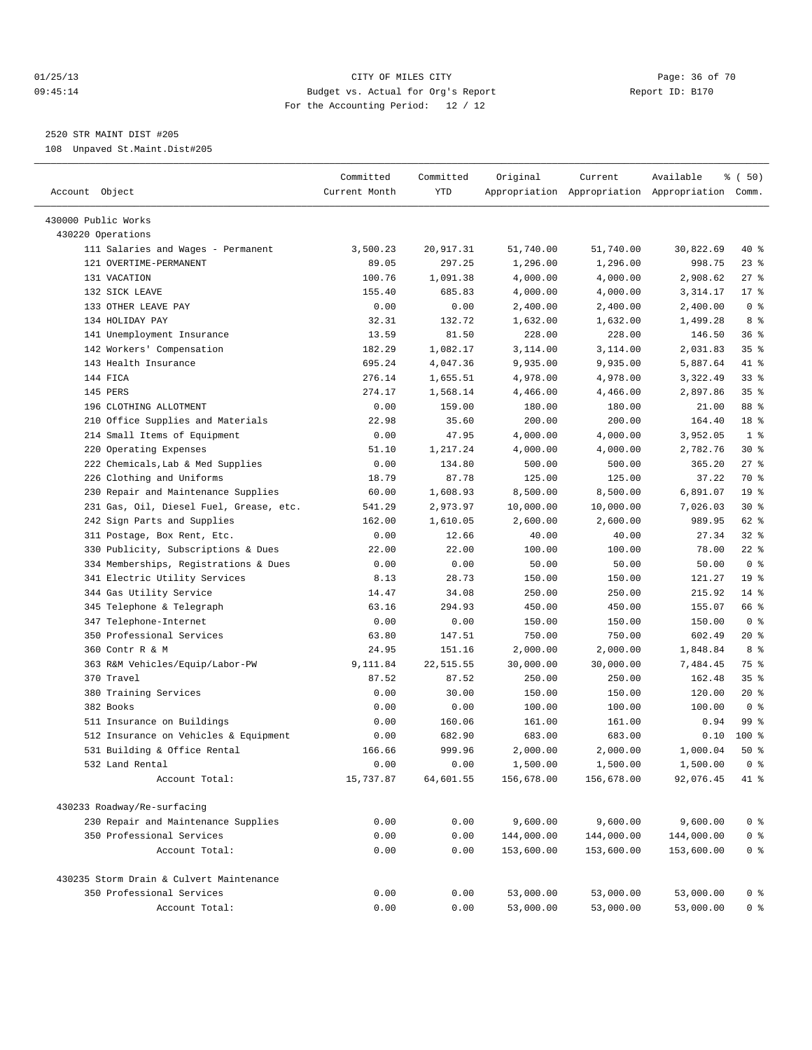#### 01/25/13 CITY OF MILES CITY Page: 36 of 70 09:45:14 Budget vs. Actual for Org's Report Report ID: B170 For the Accounting Period: 12 / 12

————————————————————————————————————————————————————————————————————————————————————————————————————————————————————————————————————

## 2520 STR MAINT DIST #205

108 Unpaved St.Maint.Dist#205

| Account Object                           | Committed<br>Current Month | Committed<br>YTD | Original             | Current              | Available<br>Appropriation Appropriation Appropriation Comm. | % (50)           |
|------------------------------------------|----------------------------|------------------|----------------------|----------------------|--------------------------------------------------------------|------------------|
|                                          |                            |                  |                      |                      |                                                              |                  |
| 430000 Public Works                      |                            |                  |                      |                      |                                                              |                  |
| 430220 Operations                        |                            |                  |                      |                      |                                                              |                  |
| 111 Salaries and Wages - Permanent       | 3,500.23                   | 20,917.31        | 51,740.00            | 51,740.00            | 30,822.69                                                    | 40 %             |
| 121 OVERTIME-PERMANENT                   | 89.05                      | 297.25           | 1,296.00             | 1,296.00             | 998.75                                                       | $23$ $%$         |
| 131 VACATION                             | 100.76                     | 1,091.38         | 4,000.00             | 4,000.00             | 2,908.62                                                     | $27$ %<br>$17$ % |
| 132 SICK LEAVE<br>133 OTHER LEAVE PAY    | 155.40<br>0.00             | 685.83<br>0.00   | 4,000.00<br>2,400.00 | 4,000.00<br>2,400.00 | 3,314.17<br>2,400.00                                         | 0 <sup>8</sup>   |
| 134 HOLIDAY PAY                          | 32.31                      | 132.72           | 1,632.00             | 1,632.00             | 1,499.28                                                     | 8 %              |
| 141 Unemployment Insurance               | 13.59                      | 81.50            | 228.00               | 228.00               | 146.50                                                       | 36%              |
| 142 Workers' Compensation                | 182.29                     | 1,082.17         | 3,114.00             | 3,114.00             | 2,031.83                                                     | 35 <sup>8</sup>  |
| 143 Health Insurance                     | 695.24                     | 4,047.36         | 9,935.00             | 9,935.00             | 5,887.64                                                     | 41 %             |
| 144 FICA                                 | 276.14                     | 1,655.51         | 4,978.00             | 4,978.00             | 3,322.49                                                     | 338              |
| 145 PERS                                 | 274.17                     | 1,568.14         | 4,466.00             | 4,466.00             | 2,897.86                                                     | 35 <sup>8</sup>  |
| 196 CLOTHING ALLOTMENT                   | 0.00                       | 159.00           | 180.00               | 180.00               | 21.00                                                        | 88 %             |
| 210 Office Supplies and Materials        | 22.98                      | 35.60            | 200.00               | 200.00               | 164.40                                                       | 18 %             |
| 214 Small Items of Equipment             | 0.00                       | 47.95            | 4,000.00             | 4,000.00             | 3,952.05                                                     | 1 <sup>8</sup>   |
| 220 Operating Expenses                   | 51.10                      | 1,217.24         | 4,000.00             | 4,000.00             | 2,782.76                                                     | $30*$            |
| 222 Chemicals, Lab & Med Supplies        | 0.00                       | 134.80           | 500.00               | 500.00               | 365.20                                                       | $27$ %           |
| 226 Clothing and Uniforms                | 18.79                      | 87.78            | 125.00               | 125.00               | 37.22                                                        | 70 %             |
| 230 Repair and Maintenance Supplies      | 60.00                      | 1,608.93         | 8,500.00             | 8,500.00             | 6,891.07                                                     | 19 <sup>°</sup>  |
| 231 Gas, Oil, Diesel Fuel, Grease, etc.  | 541.29                     | 2,973.97         | 10,000.00            | 10,000.00            | 7,026.03                                                     | $30*$            |
| 242 Sign Parts and Supplies              | 162.00                     | 1,610.05         | 2,600.00             | 2,600.00             | 989.95                                                       | 62 %             |
| 311 Postage, Box Rent, Etc.              | 0.00                       | 12.66            | 40.00                | 40.00                | 27.34                                                        | $32$ $%$         |
| 330 Publicity, Subscriptions & Dues      | 22.00                      | 22.00            | 100.00               | 100.00               | 78.00                                                        | 22 %             |
| 334 Memberships, Registrations & Dues    | 0.00                       | 0.00             | 50.00                | 50.00                | 50.00                                                        | 0 <sup>8</sup>   |
| 341 Electric Utility Services            | 8.13                       | 28.73            | 150.00               | 150.00               | 121.27                                                       | 19 <sup>°</sup>  |
| 344 Gas Utility Service                  | 14.47                      | 34.08            | 250.00               | 250.00               | 215.92                                                       | $14*$            |
| 345 Telephone & Telegraph                | 63.16                      | 294.93           | 450.00               | 450.00               | 155.07                                                       | 66 %             |
| 347 Telephone-Internet                   | 0.00                       | 0.00             | 150.00               | 150.00               | 150.00                                                       | 0 <sup>8</sup>   |
| 350 Professional Services                | 63.80                      | 147.51           | 750.00               | 750.00               | 602.49                                                       | $20*$            |
| 360 Contr R & M                          | 24.95                      | 151.16           | 2,000.00             | 2,000.00             | 1,848.84                                                     | 8 %              |
| 363 R&M Vehicles/Equip/Labor-PW          | 9,111.84                   | 22,515.55        | 30,000.00            | 30,000.00            | 7,484.45                                                     | 75 %             |
| 370 Travel                               | 87.52                      | 87.52            | 250.00               | 250.00               | 162.48                                                       | 35 <sup>8</sup>  |
| 380 Training Services                    | 0.00                       | 30.00            | 150.00               | 150.00               | 120.00                                                       | $20*$            |
| 382 Books                                | 0.00                       | 0.00             | 100.00               | 100.00               | 100.00                                                       | 0 <sup>8</sup>   |
| 511 Insurance on Buildings               | 0.00                       | 160.06           | 161.00               | 161.00               | 0.94                                                         | 99 %             |
| 512 Insurance on Vehicles & Equipment    | 0.00                       | 682.90           | 683.00               | 683.00               | 0.10                                                         | $100$ %          |
| 531 Building & Office Rental             | 166.66                     | 999.96           | 2,000.00             | 2,000.00             | 1,000.04                                                     | 50%              |
| 532 Land Rental                          | 0.00                       | 0.00             | 1,500.00             | 1,500.00             | 1,500.00                                                     | $0$ %            |
| Account Total:                           | 15,737.87                  | 64,601.55        | 156,678.00           | 156,678.00           | 92,076.45                                                    | 41 %             |
| 430233 Roadway/Re-surfacing              |                            |                  |                      |                      |                                                              |                  |
| 230 Repair and Maintenance Supplies      | 0.00                       | 0.00             | 9,600.00             | 9,600.00             | 9,600.00                                                     | 0 <sup>8</sup>   |
| 350 Professional Services                | 0.00                       | 0.00             | 144,000.00           | 144,000.00           | 144,000.00                                                   | 0 <sup>8</sup>   |
| Account Total:                           | 0.00                       | 0.00             | 153,600.00           | 153,600.00           | 153,600.00                                                   | 0 <sup>8</sup>   |
| 430235 Storm Drain & Culvert Maintenance |                            |                  |                      |                      |                                                              |                  |
| 350 Professional Services                | 0.00                       | 0.00             | 53,000.00            | 53,000.00            | 53,000.00                                                    | 0 %              |
| Account Total:                           | 0.00                       | 0.00             | 53,000.00            | 53,000.00            | 53,000.00                                                    | 0 <sup>8</sup>   |
|                                          |                            |                  |                      |                      |                                                              |                  |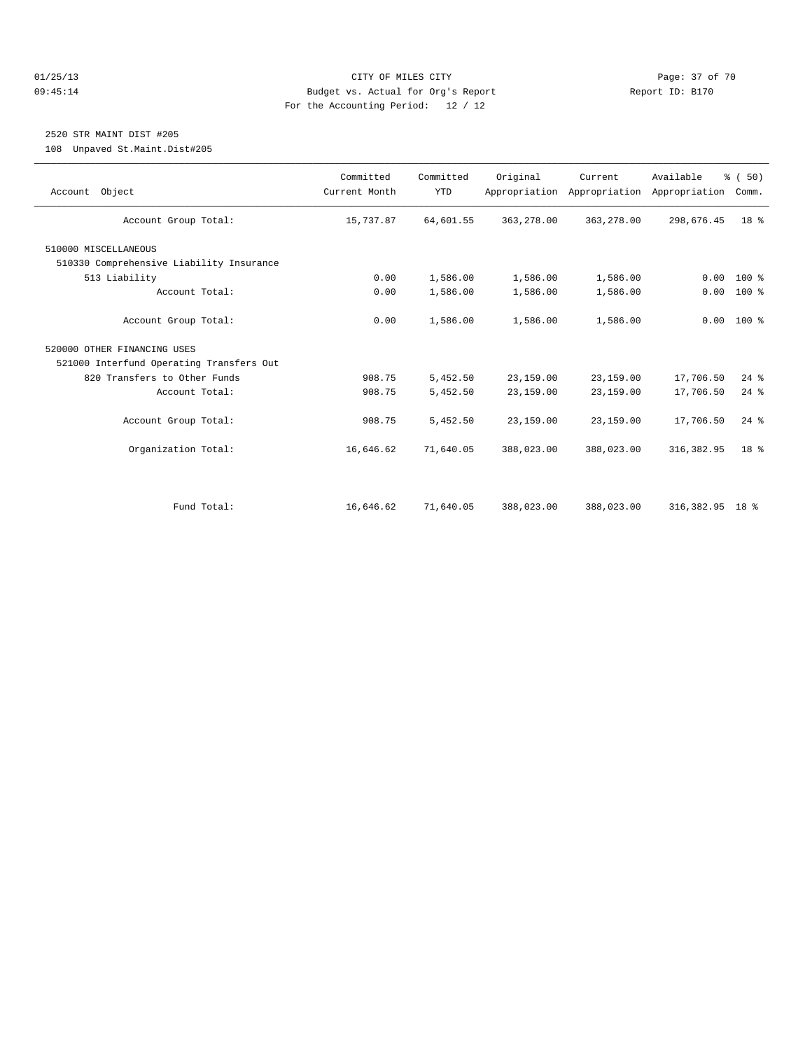#### 01/25/13 Page: 37 of 70 09:45:14 Budget vs. Actual for Org's Report Report ID: B170 For the Accounting Period: 12 / 12

## 2520 STR MAINT DIST #205

108 Unpaved St.Maint.Dist#205

| Account Group Total:<br>363,278.00<br>15,737.87<br>64,601.55<br>363,278.00<br>298,676.45<br>510000 MISCELLANEOUS<br>510330 Comprehensive Liability Insurance<br>513 Liability<br>0.00<br>1,586.00<br>1,586.00<br>1,586.00<br>0.00<br>Account Total:<br>1,586.00<br>0.00<br>1,586.00<br>1,586.00<br>0.00<br>Account Group Total:<br>0.00<br>1,586.00<br>1,586.00<br>1,586.00<br>520000 OTHER FINANCING USES<br>521000 Interfund Operating Transfers Out<br>820 Transfers to Other Funds<br>908.75<br>5,452.50<br>23,159.00<br>23,159.00<br>17,706.50<br>Account Total:<br>908.75<br>5,452.50<br>23,159.00<br>23,159.00<br>17,706.50<br>Account Group Total:<br>908.75<br>5,452.50<br>23,159.00<br>23,159.00<br>17,706.50<br>Organization Total:<br>16,646.62<br>71,640.05<br>388,023.00<br>388,023.00<br>316, 382.95 | % (50)<br>Comm. | Available<br>Appropriation | Current<br>Appropriation Appropriation | Original | Committed<br><b>YTD</b> | Committed<br>Current Month | Account Object |
|---------------------------------------------------------------------------------------------------------------------------------------------------------------------------------------------------------------------------------------------------------------------------------------------------------------------------------------------------------------------------------------------------------------------------------------------------------------------------------------------------------------------------------------------------------------------------------------------------------------------------------------------------------------------------------------------------------------------------------------------------------------------------------------------------------------------|-----------------|----------------------------|----------------------------------------|----------|-------------------------|----------------------------|----------------|
|                                                                                                                                                                                                                                                                                                                                                                                                                                                                                                                                                                                                                                                                                                                                                                                                                     | 18 <sup>8</sup> |                            |                                        |          |                         |                            |                |
|                                                                                                                                                                                                                                                                                                                                                                                                                                                                                                                                                                                                                                                                                                                                                                                                                     |                 |                            |                                        |          |                         |                            |                |
|                                                                                                                                                                                                                                                                                                                                                                                                                                                                                                                                                                                                                                                                                                                                                                                                                     |                 |                            |                                        |          |                         |                            |                |
|                                                                                                                                                                                                                                                                                                                                                                                                                                                                                                                                                                                                                                                                                                                                                                                                                     | $100*$          |                            |                                        |          |                         |                            |                |
|                                                                                                                                                                                                                                                                                                                                                                                                                                                                                                                                                                                                                                                                                                                                                                                                                     | 100 %           |                            |                                        |          |                         |                            |                |
|                                                                                                                                                                                                                                                                                                                                                                                                                                                                                                                                                                                                                                                                                                                                                                                                                     | $0.00 100$ %    |                            |                                        |          |                         |                            |                |
|                                                                                                                                                                                                                                                                                                                                                                                                                                                                                                                                                                                                                                                                                                                                                                                                                     |                 |                            |                                        |          |                         |                            |                |
|                                                                                                                                                                                                                                                                                                                                                                                                                                                                                                                                                                                                                                                                                                                                                                                                                     |                 |                            |                                        |          |                         |                            |                |
|                                                                                                                                                                                                                                                                                                                                                                                                                                                                                                                                                                                                                                                                                                                                                                                                                     | $24$ $%$        |                            |                                        |          |                         |                            |                |
|                                                                                                                                                                                                                                                                                                                                                                                                                                                                                                                                                                                                                                                                                                                                                                                                                     | $24$ $%$        |                            |                                        |          |                         |                            |                |
|                                                                                                                                                                                                                                                                                                                                                                                                                                                                                                                                                                                                                                                                                                                                                                                                                     | $24$ $%$        |                            |                                        |          |                         |                            |                |
|                                                                                                                                                                                                                                                                                                                                                                                                                                                                                                                                                                                                                                                                                                                                                                                                                     | 18 <sup>8</sup> |                            |                                        |          |                         |                            |                |
| 16,646.62<br>388,023.00<br>Fund Total:<br>71,640.05<br>388,023.00                                                                                                                                                                                                                                                                                                                                                                                                                                                                                                                                                                                                                                                                                                                                                   |                 | 316,382.95 18 %            |                                        |          |                         |                            |                |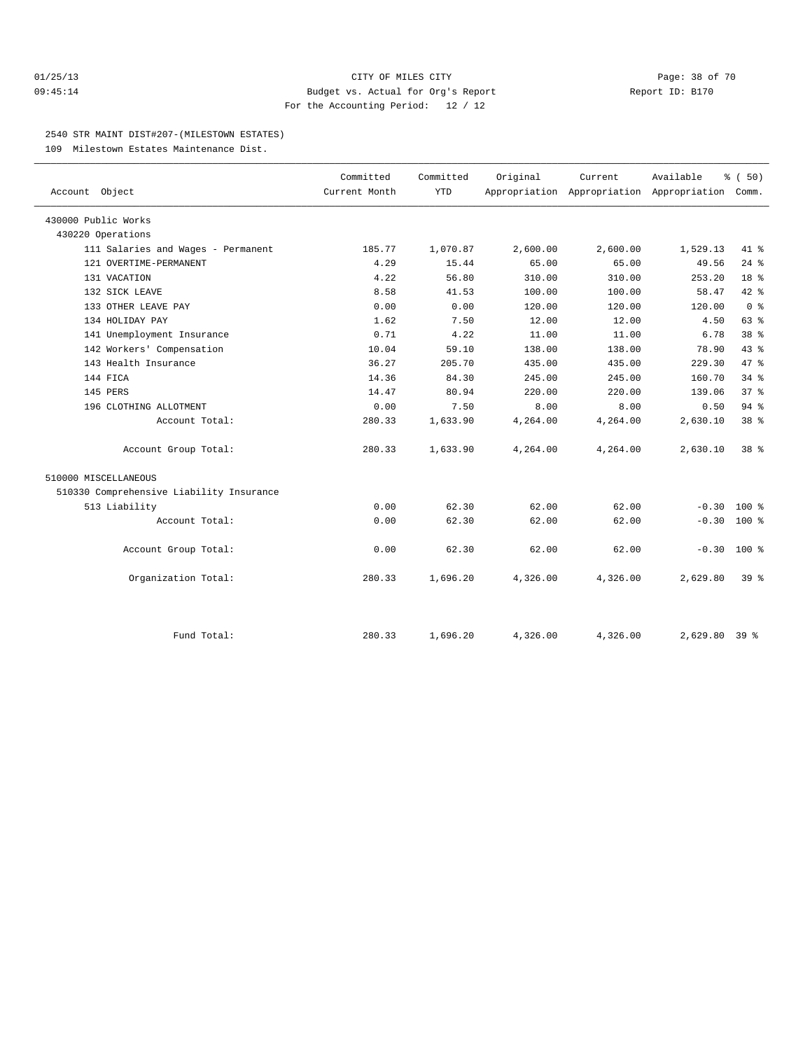#### 01/25/13 CITY OF MILES CITY Page: 38 of 70 09:45:14 Budget vs. Actual for Org's Report Report ID: B170 For the Accounting Period: 12 / 12

#### 2540 STR MAINT DIST#207-(MILESTOWN ESTATES)

109 Milestown Estates Maintenance Dist.

|                                          | Committed     | Committed  | Original | Current  | Available                                 | % (50)          |  |
|------------------------------------------|---------------|------------|----------|----------|-------------------------------------------|-----------------|--|
| Account Object                           | Current Month | <b>YTD</b> |          |          | Appropriation Appropriation Appropriation | Comm.           |  |
| 430000 Public Works                      |               |            |          |          |                                           |                 |  |
| 430220 Operations                        |               |            |          |          |                                           |                 |  |
| 111 Salaries and Wages - Permanent       | 185.77        | 1,070.87   | 2,600.00 | 2,600.00 | 1,529.13                                  | $41*$           |  |
| 121 OVERTIME-PERMANENT                   | 4.29          | 15.44      | 65.00    | 65.00    | 49.56                                     | $24$ $%$        |  |
| 131 VACATION                             | 4.22          | 56.80      | 310.00   | 310.00   | 253.20                                    | 18 <sup>°</sup> |  |
| 132 SICK LEAVE                           | 8.58          | 41.53      | 100.00   | 100.00   | 58.47                                     | 42 %            |  |
| 133 OTHER LEAVE PAY                      | 0.00          | 0.00       | 120.00   | 120.00   | 120.00                                    | 0 <sup>8</sup>  |  |
| 134 HOLIDAY PAY                          | 1.62          | 7.50       | 12.00    | 12.00    | 4.50                                      | 63 %            |  |
| 141 Unemployment Insurance               | 0.71          | 4.22       | 11.00    | 11.00    | 6.78                                      | 38 <sup>8</sup> |  |
| 142 Workers' Compensation                | 10.04         | 59.10      | 138.00   | 138.00   | 78.90                                     | 43.8            |  |
| 143 Health Insurance                     | 36.27         | 205.70     | 435.00   | 435.00   | 229.30                                    | 47.8            |  |
| 144 FICA                                 | 14.36         | 84.30      | 245.00   | 245.00   | 160.70                                    | $34$ $%$        |  |
| 145 PERS                                 | 14.47         | 80.94      | 220.00   | 220.00   | 139.06                                    | 37 <sup>8</sup> |  |
| 196 CLOTHING ALLOTMENT                   | 0.00          | 7.50       | 8.00     | 8.00     | 0.50                                      | 94%             |  |
| Account Total:                           | 280.33        | 1,633.90   | 4,264.00 | 4,264.00 | 2,630.10                                  | 38 %            |  |
| Account Group Total:                     | 280.33        | 1,633.90   | 4,264.00 | 4,264.00 | 2,630.10                                  | 38 %            |  |
| 510000 MISCELLANEOUS                     |               |            |          |          |                                           |                 |  |
| 510330 Comprehensive Liability Insurance |               |            |          |          |                                           |                 |  |
| 513 Liability                            | 0.00          | 62.30      | 62.00    | 62.00    | $-0.30$                                   | $100*$          |  |
| Account Total:                           | 0.00          | 62.30      | 62.00    | 62.00    | $-0.30$                                   | 100 %           |  |
| Account Group Total:                     | 0.00          | 62.30      | 62.00    | 62.00    | $-0.30$                                   | $100*$          |  |
| Organization Total:                      | 280.33        | 1,696.20   | 4,326.00 | 4,326.00 | 2,629.80                                  | $39*$           |  |
|                                          |               |            |          |          |                                           |                 |  |
| Fund Total:                              | 280.33        | 1,696.20   | 4,326.00 | 4,326.00 | $2,629.80$ 39 %                           |                 |  |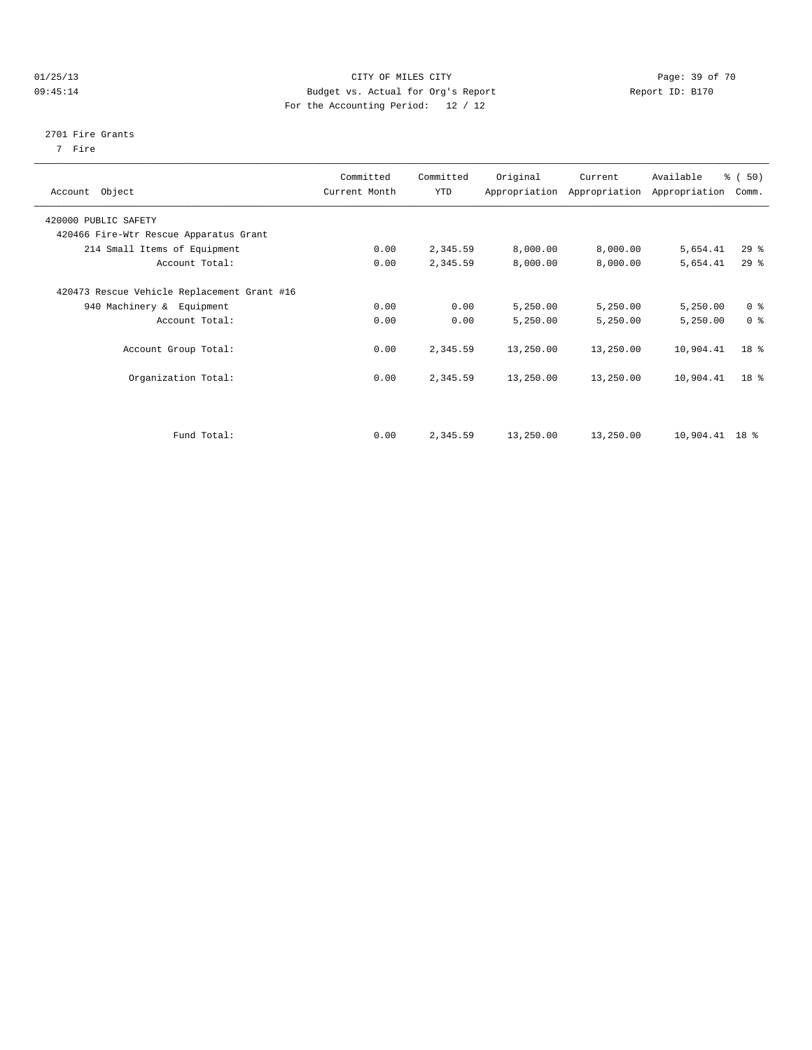#### 01/25/13 Page: 39 of 70 09:45:14 Budget vs. Actual for Org's Report Changer Report ID: B170 For the Accounting Period: 12 / 12

#### 2701 Fire Grants

7 Fire

| Account Object                              | Committed<br>Current Month | Committed<br>YTD | Original  | Current<br>Appropriation Appropriation | Available<br>Appropriation | $\frac{1}{6}$ (50)<br>Comm. |
|---------------------------------------------|----------------------------|------------------|-----------|----------------------------------------|----------------------------|-----------------------------|
| 420000 PUBLIC SAFETY                        |                            |                  |           |                                        |                            |                             |
| 420466 Fire-Wtr Rescue Apparatus Grant      |                            |                  |           |                                        |                            |                             |
| 214 Small Items of Equipment                | 0.00                       | 2,345.59         | 8,000.00  | 8,000.00                               | 5,654.41                   | 29%                         |
| Account Total:                              | 0.00                       | 2,345.59         | 8,000.00  | 8,000.00                               | 5,654.41                   | $29*$                       |
| 420473 Rescue Vehicle Replacement Grant #16 |                            |                  |           |                                        |                            |                             |
| 940 Machinery & Equipment                   | 0.00                       | 0.00             | 5,250.00  | 5,250.00                               | 5,250.00                   | 0 <sup>8</sup>              |
| Account Total:                              | 0.00                       | 0.00             | 5,250.00  | 5,250.00                               | 5,250.00                   | 0 <sup>8</sup>              |
| Account Group Total:                        | 0.00                       | 2,345.59         | 13,250.00 | 13,250.00                              | 10,904.41                  | 18 <sup>8</sup>             |
| Organization Total:                         | 0.00                       | 2,345.59         | 13,250.00 | 13,250.00                              | 10,904.41                  | 18 <sup>8</sup>             |
|                                             |                            |                  |           |                                        |                            |                             |
| Fund Total:                                 | 0.00                       | 2,345.59         | 13,250.00 | 13,250.00                              | $10,904.41$ 18 %           |                             |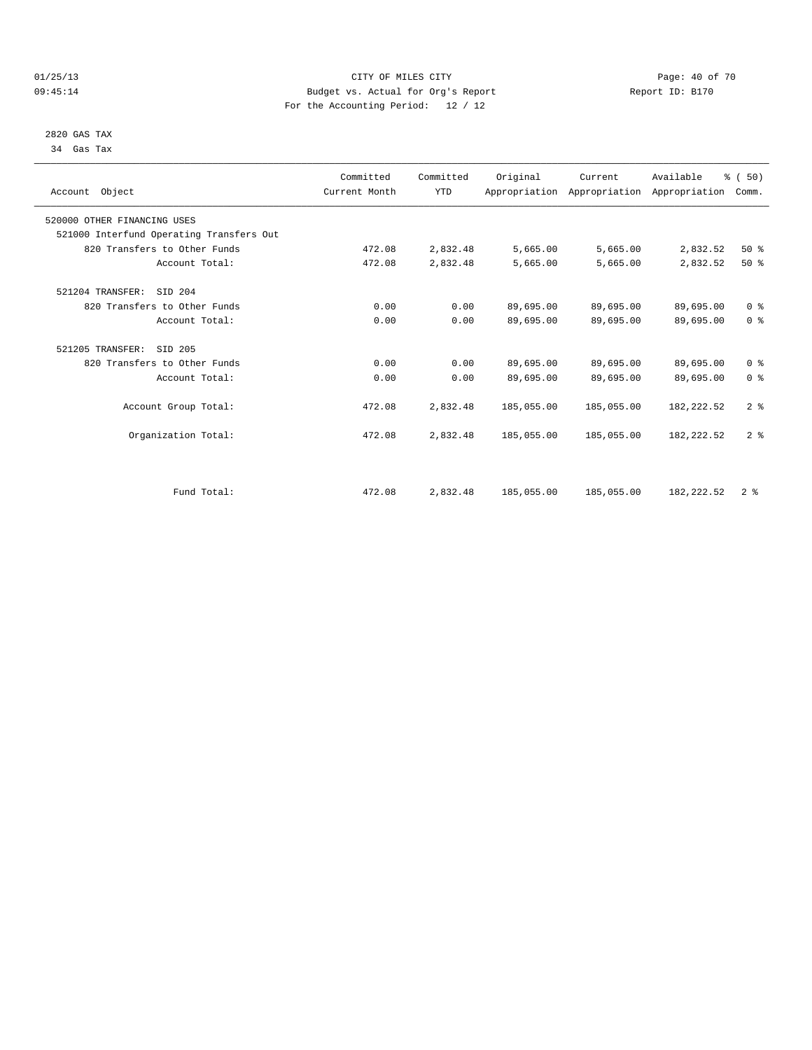#### 01/25/13 Page: 40 of 70 09:45:14 Budget vs. Actual for Org's Report Changer Report ID: B170 For the Accounting Period: 12 / 12

 2820 GAS TAX 34 Gas Tax

| Account Object                           | Committed<br>Current Month | Committed<br><b>YTD</b> | Original   | Current<br>Appropriation Appropriation Appropriation | Available   | % (50)<br>Comm. |  |
|------------------------------------------|----------------------------|-------------------------|------------|------------------------------------------------------|-------------|-----------------|--|
| 520000 OTHER FINANCING USES              |                            |                         |            |                                                      |             |                 |  |
| 521000 Interfund Operating Transfers Out |                            |                         |            |                                                      |             |                 |  |
| 820 Transfers to Other Funds             | 472.08                     | 2,832.48                | 5,665.00   | 5,665.00                                             | 2,832.52    | $50*$           |  |
| Account Total:                           | 472.08                     | 2,832.48                | 5,665.00   | 5,665.00                                             | 2,832.52    | $50*$           |  |
| 521204 TRANSFER:<br>SID 204              |                            |                         |            |                                                      |             |                 |  |
| 820 Transfers to Other Funds             | 0.00                       | 0.00                    | 89,695.00  | 89,695.00                                            | 89,695.00   | 0 <sup>8</sup>  |  |
| Account Total:                           | 0.00                       | 0.00                    | 89,695.00  | 89,695.00                                            | 89,695.00   | 0 <sup>8</sup>  |  |
| 521205 TRANSFER:<br>SID 205              |                            |                         |            |                                                      |             |                 |  |
| 820 Transfers to Other Funds             | 0.00                       | 0.00                    | 89,695.00  | 89,695.00                                            | 89,695.00   | 0 <sup>8</sup>  |  |
| Account Total:                           | 0.00                       | 0.00                    | 89,695.00  | 89,695.00                                            | 89,695.00   | 0 <sup>8</sup>  |  |
| Account Group Total:                     | 472.08                     | 2,832.48                | 185,055.00 | 185,055.00                                           | 182, 222.52 | 2 <sup>8</sup>  |  |
| Organization Total:                      | 472.08                     | 2,832.48                | 185,055.00 | 185,055.00                                           | 182, 222.52 | 2 <sup>8</sup>  |  |
|                                          |                            |                         |            |                                                      |             |                 |  |
| Fund Total:                              | 472.08                     | 2,832.48                | 185,055.00 | 185,055.00                                           | 182, 222.52 | 2 <sup>8</sup>  |  |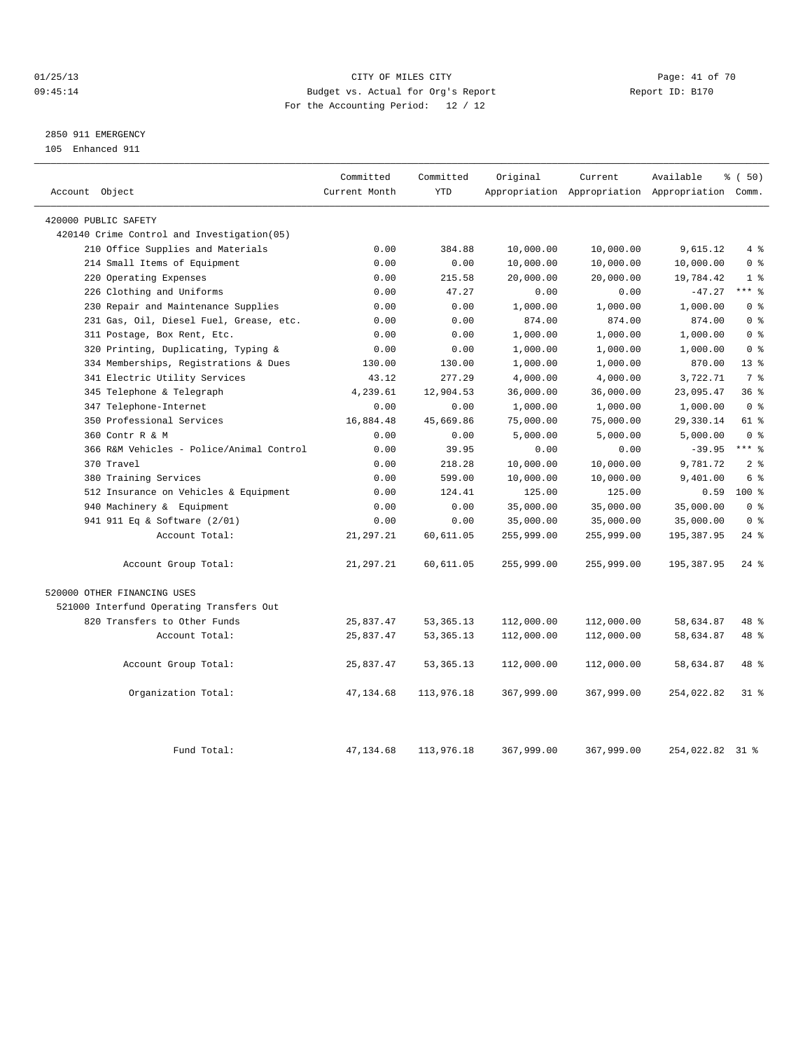## 01/25/13 Page: 41 of 70 09:45:14 Budget vs. Actual for Org's Report Changer Report ID: B170 For the Accounting Period: 12 / 12

## 2850 911 EMERGENCY

105 Enhanced 911

| Account Object                              | Committed<br>Current Month | Committed<br><b>YTD</b> | Original   | Current    | Available<br>Appropriation Appropriation Appropriation Comm. | % (50)             |
|---------------------------------------------|----------------------------|-------------------------|------------|------------|--------------------------------------------------------------|--------------------|
|                                             |                            |                         |            |            |                                                              |                    |
| 420000 PUBLIC SAFETY                        |                            |                         |            |            |                                                              |                    |
| 420140 Crime Control and Investigation (05) |                            |                         |            |            |                                                              |                    |
| 210 Office Supplies and Materials           | 0.00                       | 384.88                  | 10,000.00  | 10,000.00  | 9,615.12                                                     | 4%                 |
| 214 Small Items of Equipment                | 0.00                       | 0.00                    | 10,000.00  | 10,000.00  | 10,000.00                                                    | 0 <sup>8</sup>     |
| Operating Expenses<br>220                   | 0.00                       | 215.58                  | 20,000.00  | 20,000.00  | 19,784.42                                                    | 1 <sup>8</sup>     |
| 226 Clothing and Uniforms                   | 0.00                       | 47.27                   | 0.00       | 0.00       | $-47.27$                                                     | $***$ 8            |
| 230 Repair and Maintenance Supplies         | 0.00                       | 0.00                    | 1,000.00   | 1,000.00   | 1,000.00                                                     | 0 <sup>8</sup>     |
| 231 Gas, Oil, Diesel Fuel, Grease, etc.     | 0.00                       | 0.00                    | 874.00     | 874.00     | 874.00                                                       | 0 <sup>8</sup>     |
| 311 Postage, Box Rent, Etc.                 | 0.00                       | 0.00                    | 1,000.00   | 1,000.00   | 1,000.00                                                     | 0 <sup>8</sup>     |
| Printing, Duplicating, Typing &<br>320      | 0.00                       | 0.00                    | 1,000.00   | 1,000.00   | 1,000.00                                                     | 0 <sup>8</sup>     |
| 334 Memberships, Registrations & Dues       | 130.00                     | 130.00                  | 1,000.00   | 1,000.00   | 870.00                                                       | 13 <sup>8</sup>    |
| 341 Electric Utility Services               | 43.12                      | 277.29                  | 4,000.00   | 4,000.00   | 3,722.71                                                     | 7 <sup>8</sup>     |
| 345 Telephone & Telegraph                   | 4,239.61                   | 12,904.53               | 36,000.00  | 36,000.00  | 23,095.47                                                    | 36%                |
| 347 Telephone-Internet                      | 0.00                       | 0.00                    | 1,000.00   | 1,000.00   | 1,000.00                                                     | 0 <sup>8</sup>     |
| 350 Professional Services                   | 16,884.48                  | 45,669.86               | 75,000.00  | 75,000.00  | 29,330.14                                                    | 61 %               |
| 360 Contr R & M                             | 0.00                       | 0.00                    | 5,000.00   | 5,000.00   | 5,000.00                                                     | 0 <sup>8</sup>     |
| 366 R&M Vehicles - Police/Animal Control    | 0.00                       | 39.95                   | 0.00       | 0.00       | $-39.95$                                                     | $***$ $-$          |
| 370 Travel                                  | 0.00                       | 218.28                  | 10,000.00  | 10,000.00  | 9,781.72                                                     | 2 <sup>8</sup>     |
| 380 Training Services                       | 0.00                       | 599.00                  | 10,000.00  | 10,000.00  | 9,401.00                                                     | 6 %                |
| 512 Insurance on Vehicles & Equipment       | 0.00                       | 124.41                  | 125.00     | 125.00     | 0.59                                                         | $100*$             |
| 940 Machinery & Equipment                   | 0.00                       | 0.00                    | 35,000.00  | 35,000.00  | 35,000.00                                                    | 0 <sup>8</sup>     |
| 941 911 Eq & Software (2/01)                | 0.00                       | 0.00                    | 35,000.00  | 35,000.00  | 35,000.00                                                    | 0 <sup>8</sup>     |
| Account Total:                              | 21, 297.21                 | 60,611.05               | 255,999.00 | 255,999.00 | 195,387.95                                                   | $24$ %             |
| Account Group Total:                        | 21,297.21                  | 60,611.05               | 255,999.00 | 255,999.00 | 195,387.95                                                   | $24$ $\frac{6}{5}$ |
| 520000 OTHER FINANCING USES                 |                            |                         |            |            |                                                              |                    |
| 521000 Interfund Operating Transfers Out    |                            |                         |            |            |                                                              |                    |
| 820 Transfers to Other Funds                | 25,837.47                  | 53, 365. 13             | 112,000.00 | 112,000.00 | 58,634.87                                                    | 48 %               |
| Account Total:                              | 25,837.47                  | 53, 365. 13             | 112,000.00 | 112,000.00 | 58,634.87                                                    | 48 %               |
| Account Group Total:                        | 25,837.47                  | 53, 365. 13             | 112,000.00 | 112,000.00 | 58,634.87                                                    | 48 %               |
| Organization Total:                         | 47, 134.68                 | 113,976.18              | 367,999.00 | 367,999.00 | 254,022.82                                                   | 31 %               |
| Fund Total:                                 | 47, 134.68                 | 113,976.18              | 367,999.00 | 367,999.00 | 254,022.82                                                   | $31$ %             |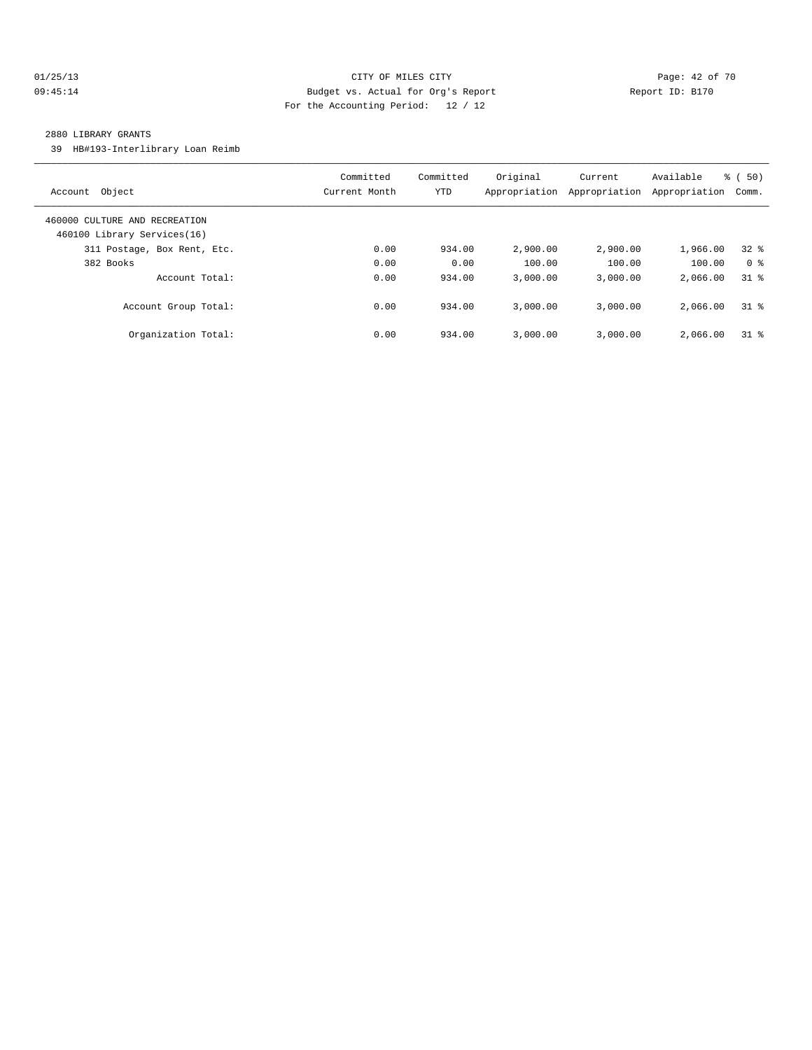## 01/25/13 Page: 42 of 70 09:45:14 Budget vs. Actual for Org's Report Changer Report ID: B170 For the Accounting Period: 12 / 12

#### 2880 LIBRARY GRANTS

39 HB#193-Interlibrary Loan Reimb

| Object<br>Account                                            | Committed<br>Current Month | Committed<br><b>YTD</b> | Original<br>Appropriation | Current<br>Appropriation | Available<br>Appropriation | ී (<br>50)<br>Comm. |
|--------------------------------------------------------------|----------------------------|-------------------------|---------------------------|--------------------------|----------------------------|---------------------|
| 460000 CULTURE AND RECREATION<br>460100 Library Services(16) |                            |                         |                           |                          |                            |                     |
| 311 Postage, Box Rent, Etc.                                  | 0.00                       | 934.00                  | 2,900.00                  | 2,900.00                 | 1,966.00                   | 328                 |
| 382 Books                                                    | 0.00                       | 0.00                    | 100.00                    | 100.00                   | 100.00                     | 0 <sup>8</sup>      |
| Account Total:                                               | 0.00                       | 934.00                  | 3,000.00                  | 3.000.00                 | 2,066.00                   | 31.8                |
| Account Group Total:                                         | 0.00                       | 934.00                  | 3,000.00                  | 3.000.00                 | 2,066.00                   | $31$ %              |
| Organization Total:                                          | 0.00                       | 934.00                  | 3,000.00                  | 3.000.00                 | 2,066.00                   | 318                 |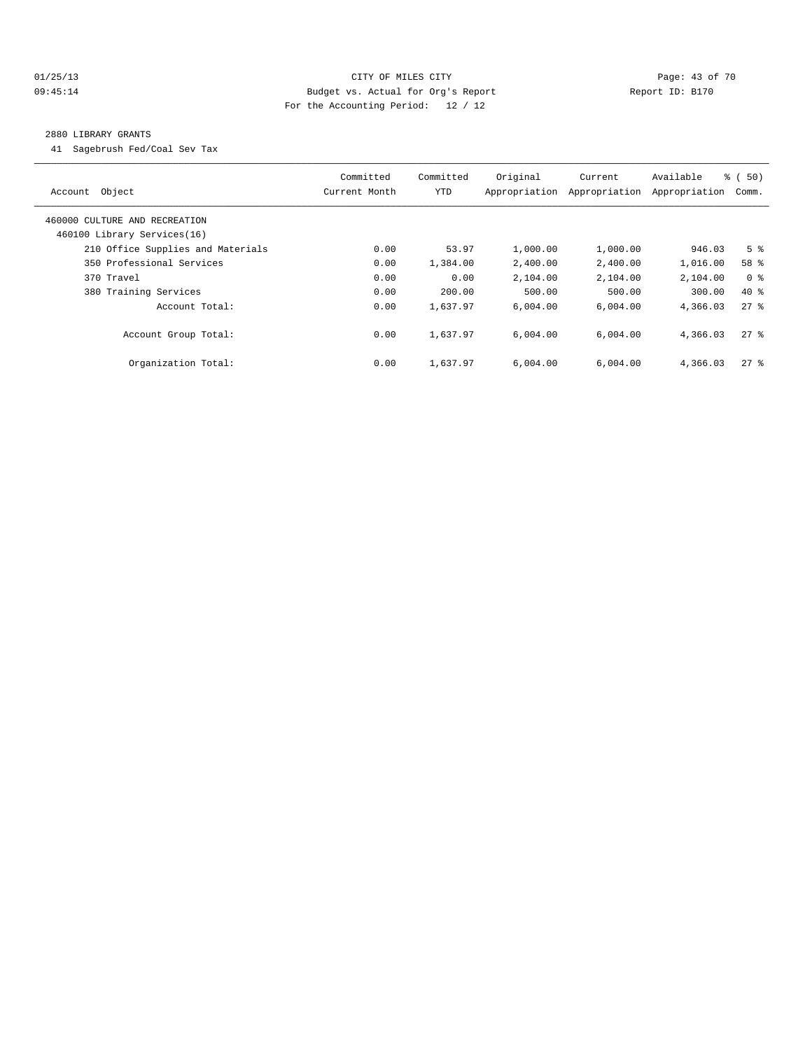## 01/25/13 Page: 43 of 70 09:45:14 Budget vs. Actual for Org's Report Changer Report ID: B170 For the Accounting Period: 12 / 12

#### 2880 LIBRARY GRANTS

41 Sagebrush Fed/Coal Sev Tax

| Account Object                                               | Committed<br>Current Month | Committed<br><b>YTD</b> | Original<br>Appropriation | Current<br>Appropriation | Available<br>Appropriation | % (50)<br>Comm.    |
|--------------------------------------------------------------|----------------------------|-------------------------|---------------------------|--------------------------|----------------------------|--------------------|
| 460000 CULTURE AND RECREATION<br>460100 Library Services(16) |                            |                         |                           |                          |                            |                    |
| 210 Office Supplies and Materials                            | 0.00                       | 53.97                   | 1,000.00                  | 1,000.00                 | 946.03                     | 5 <sup>8</sup>     |
| 350 Professional Services                                    | 0.00                       | 1,384.00                | 2,400.00                  | 2,400.00                 | 1,016.00                   | 58 %               |
| 370 Travel                                                   | 0.00                       | 0.00                    | 2,104.00                  | 2,104.00                 | 2,104.00                   | 0 <sup>8</sup>     |
| 380 Training Services                                        | 0.00                       | 200.00                  | 500.00                    | 500.00                   | 300.00                     | $40*$              |
| Account Total:                                               | 0.00                       | 1,637.97                | 6.004.00                  | 6,004.00                 | 4,366.03                   | 278                |
| Account Group Total:                                         | 0.00                       | 1,637.97                | 6.004.00                  | 6.004.00                 | 4,366.03                   | $27$ %             |
| Organization Total:                                          | 0.00                       | 1,637.97                | 6.004.00                  | 6.004.00                 | 4,366.03                   | $27$ $\frac{6}{5}$ |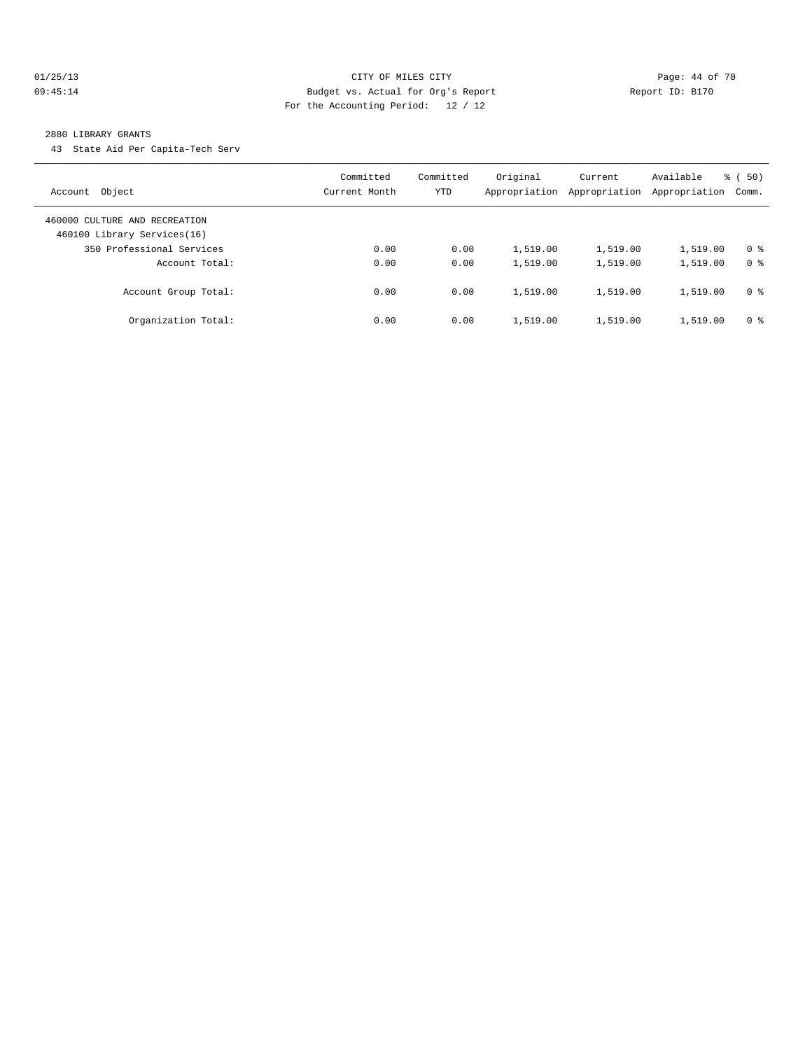#### 01/25/13 Page: 44 of 70 09:45:14 Budget vs. Actual for Org's Report Changer Report ID: B170 For the Accounting Period: 12 / 12

#### 2880 LIBRARY GRANTS

43 State Aid Per Capita-Tech Serv

| Object<br>Account                                            | Committed<br>Current Month | Committed<br>YTD | Original<br>Appropriation | Current<br>Appropriation | Available<br>Appropriation | % (50)<br>Comm. |
|--------------------------------------------------------------|----------------------------|------------------|---------------------------|--------------------------|----------------------------|-----------------|
| 460000 CULTURE AND RECREATION<br>460100 Library Services(16) |                            |                  |                           |                          |                            |                 |
| 350 Professional Services                                    | 0.00                       | 0.00             | 1,519.00                  | 1,519.00                 | 1,519.00                   | 0 <sup>8</sup>  |
| Account Total:                                               | 0.00                       | 0.00             | 1,519.00                  | 1,519.00                 | 1,519.00                   | 0 <sup>8</sup>  |
| Account Group Total:                                         | 0.00                       | 0.00             | 1,519.00                  | 1,519.00                 | 1,519.00                   | 0 <sup>8</sup>  |
| Organization Total:                                          | 0.00                       | 0.00             | 1,519.00                  | 1,519.00                 | 1,519.00                   | 0 <sup>8</sup>  |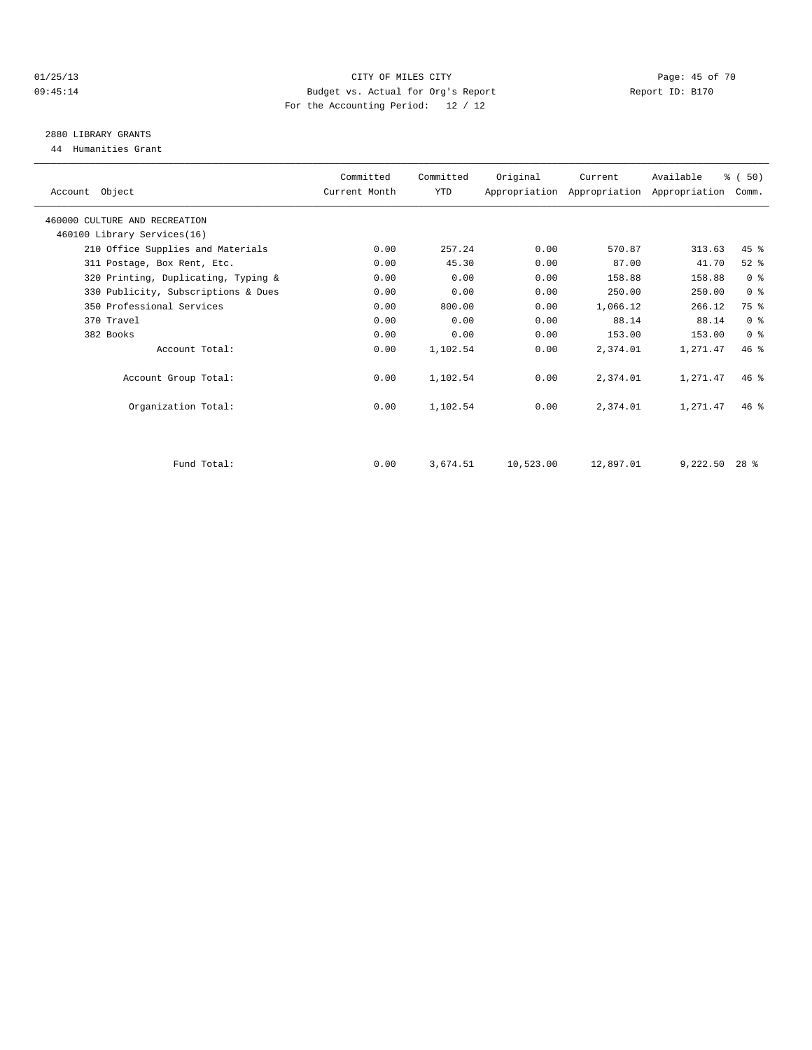#### 01/25/13 Page: 45 of 70 09:45:14 Budget vs. Actual for Org's Report Changer Report ID: B170 For the Accounting Period: 12 / 12

## 2880 LIBRARY GRANTS

44 Humanities Grant

| Account Object                      | Committed<br>Current Month | Committed<br>YTD | Original  | Current<br>Appropriation Appropriation Appropriation | Available | % (50)<br>Comm. |  |
|-------------------------------------|----------------------------|------------------|-----------|------------------------------------------------------|-----------|-----------------|--|
| 460000 CULTURE AND RECREATION       |                            |                  |           |                                                      |           |                 |  |
| 460100 Library Services(16)         |                            |                  |           |                                                      |           |                 |  |
| 210 Office Supplies and Materials   | 0.00                       | 257.24           | 0.00      | 570.87                                               | 313.63    | $45$ $%$        |  |
| 311 Postage, Box Rent, Etc.         | 0.00                       | 45.30            | 0.00      | 87.00                                                | 41.70     | $52$ $%$        |  |
| 320 Printing, Duplicating, Typing & | 0.00                       | 0.00             | 0.00      | 158.88                                               | 158.88    | 0 <sup>8</sup>  |  |
| 330 Publicity, Subscriptions & Dues | 0.00                       | 0.00             | 0.00      | 250.00                                               | 250.00    | 0 <sup>8</sup>  |  |
| 350 Professional Services           | 0.00                       | 800.00           | 0.00      | 1,066.12                                             | 266.12    | 75 %            |  |
| 370 Travel                          | 0.00                       | 0.00             | 0.00      | 88.14                                                | 88.14     | 0 <sup>8</sup>  |  |
| 382 Books                           | 0.00                       | 0.00             | 0.00      | 153.00                                               | 153.00    | 0 <sup>8</sup>  |  |
| Account Total:                      | 0.00                       | 1,102.54         | 0.00      | 2,374.01                                             | 1,271.47  | 46.8            |  |
| Account Group Total:                | 0.00                       | 1,102.54         | 0.00      | 2,374.01                                             | 1,271.47  | 46%             |  |
| Organization Total:                 | 0.00                       | 1,102.54         | 0.00      | 2,374.01                                             | 1,271.47  | $46*$           |  |
|                                     |                            |                  |           |                                                      |           |                 |  |
| Fund Total:                         | 0.00                       | 3,674.51         | 10,523.00 | 12,897.01                                            | 9,222.50  | $28*$           |  |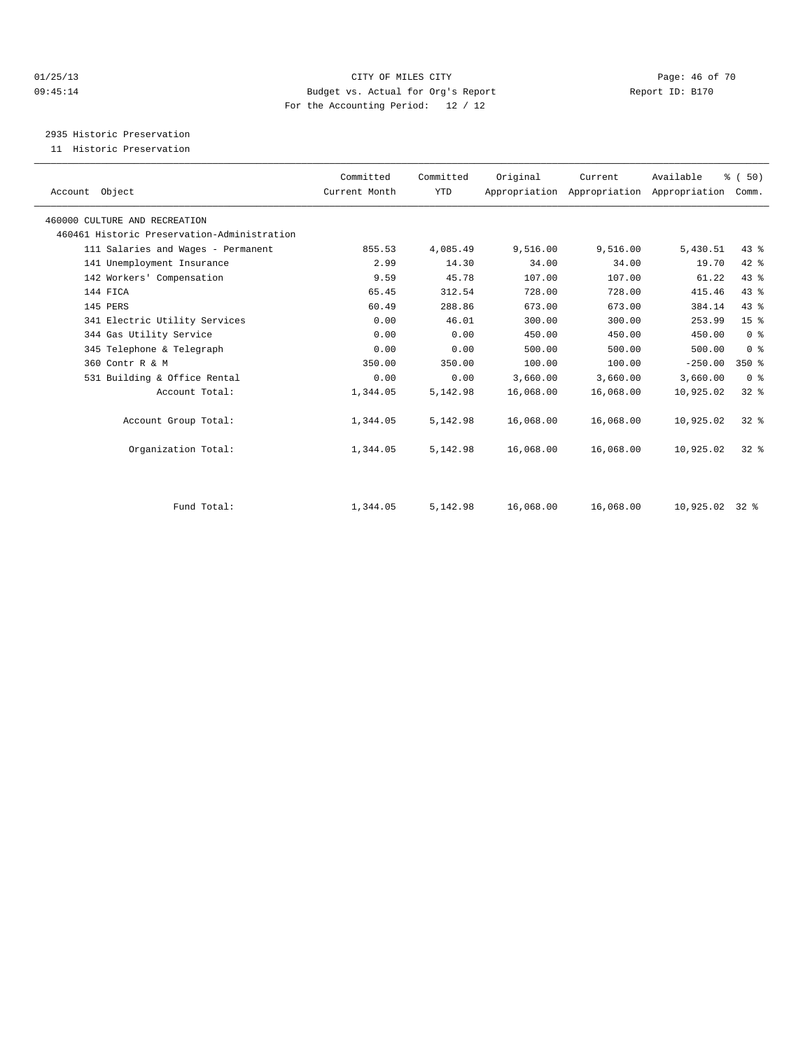#### 01/25/13 Page: 46 of 70 09:45:14 Budget vs. Actual for Org's Report Changer Report ID: B170 For the Accounting Period: 12 / 12

2935 Historic Preservation

11 Historic Preservation

| Committed | Committed     | Original  | Current   | Available | % (50)                                    |                                                                                                                                                                                    |
|-----------|---------------|-----------|-----------|-----------|-------------------------------------------|------------------------------------------------------------------------------------------------------------------------------------------------------------------------------------|
|           | <b>YTD</b>    |           |           |           |                                           |                                                                                                                                                                                    |
|           |               |           |           |           |                                           |                                                                                                                                                                                    |
|           |               |           |           |           |                                           |                                                                                                                                                                                    |
| 855.53    | 4,085.49      | 9,516.00  | 9,516.00  | 5,430.51  |                                           |                                                                                                                                                                                    |
| 2.99      | 14.30         | 34.00     | 34.00     | 19.70     |                                           |                                                                                                                                                                                    |
| 9.59      | 45.78         | 107.00    | 107.00    | 61.22     |                                           |                                                                                                                                                                                    |
| 65.45     | 312.54        | 728.00    | 728.00    | 415.46    |                                           |                                                                                                                                                                                    |
| 60.49     | 288.86        | 673.00    | 673.00    | 384.14    |                                           |                                                                                                                                                                                    |
| 0.00      | 46.01         | 300.00    | 300.00    | 253.99    |                                           |                                                                                                                                                                                    |
| 0.00      | 0.00          | 450.00    | 450.00    | 450.00    |                                           |                                                                                                                                                                                    |
| 0.00      | 0.00          | 500.00    | 500.00    | 500.00    |                                           |                                                                                                                                                                                    |
| 350.00    | 350.00        | 100.00    | 100.00    | $-250.00$ |                                           |                                                                                                                                                                                    |
| 0.00      | 0.00          | 3,660.00  | 3,660.00  | 3,660.00  |                                           |                                                                                                                                                                                    |
| 1,344.05  | 5,142.98      | 16,068.00 | 16,068.00 | 10,925.02 |                                           |                                                                                                                                                                                    |
| 1,344.05  | 5,142.98      | 16,068.00 | 16,068.00 | 10,925.02 |                                           |                                                                                                                                                                                    |
| 1,344.05  | 5,142.98      | 16,068.00 | 16,068.00 | 10,925.02 |                                           |                                                                                                                                                                                    |
|           |               |           |           |           |                                           |                                                                                                                                                                                    |
| 1,344.05  | 5,142.98      | 16,068.00 | 16,068.00 |           | $32*$                                     |                                                                                                                                                                                    |
|           | Current Month |           |           |           | Appropriation Appropriation Appropriation | Comm.<br>43 %<br>42 %<br>43 %<br>43.8<br>43 %<br>15 <sup>°</sup><br>0 <sup>8</sup><br>0 <sup>8</sup><br>$350*$<br>0 <sup>8</sup><br>32 <sup>8</sup><br>$32*$<br>$32*$<br>10,925.02 |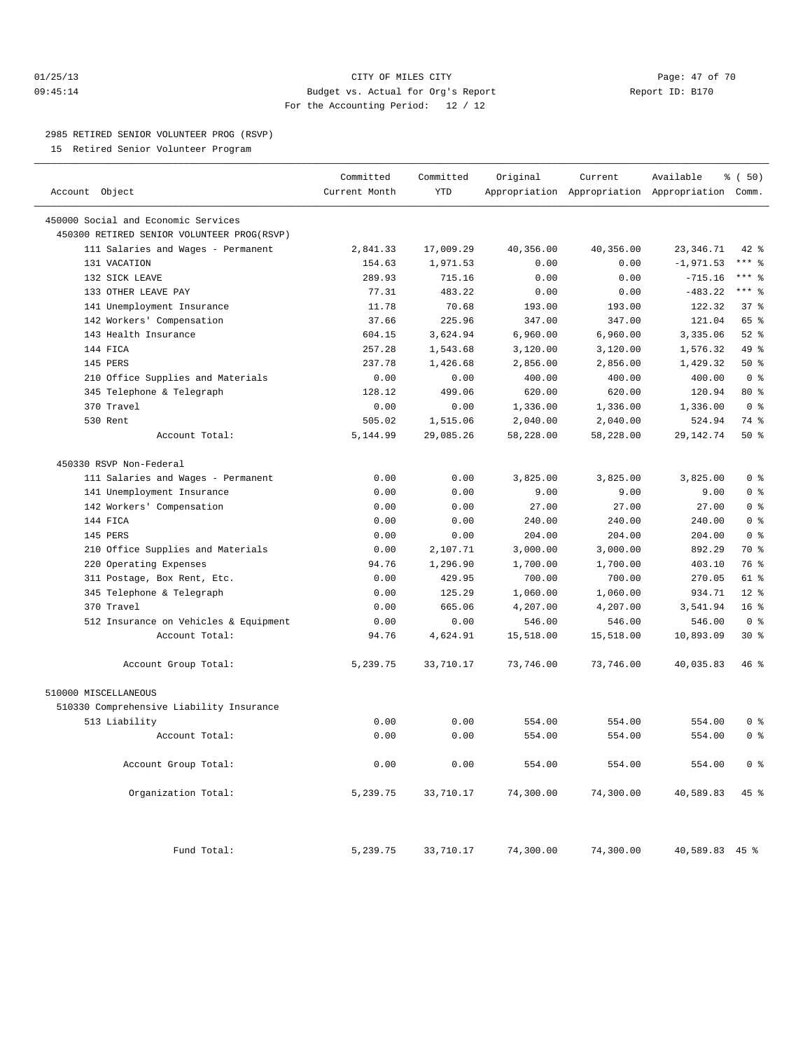## 01/25/13 Page: 47 of 70 09:45:14 Budget vs. Actual for Org's Report Report ID: B170 For the Accounting Period: 12 / 12

————————————————————————————————————————————————————————————————————————————————————————————————————————————————————————————————————

#### 2985 RETIRED SENIOR VOLUNTEER PROG (RSVP)

15 Retired Senior Volunteer Program

|                                            | Committed     | Committed  | Original  | Current   | Available                                       | % ( 50)         |
|--------------------------------------------|---------------|------------|-----------|-----------|-------------------------------------------------|-----------------|
| Account Object                             | Current Month | <b>YTD</b> |           |           | Appropriation Appropriation Appropriation Comm. |                 |
| 450000 Social and Economic Services        |               |            |           |           |                                                 |                 |
| 450300 RETIRED SENIOR VOLUNTEER PROG(RSVP) |               |            |           |           |                                                 |                 |
| 111 Salaries and Wages - Permanent         | 2,841.33      | 17,009.29  | 40,356.00 | 40,356.00 | 23, 346.71                                      | 42 %            |
| 131 VACATION                               | 154.63        | 1,971.53   | 0.00      | 0.00      | $-1, 971.53$                                    | $***$ $-$       |
| 132 SICK LEAVE                             | 289.93        | 715.16     | 0.00      | 0.00      | $-715.16$                                       | $***$ 8         |
| 133 OTHER LEAVE PAY                        | 77.31         | 483.22     | 0.00      | 0.00      | $-483.22$                                       | $***$ 2         |
| 141 Unemployment Insurance                 | 11.78         | 70.68      | 193.00    | 193.00    | 122.32                                          | 37%             |
| 142 Workers' Compensation                  | 37.66         | 225.96     | 347.00    | 347.00    | 121.04                                          | 65 %            |
| 143 Health Insurance                       | 604.15        | 3,624.94   | 6,960.00  | 6,960.00  | 3,335.06                                        | $52$ $%$        |
| 144 FICA                                   | 257.28        | 1,543.68   | 3,120.00  | 3,120.00  | 1,576.32                                        | 49 %            |
| 145 PERS                                   | 237.78        | 1,426.68   | 2,856.00  | 2,856.00  | 1,429.32                                        | 50%             |
| 210 Office Supplies and Materials          | 0.00          | 0.00       | 400.00    | 400.00    | 400.00                                          | 0 <sup>8</sup>  |
| 345 Telephone & Telegraph                  | 128.12        | 499.06     | 620.00    | 620.00    | 120.94                                          | 80 %            |
| 370 Travel                                 | 0.00          | 0.00       | 1,336.00  | 1,336.00  | 1,336.00                                        | 0 <sup>8</sup>  |
| 530 Rent                                   | 505.02        | 1,515.06   | 2,040.00  | 2,040.00  | 524.94                                          | 74 %            |
| Account Total:                             | 5,144.99      | 29,085.26  | 58,228.00 | 58,228.00 | 29, 142. 74                                     | 50%             |
| 450330 RSVP Non-Federal                    |               |            |           |           |                                                 |                 |
| 111 Salaries and Wages - Permanent         | 0.00          | 0.00       | 3,825.00  | 3,825.00  | 3,825.00                                        | 0 <sup>8</sup>  |
| 141 Unemployment Insurance                 | 0.00          | 0.00       | 9.00      | 9.00      | 9.00                                            | 0 <sup>8</sup>  |
| 142 Workers' Compensation                  | 0.00          | 0.00       | 27.00     | 27.00     | 27.00                                           | 0 <sup>8</sup>  |
| 144 FICA                                   | 0.00          | 0.00       | 240.00    | 240.00    | 240.00                                          | 0 <sup>8</sup>  |
| 145 PERS                                   | 0.00          | 0.00       | 204.00    | 204.00    | 204.00                                          | 0 <sup>8</sup>  |
| 210 Office Supplies and Materials          | 0.00          | 2,107.71   | 3,000.00  | 3,000.00  | 892.29                                          | 70 %            |
| 220 Operating Expenses                     | 94.76         | 1,296.90   | 1,700.00  | 1,700.00  | 403.10                                          | 76 %            |
| 311 Postage, Box Rent, Etc.                | 0.00          | 429.95     | 700.00    | 700.00    | 270.05                                          | 61 %            |
| 345 Telephone & Telegraph                  | 0.00          | 125.29     | 1,060.00  | 1,060.00  | 934.71                                          | $12*$           |
| 370 Travel                                 | 0.00          | 665.06     | 4,207.00  | 4,207.00  | 3,541.94                                        | 16 <sup>°</sup> |
| 512 Insurance on Vehicles & Equipment      | 0.00          | 0.00       | 546.00    | 546.00    | 546.00                                          | 0 <sup>8</sup>  |
| Account Total:                             | 94.76         | 4,624.91   | 15,518.00 | 15,518.00 | 10,893.09                                       | $30*$           |
|                                            |               |            |           |           |                                                 |                 |
| Account Group Total:                       | 5,239.75      | 33,710.17  | 73,746.00 | 73,746.00 | 40,035.83                                       | 46 %            |
| 510000 MISCELLANEOUS                       |               |            |           |           |                                                 |                 |
| 510330 Comprehensive Liability Insurance   |               |            |           |           |                                                 |                 |
| 513 Liability                              | 0.00          | 0.00       | 554.00    | 554.00    | 554.00                                          | 0 <sup>8</sup>  |
| Account Total:                             | 0.00          | 0.00       | 554.00    | 554.00    | 554.00                                          | 0 <sup>8</sup>  |
| Account Group Total:                       | 0.00          | 0.00       | 554.00    | 554.00    | 554.00                                          | 0 <sup>8</sup>  |
| Organization Total:                        | 5,239.75      | 33,710.17  | 74,300.00 | 74,300.00 | 40,589.83                                       | 45 %            |
| Fund Total:                                | 5,239.75      | 33,710.17  | 74,300.00 | 74,300.00 | 40,589.83 45 %                                  |                 |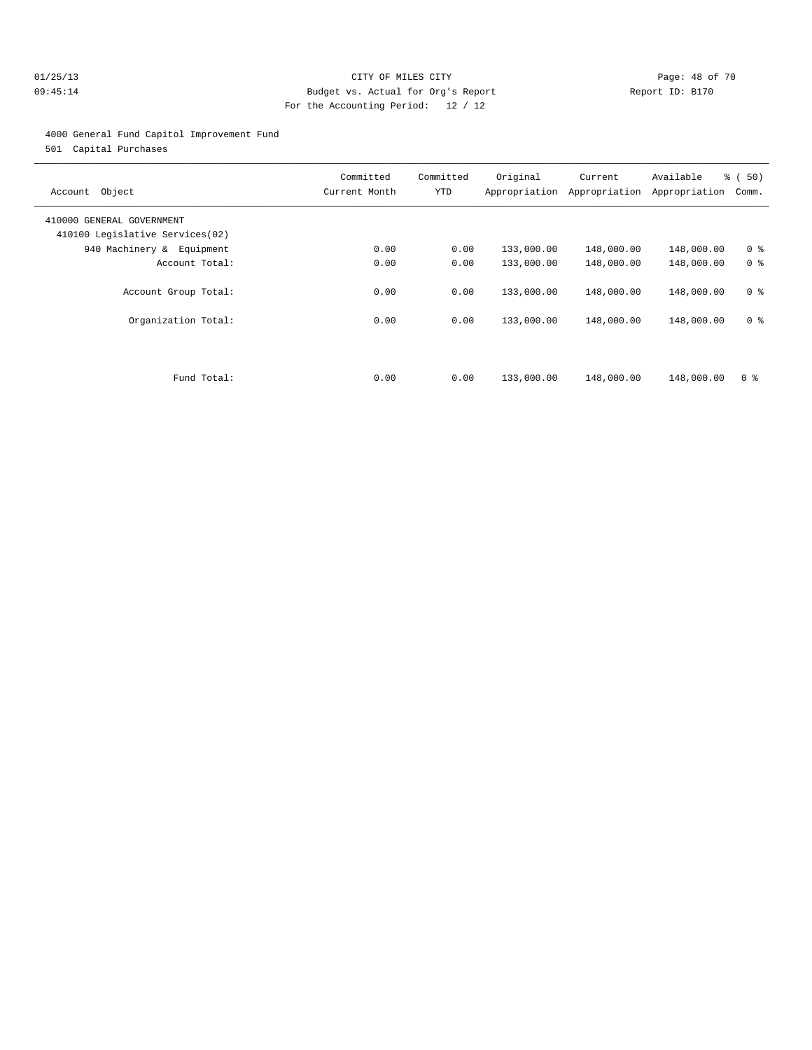## 01/25/13 Page: 48 of 70 09:45:14 Budget vs. Actual for Org's Report Report ID: B170 For the Accounting Period: 12 / 12

#### 4000 General Fund Capitol Improvement Fund

501 Capital Purchases

| Object<br>Account                                            | Committed<br>Current Month | Committed<br>YTD | Original   | Current<br>Appropriation Appropriation | Available<br>Appropriation | % (50)<br>Comm. |
|--------------------------------------------------------------|----------------------------|------------------|------------|----------------------------------------|----------------------------|-----------------|
| 410000 GENERAL GOVERNMENT<br>410100 Legislative Services(02) |                            |                  |            |                                        |                            |                 |
| 940 Machinery & Equipment                                    | 0.00                       | 0.00             | 133,000.00 | 148,000.00                             | 148,000.00                 | 0 <sup>8</sup>  |
| Account Total:                                               | 0.00                       | 0.00             | 133,000.00 | 148,000.00                             | 148,000.00                 | 0 <sup>8</sup>  |
| Account Group Total:                                         | 0.00                       | 0.00             | 133,000.00 | 148,000.00                             | 148,000.00                 | 0 <sup>8</sup>  |
| Organization Total:                                          | 0.00                       | 0.00             | 133,000.00 | 148,000.00                             | 148,000.00                 | 0 <sup>8</sup>  |
|                                                              |                            |                  |            |                                        |                            |                 |
| Fund Total:                                                  | 0.00                       | 0.00             | 133,000.00 | 148,000.00                             | 148,000.00                 | 0 <sup>8</sup>  |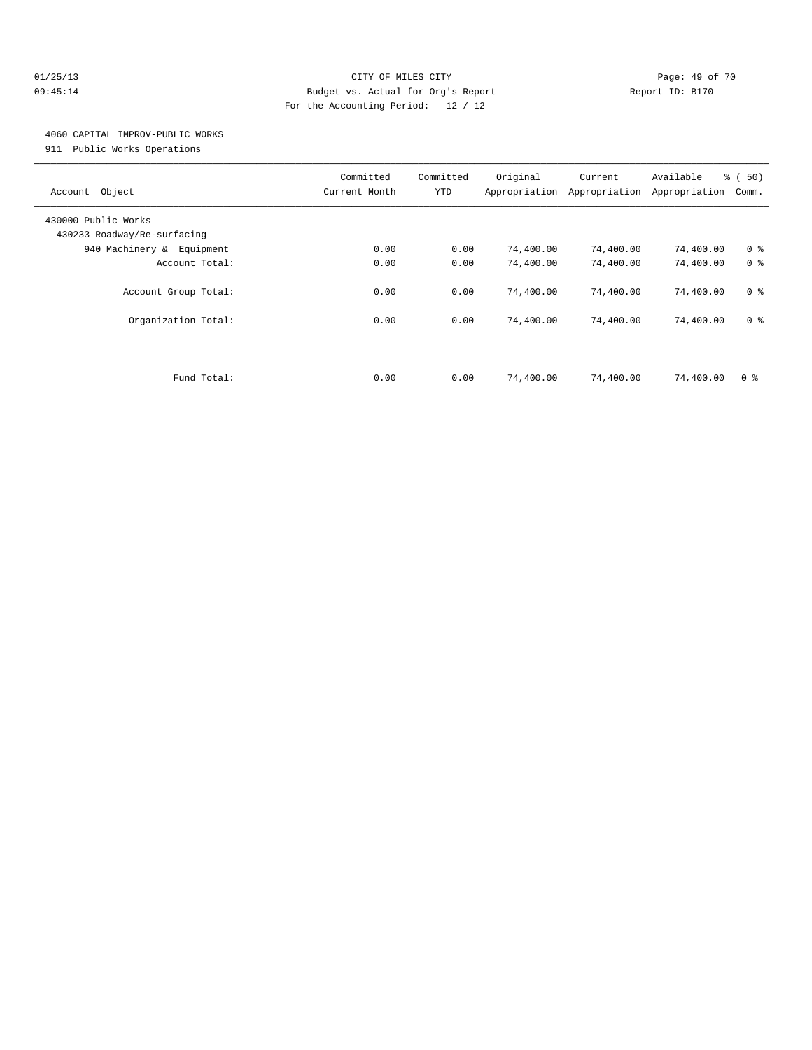#### 01/25/13 Page: 49 of 70 09:45:14 Budget vs. Actual for Org's Report Changer Report ID: B170 For the Accounting Period: 12 / 12

## 4060 CAPITAL IMPROV-PUBLIC WORKS

911 Public Works Operations

| Object<br>Account                                  | Committed<br>Current Month | Committed<br>YTD | Original<br>Appropriation | Current<br>Appropriation | Available<br>Appropriation | % (50)<br>Comm. |
|----------------------------------------------------|----------------------------|------------------|---------------------------|--------------------------|----------------------------|-----------------|
| 430000 Public Works<br>430233 Roadway/Re-surfacing |                            |                  |                           |                          |                            |                 |
| 940 Machinery & Equipment                          | 0.00                       | 0.00             | 74,400.00                 | 74,400.00                | 74,400.00                  | 0 <sup>8</sup>  |
| Account Total:                                     | 0.00                       | 0.00             | 74,400.00                 | 74,400.00                | 74,400.00                  | 0 <sup>8</sup>  |
| Account Group Total:                               | 0.00                       | 0.00             | 74,400.00                 | 74,400.00                | 74,400.00                  | 0 <sup>8</sup>  |
| Organization Total:                                | 0.00                       | 0.00             | 74,400.00                 | 74,400.00                | 74,400.00                  | 0 <sup>8</sup>  |
|                                                    |                            |                  |                           |                          |                            |                 |
| Fund Total:                                        | 0.00                       | 0.00             | 74,400.00                 | 74,400.00                | 74,400.00                  | 0 <sup>8</sup>  |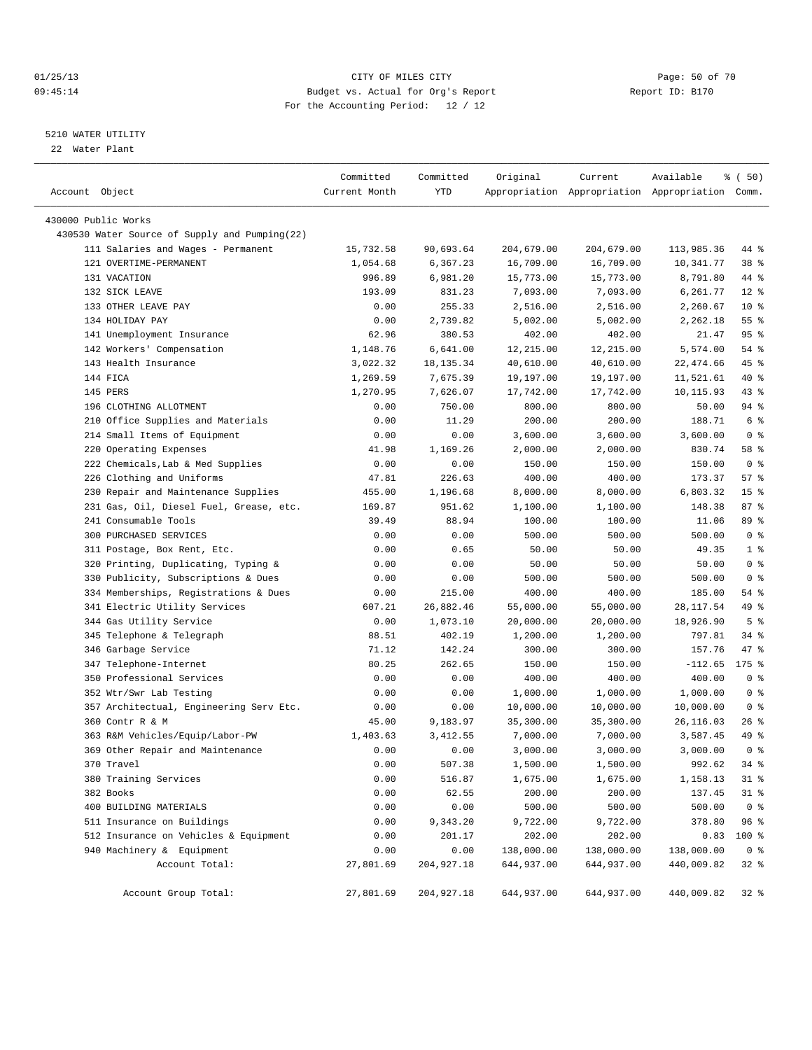#### 01/25/13 CITY OF MILES CITY Page: 50 of 70 09:45:14 Budget vs. Actual for Org's Report Changer Report ID: B170 For the Accounting Period: 12 / 12

————————————————————————————————————————————————————————————————————————————————————————————————————————————————————————————————————

#### 5210 WATER UTILITY

22 Water Plant

|                                               | Committed     | Committed   | Original   | Current    | Available                                       | $\frac{1}{6}$ (50) |
|-----------------------------------------------|---------------|-------------|------------|------------|-------------------------------------------------|--------------------|
| Account Object                                | Current Month | YTD         |            |            | Appropriation Appropriation Appropriation Comm. |                    |
|                                               |               |             |            |            |                                                 |                    |
| 430000 Public Works                           |               |             |            |            |                                                 |                    |
| 430530 Water Source of Supply and Pumping(22) |               |             |            |            |                                                 |                    |
| 111 Salaries and Wages - Permanent            | 15,732.58     | 90,693.64   | 204,679.00 | 204,679.00 | 113,985.36                                      | 44 %               |
| 121 OVERTIME-PERMANENT                        | 1,054.68      | 6,367.23    | 16,709.00  | 16,709.00  | 10,341.77                                       | 38 <sup>8</sup>    |
| 131 VACATION                                  | 996.89        | 6,981.20    | 15,773.00  | 15,773.00  | 8,791.80                                        | 44 %               |
| 132 SICK LEAVE                                | 193.09        | 831.23      | 7,093.00   | 7,093.00   | 6,261.77                                        | $12*$              |
| 133 OTHER LEAVE PAY                           | 0.00          | 255.33      | 2,516.00   | 2,516.00   | 2,260.67                                        | $10*$              |
| 134 HOLIDAY PAY                               | 0.00          | 2,739.82    | 5,002.00   | 5,002.00   | 2,262.18                                        | $55$ $%$           |
| 141 Unemployment Insurance                    | 62.96         | 380.53      | 402.00     | 402.00     | 21.47                                           | 95%                |
| 142 Workers' Compensation                     | 1,148.76      | 6,641.00    | 12,215.00  | 12,215.00  | 5,574.00                                        | 54 %               |
| 143 Health Insurance                          | 3,022.32      | 18, 135. 34 | 40,610.00  | 40,610.00  | 22, 474.66                                      | 45 %               |
| 144 FICA                                      | 1,269.59      | 7,675.39    | 19,197.00  | 19,197.00  | 11,521.61                                       | 40 %               |
| 145 PERS                                      | 1,270.95      | 7,626.07    | 17,742.00  | 17,742.00  | 10,115.93                                       | 43 %               |
| 196 CLOTHING ALLOTMENT                        | 0.00          | 750.00      | 800.00     | 800.00     | 50.00                                           | 94 %               |
| 210 Office Supplies and Materials             | 0.00          | 11.29       | 200.00     | 200.00     | 188.71                                          | 6 %                |
| 214 Small Items of Equipment                  | 0.00          | 0.00        | 3,600.00   | 3,600.00   | 3,600.00                                        | 0 <sup>8</sup>     |
| 220 Operating Expenses                        | 41.98         | 1,169.26    | 2,000.00   | 2,000.00   | 830.74                                          | 58 %               |
| 222 Chemicals, Lab & Med Supplies             | 0.00          | 0.00        | 150.00     | 150.00     | 150.00                                          | 0 <sup>8</sup>     |
| 226 Clothing and Uniforms                     | 47.81         | 226.63      | 400.00     | 400.00     | 173.37                                          | 57%                |
| 230 Repair and Maintenance Supplies           | 455.00        | 1,196.68    | 8,000.00   | 8,000.00   | 6,803.32                                        | 15 <sup>°</sup>    |
| 231 Gas, Oil, Diesel Fuel, Grease, etc.       | 169.87        | 951.62      | 1,100.00   | 1,100.00   | 148.38                                          | 87%                |
| 241 Consumable Tools                          | 39.49         | 88.94       | 100.00     | 100.00     | 11.06                                           | 89 %               |
| 300 PURCHASED SERVICES                        | 0.00          | 0.00        | 500.00     | 500.00     | 500.00                                          | 0 <sup>8</sup>     |
| 311 Postage, Box Rent, Etc.                   | 0.00          | 0.65        | 50.00      | 50.00      | 49.35                                           | 1 <sup>8</sup>     |
| 320 Printing, Duplicating, Typing &           | 0.00          | 0.00        | 50.00      | 50.00      | 50.00                                           | 0 <sup>8</sup>     |
| 330 Publicity, Subscriptions & Dues           | 0.00          | 0.00        | 500.00     | 500.00     | 500.00                                          | 0 <sup>8</sup>     |
| 334 Memberships, Registrations & Dues         | 0.00          | 215.00      | 400.00     | 400.00     | 185.00                                          | 54 %               |
| 341 Electric Utility Services                 | 607.21        | 26,882.46   | 55,000.00  | 55,000.00  | 28, 117.54                                      | 49 %               |
| 344 Gas Utility Service                       | 0.00          | 1,073.10    | 20,000.00  | 20,000.00  | 18,926.90                                       | 5 <sup>°</sup>     |
| 345 Telephone & Telegraph                     | 88.51         | 402.19      | 1,200.00   | 1,200.00   | 797.81                                          | $34$ $%$           |
| 346 Garbage Service                           | 71.12         | 142.24      | 300.00     | 300.00     | 157.76                                          | 47 %               |
| 347 Telephone-Internet                        | 80.25         | 262.65      | 150.00     | 150.00     | $-112.65$                                       | $175$ %            |
| 350 Professional Services                     | 0.00          | 0.00        | 400.00     | 400.00     | 400.00                                          | 0 <sup>8</sup>     |
| 352 Wtr/Swr Lab Testing                       | 0.00          | 0.00        | 1,000.00   | 1,000.00   | 1,000.00                                        | 0 <sup>8</sup>     |
| 357 Architectual, Engineering Serv Etc.       | 0.00          | 0.00        | 10,000.00  | 10,000.00  | 10,000.00                                       | 0 <sup>8</sup>     |
| 360 Contr R & M                               | 45.00         | 9,183.97    | 35,300.00  | 35,300.00  | 26,116.03                                       | $26$ %             |
| 363 R&M Vehicles/Equip/Labor-PW               | 1,403.63      | 3, 412.55   | 7,000.00   | 7,000.00   | 3,587.45                                        | 49 %               |
| 369 Other Repair and Maintenance              | 0.00          | 0.00        | 3,000.00   | 3,000.00   | 3,000.00                                        | 0 <sup>8</sup>     |
| 370 Travel                                    | 0.00          | 507.38      | 1,500.00   | 1,500.00   | 992.62                                          | $34$ $%$           |
| 380 Training Services                         | 0.00          | 516.87      | 1,675.00   | 1,675.00   | 1,158.13                                        | $31$ %             |
| 382 Books                                     | 0.00          | 62.55       | 200.00     | 200.00     | 137.45                                          | $31$ %             |
| 400 BUILDING MATERIALS                        | 0.00          | 0.00        | 500.00     | 500.00     | 500.00                                          | 0 <sup>8</sup>     |
| 511 Insurance on Buildings                    | 0.00          | 9,343.20    | 9,722.00   | 9,722.00   | 378.80                                          | 96%                |
| 512 Insurance on Vehicles & Equipment         | 0.00          | 201.17      | 202.00     | 202.00     | 0.83                                            | 100 %              |
| 940 Machinery & Equipment                     | 0.00          | 0.00        | 138,000.00 | 138,000.00 | 138,000.00                                      | 0 <sup>8</sup>     |
| Account Total:                                | 27,801.69     | 204,927.18  | 644,937.00 | 644,937.00 | 440,009.82                                      | 32%                |
| Account Group Total:                          | 27,801.69     | 204,927.18  | 644,937.00 | 644,937.00 | 440,009.82                                      | $32*$              |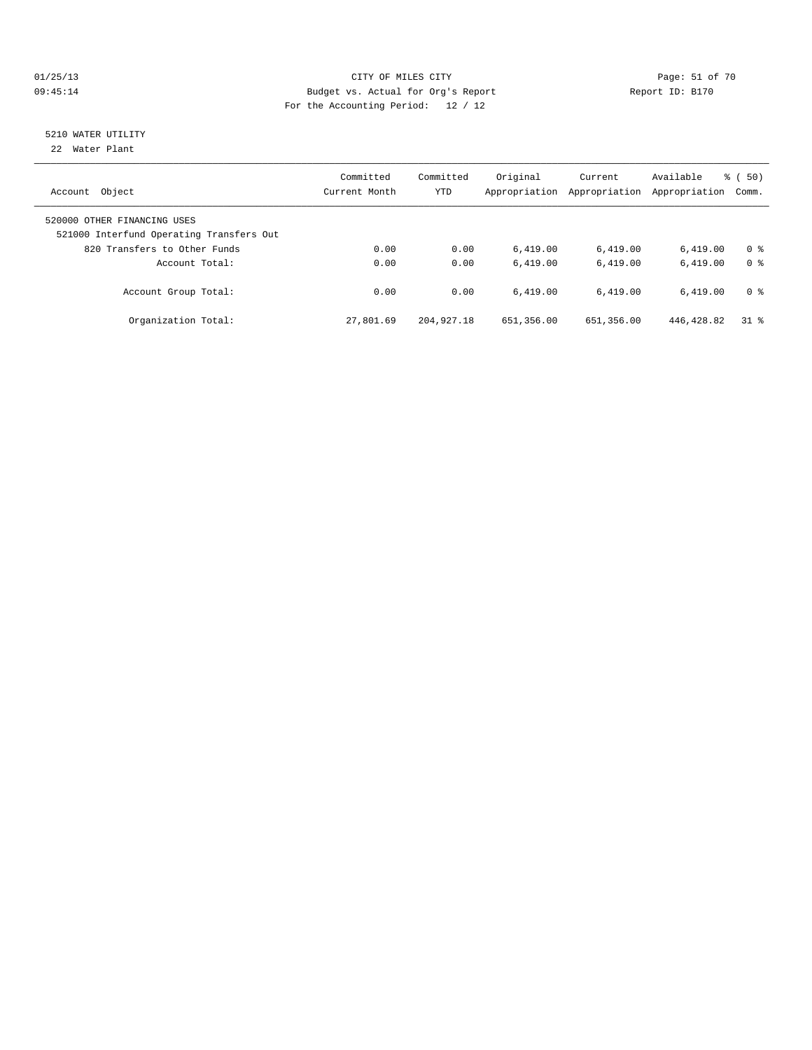#### 01/25/13 Page: 51 of 70 09:45:14 Budget vs. Actual for Org's Report Communication of Report ID: B170 For the Accounting Period: 12 / 12

# 5210 WATER UTILITY

22 Water Plant

| Object<br>Account                                                       | Committed<br>Current Month | Committed<br><b>YTD</b> | Original<br>Appropriation | Current<br>Appropriation | Available<br>Appropriation | $\frac{1}{6}$ (50)<br>Comm. |
|-------------------------------------------------------------------------|----------------------------|-------------------------|---------------------------|--------------------------|----------------------------|-----------------------------|
| 520000 OTHER FINANCING USES<br>521000 Interfund Operating Transfers Out |                            |                         |                           |                          |                            |                             |
| 820 Transfers to Other Funds                                            | 0.00                       | 0.00                    | 6.419.00                  | 6,419.00                 | 6.419.00                   | 0 %                         |
| Account Total:                                                          | 0.00                       | 0.00                    | 6.419.00                  | 6.419.00                 | 6.419.00                   | 0 <sup>8</sup>              |
| Account Group Total:                                                    | 0.00                       | 0.00                    | 6.419.00                  | 6.419.00                 | 6.419.00                   | 0 %                         |
| Organization Total:                                                     | 27,801.69                  | 204, 927. 18            | 651,356.00                | 651,356.00               | 446, 428.82                | 318                         |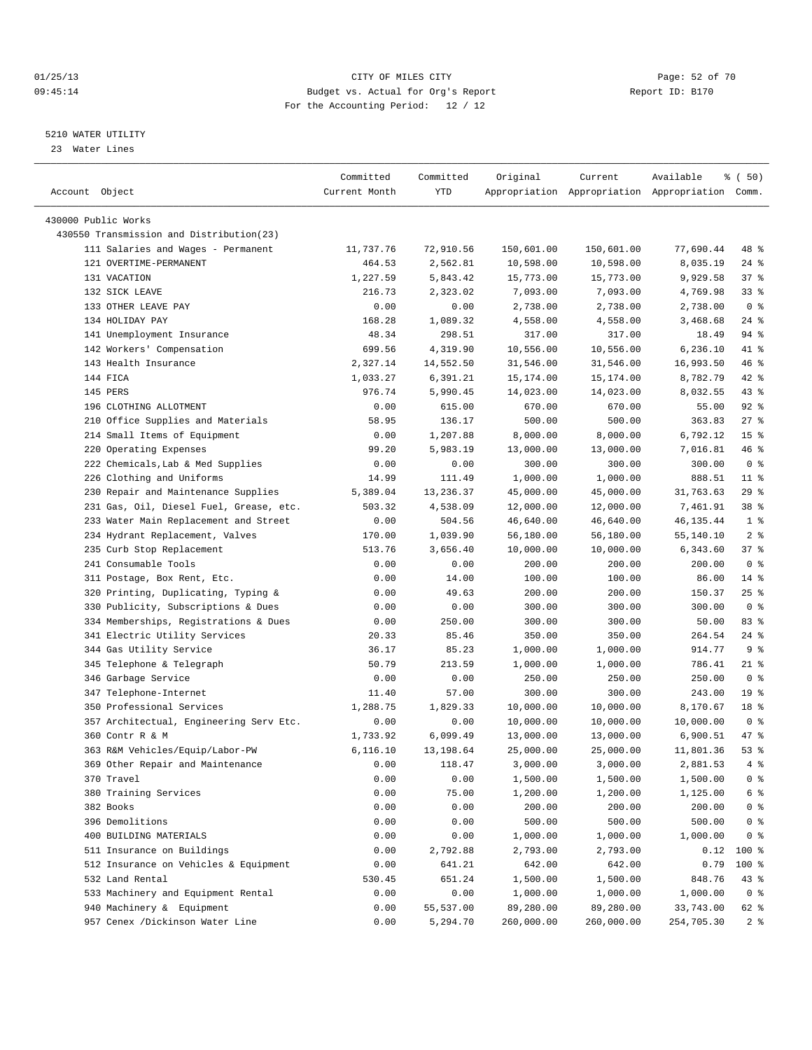#### 01/25/13 Page: 52 of 70 09:45:14 Budget vs. Actual for Org's Report Changer Report ID: B170 For the Accounting Period: 12 / 12

————————————————————————————————————————————————————————————————————————————————————————————————————————————————————————————————————

#### 5210 WATER UTILITY

23 Water Lines

| Account Object                           | Committed<br>Current Month | Committed<br>YTD | Original   | Current    | Available<br>Appropriation Appropriation Appropriation Comm. | % (50)          |
|------------------------------------------|----------------------------|------------------|------------|------------|--------------------------------------------------------------|-----------------|
| 430000 Public Works                      |                            |                  |            |            |                                                              |                 |
| 430550 Transmission and Distribution(23) |                            |                  |            |            |                                                              |                 |
| 111 Salaries and Wages - Permanent       | 11,737.76                  | 72,910.56        | 150,601.00 | 150,601.00 | 77,690.44                                                    | 48 %            |
| 121 OVERTIME-PERMANENT                   | 464.53                     | 2,562.81         | 10,598.00  | 10,598.00  | 8,035.19                                                     | $24$ %          |
| 131 VACATION                             | 1,227.59                   | 5,843.42         | 15,773.00  | 15,773.00  | 9,929.58                                                     | 37%             |
| 132 SICK LEAVE                           | 216.73                     | 2,323.02         | 7,093.00   | 7,093.00   | 4,769.98                                                     | $33$ $%$        |
| 133 OTHER LEAVE PAY                      | 0.00                       | 0.00             | 2,738.00   | 2,738.00   | 2,738.00                                                     | 0 <sup>8</sup>  |
| 134 HOLIDAY PAY                          | 168.28                     | 1,089.32         | 4,558.00   | 4,558.00   | 3,468.68                                                     | $24$ %          |
| 141 Unemployment Insurance               | 48.34                      | 298.51           | 317.00     | 317.00     | 18.49                                                        | 94 %            |
| 142 Workers' Compensation                | 699.56                     | 4,319.90         | 10,556.00  | 10,556.00  | 6,236.10                                                     | 41 %            |
| 143 Health Insurance                     | 2,327.14                   | 14,552.50        | 31,546.00  | 31,546.00  | 16,993.50                                                    | 46 %            |
| 144 FICA                                 | 1,033.27                   | 6,391.21         | 15,174.00  | 15,174.00  | 8,782.79                                                     | $42$ %          |
| 145 PERS                                 | 976.74                     | 5,990.45         | 14,023.00  | 14,023.00  | 8,032.55                                                     | 43 %            |
| 196 CLOTHING ALLOTMENT                   | 0.00                       | 615.00           | 670.00     | 670.00     | 55.00                                                        | $92$ $%$        |
| 210 Office Supplies and Materials        | 58.95                      | 136.17           | 500.00     | 500.00     | 363.83                                                       | $27$ %          |
| 214 Small Items of Equipment             | 0.00                       | 1,207.88         | 8,000.00   | 8,000.00   | 6,792.12                                                     | 15 <sup>°</sup> |
| 220 Operating Expenses                   | 99.20                      | 5,983.19         | 13,000.00  | 13,000.00  | 7,016.81                                                     | 46 %            |
| 222 Chemicals, Lab & Med Supplies        | 0.00                       | 0.00             | 300.00     | 300.00     | 300.00                                                       | 0 <sup>8</sup>  |
| 226 Clothing and Uniforms                | 14.99                      | 111.49           | 1,000.00   | 1,000.00   | 888.51                                                       | $11$ %          |
| 230 Repair and Maintenance Supplies      | 5,389.04                   | 13,236.37        | 45,000.00  | 45,000.00  | 31,763.63                                                    | $29$ %          |
| 231 Gas, Oil, Diesel Fuel, Grease, etc.  | 503.32                     | 4,538.09         | 12,000.00  | 12,000.00  | 7,461.91                                                     | 38 %            |
| 233 Water Main Replacement and Street    | 0.00                       | 504.56           | 46,640.00  | 46,640.00  | 46, 135. 44                                                  | 1 <sup>8</sup>  |
| 234 Hydrant Replacement, Valves          | 170.00                     | 1,039.90         | 56,180.00  | 56,180.00  | 55,140.10                                                    | 2 <sup>8</sup>  |
| 235 Curb Stop Replacement                | 513.76                     | 3,656.40         | 10,000.00  | 10,000.00  | 6,343.60                                                     | 37%             |
| 241 Consumable Tools                     | 0.00                       | 0.00             | 200.00     | 200.00     | 200.00                                                       | 0 <sup>8</sup>  |
| 311 Postage, Box Rent, Etc.              | 0.00                       | 14.00            | 100.00     | 100.00     | 86.00                                                        | $14*$           |
| 320 Printing, Duplicating, Typing &      | 0.00                       | 49.63            | 200.00     | 200.00     | 150.37                                                       | $25$ $%$        |
| 330 Publicity, Subscriptions & Dues      | 0.00                       | 0.00             | 300.00     | 300.00     | 300.00                                                       | 0 <sup>8</sup>  |
| 334 Memberships, Registrations & Dues    | 0.00                       | 250.00           | 300.00     | 300.00     | 50.00                                                        | 83%             |
| 341 Electric Utility Services            | 20.33                      | 85.46            | 350.00     | 350.00     | 264.54                                                       | $24$ %          |
| 344 Gas Utility Service                  | 36.17                      | 85.23            | 1,000.00   | 1,000.00   | 914.77                                                       | 9%              |
| 345 Telephone & Telegraph                | 50.79                      | 213.59           | 1,000.00   | 1,000.00   | 786.41                                                       | $21$ %          |
| 346 Garbage Service                      | 0.00                       | 0.00             | 250.00     | 250.00     | 250.00                                                       | 0 <sup>8</sup>  |
| 347 Telephone-Internet                   | 11.40                      | 57.00            | 300.00     | 300.00     | 243.00                                                       | 19 <sup>°</sup> |
| 350 Professional Services                | 1,288.75                   | 1,829.33         | 10,000.00  | 10,000.00  | 8,170.67                                                     | 18 <sup>°</sup> |
| 357 Architectual, Engineering Serv Etc.  | 0.00                       | 0.00             | 10,000.00  | 10,000.00  | 10,000.00                                                    | 0 <sup>8</sup>  |
| 360 Contr R & M                          | 1,733.92                   | 6,099.49         | 13,000.00  | 13,000.00  | 6,900.51                                                     | 47 %            |
| 363 R&M Vehicles/Equip/Labor-PW          | 6,116.10                   | 13,198.64        | 25,000.00  | 25,000.00  | 11,801.36                                                    | 53%             |
| 369 Other Repair and Maintenance         | 0.00                       | 118.47           | 3,000.00   | 3,000.00   | 2,881.53                                                     | $4$ %           |
| 370 Travel                               | 0.00                       | 0.00             | 1,500.00   | 1,500.00   | 1,500.00                                                     | 0 <sup>8</sup>  |
| 380 Training Services                    | 0.00                       | 75.00            | 1,200.00   | 1,200.00   | 1,125.00                                                     | $6\degree$      |
| 382 Books                                | 0.00                       | 0.00             | 200.00     | 200.00     | 200.00                                                       | $0$ %           |
| 396 Demolitions                          | 0.00                       | 0.00             | 500.00     | 500.00     | 500.00                                                       | $0$ %           |
| 400 BUILDING MATERIALS                   | 0.00                       | 0.00             | 1,000.00   | 1,000.00   | 1,000.00                                                     | 0 <sup>8</sup>  |
| 511 Insurance on Buildings               | 0.00                       | 2,792.88         | 2,793.00   | 2,793.00   | 0.12                                                         | $100$ %         |
| 512 Insurance on Vehicles & Equipment    | 0.00                       | 641.21           | 642.00     | 642.00     | 0.79                                                         | 100 %           |
| 532 Land Rental                          | 530.45                     | 651.24           | 1,500.00   | 1,500.00   | 848.76                                                       | 43 %            |
| 533 Machinery and Equipment Rental       | 0.00                       | 0.00             | 1,000.00   | 1,000.00   | 1,000.00                                                     | 0 <sup>8</sup>  |
| 940 Machinery & Equipment                | 0.00                       | 55,537.00        | 89,280.00  | 89,280.00  | 33,743.00                                                    | 62 %            |
| 957 Cenex /Dickinson Water Line          | 0.00                       | 5,294.70         | 260,000.00 | 260,000.00 | 254,705.30                                                   | 2 <sub>8</sub>  |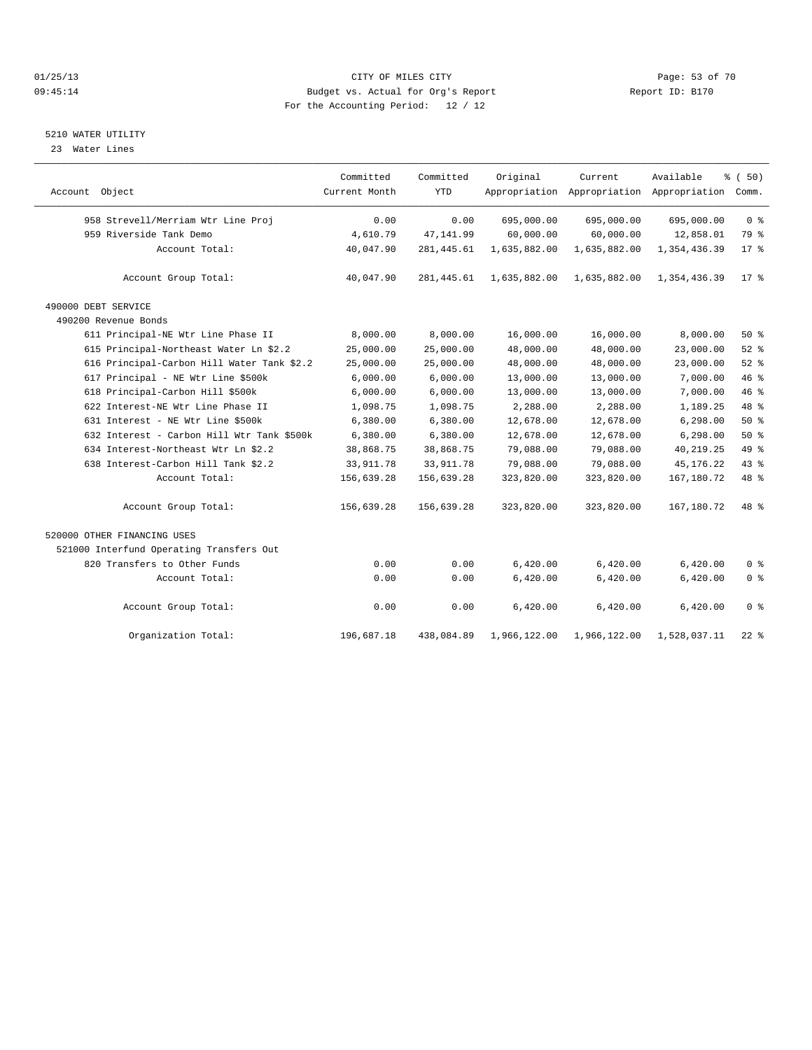#### 01/25/13 Page: 53 of 70 09:45:14 Budget vs. Actual for Org's Report Changer Report ID: B170 For the Accounting Period: 12 / 12

## 5210 WATER UTILITY

23 Water Lines

|                                            | Committed     | Committed   | Original     | Current      | Available                                 | % (50)         |
|--------------------------------------------|---------------|-------------|--------------|--------------|-------------------------------------------|----------------|
| Account Object                             | Current Month | <b>YTD</b>  |              |              | Appropriation Appropriation Appropriation | Comm.          |
| 958 Strevell/Merriam Wtr Line Proj         | 0.00          | 0.00        | 695,000.00   | 695,000.00   | 695,000.00                                | 0 <sup>8</sup> |
| 959 Riverside Tank Demo                    | 4,610.79      | 47, 141.99  | 60,000.00    | 60,000.00    | 12,858.01                                 | 79 %           |
| Account Total:                             | 40,047.90     | 281, 445.61 | 1,635,882.00 | 1,635,882.00 | 1,354,436.39                              | 17.8           |
| Account Group Total:                       | 40,047.90     | 281, 445.61 | 1,635,882.00 | 1,635,882.00 | 1,354,436.39                              | $17$ %         |
| 490000 DEBT SERVICE                        |               |             |              |              |                                           |                |
| 490200 Revenue Bonds                       |               |             |              |              |                                           |                |
| 611 Principal-NE Wtr Line Phase II         | 8,000.00      | 8,000.00    | 16,000.00    | 16,000.00    | 8,000.00                                  | 50%            |
| 615 Principal-Northeast Water Ln \$2.2     | 25,000.00     | 25,000.00   | 48,000.00    | 48,000.00    | 23,000.00                                 | 52%            |
| 616 Principal-Carbon Hill Water Tank \$2.2 | 25,000.00     | 25,000.00   | 48,000.00    | 48,000.00    | 23,000.00                                 | 52%            |
| 617 Principal - NE Wtr Line \$500k         | 6,000.00      | 6,000.00    | 13,000.00    | 13,000.00    | 7,000.00                                  | 46 %           |
| 618 Principal-Carbon Hill \$500k           | 6,000.00      | 6,000.00    | 13,000.00    | 13,000.00    | 7,000.00                                  | 46 %           |
| 622 Interest-NE Wtr Line Phase II          | 1,098.75      | 1,098.75    | 2,288.00     | 2,288.00     | 1,189.25                                  | 48 %           |
| 631 Interest - NE Wtr Line \$500k          | 6,380.00      | 6,380.00    | 12,678.00    | 12,678.00    | 6,298.00                                  | $50*$          |
| 632 Interest - Carbon Hill Wtr Tank \$500k | 6,380.00      | 6,380.00    | 12,678.00    | 12,678.00    | 6, 298.00                                 | 50%            |
| 634 Interest-Northeast Wtr Ln \$2.2        | 38,868.75     | 38,868.75   | 79,088.00    | 79,088.00    | 40, 219. 25                               | 49 %           |
| 638 Interest-Carbon Hill Tank \$2.2        | 33, 911.78    | 33, 911.78  | 79,088.00    | 79,088.00    | 45, 176. 22                               | 43 %           |
| Account Total:                             | 156,639.28    | 156,639.28  | 323,820.00   | 323,820.00   | 167, 180. 72                              | 48 %           |
| Account Group Total:                       | 156,639.28    | 156,639.28  | 323,820.00   | 323,820.00   | 167,180.72                                | 48 %           |
| 520000 OTHER FINANCING USES                |               |             |              |              |                                           |                |
| 521000 Interfund Operating Transfers Out   |               |             |              |              |                                           |                |
| 820 Transfers to Other Funds               | 0.00          | 0.00        | 6,420.00     | 6,420.00     | 6,420.00                                  | 0 <sup>8</sup> |
| Account Total:                             | 0.00          | 0.00        | 6,420.00     | 6,420.00     | 6,420.00                                  | 0 <sup>°</sup> |
| Account Group Total:                       | 0.00          | 0.00        | 6,420.00     | 6,420.00     | 6,420.00                                  | 0 <sup>8</sup> |
| Organization Total:                        | 196,687.18    | 438,084.89  | 1,966,122.00 | 1,966,122.00 | 1,528,037.11                              | $22$ %         |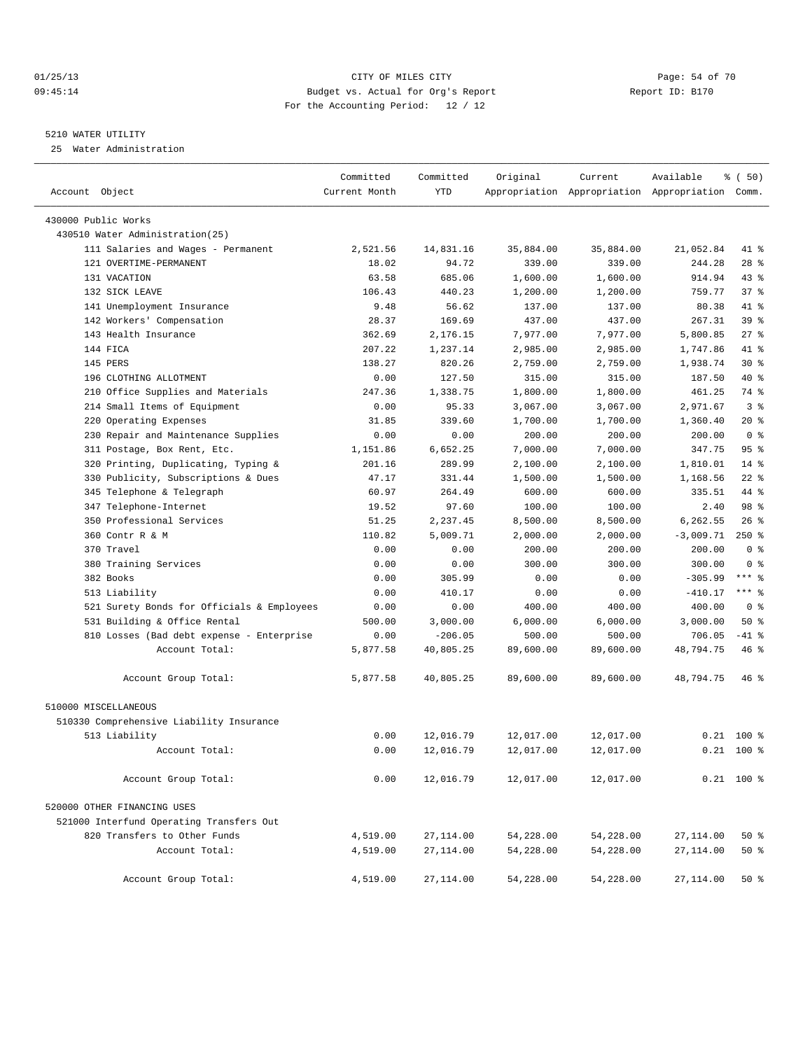#### 01/25/13 Page: 54 of 70 09:45:14 Budget vs. Actual for Org's Report Changer Report ID: B170 For the Accounting Period: 12 / 12

————————————————————————————————————————————————————————————————————————————————————————————————————————————————————————————————————

#### 5210 WATER UTILITY

25 Water Administration

|                                            | Committed     | Committed  | Original  | Current                                         | Available   | $\frac{1}{6}$ (50) |
|--------------------------------------------|---------------|------------|-----------|-------------------------------------------------|-------------|--------------------|
| Account Object                             | Current Month | <b>YTD</b> |           | Appropriation Appropriation Appropriation Comm. |             |                    |
| 430000 Public Works                        |               |            |           |                                                 |             |                    |
| 430510 Water Administration(25)            |               |            |           |                                                 |             |                    |
| 111 Salaries and Wages - Permanent         | 2,521.56      | 14,831.16  | 35,884.00 | 35,884.00                                       | 21,052.84   | 41 %               |
| 121 OVERTIME-PERMANENT                     | 18.02         | 94.72      | 339.00    | 339.00                                          | 244.28      | $28$ %             |
| 131 VACATION                               | 63.58         | 685.06     | 1,600.00  | 1,600.00                                        | 914.94      | $43$ %             |
| 132 SICK LEAVE                             | 106.43        | 440.23     | 1,200.00  | 1,200.00                                        | 759.77      | 37%                |
| 141 Unemployment Insurance                 | 9.48          | 56.62      | 137.00    | 137.00                                          | 80.38       | 41 %               |
| 142 Workers' Compensation                  | 28.37         | 169.69     | 437.00    | 437.00                                          | 267.31      | 39 %               |
| 143 Health Insurance                       | 362.69        | 2,176.15   | 7,977.00  | 7,977.00                                        | 5,800.85    | $27$ %             |
| 144 FICA                                   | 207.22        | 1,237.14   | 2,985.00  | 2,985.00                                        | 1,747.86    | 41 %               |
| 145 PERS                                   | 138.27        | 820.26     | 2,759.00  | 2,759.00                                        | 1,938.74    | $30*$              |
| 196 CLOTHING ALLOTMENT                     | 0.00          | 127.50     | 315.00    | 315.00                                          | 187.50      | 40 %               |
| 210 Office Supplies and Materials          | 247.36        | 1,338.75   | 1,800.00  | 1,800.00                                        | 461.25      | 74 %               |
| 214 Small Items of Equipment               | 0.00          | 95.33      | 3,067.00  | 3,067.00                                        | 2,971.67    | 3%                 |
| 220 Operating Expenses                     | 31.85         | 339.60     | 1,700.00  | 1,700.00                                        | 1,360.40    | $20*$              |
| 230 Repair and Maintenance Supplies        | 0.00          | 0.00       | 200.00    | 200.00                                          | 200.00      | 0 <sup>8</sup>     |
| 311 Postage, Box Rent, Etc.                | 1,151.86      | 6,652.25   | 7,000.00  | 7,000.00                                        | 347.75      | 95%                |
| 320 Printing, Duplicating, Typing &        | 201.16        | 289.99     | 2,100.00  | 2,100.00                                        | 1,810.01    | $14$ %             |
| 330 Publicity, Subscriptions & Dues        | 47.17         | 331.44     | 1,500.00  | 1,500.00                                        | 1,168.56    | $22$ %             |
| 345 Telephone & Telegraph                  | 60.97         | 264.49     | 600.00    | 600.00                                          | 335.51      | 44 %               |
| 347 Telephone-Internet                     | 19.52         | 97.60      | 100.00    | 100.00                                          | 2.40        | 98 %               |
| 350 Professional Services                  | 51.25         | 2,237.45   | 8,500.00  | 8,500.00                                        | 6,262.55    | $26$ %             |
| 360 Contr R & M                            | 110.82        | 5,009.71   | 2,000.00  | 2,000.00                                        | $-3,009.71$ | $250*$             |
| 370 Travel                                 | 0.00          | 0.00       | 200.00    | 200.00                                          | 200.00      | 0 <sup>8</sup>     |
| 380 Training Services                      | 0.00          | 0.00       | 300.00    | 300.00                                          | 300.00      | 0 <sup>8</sup>     |
| 382 Books                                  | 0.00          | 305.99     | 0.00      | 0.00                                            | $-305.99$   | $***$ $-$          |
| 513 Liability                              | 0.00          | 410.17     | 0.00      | 0.00                                            | $-410.17$   | $***$ $-$          |
| 521 Surety Bonds for Officials & Employees | 0.00          | 0.00       | 400.00    | 400.00                                          | 400.00      | 0 <sup>8</sup>     |
| 531 Building & Office Rental               | 500.00        | 3,000.00   | 6,000.00  | 6,000.00                                        | 3,000.00    | 50%                |
| 810 Losses (Bad debt expense - Enterprise  | 0.00          | $-206.05$  | 500.00    | 500.00                                          | 706.05      | $-41$ %            |
| Account Total:                             | 5,877.58      | 40,805.25  | 89,600.00 | 89,600.00                                       | 48,794.75   | 46 %               |
| Account Group Total:                       | 5,877.58      | 40,805.25  | 89,600.00 | 89,600.00                                       | 48,794.75   | 46 %               |
| 510000 MISCELLANEOUS                       |               |            |           |                                                 |             |                    |
| 510330 Comprehensive Liability Insurance   |               |            |           |                                                 |             |                    |
| 513 Liability                              | 0.00          | 12,016.79  | 12,017.00 | 12,017.00                                       | 0.21        | $100*$             |
| Account Total:                             | 0.00          | 12,016.79  | 12,017.00 | 12,017.00                                       |             | $0.21$ 100 %       |
| Account Group Total:                       | 0.00          | 12,016.79  | 12,017.00 | 12,017.00                                       |             | $0.21$ 100 %       |
| 520000 OTHER FINANCING USES                |               |            |           |                                                 |             |                    |
| 521000 Interfund Operating Transfers Out   |               |            |           |                                                 |             |                    |
| 820 Transfers to Other Funds               | 4,519.00      | 27,114.00  | 54,228.00 | 54,228.00                                       | 27, 114.00  | 50%                |
| Account Total:                             | 4,519.00      | 27, 114.00 | 54,228.00 | 54,228.00                                       | 27, 114.00  | 50%                |
| Account Group Total:                       | 4,519.00      | 27, 114.00 | 54,228.00 | 54,228.00                                       | 27, 114.00  | 50%                |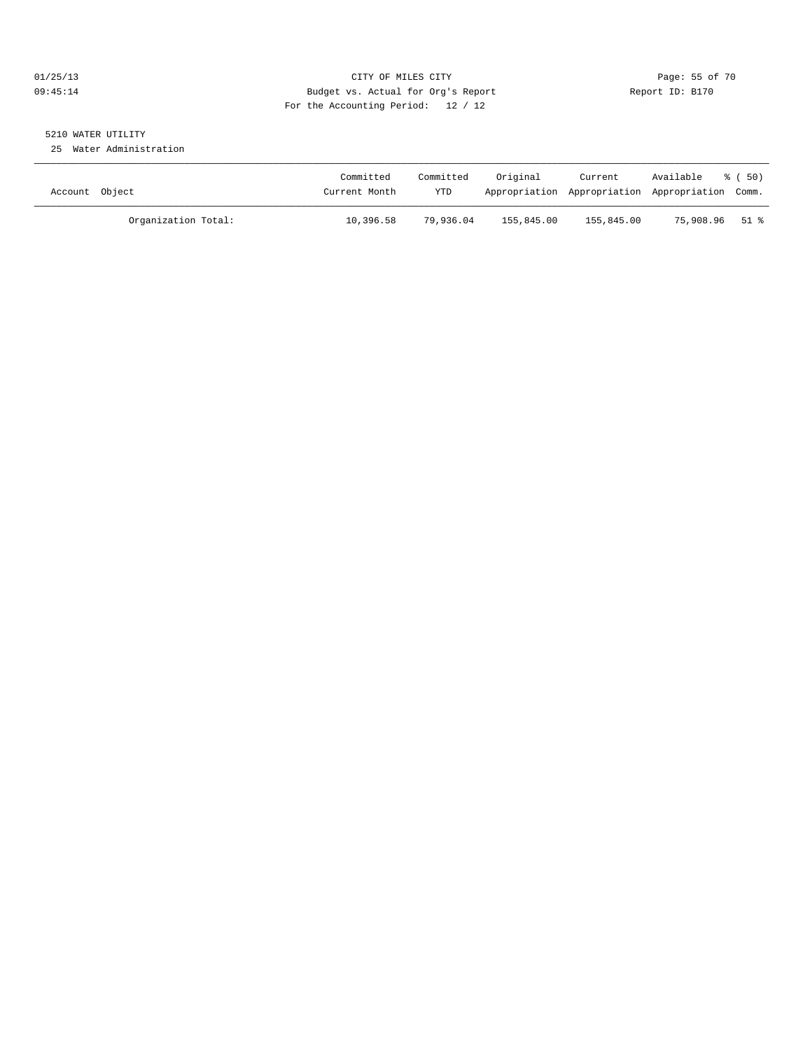## 01/25/13 Page: 55 of 70 09:45:14 Budget vs. Actual for Org's Report Changer Report ID: B170 For the Accounting Period: 12 / 12

## 5210 WATER UTILITY

25 Water Administration

| Account Object |                     | Committed<br>Current Month | Committed<br>YTD | Original   | Current<br>Appropriation Appropriation Appropriation Comm. | Available | $\frac{6}{6}$ (50) |
|----------------|---------------------|----------------------------|------------------|------------|------------------------------------------------------------|-----------|--------------------|
|                | Organization Total: | 10,396.58                  | 79,936.04        | 155,845.00 | 155,845.00                                                 | 75,908.96 | 51 %               |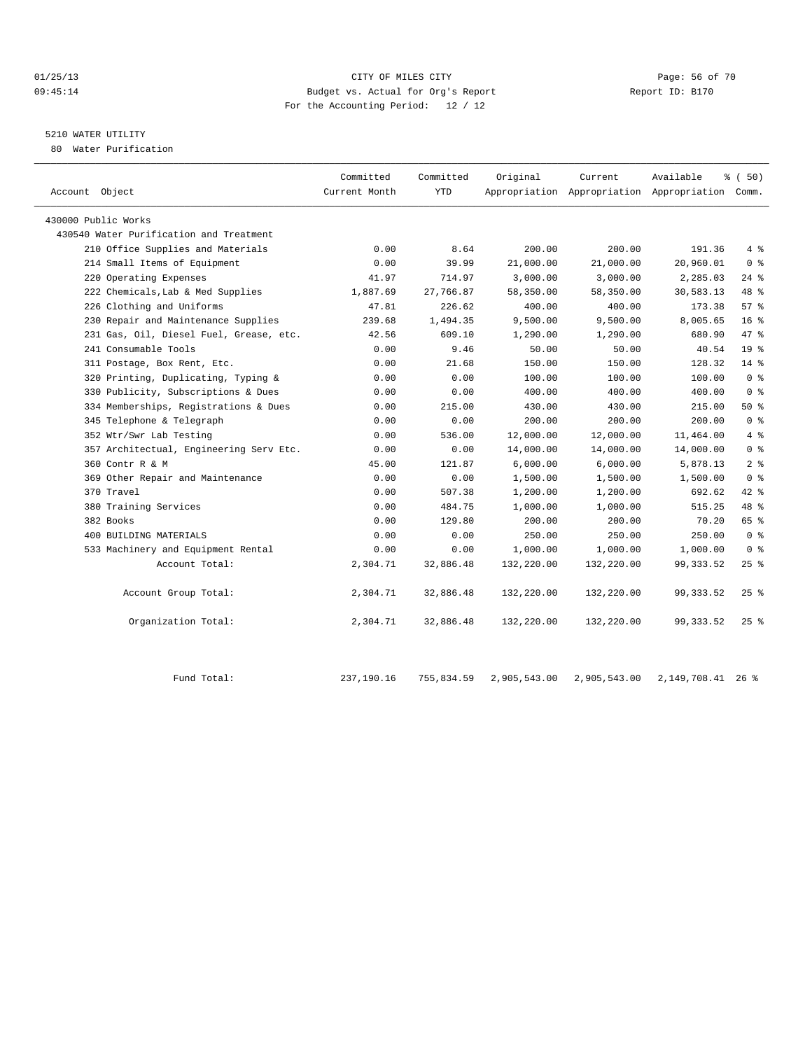#### 01/25/13 Page: 56 of 70 09:45:14 Budget vs. Actual for Org's Report Report ID: B170 For the Accounting Period: 12 / 12

## 5210 WATER UTILITY

80 Water Purification

| Account Object                          | Committed<br>Current Month | Committed<br>YTD | Original     | Current      | Available<br>Appropriation Appropriation Appropriation Comm. | % (50)          |
|-----------------------------------------|----------------------------|------------------|--------------|--------------|--------------------------------------------------------------|-----------------|
| 430000 Public Works                     |                            |                  |              |              |                                                              |                 |
| 430540 Water Purification and Treatment |                            |                  |              |              |                                                              |                 |
| 210 Office Supplies and Materials       | 0.00                       | 8.64             | 200.00       | 200.00       | 191.36                                                       | 4%              |
| 214 Small Items of Equipment            | 0.00                       | 39.99            | 21,000.00    | 21,000.00    | 20,960.01                                                    | 0 <sup>8</sup>  |
| 220 Operating Expenses                  | 41.97                      | 714.97           | 3,000.00     | 3,000.00     | 2,285.03                                                     | $24$ %          |
| 222 Chemicals, Lab & Med Supplies       | 1,887.69                   | 27,766.87        | 58,350.00    | 58,350.00    | 30,583.13                                                    | 48 %            |
| 226 Clothing and Uniforms               | 47.81                      | 226.62           | 400.00       | 400.00       | 173.38                                                       | 57%             |
| 230 Repair and Maintenance Supplies     | 239.68                     | 1,494.35         | 9,500.00     | 9,500.00     | 8,005.65                                                     | $16*$           |
| 231 Gas, Oil, Diesel Fuel, Grease, etc. | 42.56                      | 609.10           | 1,290.00     | 1,290.00     | 680.90                                                       | 47 %            |
| 241 Consumable Tools                    | 0.00                       | 9.46             | 50.00        | 50.00        | 40.54                                                        | 19 <sup>°</sup> |
| 311 Postage, Box Rent, Etc.             | 0.00                       | 21.68            | 150.00       | 150.00       | 128.32                                                       | 14.8            |
| 320 Printing, Duplicating, Typing &     | 0.00                       | 0.00             | 100.00       | 100.00       | 100.00                                                       | 0 <sup>8</sup>  |
| 330 Publicity, Subscriptions & Dues     | 0.00                       | 0.00             | 400.00       | 400.00       | 400.00                                                       | 0 <sup>8</sup>  |
| 334 Memberships, Registrations & Dues   | 0.00                       | 215.00           | 430.00       | 430.00       | 215.00                                                       | 50%             |
| 345 Telephone & Telegraph               | 0.00                       | 0.00             | 200.00       | 200.00       | 200.00                                                       | 0 <sup>8</sup>  |
| 352 Wtr/Swr Lab Testing                 | 0.00                       | 536.00           | 12,000.00    | 12,000.00    | 11,464.00                                                    | 4%              |
| 357 Architectual, Engineering Serv Etc. | 0.00                       | 0.00             | 14,000.00    | 14,000.00    | 14,000.00                                                    | 0 <sup>8</sup>  |
| 360 Contr R & M                         | 45.00                      | 121.87           | 6,000.00     | 6,000.00     | 5,878.13                                                     | 2 <sub>8</sub>  |
| 369 Other Repair and Maintenance        | 0.00                       | 0.00             | 1,500.00     | 1,500.00     | 1,500.00                                                     | 0 <sup>8</sup>  |
| 370 Travel                              | 0.00                       | 507.38           | 1,200.00     | 1,200.00     | 692.62                                                       | 42 %            |
| 380 Training Services                   | 0.00                       | 484.75           | 1,000.00     | 1,000.00     | 515.25                                                       | 48 %            |
| 382 Books                               | 0.00                       | 129.80           | 200.00       | 200.00       | 70.20                                                        | 65 %            |
| 400 BUILDING MATERIALS                  | 0.00                       | 0.00             | 250.00       | 250.00       | 250.00                                                       | 0 <sup>8</sup>  |
| 533 Machinery and Equipment Rental      | 0.00                       | 0.00             | 1,000.00     | 1,000.00     | 1,000.00                                                     | 0 <sup>8</sup>  |
| Account Total:                          | 2,304.71                   | 32,886.48        | 132,220.00   | 132,220.00   | 99, 333.52                                                   | $25$ %          |
| Account Group Total:                    | 2,304.71                   | 32,886.48        | 132,220.00   | 132,220.00   | 99, 333.52                                                   | $25$ %          |
| Organization Total:                     | 2,304.71                   | 32,886.48        | 132,220.00   | 132,220.00   | 99, 333.52                                                   | $25$ %          |
| Fund Total:                             | 237,190.16                 | 755,834.59       | 2,905,543.00 | 2,905,543.00 | 2, 149, 708. 41 26 %                                         |                 |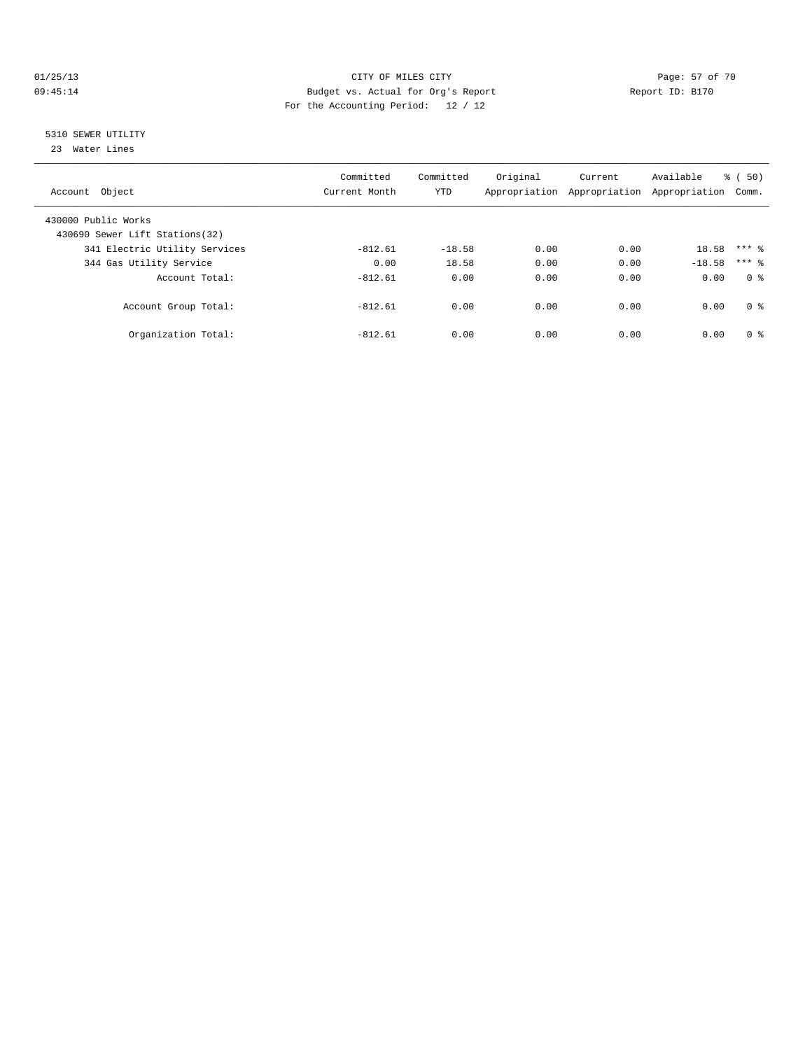#### 01/25/13 Page: 57 of 70 09:45:14 Budget vs. Actual for Org's Report Changer Report ID: B170 For the Accounting Period: 12 / 12

## 5310 SEWER UTILITY

23 Water Lines

| Account Object                                        | Committed<br>Current Month | Committed<br><b>YTD</b> | Original | Current<br>Appropriation Appropriation Appropriation | Available | $\frac{1}{6}$ (50)<br>Comm. |
|-------------------------------------------------------|----------------------------|-------------------------|----------|------------------------------------------------------|-----------|-----------------------------|
| 430000 Public Works<br>430690 Sewer Lift Stations(32) |                            |                         |          |                                                      |           |                             |
| 341 Electric Utility Services                         | $-812.61$                  | $-18.58$                | 0.00     | 0.00                                                 | 18.58     | $***$ 2                     |
| 344 Gas Utility Service                               | 0.00                       | 18.58                   | 0.00     | 0.00                                                 | $-18.58$  | $***$ 2                     |
| Account Total:                                        | $-812.61$                  | 0.00                    | 0.00     | 0.00                                                 | 0.00      | 0 <sup>8</sup>              |
| Account Group Total:                                  | $-812.61$                  | 0.00                    | 0.00     | 0.00                                                 | 0.00      | 0 <sup>8</sup>              |
| Organization Total:                                   | $-812.61$                  | 0.00                    | 0.00     | 0.00                                                 | 0.00      | 0 <sup>8</sup>              |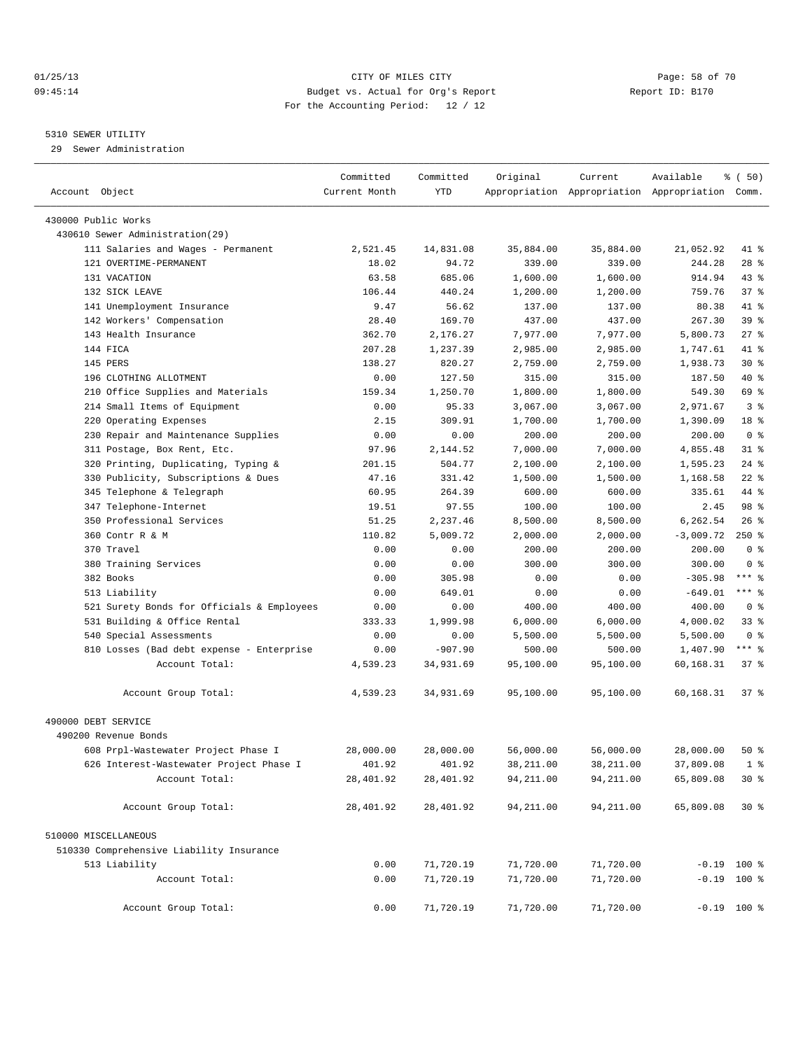#### 01/25/13 CITY OF MILES CITY Page: 58 of 70 09:45:14 Budget vs. Actual for Org's Report Changer Report ID: B170 For the Accounting Period: 12 / 12

————————————————————————————————————————————————————————————————————————————————————————————————————————————————————————————————————

#### 5310 SEWER UTILITY

29 Sewer Administration

|                                            | Committed     | Committed  | Original   | Current    | Available                                       | $\frac{1}{6}$ (50) |  |
|--------------------------------------------|---------------|------------|------------|------------|-------------------------------------------------|--------------------|--|
| Account Object                             | Current Month | <b>YTD</b> |            |            | Appropriation Appropriation Appropriation Comm. |                    |  |
| 430000 Public Works                        |               |            |            |            |                                                 |                    |  |
| 430610 Sewer Administration(29)            |               |            |            |            |                                                 |                    |  |
| 111 Salaries and Wages - Permanent         | 2,521.45      | 14,831.08  | 35,884.00  | 35,884.00  | 21,052.92                                       | 41 %               |  |
| 121 OVERTIME-PERMANENT                     | 18.02         | 94.72      | 339.00     | 339.00     | 244.28                                          | $28$ %             |  |
| 131 VACATION                               | 63.58         | 685.06     | 1,600.00   | 1,600.00   | 914.94                                          | 43 %               |  |
| 132 SICK LEAVE                             | 106.44        | 440.24     | 1,200.00   | 1,200.00   | 759.76                                          | 37%                |  |
| 141 Unemployment Insurance                 | 9.47          | 56.62      | 137.00     | 137.00     | 80.38                                           | 41 %               |  |
| 142 Workers' Compensation                  | 28.40         | 169.70     | 437.00     | 437.00     | 267.30                                          | 39 %               |  |
| 143 Health Insurance                       | 362.70        | 2,176.27   | 7,977.00   | 7,977.00   | 5,800.73                                        | $27$ %             |  |
| 144 FICA                                   | 207.28        | 1,237.39   | 2,985.00   | 2,985.00   | 1,747.61                                        | 41 %               |  |
| 145 PERS                                   | 138.27        | 820.27     | 2,759.00   | 2,759.00   | 1,938.73                                        | $30*$              |  |
| 196 CLOTHING ALLOTMENT                     | 0.00          | 127.50     | 315.00     | 315.00     | 187.50                                          | 40 %               |  |
|                                            |               |            |            |            |                                                 | 69 %               |  |
| 210 Office Supplies and Materials          | 159.34        | 1,250.70   | 1,800.00   | 1,800.00   | 549.30                                          |                    |  |
| 214 Small Items of Equipment               | 0.00          | 95.33      | 3,067.00   | 3,067.00   | 2,971.67                                        | 3 <sup>8</sup>     |  |
| 220 Operating Expenses                     | 2.15          | 309.91     | 1,700.00   | 1,700.00   | 1,390.09                                        | 18 %               |  |
| 230 Repair and Maintenance Supplies        | 0.00          | 0.00       | 200.00     | 200.00     | 200.00                                          | 0 <sup>8</sup>     |  |
| 311 Postage, Box Rent, Etc.                | 97.96         | 2,144.52   | 7,000.00   | 7,000.00   | 4,855.48                                        | $31$ $8$           |  |
| 320 Printing, Duplicating, Typing &        | 201.15        | 504.77     | 2,100.00   | 2,100.00   | 1,595.23                                        | $24$ %             |  |
| 330 Publicity, Subscriptions & Dues        | 47.16         | 331.42     | 1,500.00   | 1,500.00   | 1,168.58                                        | $22$ %             |  |
| 345 Telephone & Telegraph                  | 60.95         | 264.39     | 600.00     | 600.00     | 335.61                                          | 44 %               |  |
| 347 Telephone-Internet                     | 19.51         | 97.55      | 100.00     | 100.00     | 2.45                                            | 98 %               |  |
| 350 Professional Services                  | 51.25         | 2,237.46   | 8,500.00   | 8,500.00   | 6,262.54                                        | 26%                |  |
| 360 Contr R & M                            | 110.82        | 5,009.72   | 2,000.00   | 2,000.00   | $-3,009.72$                                     | $250*$             |  |
| 370 Travel                                 | 0.00          | 0.00       | 200.00     | 200.00     | 200.00                                          | 0 <sup>8</sup>     |  |
| 380 Training Services                      | 0.00          | 0.00       | 300.00     | 300.00     | 300.00                                          | 0 <sup>8</sup>     |  |
| 382 Books                                  | 0.00          | 305.98     | 0.00       | 0.00       | $-305.98$                                       | *** 응              |  |
| 513 Liability                              | 0.00          | 649.01     | 0.00       | 0.00       | $-649.01$                                       | *** 응              |  |
| 521 Surety Bonds for Officials & Employees | 0.00          | 0.00       | 400.00     | 400.00     | 400.00                                          | 0 <sup>8</sup>     |  |
| 531 Building & Office Rental               | 333.33        | 1,999.98   | 6,000.00   | 6,000.00   | 4,000.02                                        | $33$ $%$           |  |
| 540 Special Assessments                    | 0.00          | 0.00       | 5,500.00   | 5,500.00   | 5,500.00                                        | 0 <sup>8</sup>     |  |
| 810 Losses (Bad debt expense - Enterprise  | 0.00          | $-907.90$  | 500.00     | 500.00     | 1,407.90                                        | $***$ $%$          |  |
| Account Total:                             | 4,539.23      | 34,931.69  | 95,100.00  | 95,100.00  | 60,168.31                                       | $37$ $%$           |  |
| Account Group Total:                       | 4,539.23      | 34,931.69  | 95,100.00  | 95,100.00  | 60,168.31                                       | 37 <sub>8</sub>    |  |
| 490000 DEBT SERVICE                        |               |            |            |            |                                                 |                    |  |
| 490200 Revenue Bonds                       |               |            |            |            |                                                 |                    |  |
| 608 Prpl-Wastewater Project Phase I        | 28,000.00     | 28,000.00  | 56,000.00  | 56,000.00  | 28,000.00                                       | 50%                |  |
| 626 Interest-Wastewater Project Phase I    | 401.92        | 401.92     | 38,211.00  | 38,211.00  | 37,809.08                                       | 1 <sup>8</sup>     |  |
| Account Total:                             | 28,401.92     | 28,401.92  | 94, 211.00 | 94, 211.00 | 65,809.08                                       | $30*$              |  |
| Account Group Total:                       | 28,401.92     | 28,401.92  | 94, 211.00 | 94, 211.00 | 65,809.08                                       | $30*$              |  |
| 510000 MISCELLANEOUS                       |               |            |            |            |                                                 |                    |  |
| 510330 Comprehensive Liability Insurance   |               |            |            |            |                                                 |                    |  |
| 513 Liability                              | 0.00          | 71,720.19  | 71,720.00  | 71,720.00  | $-0.19$ 100 %                                   |                    |  |
| Account Total:                             | 0.00          | 71,720.19  | 71,720.00  | 71,720.00  | $-0.19$ 100 %                                   |                    |  |
| Account Group Total:                       | 0.00          | 71,720.19  | 71,720.00  | 71,720.00  | $-0.19$ 100 %                                   |                    |  |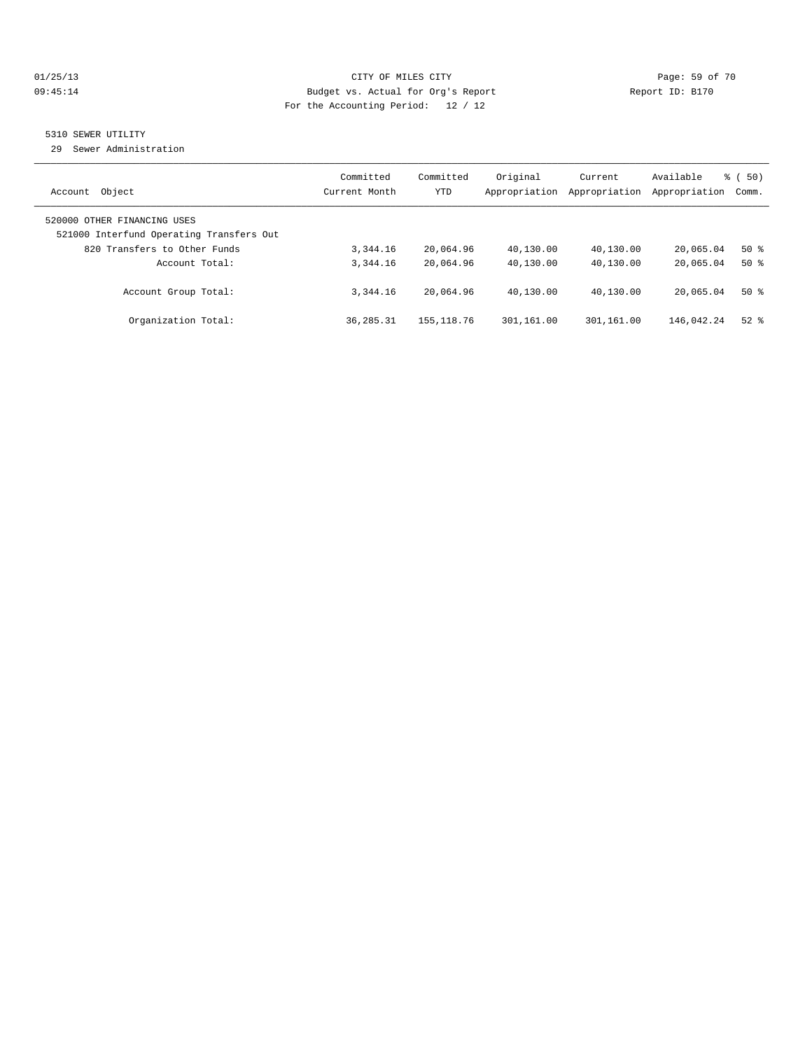#### 01/25/13 Page: 59 of 70 09:45:14 Budget vs. Actual for Org's Report Communication of Report ID: B170 For the Accounting Period: 12 / 12

## 5310 SEWER UTILITY

29 Sewer Administration

| Object<br>Account                                                                                       | Committed<br>Current Month | Committed<br><b>YTD</b> | Original<br>Appropriation | Current<br>Appropriation | Available<br>Appropriation | $\frac{1}{6}$ (50)<br>Comm. |
|---------------------------------------------------------------------------------------------------------|----------------------------|-------------------------|---------------------------|--------------------------|----------------------------|-----------------------------|
| 520000 OTHER FINANCING USES<br>521000 Interfund Operating Transfers Out<br>820 Transfers to Other Funds | 3,344.16                   | 20,064.96               | 40,130.00                 | 40,130.00                | 20,065.04                  | $50*$                       |
| Account Total:                                                                                          | 3, 344, 16                 | 20,064.96               | 40,130.00                 | 40,130.00                | 20,065.04                  | $50*$                       |
| Account Group Total:                                                                                    | 3, 344, 16                 | 20,064.96               | 40,130.00                 | 40,130.00                | 20,065.04                  | $50*$                       |
| Organization Total:                                                                                     | 36, 285. 31                | 155, 118.76             | 301,161.00                | 301,161.00               | 146,042.24                 | $52$ $%$                    |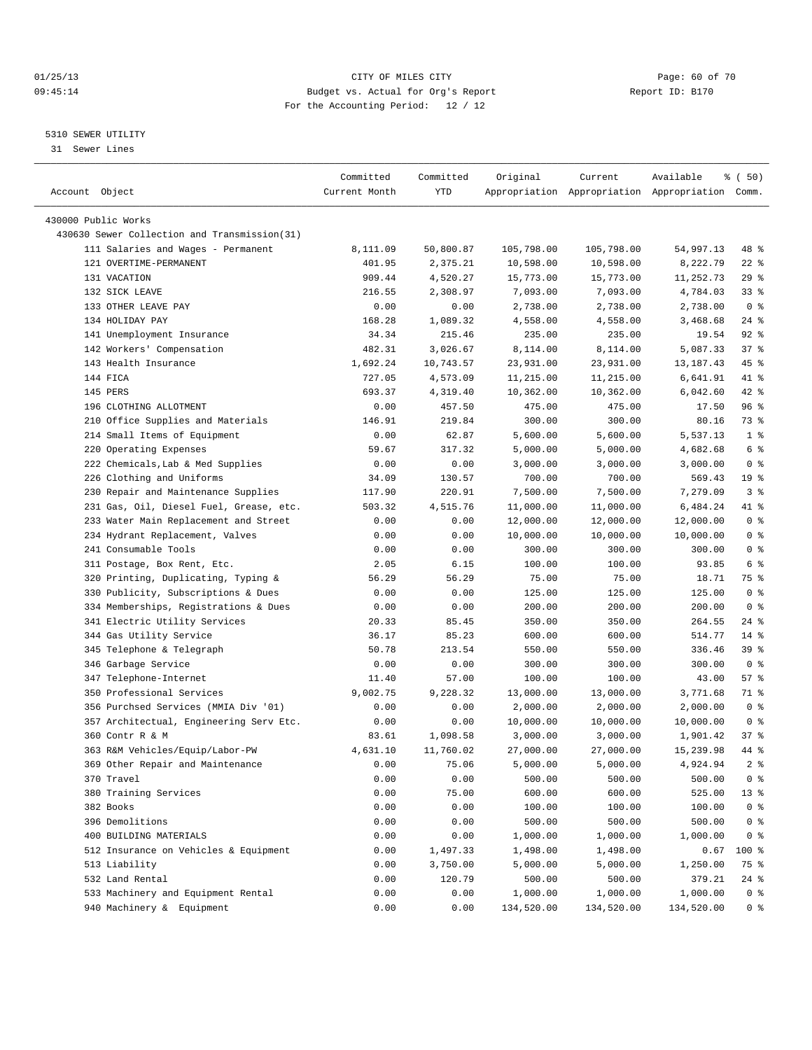#### 01/25/13 CITY OF MILES CITY Page: 60 of 70 09:45:14 Budget vs. Actual for Org's Report Changer Report ID: B170 For the Accounting Period: 12 / 12

————————————————————————————————————————————————————————————————————————————————————————————————————————————————————————————————————

#### 5310 SEWER UTILITY

31 Sewer Lines

|                                                                     | Committed      | Committed          | Original             | Current    | Available                                       | १ ( 50)         |
|---------------------------------------------------------------------|----------------|--------------------|----------------------|------------|-------------------------------------------------|-----------------|
| Account Object                                                      | Current Month  | YTD                |                      |            | Appropriation Appropriation Appropriation Comm. |                 |
|                                                                     |                |                    |                      |            |                                                 |                 |
| 430000 Public Works<br>430630 Sewer Collection and Transmission(31) |                |                    |                      |            |                                                 |                 |
| 111 Salaries and Wages - Permanent                                  | 8,111.09       | 50,800.87          | 105,798.00           | 105,798.00 | 54,997.13                                       | 48 %            |
| 121 OVERTIME-PERMANENT                                              | 401.95         | 2,375.21           | 10,598.00            |            |                                                 | $22$ %          |
| 131 VACATION                                                        |                |                    |                      | 10,598.00  | 8,222.79                                        | $29$ %          |
|                                                                     | 909.44         | 4,520.27           | 15,773.00            | 15,773.00  | 11,252.73                                       | $33$ $%$        |
| 132 SICK LEAVE<br>133 OTHER LEAVE PAY                               | 216.55<br>0.00 | 2,308.97<br>0.00   | 7,093.00             | 7,093.00   | 4,784.03                                        | 0 <sup>8</sup>  |
| 134 HOLIDAY PAY                                                     | 168.28         |                    | 2,738.00<br>4,558.00 | 2,738.00   | 2,738.00                                        | $24$ %          |
| 141 Unemployment Insurance                                          | 34.34          | 1,089.32<br>215.46 |                      | 4,558.00   | 3,468.68                                        | $92$ $%$        |
|                                                                     |                | 3,026.67           | 235.00               | 235.00     | 19.54<br>5,087.33                               | 37%             |
| 142 Workers' Compensation                                           | 482.31         |                    | 8,114.00             | 8,114.00   |                                                 |                 |
| 143 Health Insurance                                                | 1,692.24       | 10,743.57          | 23,931.00            | 23,931.00  | 13,187.43                                       | 45 %            |
| 144 FICA                                                            | 727.05         | 4,573.09           | 11,215.00            | 11,215.00  | 6,641.91                                        | 41 %            |
| 145 PERS                                                            | 693.37         | 4,319.40           | 10,362.00            | 10,362.00  | 6,042.60                                        | $42$ %          |
| 196 CLOTHING ALLOTMENT                                              | 0.00           | 457.50             | 475.00               | 475.00     | 17.50                                           | 96 %            |
| 210 Office Supplies and Materials                                   | 146.91         | 219.84             | 300.00               | 300.00     | 80.16                                           | 73 %            |
| 214 Small Items of Equipment                                        | 0.00           | 62.87              | 5,600.00             | 5,600.00   | 5,537.13                                        | 1 <sup>°</sup>  |
| 220 Operating Expenses                                              | 59.67          | 317.32             | 5,000.00             | 5,000.00   | 4,682.68                                        | 6 <sup>°</sup>  |
| 222 Chemicals, Lab & Med Supplies                                   | 0.00           | 0.00               | 3,000.00             | 3,000.00   | 3,000.00                                        | 0 <sup>8</sup>  |
| 226 Clothing and Uniforms                                           | 34.09          | 130.57             | 700.00               | 700.00     | 569.43                                          | 19 <sup>°</sup> |
| 230 Repair and Maintenance Supplies                                 | 117.90         | 220.91             | 7,500.00             | 7,500.00   | 7,279.09                                        | 3%              |
| 231 Gas, Oil, Diesel Fuel, Grease, etc.                             | 503.32         | 4,515.76           | 11,000.00            | 11,000.00  | 6,484.24                                        | 41 %            |
| 233 Water Main Replacement and Street                               | 0.00           | 0.00               | 12,000.00            | 12,000.00  | 12,000.00                                       | 0 <sup>8</sup>  |
| 234 Hydrant Replacement, Valves                                     | 0.00           | 0.00               | 10,000.00            | 10,000.00  | 10,000.00                                       | 0 <sup>8</sup>  |
| 241 Consumable Tools                                                | 0.00           | 0.00               | 300.00               | 300.00     | 300.00                                          | 0 <sup>8</sup>  |
| 311 Postage, Box Rent, Etc.                                         | 2.05           | 6.15               | 100.00               | 100.00     | 93.85                                           | 6 %             |
| 320 Printing, Duplicating, Typing &                                 | 56.29          | 56.29              | 75.00                | 75.00      | 18.71                                           | 75 %            |
| 330 Publicity, Subscriptions & Dues                                 | 0.00           | 0.00               | 125.00               | 125.00     | 125.00                                          | 0 <sup>8</sup>  |
| 334 Memberships, Registrations & Dues                               | 0.00           | 0.00               | 200.00               | 200.00     | 200.00                                          | 0 <sup>8</sup>  |
| 341 Electric Utility Services                                       | 20.33          | 85.45              | 350.00               | 350.00     | 264.55                                          | $24$ %          |
| 344 Gas Utility Service                                             | 36.17          | 85.23              | 600.00               | 600.00     | 514.77                                          | $14$ %          |
| 345 Telephone & Telegraph                                           | 50.78          | 213.54             | 550.00               | 550.00     | 336.46                                          | 39 %            |
| 346 Garbage Service                                                 | 0.00           | 0.00               | 300.00               | 300.00     | 300.00                                          | 0 <sup>8</sup>  |
| 347 Telephone-Internet                                              | 11.40          | 57.00              | 100.00               | 100.00     | 43.00                                           | 57%             |
| 350 Professional Services                                           | 9,002.75       | 9,228.32           | 13,000.00            | 13,000.00  | 3,771.68                                        | 71 %            |
| 356 Purchsed Services (MMIA Div '01)                                | 0.00           | 0.00               | 2,000.00             | 2,000.00   | 2,000.00                                        | 0 <sup>8</sup>  |
| 357 Architectual, Engineering Serv Etc.                             | 0.00           | 0.00               | 10,000.00            | 10,000.00  | 10,000.00                                       | 0 <sup>8</sup>  |
| 360 Contr R & M                                                     | 83.61          | 1,098.58           | 3,000.00             | 3,000.00   | 1,901.42                                        | 37%             |
| 363 R&M Vehicles/Equip/Labor-PW                                     | 4,631.10       | 11,760.02          | 27,000.00            | 27,000.00  | 15,239.98                                       | 44 %            |
| 369 Other Repair and Maintenance                                    | 0.00           | 75.06              | 5,000.00             | 5,000.00   | 4,924.94                                        | 2 <sup>°</sup>  |
| 370 Travel                                                          | 0.00           | 0.00               | 500.00               | 500.00     | 500.00                                          | 0 %             |
| 380 Training Services                                               | 0.00           | 75.00              | 600.00               | 600.00     | 525.00                                          | 13 <sub>8</sub> |
| 382 Books                                                           | 0.00           | 0.00               | 100.00               | 100.00     | 100.00                                          | 0 <sup>8</sup>  |
| 396 Demolitions                                                     | 0.00           | 0.00               | 500.00               | 500.00     | 500.00                                          | 0 <sup>8</sup>  |
| 400 BUILDING MATERIALS                                              | 0.00           | 0.00               | 1,000.00             | 1,000.00   | 1,000.00                                        | $0$ %           |
| 512 Insurance on Vehicles & Equipment                               | 0.00           | 1,497.33           | 1,498.00             | 1,498.00   | 0.67                                            | 100 %           |
| 513 Liability                                                       | 0.00           | 3,750.00           | 5,000.00             | 5,000.00   | 1,250.00                                        | 75 %            |
| 532 Land Rental                                                     | 0.00           | 120.79             | 500.00               | 500.00     | 379.21                                          | 24 %            |
| 533 Machinery and Equipment Rental                                  | 0.00           | 0.00               | 1,000.00             | 1,000.00   | 1,000.00                                        | 0 <sup>8</sup>  |
| 940 Machinery & Equipment                                           | 0.00           | 0.00               | 134,520.00           | 134,520.00 | 134,520.00                                      | 0 <sup>8</sup>  |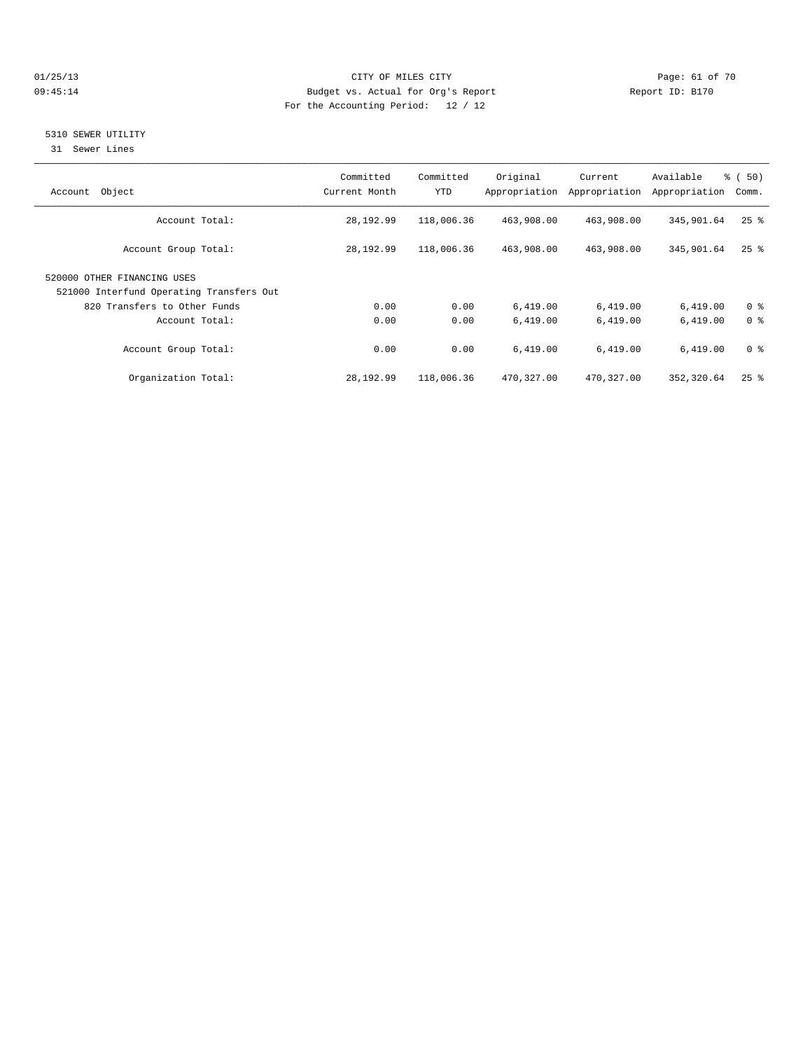#### 01/25/13 Page: 61 of 70 09:45:14 Budget vs. Actual for Org's Report Changer Report ID: B170 For the Accounting Period: 12 / 12

## 5310 SEWER UTILITY

31 Sewer Lines

| Object<br>Account                                                       | Committed<br>Current Month | Committed<br>YTD | Original   | Current<br>Appropriation Appropriation | Available<br>Appropriation | % (50)<br>Comm.    |
|-------------------------------------------------------------------------|----------------------------|------------------|------------|----------------------------------------|----------------------------|--------------------|
| Account Total:                                                          | 28,192.99                  | 118,006.36       | 463,908.00 | 463,908.00                             | 345,901.64                 | $25$ $\frac{6}{5}$ |
| Account Group Total:                                                    | 28,192.99                  | 118,006.36       | 463,908.00 | 463,908.00                             | 345,901.64                 | $25$ $\frac{6}{5}$ |
| 520000 OTHER FINANCING USES<br>521000 Interfund Operating Transfers Out |                            |                  |            |                                        |                            |                    |
| 820 Transfers to Other Funds                                            | 0.00                       | 0.00             | 6,419.00   | 6,419.00                               | 6,419.00                   | 0 <sup>8</sup>     |
| Account Total:                                                          | 0.00                       | 0.00             | 6,419.00   | 6,419.00                               | 6,419.00                   | 0 <sup>8</sup>     |
| Account Group Total:                                                    | 0.00                       | 0.00             | 6,419.00   | 6,419.00                               | 6,419.00                   | 0 <sup>8</sup>     |
| Organization Total:                                                     | 28,192.99                  | 118,006.36       | 470,327.00 | 470,327.00                             | 352,320.64                 | $25$ $%$           |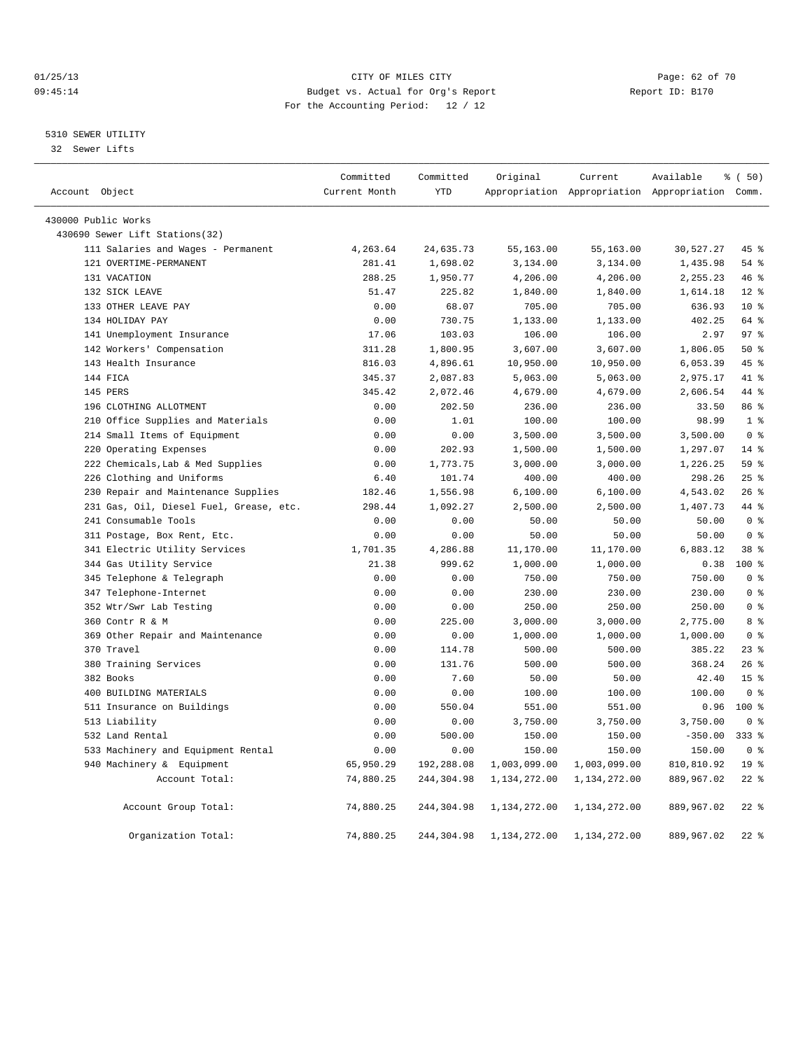#### 01/25/13 CITY OF MILES CITY Page: 62 of 70 09:45:14 Budget vs. Actual for Org's Report Changer Report ID: B170 For the Accounting Period: 12 / 12

## 5310 SEWER UTILITY

32 Sewer Lifts

|                                         | Committed     | Committed  | Original     | Current      | Available                                       | % (50)          |  |
|-----------------------------------------|---------------|------------|--------------|--------------|-------------------------------------------------|-----------------|--|
| Account Object                          | Current Month | <b>YTD</b> |              |              | Appropriation Appropriation Appropriation Comm. |                 |  |
| 430000 Public Works                     |               |            |              |              |                                                 |                 |  |
| 430690 Sewer Lift Stations(32)          |               |            |              |              |                                                 |                 |  |
| 111 Salaries and Wages - Permanent      | 4,263.64      | 24,635.73  | 55,163.00    | 55,163.00    | 30,527.27                                       | 45 %            |  |
| 121 OVERTIME-PERMANENT                  | 281.41        | 1,698.02   | 3,134.00     | 3,134.00     | 1,435.98                                        | 54 %            |  |
| 131 VACATION                            | 288.25        | 1,950.77   | 4,206.00     | 4,206.00     | 2,255.23                                        | 46%             |  |
| 132 SICK LEAVE                          | 51.47         | 225.82     | 1,840.00     | 1,840.00     | 1,614.18                                        | $12*$           |  |
| 133 OTHER LEAVE PAY                     | 0.00          | 68.07      | 705.00       | 705.00       | 636.93                                          | $10*$           |  |
| 134 HOLIDAY PAY                         | 0.00          | 730.75     | 1,133.00     | 1,133.00     | 402.25                                          | 64 %            |  |
| 141 Unemployment Insurance              | 17.06         | 103.03     | 106.00       | 106.00       | 2.97                                            | 97 <sub>8</sub> |  |
| 142 Workers' Compensation               | 311.28        | 1,800.95   | 3,607.00     | 3,607.00     | 1,806.05                                        | $50*$           |  |
| 143 Health Insurance                    | 816.03        | 4,896.61   | 10,950.00    | 10,950.00    | 6,053.39                                        | 45 %            |  |
| 144 FICA                                | 345.37        | 2,087.83   | 5,063.00     | 5,063.00     | 2,975.17                                        | 41 %            |  |
| 145 PERS                                | 345.42        | 2,072.46   | 4,679.00     | 4,679.00     | 2,606.54                                        | 44 %            |  |
| 196 CLOTHING ALLOTMENT                  | 0.00          | 202.50     | 236.00       | 236.00       | 33.50                                           | 86 %            |  |
| 210 Office Supplies and Materials       | 0.00          | 1.01       | 100.00       | 100.00       | 98.99                                           | 1 <sup>8</sup>  |  |
| 214 Small Items of Equipment            | 0.00          | 0.00       | 3,500.00     | 3,500.00     | 3,500.00                                        | 0 <sup>8</sup>  |  |
| 220 Operating Expenses                  | 0.00          | 202.93     | 1,500.00     | 1,500.00     | 1,297.07                                        | 14 %            |  |
| 222 Chemicals, Lab & Med Supplies       | 0.00          | 1,773.75   | 3,000.00     | 3,000.00     | 1,226.25                                        | 59 <sub>8</sub> |  |
| 226 Clothing and Uniforms               | 6.40          | 101.74     | 400.00       | 400.00       | 298.26                                          | 25%             |  |
| 230 Repair and Maintenance Supplies     | 182.46        | 1,556.98   | 6,100.00     | 6,100.00     | 4,543.02                                        | 26%             |  |
| 231 Gas, Oil, Diesel Fuel, Grease, etc. | 298.44        | 1,092.27   | 2,500.00     | 2,500.00     | 1,407.73                                        | 44 %            |  |
| 241 Consumable Tools                    | 0.00          | 0.00       | 50.00        | 50.00        | 50.00                                           | 0 <sup>8</sup>  |  |
| 311 Postage, Box Rent, Etc.             | 0.00          | 0.00       | 50.00        | 50.00        | 50.00                                           | 0 <sup>8</sup>  |  |
| 341 Electric Utility Services           | 1,701.35      | 4,286.88   | 11,170.00    | 11,170.00    | 6,883.12                                        | 38 <sup>8</sup> |  |
| 344 Gas Utility Service                 | 21.38         | 999.62     | 1,000.00     | 1,000.00     | 0.38                                            | 100 %           |  |
| 345 Telephone & Telegraph               | 0.00          | 0.00       | 750.00       | 750.00       | 750.00                                          | 0 <sup>8</sup>  |  |
| 347 Telephone-Internet                  | 0.00          | 0.00       | 230.00       | 230.00       | 230.00                                          | 0 <sup>8</sup>  |  |
| 352 Wtr/Swr Lab Testing                 | 0.00          | 0.00       | 250.00       | 250.00       | 250.00                                          | 0 <sup>8</sup>  |  |
| 360 Contr R & M                         | 0.00          | 225.00     | 3,000.00     | 3,000.00     | 2,775.00                                        | 8 %             |  |
| 369 Other Repair and Maintenance        | 0.00          | 0.00       | 1,000.00     | 1,000.00     | 1,000.00                                        | 0 <sup>8</sup>  |  |
| 370 Travel                              | 0.00          | 114.78     | 500.00       | 500.00       | 385.22                                          | $23$ $%$        |  |
| 380 Training Services                   | 0.00          | 131.76     | 500.00       | 500.00       | 368.24                                          | 26%             |  |
| 382 Books                               | 0.00          | 7.60       | 50.00        | 50.00        | 42.40                                           | 15 <sup>8</sup> |  |
| 400 BUILDING MATERIALS                  | 0.00          | 0.00       | 100.00       | 100.00       | 100.00                                          | 0 <sup>8</sup>  |  |
| 511 Insurance on Buildings              | 0.00          | 550.04     | 551.00       | 551.00       | 0.96                                            | 100 %           |  |
| 513 Liability                           | 0.00          | 0.00       | 3,750.00     | 3,750.00     | 3,750.00                                        | 0 <sup>8</sup>  |  |
| 532 Land Rental                         | 0.00          | 500.00     | 150.00       | 150.00       | $-350.00$                                       | $333$ $%$       |  |
| 533 Machinery and Equipment Rental      | 0.00          | 0.00       | 150.00       | 150.00       | 150.00                                          | 0 <sup>8</sup>  |  |
| 940 Machinery & Equipment               | 65,950.29     | 192,288.08 | 1,003,099.00 | 1,003,099.00 | 810,810.92                                      | 19 <sup>°</sup> |  |
| Account Total:                          | 74,880.25     | 244,304.98 | 1,134,272.00 | 1,134,272.00 | 889,967.02                                      | $22$ $%$        |  |
| Account Group Total:                    | 74,880.25     | 244,304.98 | 1,134,272.00 | 1,134,272.00 | 889,967.02                                      | $22$ %          |  |
| Organization Total:                     | 74,880.25     | 244,304.98 | 1,134,272.00 | 1,134,272.00 | 889,967.02                                      | $22$ %          |  |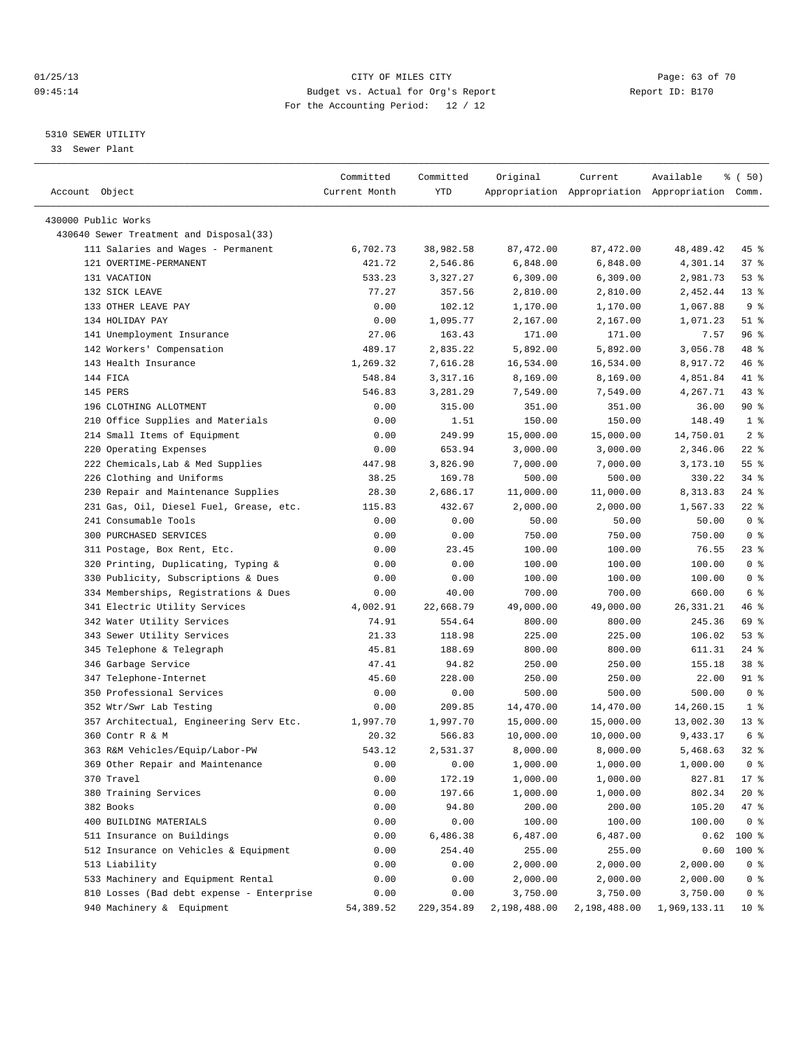#### 01/25/13 CITY OF MILES CITY Page: 63 of 70 09:45:14 Budget vs. Actual for Org's Report Changer Report ID: B170 For the Accounting Period: 12 / 12

————————————————————————————————————————————————————————————————————————————————————————————————————————————————————————————————————

#### 5310 SEWER UTILITY

33 Sewer Plant

|                                                                | Committed        | Committed          | Original               | Current                | Available                                       | १ ( 50)                          |
|----------------------------------------------------------------|------------------|--------------------|------------------------|------------------------|-------------------------------------------------|----------------------------------|
| Account Object                                                 | Current Month    | YTD                |                        |                        | Appropriation Appropriation Appropriation Comm. |                                  |
|                                                                |                  |                    |                        |                        |                                                 |                                  |
| 430000 Public Works<br>430640 Sewer Treatment and Disposal(33) |                  |                    |                        |                        |                                                 |                                  |
| 111 Salaries and Wages - Permanent                             | 6,702.73         | 38,982.58          | 87,472.00              | 87, 472.00             | 48,489.42                                       | 45 %                             |
| 121 OVERTIME-PERMANENT                                         | 421.72           | 2,546.86           | 6,848.00               | 6,848.00               | 4,301.14                                        | 37 %                             |
| 131 VACATION                                                   | 533.23           | 3,327.27           |                        | 6,309.00               | 2,981.73                                        | 53%                              |
| 132 SICK LEAVE                                                 |                  | 357.56             | 6,309.00<br>2,810.00   |                        |                                                 | $13*$                            |
| 133 OTHER LEAVE PAY                                            | 77.27<br>0.00    | 102.12             | 1,170.00               | 2,810.00<br>1,170.00   | 2,452.44<br>1,067.88                            | 9 <sub>8</sub>                   |
| 134 HOLIDAY PAY                                                | 0.00             | 1,095.77           | 2,167.00               | 2,167.00               | 1,071.23                                        | $51$ %                           |
| 141 Unemployment Insurance                                     | 27.06            | 163.43             | 171.00                 | 171.00                 | 7.57                                            | 96 %                             |
| 142 Workers' Compensation                                      | 489.17           | 2,835.22           | 5,892.00               | 5,892.00               | 3,056.78                                        | 48 %                             |
| 143 Health Insurance                                           | 1,269.32         | 7,616.28           | 16,534.00              | 16,534.00              | 8,917.72                                        | 46 %                             |
| 144 FICA                                                       | 548.84           | 3,317.16           | 8,169.00               | 8,169.00               | 4,851.84                                        | 41 %                             |
| 145 PERS                                                       | 546.83           | 3,281.29           | 7,549.00               | 7,549.00               | 4,267.71                                        | $43$ %                           |
| 196 CLOTHING ALLOTMENT                                         | 0.00             | 315.00             | 351.00                 | 351.00                 | 36.00                                           | 90%                              |
| 210 Office Supplies and Materials                              | 0.00             | 1.51               | 150.00                 | 150.00                 | 148.49                                          | 1 <sup>8</sup>                   |
|                                                                |                  | 249.99             |                        |                        |                                                 | 2 <sup>8</sup>                   |
| 214 Small Items of Equipment<br>220 Operating Expenses         | 0.00<br>0.00     | 653.94             | 15,000.00<br>3,000.00  | 15,000.00<br>3,000.00  | 14,750.01<br>2,346.06                           | $22$ %                           |
| 222 Chemicals, Lab & Med Supplies                              |                  | 3,826.90           |                        |                        |                                                 | $55$ $%$                         |
| 226 Clothing and Uniforms                                      | 447.98           | 169.78             | 7,000.00<br>500.00     | 7,000.00               | 3,173.10<br>330.22                              | $34$ $%$                         |
| 230 Repair and Maintenance Supplies                            | 38.25            |                    |                        | 500.00                 | 8,313.83                                        | 24 %                             |
| 231 Gas, Oil, Diesel Fuel, Grease, etc.                        | 28.30            | 2,686.17           | 11,000.00              | 11,000.00              |                                                 |                                  |
| 241 Consumable Tools                                           | 115.83           | 432.67             | 2,000.00               | 2,000.00               | 1,567.33<br>50.00                               | $22$ %<br>0 <sup>8</sup>         |
| 300 PURCHASED SERVICES                                         | 0.00             | 0.00               | 50.00                  | 50.00<br>750.00        | 750.00                                          | 0 <sup>8</sup>                   |
|                                                                | 0.00             | 0.00               | 750.00                 |                        |                                                 |                                  |
| 311 Postage, Box Rent, Etc.                                    | 0.00             | 23.45              | 100.00                 | 100.00                 | 76.55                                           | $23$ %                           |
| 320 Printing, Duplicating, Typing &                            | 0.00             | 0.00               | 100.00                 | 100.00                 | 100.00                                          | 0 <sup>8</sup>                   |
| 330 Publicity, Subscriptions & Dues                            | 0.00             | 0.00               | 100.00                 | 100.00                 | 100.00                                          | 0 <sup>8</sup><br>6 <sup>°</sup> |
| 334 Memberships, Registrations & Dues                          | 0.00             | 40.00              | 700.00                 | 700.00                 | 660.00                                          |                                  |
| 341 Electric Utility Services<br>342 Water Utility Services    | 4,002.91         | 22,668.79          | 49,000.00              | 49,000.00              | 26, 331. 21                                     | 46 %<br>69 %                     |
|                                                                | 74.91            | 554.64             | 800.00                 | 800.00                 | 245.36                                          | 53%                              |
| 343 Sewer Utility Services                                     | 21.33            | 118.98             | 225.00                 | 225.00                 | 106.02                                          |                                  |
| 345 Telephone & Telegraph                                      | 45.81<br>47.41   | 188.69<br>94.82    | 800.00                 | 800.00                 | 611.31                                          | $24$ %<br>38 %                   |
| 346 Garbage Service                                            |                  | 228.00             | 250.00                 | 250.00                 | 155.18                                          | 91 %                             |
| 347 Telephone-Internet<br>350 Professional Services            | 45.60            |                    | 250.00<br>500.00       | 250.00                 | 22.00<br>500.00                                 | 0 <sup>8</sup>                   |
| 352 Wtr/Swr Lab Testing                                        | 0.00             | 0.00               |                        | 500.00                 |                                                 | 1 <sup>8</sup>                   |
| 357 Architectual, Engineering Serv Etc.                        | 0.00<br>1,997.70 | 209.85<br>1,997.70 | 14,470.00<br>15,000.00 | 14,470.00<br>15,000.00 | 14,260.15                                       | $13*$                            |
| 360 Contr R & M                                                | 20.32            | 566.83             | 10,000.00              | 10,000.00              | 13,002.30<br>9,433.17                           | 6 %                              |
| 363 R&M Vehicles/Equip/Labor-PW                                | 543.12           | 2,531.37           | 8,000.00               | 8,000.00               | 5,468.63                                        | $32$ $%$                         |
| 369 Other Repair and Maintenance                               | 0.00             | 0.00               | 1,000.00               | 1,000.00               | 1,000.00                                        | 0 <sup>8</sup>                   |
| 370 Travel                                                     | 0.00             | 172.19             | 1,000.00               | 1,000.00               | 827.81                                          | 17 %                             |
| 380 Training Services                                          | 0.00             | 197.66             | 1,000.00               | 1,000.00               | 802.34                                          | $20*$                            |
| 382 Books                                                      | 0.00             | 94.80              | 200.00                 | 200.00                 | 105.20                                          | 47 %                             |
| 400 BUILDING MATERIALS                                         | 0.00             | 0.00               | 100.00                 | 100.00                 | 100.00                                          | 0 <sup>8</sup>                   |
| 511 Insurance on Buildings                                     | 0.00             | 6,486.38           | 6,487.00               | 6,487.00               | 0.62                                            | 100 %                            |
| 512 Insurance on Vehicles & Equipment                          | 0.00             | 254.40             | 255.00                 | 255.00                 | 0.60                                            | $100$ %                          |
| 513 Liability                                                  | 0.00             | 0.00               | 2,000.00               | 2,000.00               | 2,000.00                                        | 0 <sup>8</sup>                   |
| 533 Machinery and Equipment Rental                             | 0.00             | 0.00               | 2,000.00               | 2,000.00               | 2,000.00                                        | 0 <sup>8</sup>                   |
| 810 Losses (Bad debt expense - Enterprise                      | 0.00             | 0.00               | 3,750.00               | 3,750.00               | 3,750.00                                        | 0 <sup>8</sup>                   |
| 940 Machinery & Equipment                                      | 54,389.52        | 229,354.89         | 2,198,488.00           |                        | 2, 198, 488.00 1, 969, 133.11                   | 10 <sub>8</sub>                  |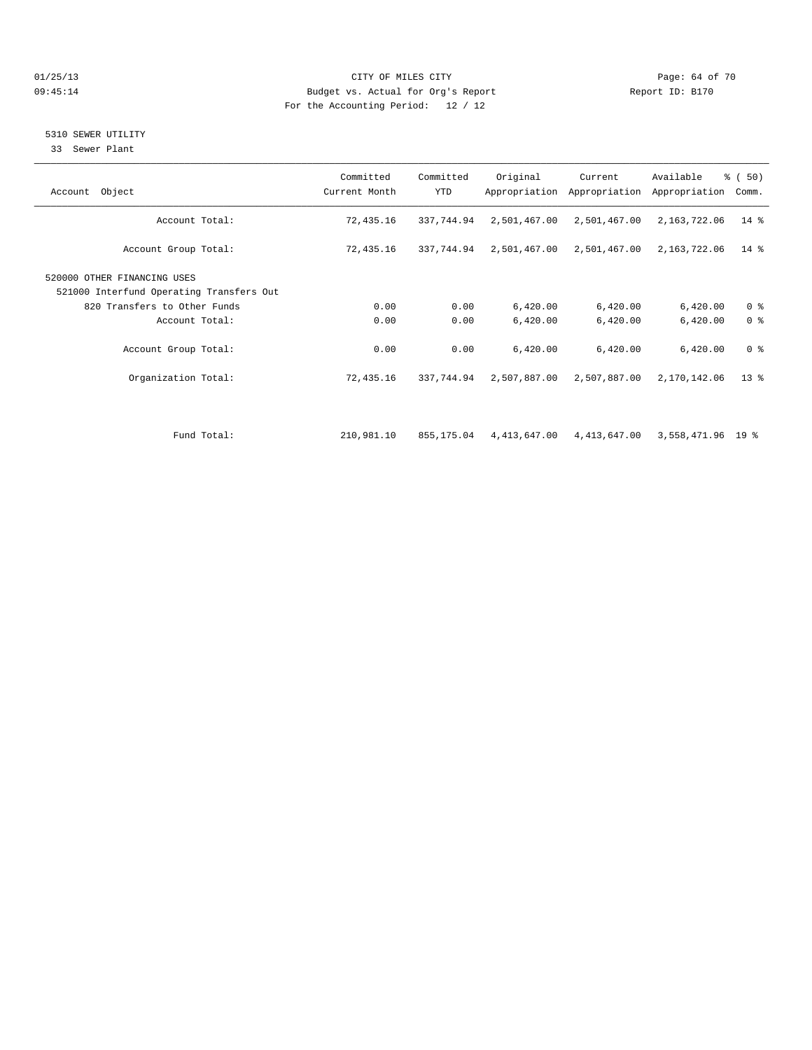#### 01/25/13 Page: 64 of 70 09:45:14 Budget vs. Actual for Org's Report Communication of Report ID: B170 For the Accounting Period: 12 / 12

## 5310 SEWER UTILITY

33 Sewer Plant

| Account Object                                                          | Committed<br>Current Month | Committed<br><b>YTD</b> | Original     | Current<br>Appropriation Appropriation | Available<br>Appropriation | $\frac{1}{6}$ (50)<br>Comm. |
|-------------------------------------------------------------------------|----------------------------|-------------------------|--------------|----------------------------------------|----------------------------|-----------------------------|
| Account Total:                                                          | 72,435.16                  | 337,744.94              | 2,501,467.00 | 2,501,467.00                           | 2,163,722.06               | $14$ %                      |
| Account Group Total:                                                    | 72,435.16                  | 337,744.94              | 2,501,467.00 | 2,501,467.00                           | 2,163,722.06               | $14*$                       |
| 520000 OTHER FINANCING USES<br>521000 Interfund Operating Transfers Out |                            |                         |              |                                        |                            |                             |
| 820 Transfers to Other Funds                                            | 0.00                       | 0.00                    | 6,420.00     | 6,420.00                               | 6,420.00                   | 0 <sup>8</sup>              |
| Account Total:                                                          | 0.00                       | 0.00                    | 6,420.00     | 6,420.00                               | 6,420.00                   | 0 <sup>8</sup>              |
| Account Group Total:                                                    | 0.00                       | 0.00                    | 6,420.00     | 6,420.00                               | 6,420.00                   | 0 <sup>8</sup>              |
| Organization Total:                                                     | 72,435.16                  | 337,744.94              | 2,507,887.00 | 2,507,887.00                           | 2,170,142.06               | $13*$                       |
|                                                                         |                            |                         |              |                                        |                            |                             |
| Fund Total:                                                             | 210,981.10                 | 855,175.04              |              | 4,413,647.00 4,413,647.00              | 3,558,471.96 19 %          |                             |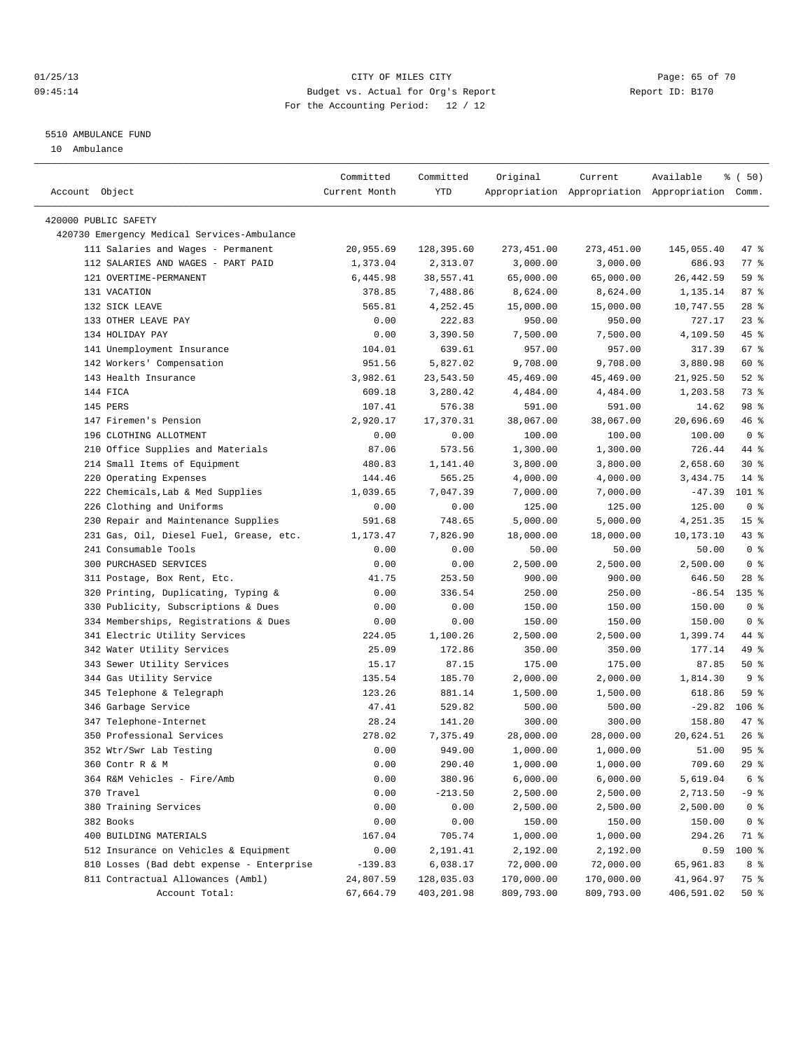## 01/25/13 CITY OF MILES CITY Page: 65 of 70 09:45:14 Budget vs. Actual for Org's Report Changer Report ID: B170 For the Accounting Period: 12 / 12

#### 5510 AMBULANCE FUND

10 Ambulance

| Account Object                              | Committed<br>Current Month | Committed<br>YTD | Original    | Current    | Available<br>Appropriation Appropriation Appropriation Comm. | % (50)          |
|---------------------------------------------|----------------------------|------------------|-------------|------------|--------------------------------------------------------------|-----------------|
|                                             |                            |                  |             |            |                                                              |                 |
| 420000 PUBLIC SAFETY                        |                            |                  |             |            |                                                              |                 |
| 420730 Emergency Medical Services-Ambulance |                            |                  |             |            |                                                              |                 |
| 111 Salaries and Wages - Permanent          | 20,955.69                  | 128,395.60       | 273, 451.00 | 273,451.00 | 145,055.40                                                   | 47 %            |
| 112 SALARIES AND WAGES - PART PAID          | 1,373.04                   | 2,313.07         | 3,000.00    | 3,000.00   | 686.93                                                       | $77$ $%$        |
| 121 OVERTIME-PERMANENT                      | 6,445.98                   | 38,557.41        | 65,000.00   | 65,000.00  | 26, 442.59                                                   | 59 %            |
| 131 VACATION                                | 378.85                     | 7,488.86         | 8,624.00    | 8,624.00   | 1,135.14                                                     | 87%             |
| 132 SICK LEAVE                              | 565.81                     | 4,252.45         | 15,000.00   | 15,000.00  | 10,747.55                                                    | 28%             |
| 133 OTHER LEAVE PAY                         | 0.00                       | 222.83           | 950.00      | 950.00     | 727.17                                                       | $23$ $%$        |
| 134 HOLIDAY PAY                             | 0.00                       | 3,390.50         | 7,500.00    | 7,500.00   | 4,109.50                                                     | 45 %            |
| 141 Unemployment Insurance                  | 104.01                     | 639.61           | 957.00      | 957.00     | 317.39                                                       | 67 %            |
| 142 Workers' Compensation                   | 951.56                     | 5,827.02         | 9,708.00    | 9,708.00   | 3,880.98                                                     | 60 %            |
| 143 Health Insurance                        | 3,982.61                   | 23,543.50        | 45,469.00   | 45,469.00  | 21,925.50                                                    | $52$ $%$        |
| 144 FICA                                    | 609.18                     | 3,280.42         | 4,484.00    | 4,484.00   | 1,203.58                                                     | 73 %            |
| 145 PERS                                    | 107.41                     | 576.38           | 591.00      | 591.00     | 14.62                                                        | 98 %            |
| 147 Firemen's Pension                       | 2,920.17                   | 17,370.31        | 38,067.00   | 38,067.00  | 20,696.69                                                    | 46 %            |
| 196 CLOTHING ALLOTMENT                      | 0.00                       | 0.00             | 100.00      | 100.00     | 100.00                                                       | 0 <sup>8</sup>  |
| 210 Office Supplies and Materials           | 87.06                      | 573.56           | 1,300.00    | 1,300.00   | 726.44                                                       | 44 %            |
| 214 Small Items of Equipment                | 480.83                     | 1,141.40         | 3,800.00    | 3,800.00   | 2,658.60                                                     | $30*$           |
| 220 Operating Expenses                      | 144.46                     | 565.25           | 4,000.00    | 4,000.00   | 3,434.75                                                     | 14 %            |
| 222 Chemicals, Lab & Med Supplies           | 1,039.65                   | 7,047.39         | 7,000.00    | 7,000.00   | $-47.39$                                                     | 101 %           |
| 226 Clothing and Uniforms                   | 0.00                       | 0.00             | 125.00      | 125.00     | 125.00                                                       | 0 <sup>8</sup>  |
| 230 Repair and Maintenance Supplies         | 591.68                     | 748.65           | 5,000.00    | 5,000.00   | 4,251.35                                                     | 15 <sup>°</sup> |
| 231 Gas, Oil, Diesel Fuel, Grease, etc.     | 1,173.47                   | 7,826.90         | 18,000.00   | 18,000.00  | 10,173.10                                                    | $43$ $%$        |
| 241 Consumable Tools                        | 0.00                       | 0.00             | 50.00       | 50.00      | 50.00                                                        | 0 <sup>8</sup>  |
| 300 PURCHASED SERVICES                      | 0.00                       | 0.00             | 2,500.00    | 2,500.00   | 2,500.00                                                     | 0 <sup>8</sup>  |
| 311 Postage, Box Rent, Etc.                 | 41.75                      | 253.50           | 900.00      | 900.00     | 646.50                                                       | $28$ %          |
| 320 Printing, Duplicating, Typing &         | 0.00                       | 336.54           | 250.00      | 250.00     | $-86.54$                                                     | $135$ %         |
| 330 Publicity, Subscriptions & Dues         | 0.00                       | 0.00             | 150.00      | 150.00     | 150.00                                                       | 0 <sup>8</sup>  |
| 334 Memberships, Registrations & Dues       | 0.00                       | 0.00             | 150.00      | 150.00     | 150.00                                                       | 0 <sup>8</sup>  |
| 341 Electric Utility Services               | 224.05                     | 1,100.26         | 2,500.00    | 2,500.00   | 1,399.74                                                     | 44 %            |
| 342 Water Utility Services                  | 25.09                      | 172.86           | 350.00      | 350.00     | 177.14                                                       | 49 %            |
| 343 Sewer Utility Services                  | 15.17                      | 87.15            | 175.00      | 175.00     | 87.85                                                        | 50%             |
| 344 Gas Utility Service                     | 135.54                     | 185.70           | 2,000.00    | 2,000.00   | 1,814.30                                                     | 9 <sub>8</sub>  |
| 345 Telephone & Telegraph                   | 123.26                     | 881.14           | 1,500.00    | 1,500.00   | 618.86                                                       | 59 %            |
| 346 Garbage Service                         | 47.41                      | 529.82           | 500.00      | 500.00     | $-29.82$                                                     | $106$ %         |
| 347 Telephone-Internet                      | 28.24                      | 141.20           | 300.00      | 300.00     | 158.80                                                       | 47 %            |
| 350 Professional Services                   | 278.02                     | 7,375.49         | 28,000.00   | 28,000.00  | 20,624.51                                                    | 26%             |
| 352 Wtr/Swr Lab Testing                     | 0.00                       | 949.00           | 1,000.00    | 1,000.00   | 51.00                                                        | 95 <sup>8</sup> |
| 360 Contr R & M                             | 0.00                       | 290.40           | 1,000.00    | 1,000.00   | 709.60                                                       | $29$ $%$        |
| 364 R&M Vehicles - Fire/Amb                 | 0.00                       | 380.96           | 6,000.00    | 6,000.00   | 5,619.04                                                     | 6 %             |
| 370 Travel                                  | 0.00                       | $-213.50$        | 2,500.00    | 2,500.00   | 2,713.50                                                     | -9 %            |
| 380 Training Services                       | 0.00                       | 0.00             | 2,500.00    | 2,500.00   | 2,500.00                                                     | 0 <sup>8</sup>  |
| 382 Books                                   | 0.00                       | 0.00             | 150.00      | 150.00     | 150.00                                                       | 0 <sup>8</sup>  |
| 400 BUILDING MATERIALS                      | 167.04                     | 705.74           | 1,000.00    | 1,000.00   | 294.26                                                       | 71 %            |
| 512 Insurance on Vehicles & Equipment       | 0.00                       | 2,191.41         | 2,192.00    | 2,192.00   | 0.59                                                         | 100 %           |
| 810 Losses (Bad debt expense - Enterprise   | $-139.83$                  | 6,038.17         | 72,000.00   | 72,000.00  | 65,961.83                                                    | 8 %             |
| 811 Contractual Allowances (Ambl)           | 24,807.59                  | 128,035.03       | 170,000.00  | 170,000.00 | 41,964.97                                                    | 75 %            |
| Account Total:                              | 67,664.79                  | 403,201.98       | 809,793.00  | 809,793.00 | 406,591.02                                                   | 50 %            |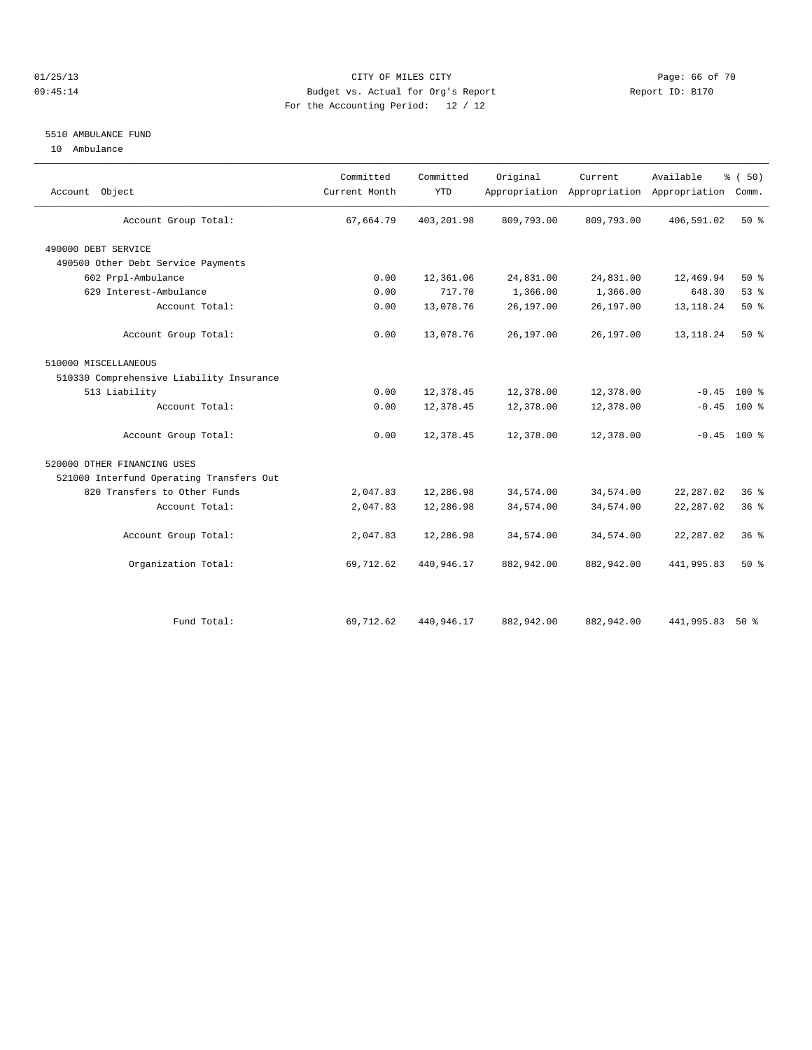#### 01/25/13 Page: 66 of 70 09:45:14 Budget vs. Actual for Org's Report Changer Report ID: B170 For the Accounting Period: 12 / 12

#### 5510 AMBULANCE FUND

10 Ambulance

| Account Object                           | Committed<br>Current Month | Committed<br><b>YTD</b> | Original   | Current    | Available<br>Appropriation Appropriation Appropriation | % (50)<br>Comm. |  |
|------------------------------------------|----------------------------|-------------------------|------------|------------|--------------------------------------------------------|-----------------|--|
| Account Group Total:                     | 67,664.79                  | 403,201.98              | 809,793.00 | 809,793.00 | 406,591.02                                             | 50%             |  |
| 490000 DEBT SERVICE                      |                            |                         |            |            |                                                        |                 |  |
| 490500 Other Debt Service Payments       |                            |                         |            |            |                                                        |                 |  |
| 602 Prpl-Ambulance                       | 0.00                       | 12,361.06               | 24,831.00  | 24,831.00  | 12,469.94                                              | $50*$           |  |
| 629 Interest-Ambulance                   | 0.00                       | 717.70                  | 1,366.00   | 1,366.00   | 648.30                                                 | 53%             |  |
| Account Total:                           | 0.00                       | 13,078.76               | 26,197.00  | 26,197.00  | 13, 118. 24                                            | 50%             |  |
| Account Group Total:                     | 0.00                       | 13,078.76               | 26,197.00  | 26,197.00  | 13, 118. 24                                            | 50%             |  |
| 510000 MISCELLANEOUS                     |                            |                         |            |            |                                                        |                 |  |
| 510330 Comprehensive Liability Insurance |                            |                         |            |            |                                                        |                 |  |
| 513 Liability                            | 0.00                       | 12,378.45               | 12,378.00  | 12,378.00  | $-0.45$                                                | $100*$          |  |
| Account Total:                           | 0.00                       | 12,378.45               | 12,378.00  | 12,378.00  | $-0.45$                                                | $100*$          |  |
| Account Group Total:                     | 0.00                       | 12,378.45               | 12,378.00  | 12,378.00  |                                                        | $-0.45$ 100 %   |  |
| 520000 OTHER FINANCING USES              |                            |                         |            |            |                                                        |                 |  |
| 521000 Interfund Operating Transfers Out |                            |                         |            |            |                                                        |                 |  |
| 820 Transfers to Other Funds             | 2,047.83                   | 12,286.98               | 34,574.00  | 34,574.00  | 22, 287.02                                             | $36*$           |  |
| Account Total:                           | 2,047.83                   | 12,286.98               | 34,574.00  | 34,574.00  | 22, 287.02                                             | 36%             |  |
| Account Group Total:                     | 2,047.83                   | 12,286.98               | 34,574.00  | 34,574.00  | 22, 287.02                                             | 36%             |  |
| Organization Total:                      | 69,712.62                  | 440,946.17              | 882,942.00 | 882,942.00 | 441,995.83                                             | $50*$           |  |
|                                          |                            |                         |            |            |                                                        |                 |  |
| Fund Total:                              | 69,712.62                  | 440,946.17              | 882,942.00 | 882,942.00 | 441,995.83                                             | $50*$           |  |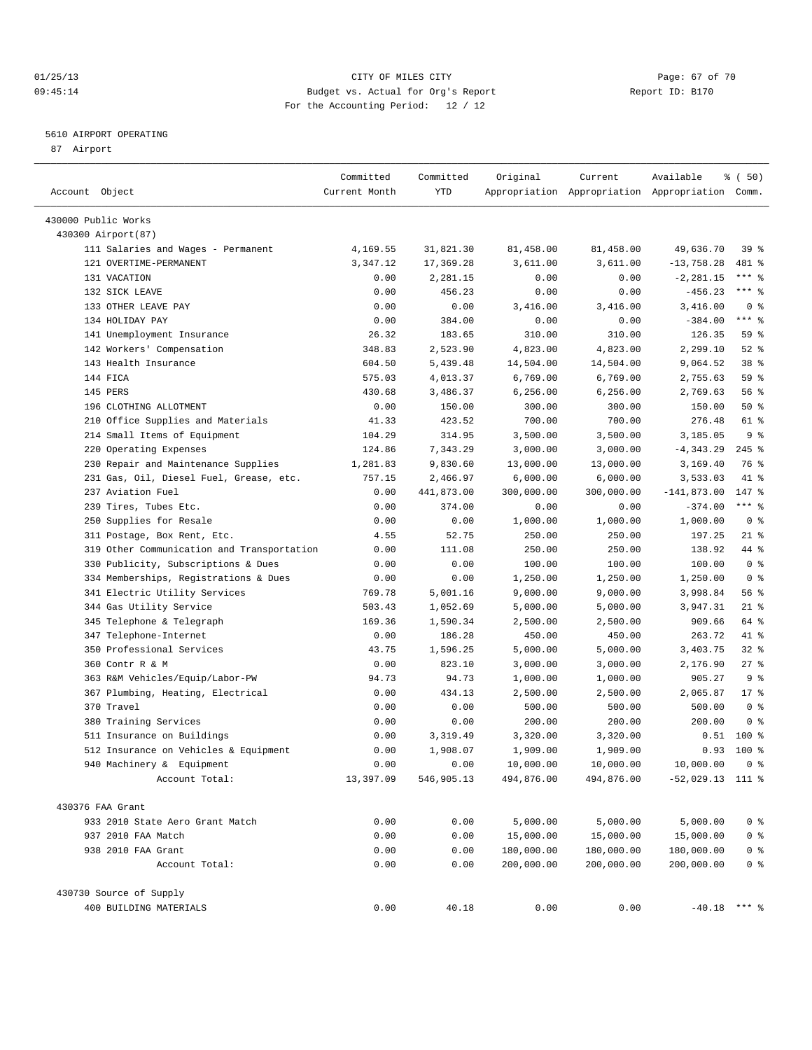## 01/25/13 Page: 67 of 70 09:45:14 Budget vs. Actual for Org's Report Changer Report ID: B170 For the Accounting Period: 12 / 12

————————————————————————————————————————————————————————————————————————————————————————————————————————————————————————————————————

## 5610 AIRPORT OPERATING

87 Airport

| Account Object                             | Committed<br>Current Month | Committed<br>YTD | Original   | Current    | Available<br>Appropriation Appropriation Appropriation Comm. | % (50)                      |
|--------------------------------------------|----------------------------|------------------|------------|------------|--------------------------------------------------------------|-----------------------------|
|                                            |                            |                  |            |            |                                                              |                             |
| 430000 Public Works                        |                            |                  |            |            |                                                              |                             |
| 430300 Airport (87)                        |                            |                  |            |            |                                                              |                             |
| 111 Salaries and Wages - Permanent         | 4,169.55                   | 31,821.30        | 81,458.00  | 81,458.00  | 49,636.70                                                    | 39 %                        |
| 121 OVERTIME-PERMANENT                     | 3,347.12                   | 17,369.28        | 3,611.00   | 3,611.00   | $-13,758.28$                                                 | 481 %                       |
| 131 VACATION                               | 0.00                       | 2,281.15         | 0.00       | 0.00       | $-2, 281.15$                                                 | *** 응                       |
| 132 SICK LEAVE                             | 0.00                       | 456.23           | 0.00       | 0.00       | $-456.23$                                                    | $***$ $%$                   |
| 133 OTHER LEAVE PAY                        | 0.00                       | 0.00             | 3,416.00   | 3,416.00   | 3,416.00                                                     | 0 <sup>8</sup><br>$***$ $-$ |
| 134 HOLIDAY PAY                            | 0.00                       | 384.00           | 0.00       | 0.00       | $-384.00$                                                    |                             |
| 141 Unemployment Insurance                 | 26.32                      | 183.65           | 310.00     | 310.00     | 126.35                                                       | 59 %                        |
| 142 Workers' Compensation                  | 348.83                     | 2,523.90         | 4,823.00   | 4,823.00   | 2,299.10                                                     | $52$ $%$                    |
| 143 Health Insurance                       | 604.50                     | 5,439.48         | 14,504.00  | 14,504.00  | 9,064.52                                                     | 38 %                        |
| 144 FICA                                   | 575.03                     | 4,013.37         | 6,769.00   | 6,769.00   | 2,755.63                                                     | 59 %                        |
| 145 PERS                                   | 430.68                     | 3,486.37         | 6,256.00   | 6,256.00   | 2,769.63                                                     | 56 %                        |
| 196 CLOTHING ALLOTMENT                     | 0.00                       | 150.00           | 300.00     | 300.00     | 150.00                                                       | 50%                         |
| 210 Office Supplies and Materials          | 41.33                      | 423.52           | 700.00     | 700.00     | 276.48                                                       | 61 %                        |
| 214 Small Items of Equipment               | 104.29                     | 314.95           | 3,500.00   | 3,500.00   | 3,185.05                                                     | 9 <sup>°</sup>              |
| 220 Operating Expenses                     | 124.86                     | 7,343.29         | 3,000.00   | 3,000.00   | $-4, 343.29$                                                 | $245$ %                     |
| 230 Repair and Maintenance Supplies        | 1,281.83                   | 9,830.60         | 13,000.00  | 13,000.00  | 3,169.40                                                     | 76 %                        |
| 231 Gas, Oil, Diesel Fuel, Grease, etc.    | 757.15                     | 2,466.97         | 6,000.00   | 6,000.00   | 3,533.03                                                     | 41 %                        |
| 237 Aviation Fuel                          | 0.00                       | 441,873.00       | 300,000.00 | 300,000.00 | $-141,873.00$                                                | 147 %                       |
| 239 Tires, Tubes Etc.                      | 0.00                       | 374.00           | 0.00       | 0.00       | $-374.00$                                                    | $***$ $-$                   |
| 250 Supplies for Resale                    | 0.00                       | 0.00             | 1,000.00   | 1,000.00   | 1,000.00                                                     | 0 <sup>8</sup>              |
| 311 Postage, Box Rent, Etc.                | 4.55                       | 52.75            | 250.00     | 250.00     | 197.25                                                       | $21$ %                      |
| 319 Other Communication and Transportation | 0.00                       | 111.08           | 250.00     | 250.00     | 138.92                                                       | 44 %                        |
| 330 Publicity, Subscriptions & Dues        | 0.00                       | 0.00             | 100.00     | 100.00     | 100.00                                                       | 0 <sup>8</sup>              |
| 334 Memberships, Registrations & Dues      | 0.00                       | 0.00             | 1,250.00   | 1,250.00   | 1,250.00                                                     | 0 <sup>8</sup>              |
| 341 Electric Utility Services              | 769.78                     | 5,001.16         | 9,000.00   | 9,000.00   | 3,998.84                                                     | 56%                         |
| 344 Gas Utility Service                    | 503.43                     | 1,052.69         | 5,000.00   | 5,000.00   | 3,947.31                                                     | $21$ %                      |
| 345 Telephone & Telegraph                  | 169.36                     | 1,590.34         | 2,500.00   | 2,500.00   | 909.66                                                       | 64 %                        |
| 347 Telephone-Internet                     | 0.00                       | 186.28           | 450.00     | 450.00     | 263.72                                                       | 41 %                        |
| 350 Professional Services                  | 43.75                      | 1,596.25         | 5,000.00   | 5,000.00   | 3,403.75                                                     | $32$ $%$                    |
| 360 Contr R & M                            | 0.00                       | 823.10           | 3,000.00   | 3,000.00   | 2,176.90                                                     | $27$ %                      |
| 363 R&M Vehicles/Equip/Labor-PW            | 94.73                      | 94.73            | 1,000.00   | 1,000.00   | 905.27                                                       | 9%                          |
| 367 Plumbing, Heating, Electrical          | 0.00                       | 434.13           | 2,500.00   | 2,500.00   | 2,065.87                                                     | $17*$                       |
| 370 Travel                                 | 0.00                       | 0.00             | 500.00     | 500.00     | 500.00                                                       | 0 <sup>8</sup>              |
| 380 Training Services                      | 0.00                       | 0.00             | 200.00     | 200.00     | 200.00                                                       | 0 <sup>8</sup>              |
| 511 Insurance on Buildings                 | 0.00                       | 3,319.49         | 3,320.00   | 3,320.00   | 0.51                                                         | $100$ %                     |
| 512 Insurance on Vehicles & Equipment      | 0.00                       | 1,908.07         | 1,909.00   | 1,909.00   | 0.93                                                         | 100 %                       |
| 940 Machinery & Equipment                  | 0.00                       | 0.00             | 10,000.00  | 10,000.00  | 10,000.00                                                    | 0 <sup>8</sup>              |
| Account Total:                             | 13,397.09                  | 546,905.13       | 494,876.00 | 494,876.00 | $-52,029.13$ 111 %                                           |                             |
| 430376 FAA Grant                           |                            |                  |            |            |                                                              |                             |
| 933 2010 State Aero Grant Match            | 0.00                       | 0.00             | 5,000.00   | 5,000.00   | 5,000.00                                                     | 0 <sup>8</sup>              |
| 937 2010 FAA Match                         | 0.00                       | 0.00             | 15,000.00  | 15,000.00  | 15,000.00                                                    | $0$ %                       |
| 938 2010 FAA Grant                         | 0.00                       | 0.00             | 180,000.00 | 180,000.00 | 180,000.00                                                   | $0$ %                       |
| Account Total:                             | 0.00                       | 0.00             | 200,000.00 | 200,000.00 | 200,000.00                                                   | 0 <sup>8</sup>              |
| 430730 Source of Supply                    |                            |                  |            |            |                                                              |                             |
| 400 BUILDING MATERIALS                     | 0.00                       | 40.18            | 0.00       | 0.00       | $-40.18$ *** %                                               |                             |
|                                            |                            |                  |            |            |                                                              |                             |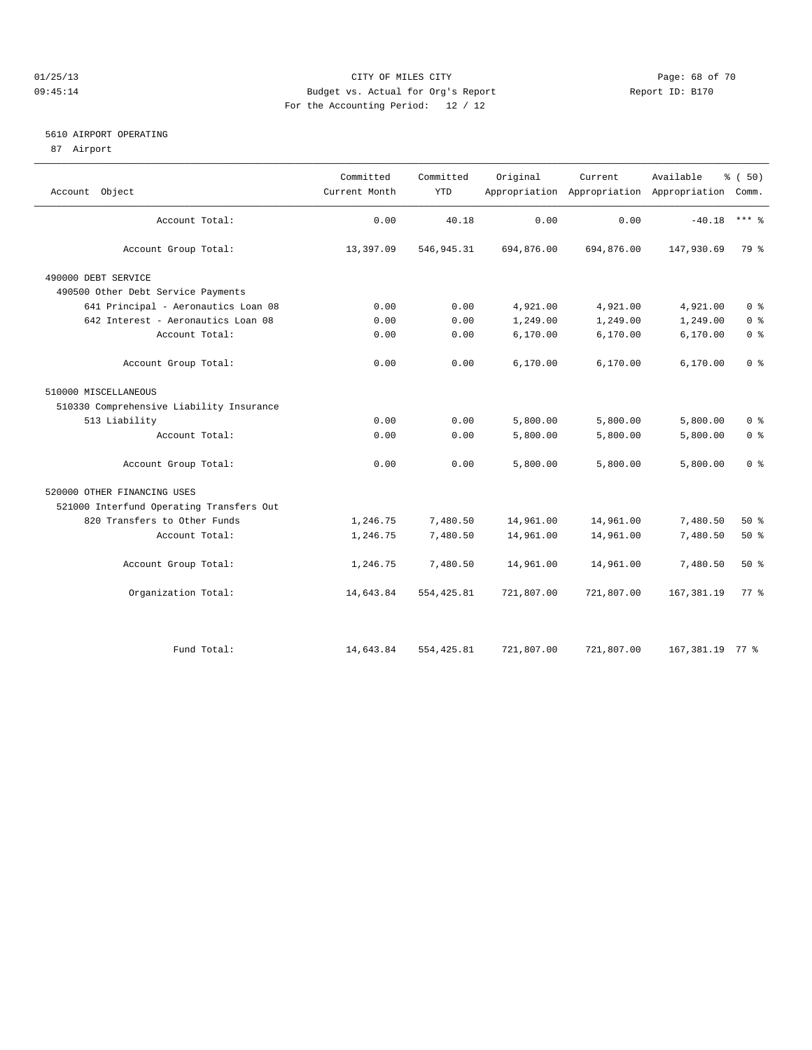## 01/25/13 CITY OF MILES CITY Page: 68 of 70 09:45:14 Budget vs. Actual for Org's Report Changer Report ID: B170 For the Accounting Period: 12 / 12

## 5610 AIRPORT OPERATING

87 Airport

|                                          | Committed     | Committed   | Original   | Current    | Available                                       | % (50)         |
|------------------------------------------|---------------|-------------|------------|------------|-------------------------------------------------|----------------|
| Object<br>Account                        | Current Month | <b>YTD</b>  |            |            | Appropriation Appropriation Appropriation Comm. |                |
| Account Total:                           | 0.00          | 40.18       | 0.00       | 0.00       | $-40.18$                                        | $***$ $=$      |
| Account Group Total:                     | 13,397.09     | 546, 945.31 | 694,876.00 | 694,876.00 | 147,930.69                                      | 79 %           |
| 490000 DEBT SERVICE                      |               |             |            |            |                                                 |                |
| 490500 Other Debt Service Payments       |               |             |            |            |                                                 |                |
| 641 Principal - Aeronautics Loan 08      | 0.00          | 0.00        | 4,921.00   | 4,921.00   | 4,921.00                                        | 0 <sup>8</sup> |
| 642 Interest - Aeronautics Loan 08       | 0.00          | 0.00        | 1,249.00   | 1,249.00   | 1,249.00                                        | 0 <sup>8</sup> |
| Account Total:                           | 0.00          | 0.00        | 6,170.00   | 6,170.00   | 6,170.00                                        | 0 <sup>8</sup> |
| Account Group Total:                     | 0.00          | 0.00        | 6,170.00   | 6,170.00   | 6,170.00                                        | 0 <sup>8</sup> |
| 510000 MISCELLANEOUS                     |               |             |            |            |                                                 |                |
| 510330 Comprehensive Liability Insurance |               |             |            |            |                                                 |                |
| 513 Liability                            | 0.00          | 0.00        | 5,800.00   | 5,800.00   | 5,800.00                                        | 0 <sup>8</sup> |
| Account Total:                           | 0.00          | 0.00        | 5,800.00   | 5,800.00   | 5,800.00                                        | 0 <sup>8</sup> |
| Account Group Total:                     | 0.00          | 0.00        | 5,800.00   | 5,800.00   | 5,800.00                                        | 0 <sup>8</sup> |
| 520000 OTHER FINANCING USES              |               |             |            |            |                                                 |                |
| 521000 Interfund Operating Transfers Out |               |             |            |            |                                                 |                |
| 820 Transfers to Other Funds             | 1,246.75      | 7,480.50    | 14,961.00  | 14,961.00  | 7,480.50                                        | 50%            |
| Account Total:                           | 1,246.75      | 7,480.50    | 14,961.00  | 14,961.00  | 7,480.50                                        | 50%            |
| Account Group Total:                     | 1,246.75      | 7,480.50    | 14,961.00  | 14,961.00  | 7,480.50                                        | $50*$          |
| Organization Total:                      | 14,643.84     | 554, 425.81 | 721,807.00 | 721,807.00 | 167, 381.19                                     | 77.8           |
| Fund Total:                              | 14,643.84     | 554, 425.81 | 721,807.00 | 721,807.00 | 167,381.19 77 %                                 |                |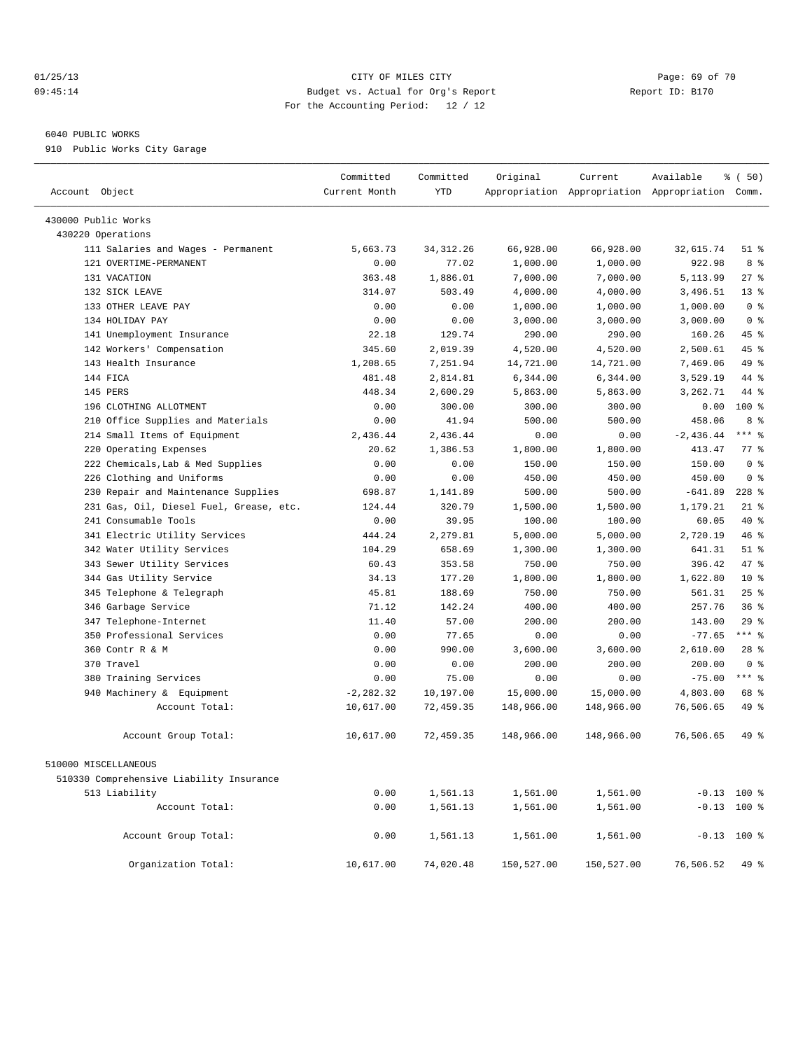#### 01/25/13 CITY OF MILES CITY Page: 69 of 70 09:45:14 Budget vs. Actual for Org's Report Changer Report ID: B170 For the Accounting Period: 12 / 12

#### 6040 PUBLIC WORKS

910 Public Works City Garage

| Account Object                           | Committed<br>Current Month | Committed<br><b>YTD</b> | Original   | Current    | Available<br>Appropriation Appropriation Appropriation Comm. | % (50)          |  |
|------------------------------------------|----------------------------|-------------------------|------------|------------|--------------------------------------------------------------|-----------------|--|
| 430000 Public Works                      |                            |                         |            |            |                                                              |                 |  |
| 430220 Operations                        |                            |                         |            |            |                                                              |                 |  |
| 111 Salaries and Wages - Permanent       | 5,663.73                   | 34, 312.26              | 66,928.00  | 66,928.00  | 32,615.74                                                    | $51$ %          |  |
| 121 OVERTIME-PERMANENT                   | 0.00                       | 77.02                   | 1,000.00   | 1,000.00   | 922.98                                                       | 8 %             |  |
| 131 VACATION                             | 363.48                     | 1,886.01                | 7,000.00   | 7,000.00   | 5,113.99                                                     | 27%             |  |
| 132 SICK LEAVE                           | 314.07                     | 503.49                  | 4,000.00   | 4,000.00   | 3,496.51                                                     | 13 <sup>8</sup> |  |
| 133 OTHER LEAVE PAY                      | 0.00                       | 0.00                    | 1,000.00   | 1,000.00   | 1,000.00                                                     | 0 <sup>8</sup>  |  |
| 134 HOLIDAY PAY                          | 0.00                       | 0.00                    | 3,000.00   | 3,000.00   | 3,000.00                                                     | 0 <sup>8</sup>  |  |
| 141 Unemployment Insurance               | 22.18                      | 129.74                  | 290.00     | 290.00     | 160.26                                                       | 45 %            |  |
| 142 Workers' Compensation                | 345.60                     | 2,019.39                | 4,520.00   | 4,520.00   | 2,500.61                                                     | 45 %            |  |
| 143 Health Insurance                     | 1,208.65                   | 7,251.94                | 14,721.00  | 14,721.00  | 7,469.06                                                     | 49 %            |  |
| 144 FICA                                 | 481.48                     | 2,814.81                | 6,344.00   | 6,344.00   | 3,529.19                                                     | 44 %            |  |
| 145 PERS                                 | 448.34                     | 2,600.29                | 5,863.00   | 5,863.00   | 3,262.71                                                     | 44 %            |  |
| 196 CLOTHING ALLOTMENT                   | 0.00                       | 300.00                  | 300.00     | 300.00     | 0.00                                                         | 100 %           |  |
| Office Supplies and Materials<br>210     | 0.00                       | 41.94                   | 500.00     | 500.00     | 458.06                                                       | 8 %             |  |
| 214 Small Items of Equipment             | 2.436.44                   | 2,436.44                | 0.00       | 0.00       | $-2,436.44$                                                  | $***$ $-$       |  |
| 220 Operating Expenses                   | 20.62                      | 1,386.53                | 1,800.00   | 1,800.00   | 413.47                                                       | 77.8            |  |
| 222 Chemicals, Lab & Med Supplies        | 0.00                       | 0.00                    | 150.00     | 150.00     | 150.00                                                       | 0 <sup>8</sup>  |  |
| 226 Clothing and Uniforms                | 0.00                       | 0.00                    | 450.00     | 450.00     | 450.00                                                       | 0 <sup>8</sup>  |  |
| Repair and Maintenance Supplies<br>230   | 698.87                     | 1,141.89                | 500.00     | 500.00     | $-641.89$                                                    | $228$ %         |  |
| 231 Gas, Oil, Diesel Fuel, Grease, etc.  | 124.44                     | 320.79                  | 1,500.00   | 1,500.00   | 1,179.21                                                     | $21$ %          |  |
| 241 Consumable Tools                     | 0.00                       | 39.95                   | 100.00     | 100.00     | 60.05                                                        | 40 %            |  |
| 341 Electric Utility Services            | 444.24                     | 2,279.81                | 5,000.00   | 5,000.00   | 2,720.19                                                     | 46 %            |  |
| 342 Water Utility Services               | 104.29                     | 658.69                  | 1,300.00   | 1,300.00   | 641.31                                                       | $51$ %          |  |
| 343 Sewer Utility Services               | 60.43                      | 353.58                  | 750.00     | 750.00     | 396.42                                                       | 47 %            |  |
| 344 Gas Utility Service                  | 34.13                      | 177.20                  | 1,800.00   | 1,800.00   | 1,622.80                                                     | 10 <sup>°</sup> |  |
| 345 Telephone & Telegraph                | 45.81                      | 188.69                  | 750.00     | 750.00     | 561.31                                                       | 25%             |  |
| 346 Garbage Service                      | 71.12                      | 142.24                  | 400.00     | 400.00     | 257.76                                                       | 36%             |  |
| 347 Telephone-Internet                   | 11.40                      | 57.00                   | 200.00     | 200.00     | 143.00                                                       | 29%             |  |
| 350 Professional Services                | 0.00                       | 77.65                   | 0.00       | 0.00       | $-77.65$                                                     | $***$ $_{8}$    |  |
| 360 Contr R & M                          | 0.00                       | 990.00                  | 3,600.00   | 3,600.00   | 2,610.00                                                     | $28$ %          |  |
| 370 Travel                               | 0.00                       | 0.00                    | 200.00     | 200.00     | 200.00                                                       | 0 <sup>8</sup>  |  |
| 380 Training Services                    | 0.00                       | 75.00                   | 0.00       | 0.00       | $-75.00$                                                     | $***$ $%$       |  |
| 940 Machinery & Equipment                | $-2, 282.32$               | 10,197.00               | 15,000.00  | 15,000.00  | 4,803.00                                                     | 68 %            |  |
| Account Total:                           | 10,617.00                  | 72,459.35               | 148,966.00 | 148,966.00 | 76,506.65                                                    | 49 %            |  |
| Account Group Total:                     | 10,617.00                  | 72,459.35               | 148,966.00 | 148,966.00 | 76,506.65                                                    | 49 %            |  |
| 510000 MISCELLANEOUS                     |                            |                         |            |            |                                                              |                 |  |
| 510330 Comprehensive Liability Insurance |                            |                         |            |            |                                                              |                 |  |
| 513 Liability                            | 0.00                       | 1,561.13                | 1,561.00   | 1,561.00   |                                                              | $-0.13$ 100 %   |  |
| Account Total:                           | 0.00                       | 1,561.13                | 1,561.00   | 1,561.00   |                                                              | $-0.13$ 100 %   |  |
| Account Group Total:                     | 0.00                       | 1,561.13                | 1,561.00   | 1,561.00   |                                                              | $-0.13$ 100 %   |  |
| Organization Total:                      | 10,617.00                  | 74,020.48               | 150,527.00 | 150,527.00 | 76,506.52                                                    | 49 %            |  |